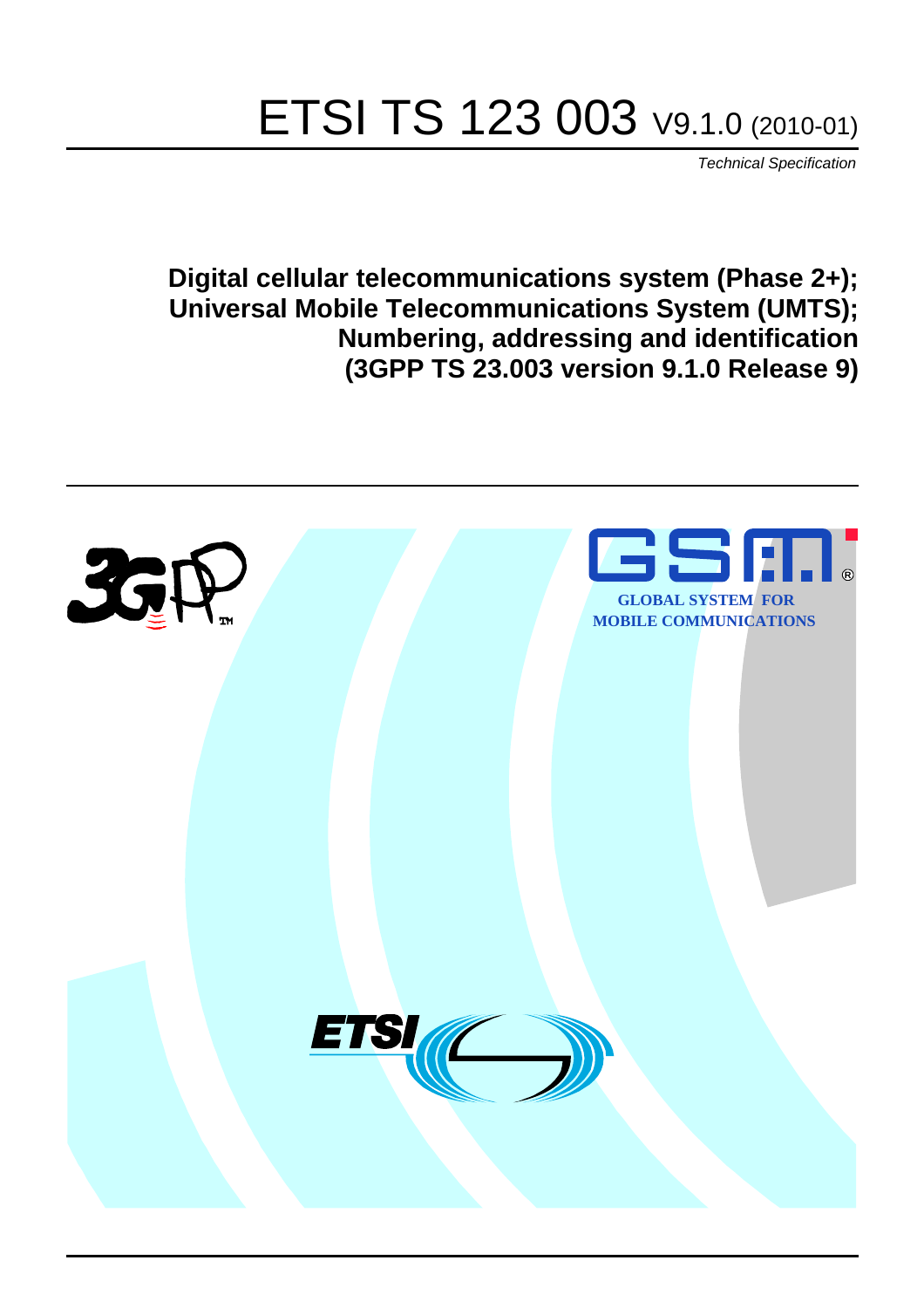# ETSI TS 123 003 V9.1.0 (2010-01)

*Technical Specification*

**Digital cellular telecommunications system (Phase 2+); Universal Mobile Telecommunications System (UMTS); Numbering, addressing and identification (3GPP TS 23.003 version 9.1.0 Release 9)**

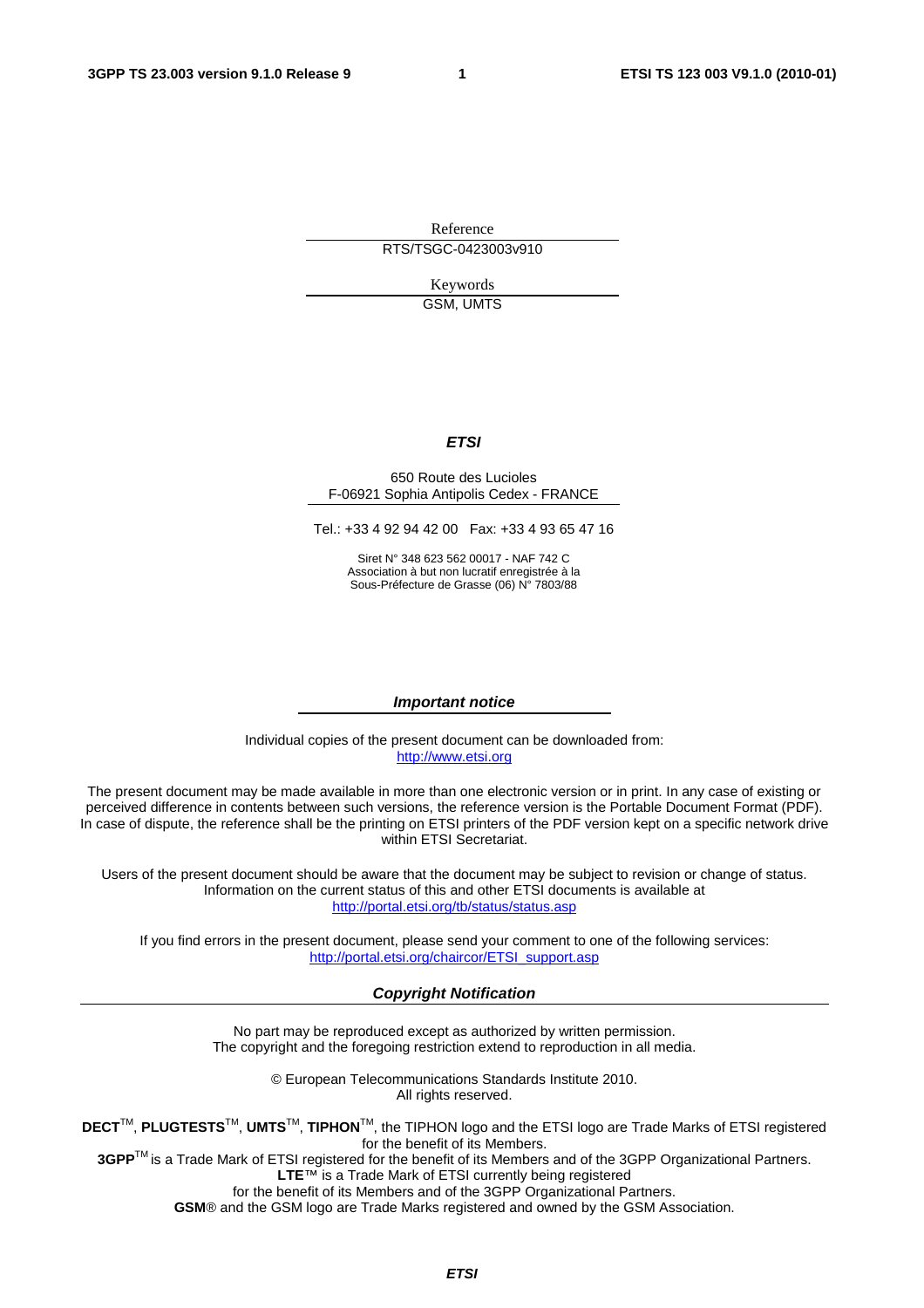Reference RTS/TSGC-0423003v910

> Keywords GSM, UMTS

#### *ETSI*

#### 650 Route des Lucioles F-06921 Sophia Antipolis Cedex - FRANCE

Tel.: +33 4 92 94 42 00 Fax: +33 4 93 65 47 16

Siret N° 348 623 562 00017 - NAF 742 C Association à but non lucratif enregistrée à la Sous-Préfecture de Grasse (06) N° 7803/88

#### *Important notice*

Individual copies of the present document can be downloaded from: [http://www.etsi.org](http://www.etsi.org/)

The present document may be made available in more than one electronic version or in print. In any case of existing or perceived difference in contents between such versions, the reference version is the Portable Document Format (PDF). In case of dispute, the reference shall be the printing on ETSI printers of the PDF version kept on a specific network drive within ETSI Secretariat.

Users of the present document should be aware that the document may be subject to revision or change of status. Information on the current status of this and other ETSI documents is available at <http://portal.etsi.org/tb/status/status.asp>

If you find errors in the present document, please send your comment to one of the following services: [http://portal.etsi.org/chaircor/ETSI\\_support.asp](http://portal.etsi.org/chaircor/ETSI_support.asp)

#### *Copyright Notification*

No part may be reproduced except as authorized by written permission. The copyright and the foregoing restriction extend to reproduction in all media.

> © European Telecommunications Standards Institute 2010. All rights reserved.

**DECT**TM, **PLUGTESTS**TM, **UMTS**TM, **TIPHON**TM, the TIPHON logo and the ETSI logo are Trade Marks of ETSI registered for the benefit of its Members.

**3GPP**TM is a Trade Mark of ETSI registered for the benefit of its Members and of the 3GPP Organizational Partners. **LTE**™ is a Trade Mark of ETSI currently being registered

for the benefit of its Members and of the 3GPP Organizational Partners.

**GSM**® and the GSM logo are Trade Marks registered and owned by the GSM Association.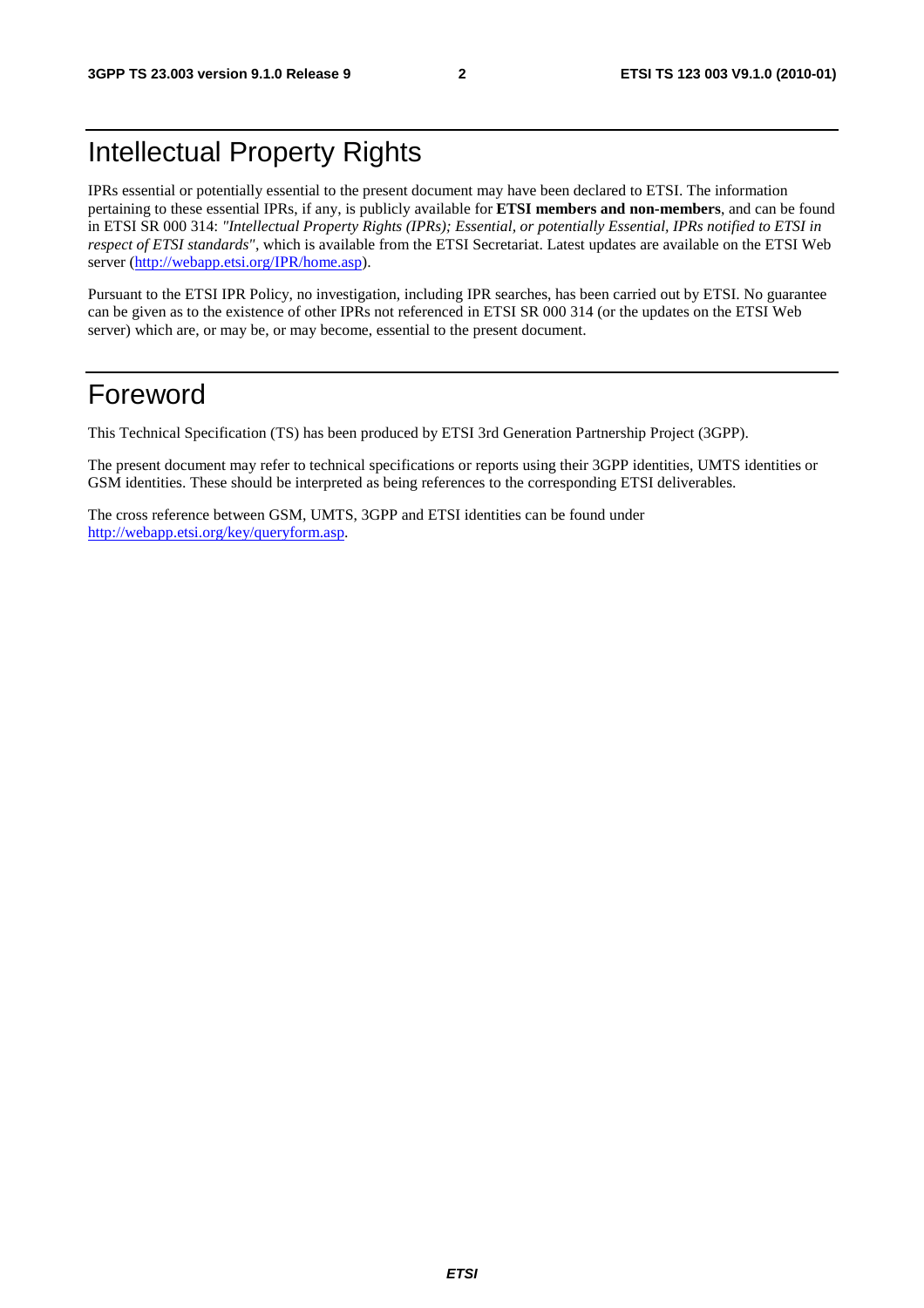# Intellectual Property Rights

IPRs essential or potentially essential to the present document may have been declared to ETSI. The information pertaining to these essential IPRs, if any, is publicly available for **ETSI members and non-members**, and can be found in ETSI SR 000 314: *"Intellectual Property Rights (IPRs); Essential, or potentially Essential, IPRs notified to ETSI in respect of ETSI standards"*, which is available from the ETSI Secretariat. Latest updates are available on the ETSI Web server [\(http://webapp.etsi.org/IPR/home.asp](http://webapp.etsi.org/IPR/home.asp)).

Pursuant to the ETSI IPR Policy, no investigation, including IPR searches, has been carried out by ETSI. No guarantee can be given as to the existence of other IPRs not referenced in ETSI SR 000 314 (or the updates on the ETSI Web server) which are, or may be, or may become, essential to the present document.

# Foreword

This Technical Specification (TS) has been produced by ETSI 3rd Generation Partnership Project (3GPP).

The present document may refer to technical specifications or reports using their 3GPP identities, UMTS identities or GSM identities. These should be interpreted as being references to the corresponding ETSI deliverables.

The cross reference between GSM, UMTS, 3GPP and ETSI identities can be found under <http://webapp.etsi.org/key/queryform.asp>.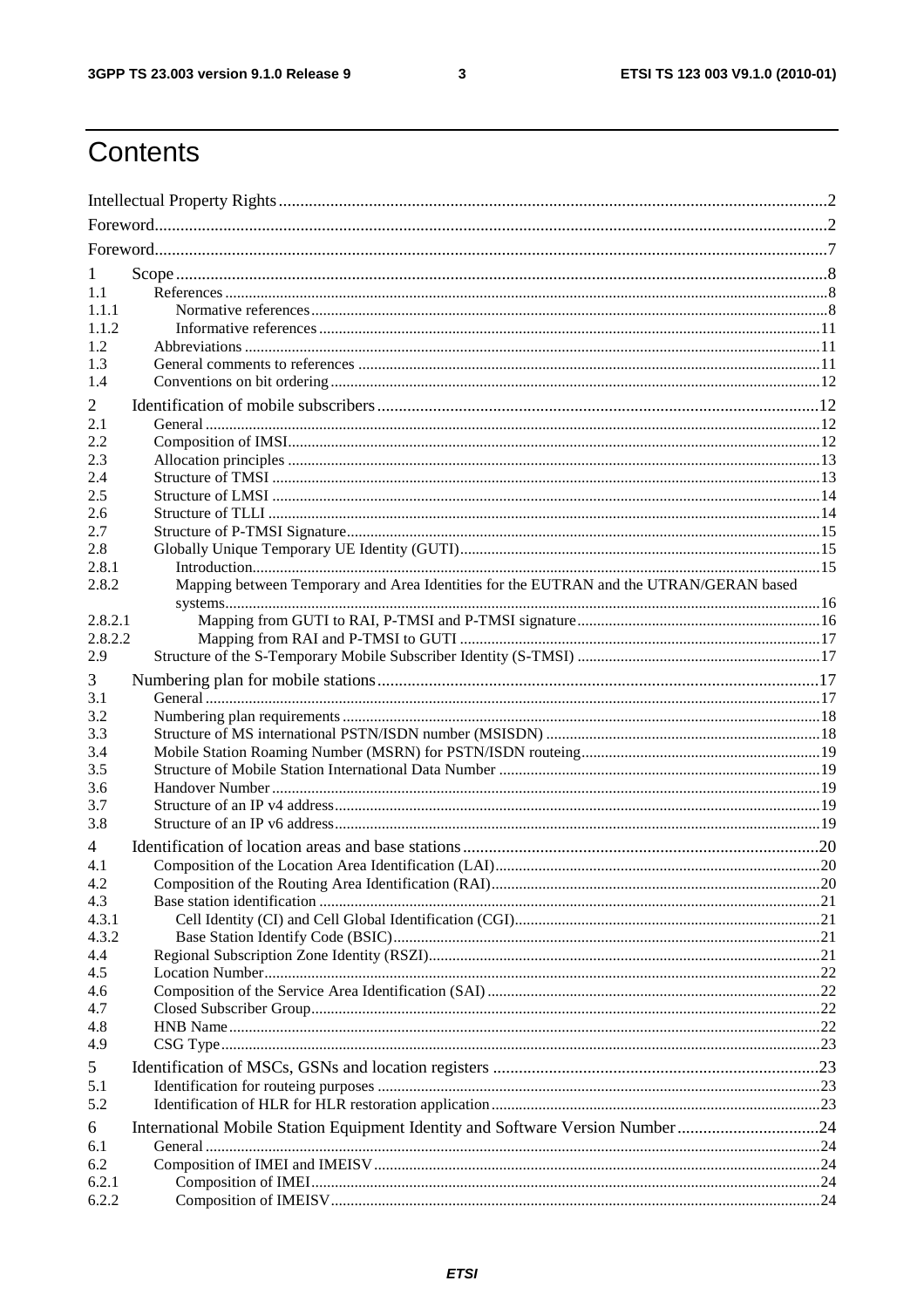$\mathbf{3}$ 

# Contents

| T              |                                                                                        |  |
|----------------|----------------------------------------------------------------------------------------|--|
| 1.1            |                                                                                        |  |
| 1.1.1          |                                                                                        |  |
| 1.1.2          |                                                                                        |  |
| 1.2            |                                                                                        |  |
| 1.3            |                                                                                        |  |
| 1.4            |                                                                                        |  |
| 2              |                                                                                        |  |
| 2.1            |                                                                                        |  |
| 2.2            |                                                                                        |  |
| 2.3            |                                                                                        |  |
| 2.4            |                                                                                        |  |
| 2.5            |                                                                                        |  |
| 2.6            |                                                                                        |  |
| 2.7            |                                                                                        |  |
| 2.8            |                                                                                        |  |
| 2.8.1<br>2.8.2 | Mapping between Temporary and Area Identities for the EUTRAN and the UTRAN/GERAN based |  |
|                |                                                                                        |  |
| 2.8.2.1        |                                                                                        |  |
| 2.8.2.2        |                                                                                        |  |
| 2.9            |                                                                                        |  |
| 3              |                                                                                        |  |
| 3.1            |                                                                                        |  |
| 3.2            |                                                                                        |  |
| 3.3            |                                                                                        |  |
| 3.4            |                                                                                        |  |
| 3.5            |                                                                                        |  |
| 3.6            |                                                                                        |  |
| 3.7            |                                                                                        |  |
| 3.8            |                                                                                        |  |
| 4              |                                                                                        |  |
| 4.1            |                                                                                        |  |
| 4.2            |                                                                                        |  |
| 4.3            |                                                                                        |  |
| 4.3.1          |                                                                                        |  |
| 4.3.2          |                                                                                        |  |
| 4.4            |                                                                                        |  |
| 4.5            |                                                                                        |  |
| 4.6            |                                                                                        |  |
| 4.7            |                                                                                        |  |
| 4.8<br>4.9     |                                                                                        |  |
|                |                                                                                        |  |
| 5              |                                                                                        |  |
| 5.1            |                                                                                        |  |
| 5.2            |                                                                                        |  |
| 6              | International Mobile Station Equipment Identity and Software Version Number 24         |  |
| 6.1            |                                                                                        |  |
| 6.2            |                                                                                        |  |
| 6.2.1          |                                                                                        |  |
| 6.2.2          |                                                                                        |  |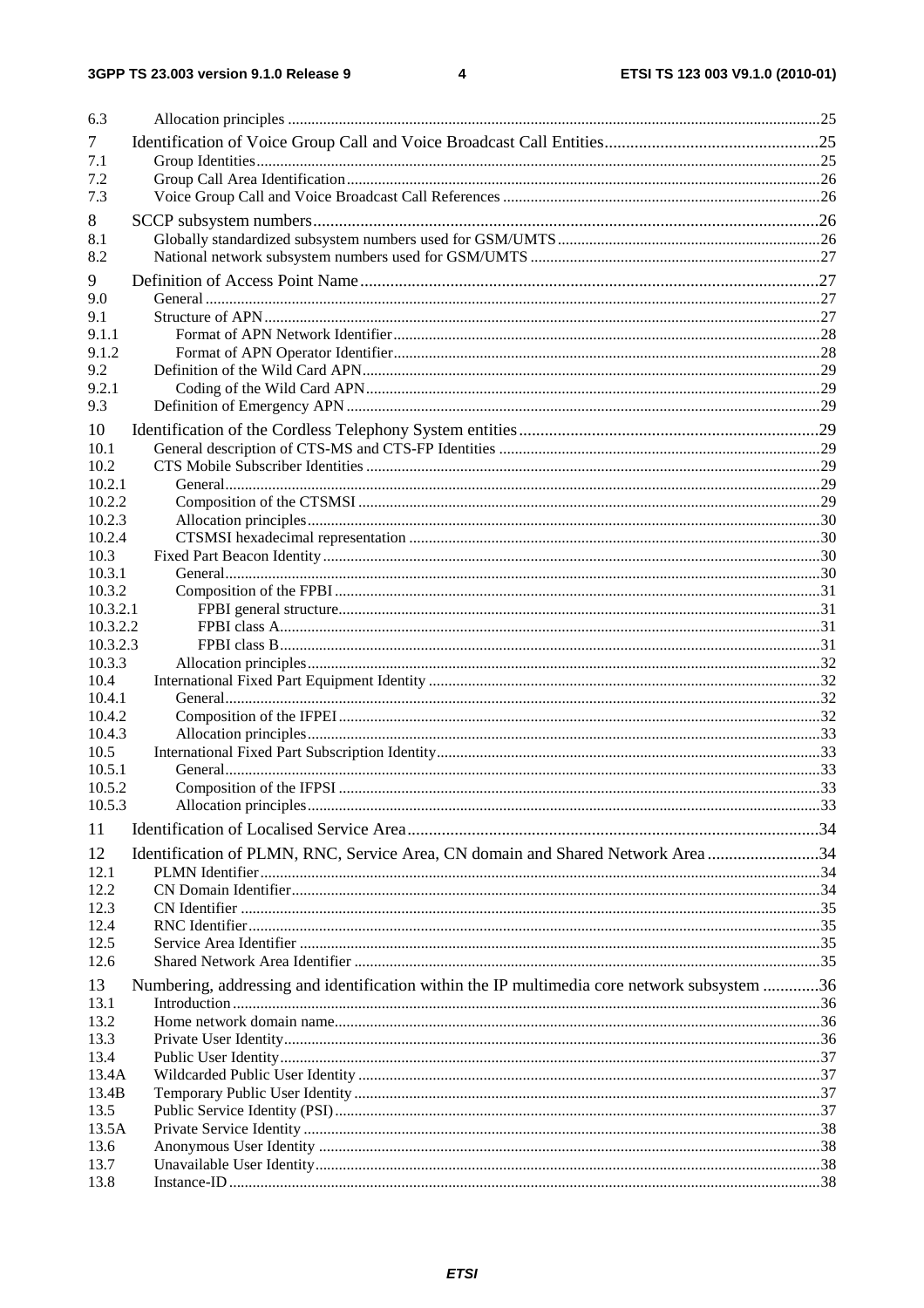| 6.3              |                                                                                             |  |
|------------------|---------------------------------------------------------------------------------------------|--|
| 7                |                                                                                             |  |
| 7.1              |                                                                                             |  |
| 7.2              |                                                                                             |  |
| 7.3              |                                                                                             |  |
| 8                |                                                                                             |  |
| 8.1              |                                                                                             |  |
| 8.2              |                                                                                             |  |
| 9                |                                                                                             |  |
| 9.0              |                                                                                             |  |
| 9.1              |                                                                                             |  |
| 9.1.1<br>9.1.2   |                                                                                             |  |
| 9.2              |                                                                                             |  |
| 9.2.1            |                                                                                             |  |
| 9.3              |                                                                                             |  |
| 10               |                                                                                             |  |
| 10.1             |                                                                                             |  |
| 10.2             |                                                                                             |  |
| 10.2.1           |                                                                                             |  |
| 10.2.2           |                                                                                             |  |
| 10.2.3<br>10.2.4 |                                                                                             |  |
| 10.3             |                                                                                             |  |
| 10.3.1           |                                                                                             |  |
| 10.3.2           |                                                                                             |  |
| 10.3.2.1         |                                                                                             |  |
| 10.3.2.2         |                                                                                             |  |
| 10.3.2.3         |                                                                                             |  |
| 10.3.3           |                                                                                             |  |
| 10.4<br>10.4.1   |                                                                                             |  |
| 10.4.2           |                                                                                             |  |
| 10.4.3           |                                                                                             |  |
| 10.5             |                                                                                             |  |
| 10.5.1           |                                                                                             |  |
| 10.5.2           |                                                                                             |  |
| 10.5.3           |                                                                                             |  |
| 11               |                                                                                             |  |
| 12               | Identification of PLMN, RNC, Service Area, CN domain and Shared Network Area 34             |  |
| 12.1             |                                                                                             |  |
| 12.2             |                                                                                             |  |
| 12.3<br>12.4     |                                                                                             |  |
| 12.5             |                                                                                             |  |
| 12.6             |                                                                                             |  |
| 13               | Numbering, addressing and identification within the IP multimedia core network subsystem 36 |  |
| 13.1             |                                                                                             |  |
| 13.2             |                                                                                             |  |
| 13.3             |                                                                                             |  |
| 13.4             |                                                                                             |  |
| 13.4A            |                                                                                             |  |
| 13.4B<br>13.5    |                                                                                             |  |
| 13.5A            |                                                                                             |  |
| 13.6             |                                                                                             |  |
| 13.7             |                                                                                             |  |
| 13.8             |                                                                                             |  |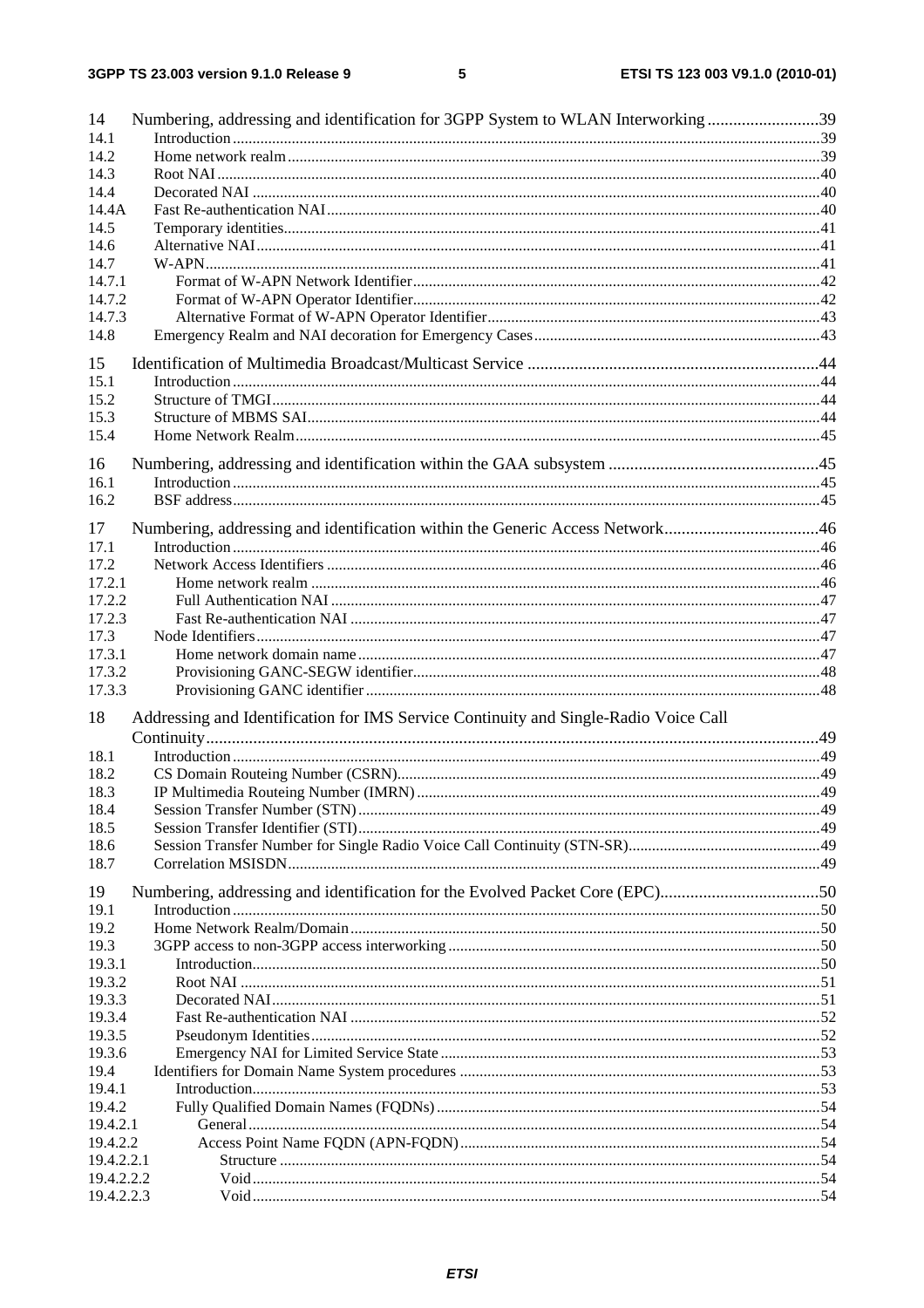| 14             | Numbering, addressing and identification for 3GPP System to WLAN Interworking39      |  |
|----------------|--------------------------------------------------------------------------------------|--|
| 14.1           |                                                                                      |  |
| 14.2           |                                                                                      |  |
| 14.3           |                                                                                      |  |
| 14.4<br>14.4A  |                                                                                      |  |
| 14.5           |                                                                                      |  |
| 14.6           |                                                                                      |  |
| 14.7           |                                                                                      |  |
| 14.7.1         |                                                                                      |  |
| 14.7.2         |                                                                                      |  |
| 14.7.3         |                                                                                      |  |
| 14.8           |                                                                                      |  |
|                |                                                                                      |  |
| 15             |                                                                                      |  |
| 15.1<br>15.2   |                                                                                      |  |
| 15.3           |                                                                                      |  |
| 15.4           |                                                                                      |  |
|                |                                                                                      |  |
| 16             |                                                                                      |  |
| 16.1           |                                                                                      |  |
| 16.2           |                                                                                      |  |
| 17             | Numbering, addressing and identification within the Generic Access Network46         |  |
| 17.1           |                                                                                      |  |
| 17.2           |                                                                                      |  |
| 17.2.1         |                                                                                      |  |
| 17.2.2         |                                                                                      |  |
| 17.2.3         |                                                                                      |  |
| 17.3           |                                                                                      |  |
| 17.3.1         |                                                                                      |  |
| 17.3.2         |                                                                                      |  |
| 17.3.3         |                                                                                      |  |
| 18             | Addressing and Identification for IMS Service Continuity and Single-Radio Voice Call |  |
|                |                                                                                      |  |
| 18.1           |                                                                                      |  |
| 18.2           |                                                                                      |  |
| 18.3           |                                                                                      |  |
| 18.4           |                                                                                      |  |
| 18.5           |                                                                                      |  |
| 18.6           |                                                                                      |  |
| 18.7           |                                                                                      |  |
|                |                                                                                      |  |
| 19<br>19.1     | Numbering, addressing and identification for the Evolved Packet Core (EPC)50         |  |
|                |                                                                                      |  |
| 19.2           |                                                                                      |  |
| 19.3<br>19.3.1 |                                                                                      |  |
| 19.3.2         |                                                                                      |  |
| 19.3.3         |                                                                                      |  |
| 19.3.4         |                                                                                      |  |
| 19.3.5         |                                                                                      |  |
| 19.3.6         |                                                                                      |  |
| 19.4           |                                                                                      |  |
| 19.4.1         |                                                                                      |  |
| 19.4.2         |                                                                                      |  |
| 19.4.2.1       |                                                                                      |  |
| 19.4.2.2       |                                                                                      |  |
| 19.4.2.2.1     |                                                                                      |  |
| 19.4.2.2.2     |                                                                                      |  |
| 19.4.2.2.3     |                                                                                      |  |
|                |                                                                                      |  |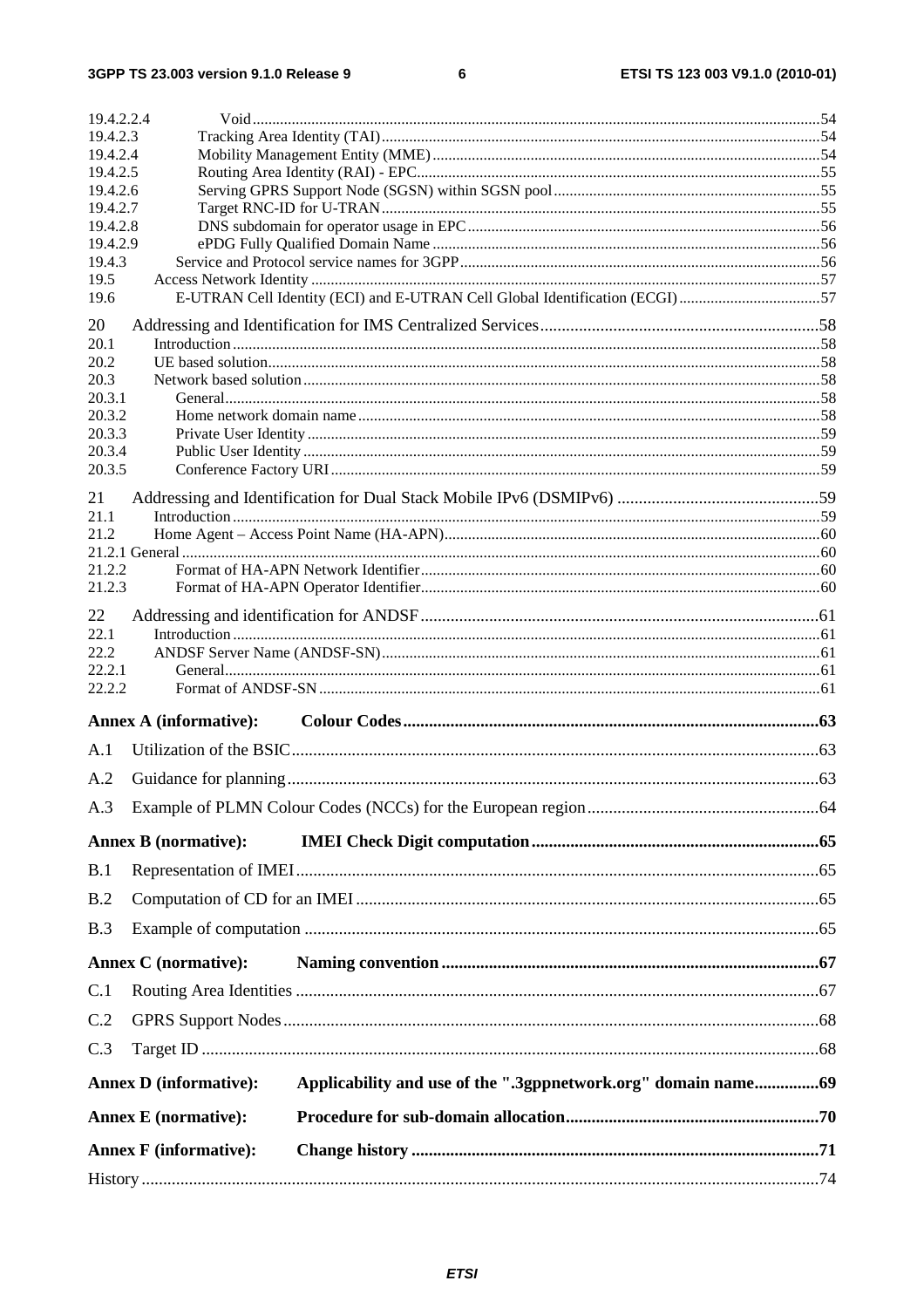3GPP TS 23.003 version 9.1.0 Release 9

| 19.4.2.2.4                    |                                                                              |     |
|-------------------------------|------------------------------------------------------------------------------|-----|
| 19.4.2.3<br>19.4.2.4          |                                                                              |     |
| 19.4.2.5                      |                                                                              |     |
| 19.4.2.6                      |                                                                              |     |
| 19.4.2.7                      |                                                                              |     |
| 19.4.2.8<br>19.4.2.9          |                                                                              |     |
| 19.4.3                        |                                                                              |     |
| 19.5                          |                                                                              |     |
| 19.6                          | E-UTRAN Cell Identity (ECI) and E-UTRAN Cell Global Identification (ECGI) 57 |     |
| 20                            |                                                                              |     |
| 20.1<br>20.2                  |                                                                              |     |
| 20.3                          |                                                                              |     |
| 20.3.1                        |                                                                              |     |
| 20.3.2                        |                                                                              |     |
| 20.3.3<br>20.3.4              |                                                                              |     |
| 20.3.5                        |                                                                              |     |
| 21                            |                                                                              |     |
| 21.1                          |                                                                              |     |
| 21.2                          |                                                                              |     |
|                               |                                                                              |     |
| 21.2.2<br>21.2.3              |                                                                              |     |
| 22                            |                                                                              |     |
| 22.1                          |                                                                              |     |
| 22.2                          |                                                                              |     |
| 22.2.1                        |                                                                              |     |
| 22.2.2                        |                                                                              |     |
| <b>Annex A (informative):</b> |                                                                              |     |
| A.1                           |                                                                              |     |
| A.2                           |                                                                              |     |
| A.3                           |                                                                              |     |
| <b>Annex B</b> (normative):   |                                                                              |     |
| B.1                           |                                                                              |     |
| B.2                           |                                                                              |     |
| B.3                           |                                                                              |     |
| <b>Annex C</b> (normative):   |                                                                              |     |
| C.1                           |                                                                              |     |
| C.2                           |                                                                              |     |
| C.3                           |                                                                              |     |
| <b>Annex D</b> (informative): | Applicability and use of the ".3gppnetwork.org" domain name69                |     |
| <b>Annex E</b> (normative):   |                                                                              |     |
| <b>Annex F</b> (informative): |                                                                              |     |
| History.                      |                                                                              | .74 |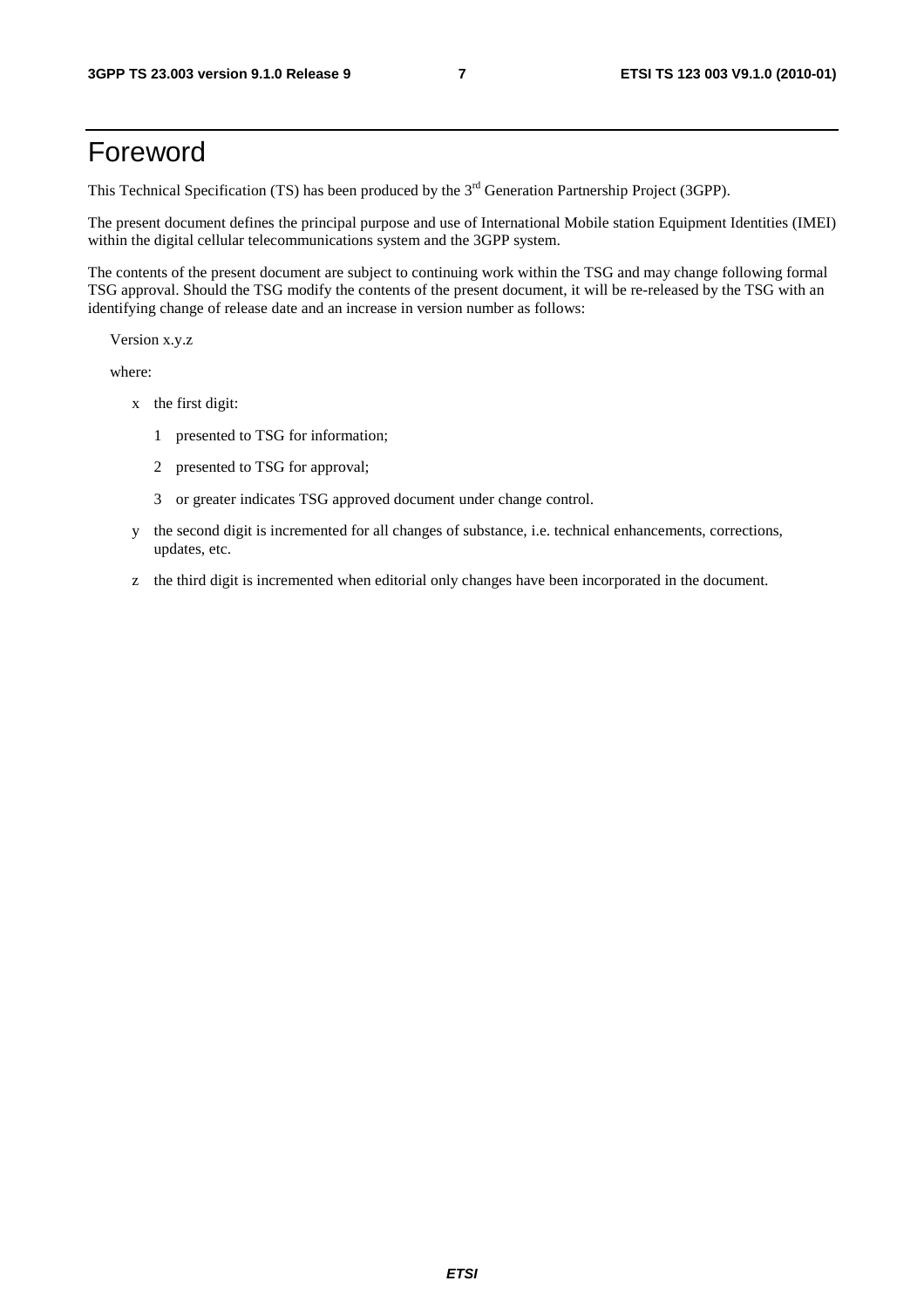# Foreword

This Technical Specification (TS) has been produced by the 3<sup>rd</sup> Generation Partnership Project (3GPP).

The present document defines the principal purpose and use of International Mobile station Equipment Identities (IMEI) within the digital cellular telecommunications system and the 3GPP system.

The contents of the present document are subject to continuing work within the TSG and may change following formal TSG approval. Should the TSG modify the contents of the present document, it will be re-released by the TSG with an identifying change of release date and an increase in version number as follows:

Version x.y.z

where:

- x the first digit:
	- 1 presented to TSG for information;
	- 2 presented to TSG for approval;
	- 3 or greater indicates TSG approved document under change control.
- y the second digit is incremented for all changes of substance, i.e. technical enhancements, corrections, updates, etc.
- z the third digit is incremented when editorial only changes have been incorporated in the document.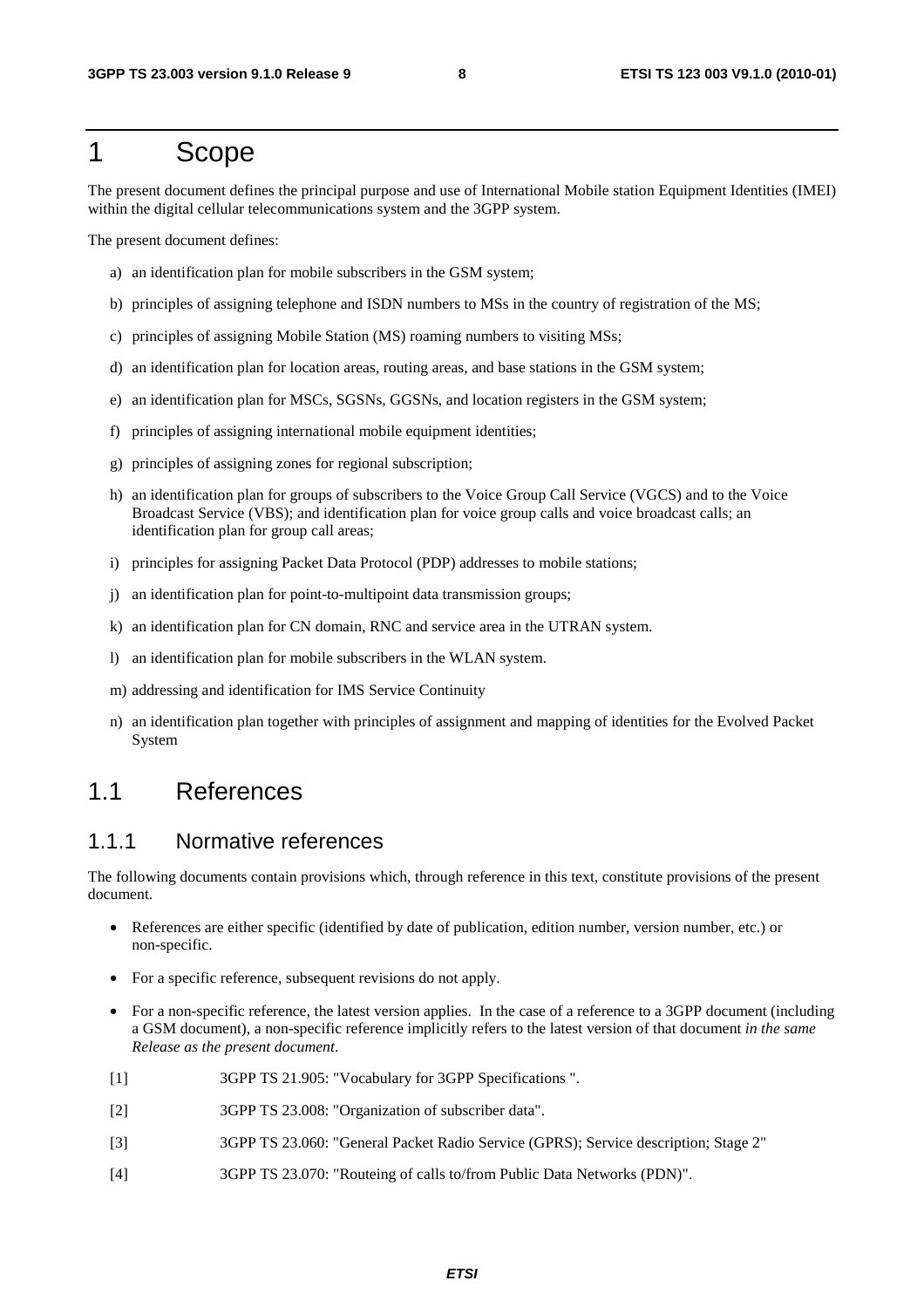### 1 Scope

The present document defines the principal purpose and use of International Mobile station Equipment Identities (IMEI) within the digital cellular telecommunications system and the 3GPP system.

The present document defines:

- a) an identification plan for mobile subscribers in the GSM system;
- b) principles of assigning telephone and ISDN numbers to MSs in the country of registration of the MS;
- c) principles of assigning Mobile Station (MS) roaming numbers to visiting MSs;
- d) an identification plan for location areas, routing areas, and base stations in the GSM system;
- e) an identification plan for MSCs, SGSNs, GGSNs, and location registers in the GSM system;
- f) principles of assigning international mobile equipment identities;
- g) principles of assigning zones for regional subscription;
- h) an identification plan for groups of subscribers to the Voice Group Call Service (VGCS) and to the Voice Broadcast Service (VBS); and identification plan for voice group calls and voice broadcast calls; an identification plan for group call areas;
- i) principles for assigning Packet Data Protocol (PDP) addresses to mobile stations;
- j) an identification plan for point-to-multipoint data transmission groups;
- k) an identification plan for CN domain, RNC and service area in the UTRAN system.
- l) an identification plan for mobile subscribers in the WLAN system.
- m) addressing and identification for IMS Service Continuity
- n) an identification plan together with principles of assignment and mapping of identities for the Evolved Packet System

### 1.1 References

#### 1.1.1 Normative references

The following documents contain provisions which, through reference in this text, constitute provisions of the present document.

- References are either specific (identified by date of publication, edition number, version number, etc.) or non-specific.
- For a specific reference, subsequent revisions do not apply.
- For a non-specific reference, the latest version applies. In the case of a reference to a 3GPP document (including a GSM document), a non-specific reference implicitly refers to the latest version of that document *in the same Release as the present document*.
- [1] 3GPP TS 21.905: "Vocabulary for 3GPP Specifications ".
- [2] 3GPP TS 23.008: "Organization of subscriber data".
- [3] 3GPP TS 23.060: "General Packet Radio Service (GPRS); Service description; Stage 2"
- [4] 3GPP TS 23.070: "Routeing of calls to/from Public Data Networks (PDN)".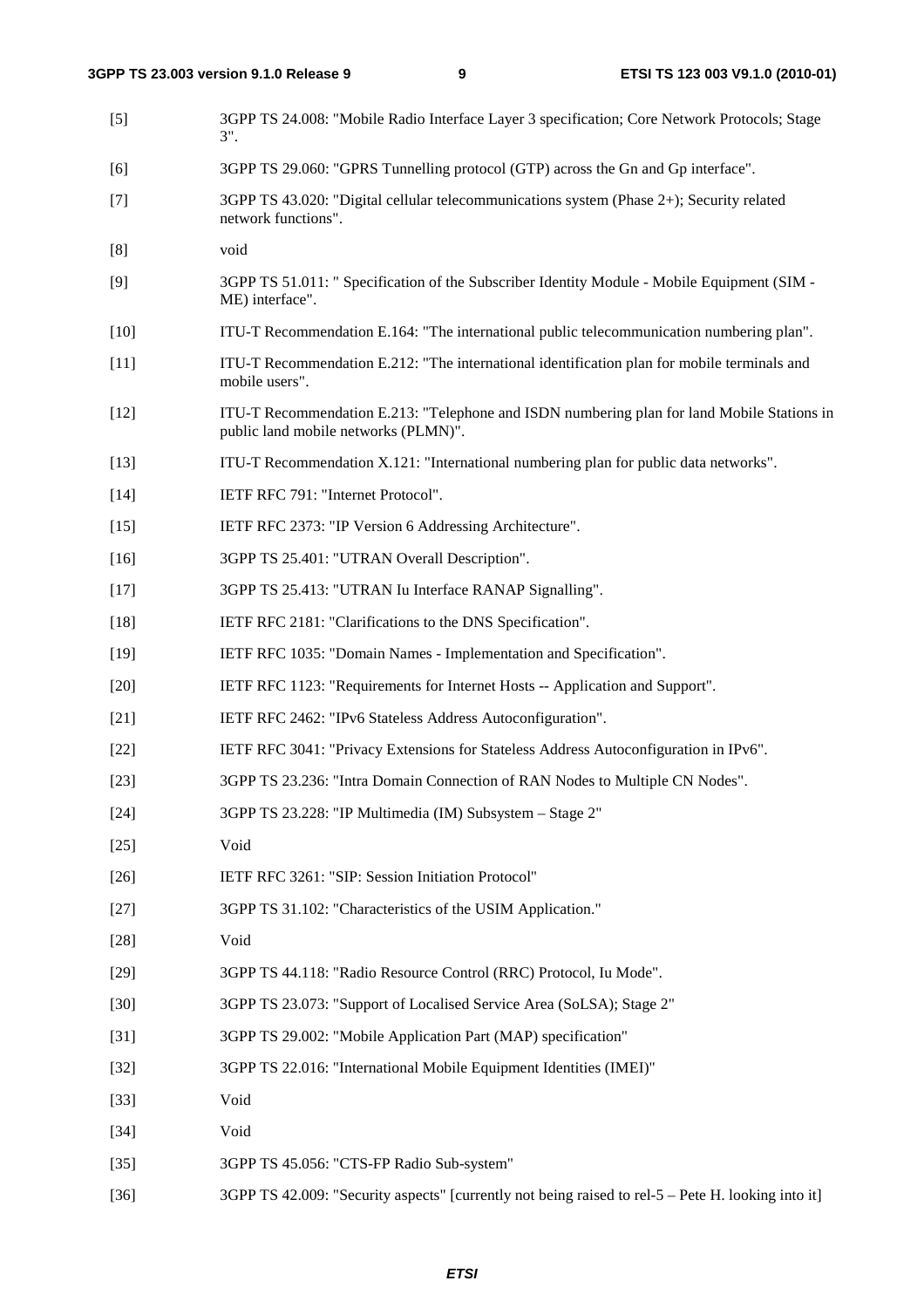| $[5]$  | 3GPP TS 24.008: "Mobile Radio Interface Layer 3 specification; Core Network Protocols; Stage<br>$3$ ".                             |
|--------|------------------------------------------------------------------------------------------------------------------------------------|
| [6]    | 3GPP TS 29.060: "GPRS Tunnelling protocol (GTP) across the Gn and Gp interface".                                                   |
| $[7]$  | 3GPP TS 43.020: "Digital cellular telecommunications system (Phase 2+); Security related<br>network functions".                    |
| [8]    | void                                                                                                                               |
| [9]    | 3GPP TS 51.011: " Specification of the Subscriber Identity Module - Mobile Equipment (SIM -<br>ME) interface".                     |
| $[10]$ | ITU-T Recommendation E.164: "The international public telecommunication numbering plan".                                           |
| $[11]$ | ITU-T Recommendation E.212: "The international identification plan for mobile terminals and<br>mobile users".                      |
| $[12]$ | ITU-T Recommendation E.213: "Telephone and ISDN numbering plan for land Mobile Stations in<br>public land mobile networks (PLMN)". |
| $[13]$ | ITU-T Recommendation X.121: "International numbering plan for public data networks".                                               |
| $[14]$ | IETF RFC 791: "Internet Protocol".                                                                                                 |
| $[15]$ | IETF RFC 2373: "IP Version 6 Addressing Architecture".                                                                             |
| $[16]$ | 3GPP TS 25.401: "UTRAN Overall Description".                                                                                       |
| $[17]$ | 3GPP TS 25.413: "UTRAN Iu Interface RANAP Signalling".                                                                             |
| $[18]$ | IETF RFC 2181: "Clarifications to the DNS Specification".                                                                          |
| $[19]$ | IETF RFC 1035: "Domain Names - Implementation and Specification".                                                                  |
| $[20]$ | IETF RFC 1123: "Requirements for Internet Hosts -- Application and Support".                                                       |
| $[21]$ | IETF RFC 2462: "IPv6 Stateless Address Autoconfiguration".                                                                         |
| $[22]$ | IETF RFC 3041: "Privacy Extensions for Stateless Address Autoconfiguration in IPv6".                                               |
| $[23]$ | 3GPP TS 23.236: "Intra Domain Connection of RAN Nodes to Multiple CN Nodes".                                                       |
| $[24]$ | 3GPP TS 23.228: "IP Multimedia (IM) Subsystem - Stage 2"                                                                           |
| $[25]$ | Void                                                                                                                               |
| $[26]$ | IETF RFC 3261: "SIP: Session Initiation Protocol"                                                                                  |
| $[27]$ | 3GPP TS 31.102: "Characteristics of the USIM Application."                                                                         |
| $[28]$ | Void                                                                                                                               |
| $[29]$ | 3GPP TS 44.118: "Radio Resource Control (RRC) Protocol, Iu Mode".                                                                  |
| $[30]$ | 3GPP TS 23.073: "Support of Localised Service Area (SoLSA); Stage 2"                                                               |
| $[31]$ | 3GPP TS 29.002: "Mobile Application Part (MAP) specification"                                                                      |
| $[32]$ | 3GPP TS 22.016: "International Mobile Equipment Identities (IMEI)"                                                                 |
| $[33]$ | Void                                                                                                                               |
| $[34]$ | Void                                                                                                                               |
| $[35]$ | 3GPP TS 45.056: "CTS-FP Radio Sub-system"                                                                                          |
| $[36]$ | 3GPP TS 42.009: "Security aspects" [currently not being raised to rel-5 - Pete H. looking into it]                                 |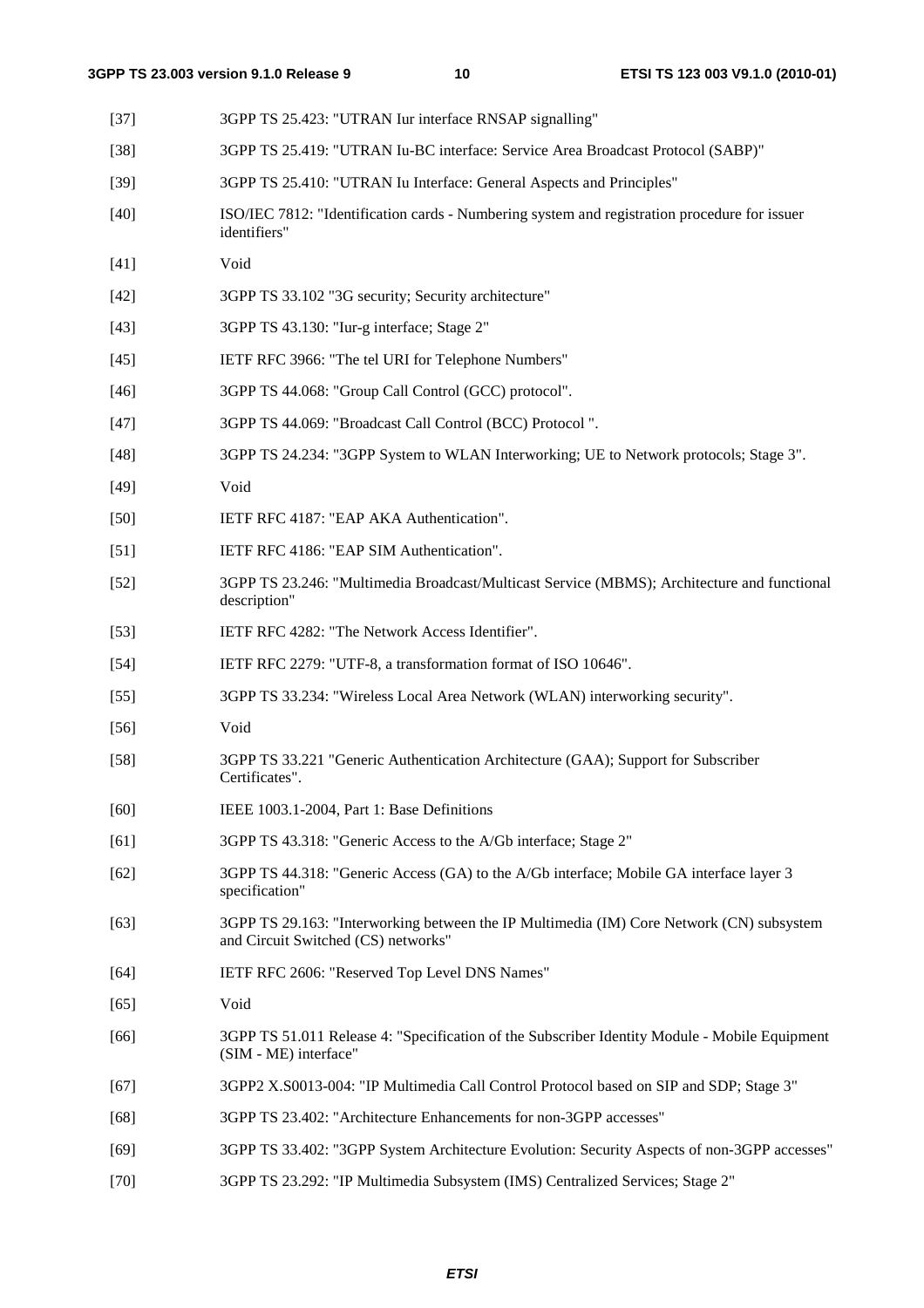| $[37]$ | 3GPP TS 25.423: "UTRAN Iur interface RNSAP signalling"                                                                          |
|--------|---------------------------------------------------------------------------------------------------------------------------------|
| $[38]$ | 3GPP TS 25.419: "UTRAN Iu-BC interface: Service Area Broadcast Protocol (SABP)"                                                 |
| $[39]$ | 3GPP TS 25.410: "UTRAN Iu Interface: General Aspects and Principles"                                                            |
| $[40]$ | ISO/IEC 7812: "Identification cards - Numbering system and registration procedure for issuer<br>identifiers"                    |
| $[41]$ | Void                                                                                                                            |
| $[42]$ | 3GPP TS 33.102 "3G security; Security architecture"                                                                             |
| $[43]$ | 3GPP TS 43.130: "Iur-g interface; Stage 2"                                                                                      |
| $[45]$ | IETF RFC 3966: "The tel URI for Telephone Numbers"                                                                              |
| $[46]$ | 3GPP TS 44.068: "Group Call Control (GCC) protocol".                                                                            |
| $[47]$ | 3GPP TS 44.069: "Broadcast Call Control (BCC) Protocol".                                                                        |
| $[48]$ | 3GPP TS 24.234: "3GPP System to WLAN Interworking; UE to Network protocols; Stage 3".                                           |
| $[49]$ | Void                                                                                                                            |
| $[50]$ | IETF RFC 4187: "EAP AKA Authentication".                                                                                        |
| $[51]$ | IETF RFC 4186: "EAP SIM Authentication".                                                                                        |
| $[52]$ | 3GPP TS 23.246: "Multimedia Broadcast/Multicast Service (MBMS); Architecture and functional<br>description"                     |
| $[53]$ | IETF RFC 4282: "The Network Access Identifier".                                                                                 |
| $[54]$ | IETF RFC 2279: "UTF-8, a transformation format of ISO 10646".                                                                   |
| $[55]$ | 3GPP TS 33.234: "Wireless Local Area Network (WLAN) interworking security".                                                     |
| $[56]$ | Void                                                                                                                            |
| $[58]$ | 3GPP TS 33.221 "Generic Authentication Architecture (GAA); Support for Subscriber<br>Certificates".                             |
| $[60]$ | IEEE 1003.1-2004, Part 1: Base Definitions                                                                                      |
| [61]   | 3GPP TS 43.318: "Generic Access to the A/Gb interface; Stage 2"                                                                 |
| $[62]$ | 3GPP TS 44.318: "Generic Access (GA) to the A/Gb interface; Mobile GA interface layer 3<br>specification"                       |
| $[63]$ | 3GPP TS 29.163: "Interworking between the IP Multimedia (IM) Core Network (CN) subsystem<br>and Circuit Switched (CS) networks" |
| $[64]$ | IETF RFC 2606: "Reserved Top Level DNS Names"                                                                                   |
| $[65]$ | Void                                                                                                                            |
| [66]   | 3GPP TS 51.011 Release 4: "Specification of the Subscriber Identity Module - Mobile Equipment<br>(SIM - ME) interface"          |
| $[67]$ | 3GPP2 X.S0013-004: "IP Multimedia Call Control Protocol based on SIP and SDP; Stage 3"                                          |
| $[68]$ | 3GPP TS 23.402: "Architecture Enhancements for non-3GPP accesses"                                                               |
| $[69]$ | 3GPP TS 33.402: "3GPP System Architecture Evolution: Security Aspects of non-3GPP accesses"                                     |
|        |                                                                                                                                 |

[70] 3GPP TS 23.292: "IP Multimedia Subsystem (IMS) Centralized Services; Stage 2"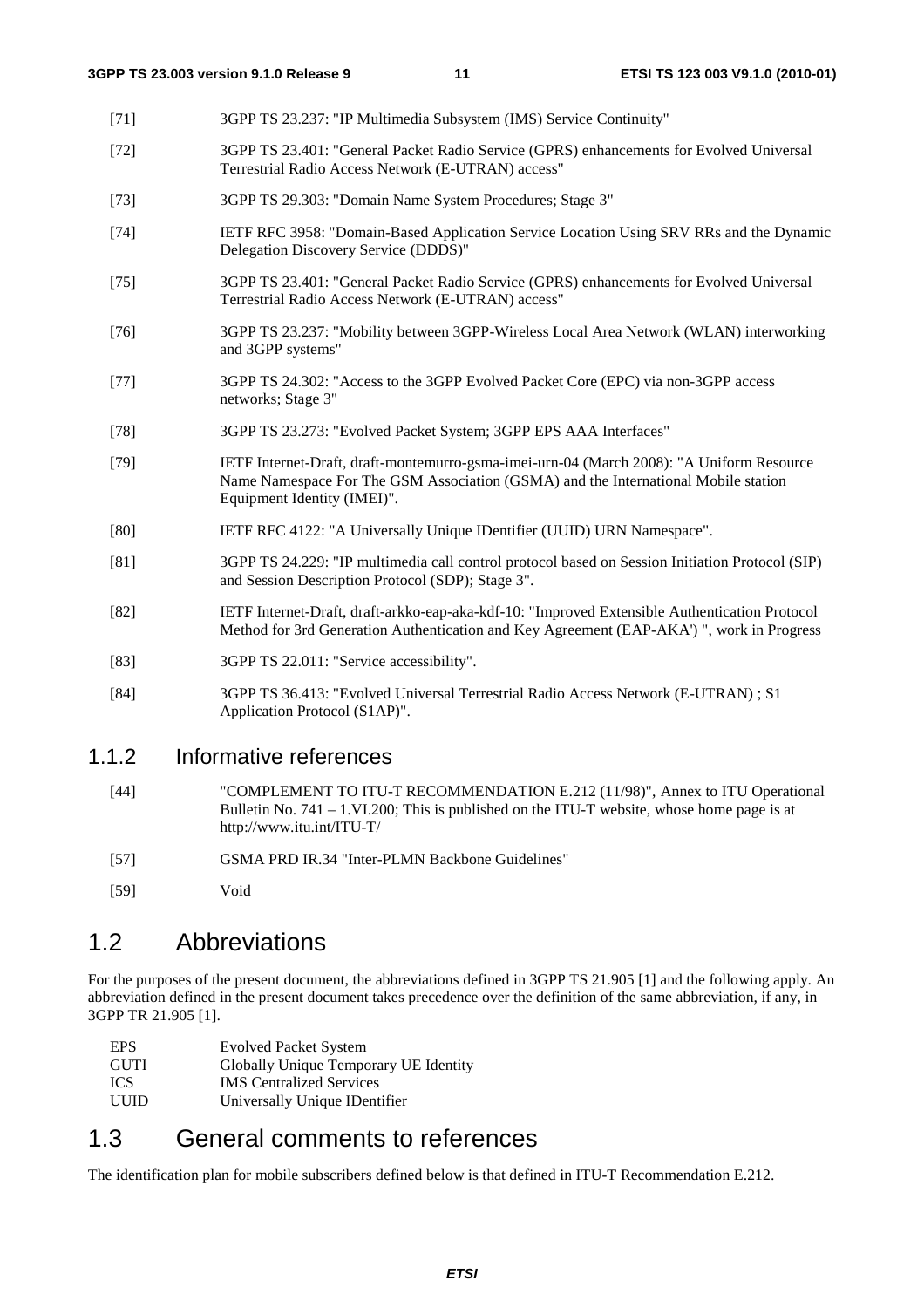- [71] 3GPP TS 23.237: "IP Multimedia Subsystem (IMS) Service Continuity"
- [72] 3GPP TS 23.401: "General Packet Radio Service (GPRS) enhancements for Evolved Universal Terrestrial Radio Access Network (E-UTRAN) access"
- [73] 3GPP TS 29.303: "Domain Name System Procedures; Stage 3"
- [74] IETF RFC 3958: "Domain-Based Application Service Location Using SRV RRs and the Dynamic Delegation Discovery Service (DDDS)"
- [75] 3GPP TS 23.401: "General Packet Radio Service (GPRS) enhancements for Evolved Universal Terrestrial Radio Access Network (E-UTRAN) access"
- [76] 3GPP TS 23.237: "Mobility between 3GPP-Wireless Local Area Network (WLAN) interworking and 3GPP systems"
- [77] 3GPP TS 24.302: "Access to the 3GPP Evolved Packet Core (EPC) via non-3GPP access networks; Stage 3"
- [78] 3GPP TS 23.273: "Evolved Packet System; 3GPP EPS AAA Interfaces"
- [79] IETF Internet-Draft, draft-montemurro-gsma-imei-urn-04 (March 2008): "A Uniform Resource Name Namespace For The GSM Association (GSMA) and the International Mobile station Equipment Identity (IMEI)".
- [80] IETF RFC 4122: "A Universally Unique IDentifier (UUID) URN Namespace".
- [81] 3GPP TS 24.229: "IP multimedia call control protocol based on Session Initiation Protocol (SIP) and Session Description Protocol (SDP); Stage 3".
- [82] IETF Internet-Draft, draft-arkko-eap-aka-kdf-10: "Improved Extensible Authentication Protocol Method for 3rd Generation Authentication and Key Agreement (EAP-AKA') ", work in Progress
- [83] 3GPP TS 22.011: "Service accessibility".
- [84] 3GPP TS 36.413: "Evolved Universal Terrestrial Radio Access Network (E-UTRAN) ; S1 Application Protocol (S1AP)".

#### 1.1.2 Informative references

- [44] "COMPLEMENT TO ITU-T RECOMMENDATION E.212 (11/98)", Annex to ITU Operational Bulletin No. 741 – 1.VI.200; This is published on the ITU-T website, whose home page is at http://www.itu.int/ITU-T/
- [57] GSMA PRD IR.34 "Inter-PLMN Backbone Guidelines"
- [59] Void

#### 1.2 Abbreviations

For the purposes of the present document, the abbreviations defined in 3GPP TS 21.905 [1] and the following apply. An abbreviation defined in the present document takes precedence over the definition of the same abbreviation, if any, in 3GPP TR 21.905 [1].

- EPS Evolved Packet System GUTI Globally Unique Temporary UE Identity **ICS IMS Centralized Services**<br> **IIIIID IIIIIID IIIIIIII**
- Universally Unique IDentifier

### 1.3 General comments to references

The identification plan for mobile subscribers defined below is that defined in ITU-T Recommendation E.212.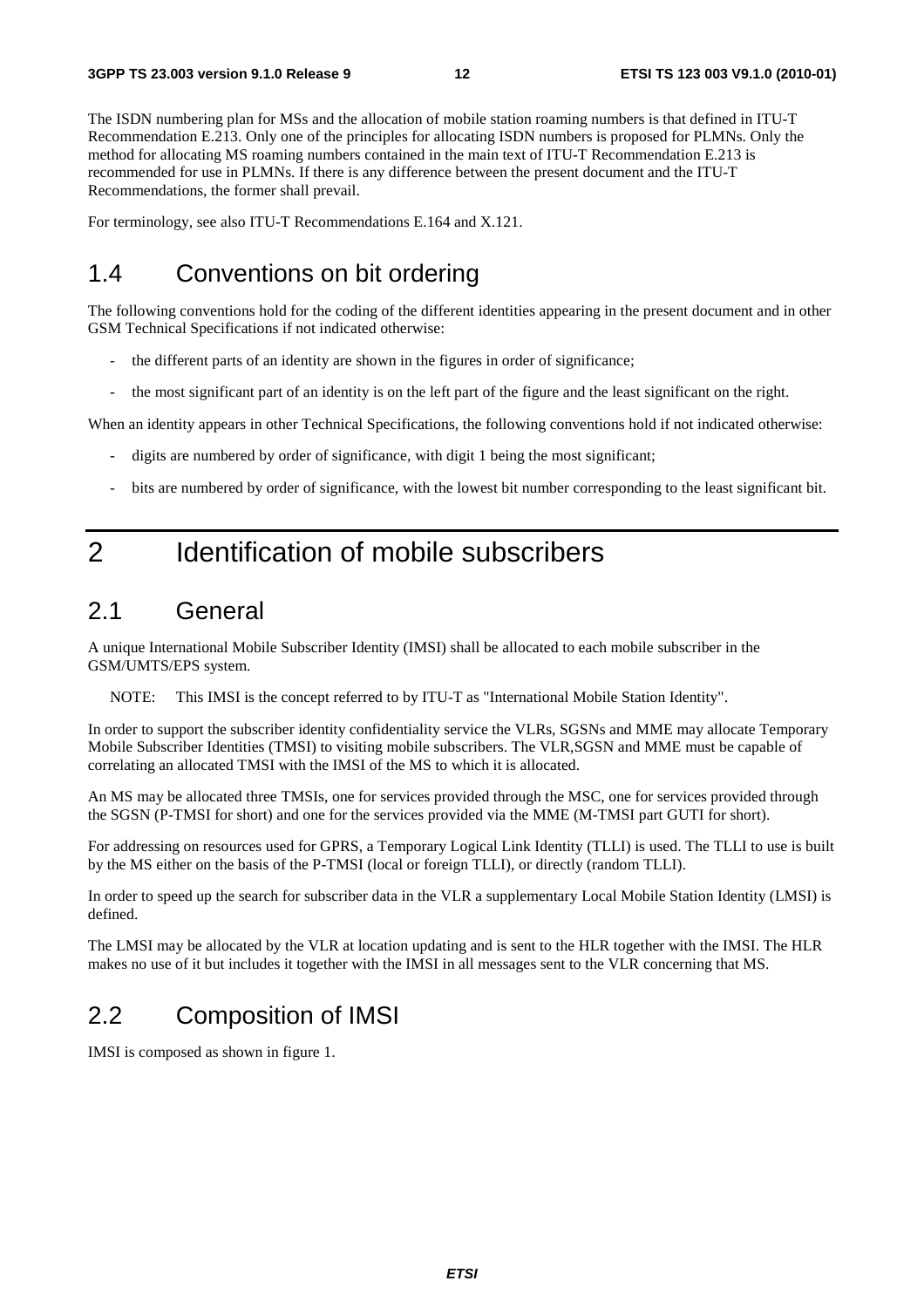The ISDN numbering plan for MSs and the allocation of mobile station roaming numbers is that defined in ITU-T Recommendation E.213. Only one of the principles for allocating ISDN numbers is proposed for PLMNs. Only the method for allocating MS roaming numbers contained in the main text of ITU-T Recommendation E.213 is recommended for use in PLMNs. If there is any difference between the present document and the ITU-T Recommendations, the former shall prevail.

For terminology, see also ITU-T Recommendations E.164 and X.121.

### 1.4 Conventions on bit ordering

The following conventions hold for the coding of the different identities appearing in the present document and in other GSM Technical Specifications if not indicated otherwise:

- the different parts of an identity are shown in the figures in order of significance;
- the most significant part of an identity is on the left part of the figure and the least significant on the right.

When an identity appears in other Technical Specifications, the following conventions hold if not indicated otherwise:

- digits are numbered by order of significance, with digit 1 being the most significant;
- bits are numbered by order of significance, with the lowest bit number corresponding to the least significant bit.

# 2 Identification of mobile subscribers

### 2.1 General

A unique International Mobile Subscriber Identity (IMSI) shall be allocated to each mobile subscriber in the GSM/UMTS/EPS system.

NOTE: This IMSI is the concept referred to by ITU-T as "International Mobile Station Identity".

In order to support the subscriber identity confidentiality service the VLRs, SGSNs and MME may allocate Temporary Mobile Subscriber Identities (TMSI) to visiting mobile subscribers. The VLR,SGSN and MME must be capable of correlating an allocated TMSI with the IMSI of the MS to which it is allocated.

An MS may be allocated three TMSIs, one for services provided through the MSC, one for services provided through the SGSN (P-TMSI for short) and one for the services provided via the MME (M-TMSI part GUTI for short).

For addressing on resources used for GPRS, a Temporary Logical Link Identity (TLLI) is used. The TLLI to use is built by the MS either on the basis of the P-TMSI (local or foreign TLLI), or directly (random TLLI).

In order to speed up the search for subscriber data in the VLR a supplementary Local Mobile Station Identity (LMSI) is defined.

The LMSI may be allocated by the VLR at location updating and is sent to the HLR together with the IMSI. The HLR makes no use of it but includes it together with the IMSI in all messages sent to the VLR concerning that MS.

### 2.2 Composition of IMSI

IMSI is composed as shown in figure 1.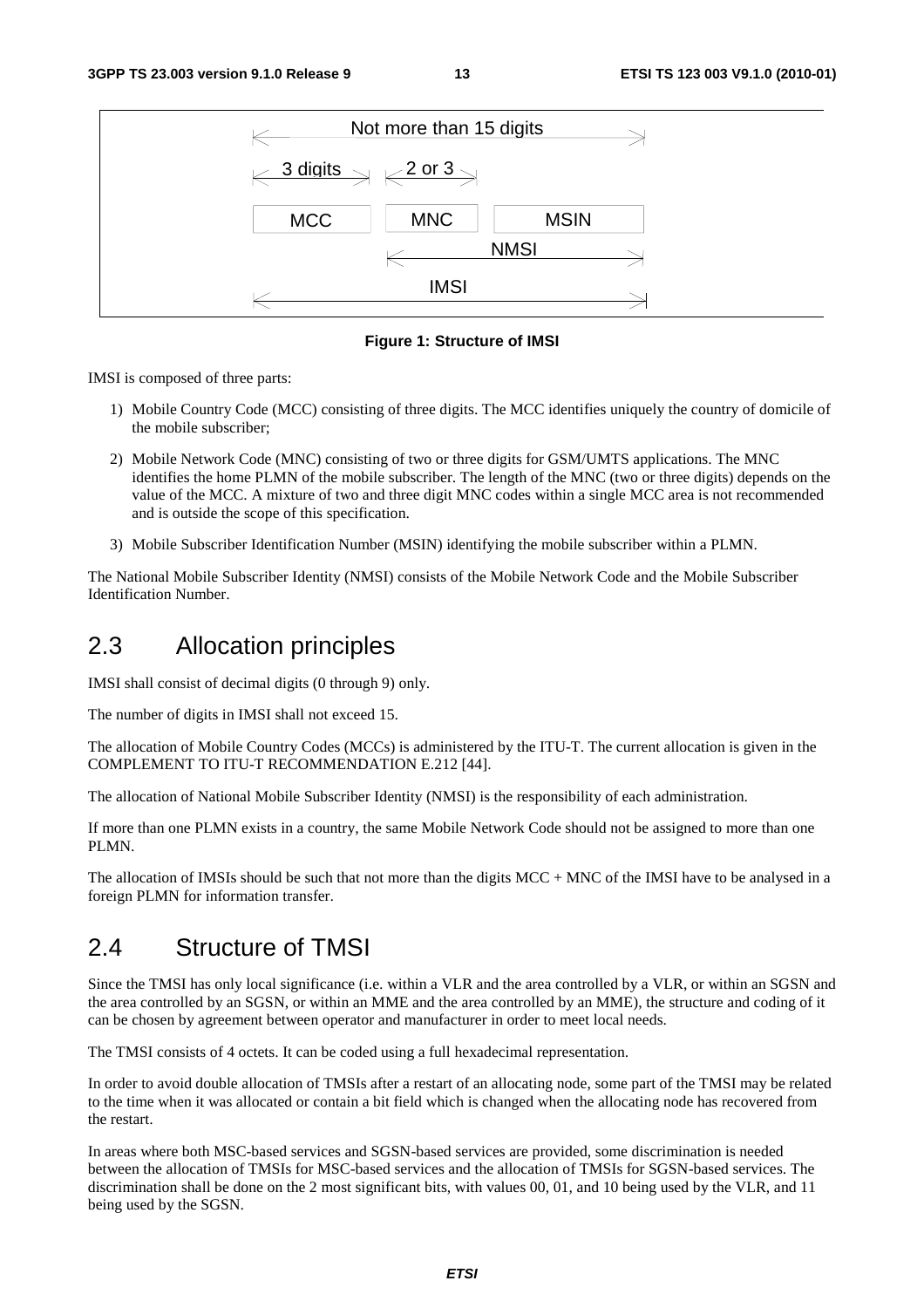

**Figure 1: Structure of IMSI** 

IMSI is composed of three parts:

- 1) Mobile Country Code (MCC) consisting of three digits. The MCC identifies uniquely the country of domicile of the mobile subscriber;
- 2) Mobile Network Code (MNC) consisting of two or three digits for GSM/UMTS applications. The MNC identifies the home PLMN of the mobile subscriber. The length of the MNC (two or three digits) depends on the value of the MCC. A mixture of two and three digit MNC codes within a single MCC area is not recommended and is outside the scope of this specification.
- 3) Mobile Subscriber Identification Number (MSIN) identifying the mobile subscriber within a PLMN.

The National Mobile Subscriber Identity (NMSI) consists of the Mobile Network Code and the Mobile Subscriber Identification Number.

#### 2.3 Allocation principles

IMSI shall consist of decimal digits (0 through 9) only.

The number of digits in IMSI shall not exceed 15.

The allocation of Mobile Country Codes (MCCs) is administered by the ITU-T. The current allocation is given in the COMPLEMENT TO ITU-T RECOMMENDATION E.212 [44].

The allocation of National Mobile Subscriber Identity (NMSI) is the responsibility of each administration.

If more than one PLMN exists in a country, the same Mobile Network Code should not be assigned to more than one PLMN.

The allocation of IMSIs should be such that not more than the digits MCC + MNC of the IMSI have to be analysed in a foreign PLMN for information transfer.

### 2.4 Structure of TMSI

Since the TMSI has only local significance (i.e. within a VLR and the area controlled by a VLR, or within an SGSN and the area controlled by an SGSN, or within an MME and the area controlled by an MME), the structure and coding of it can be chosen by agreement between operator and manufacturer in order to meet local needs.

The TMSI consists of 4 octets. It can be coded using a full hexadecimal representation.

In order to avoid double allocation of TMSIs after a restart of an allocating node, some part of the TMSI may be related to the time when it was allocated or contain a bit field which is changed when the allocating node has recovered from the restart.

In areas where both MSC-based services and SGSN-based services are provided, some discrimination is needed between the allocation of TMSIs for MSC-based services and the allocation of TMSIs for SGSN-based services. The discrimination shall be done on the 2 most significant bits, with values 00, 01, and 10 being used by the VLR, and 11 being used by the SGSN.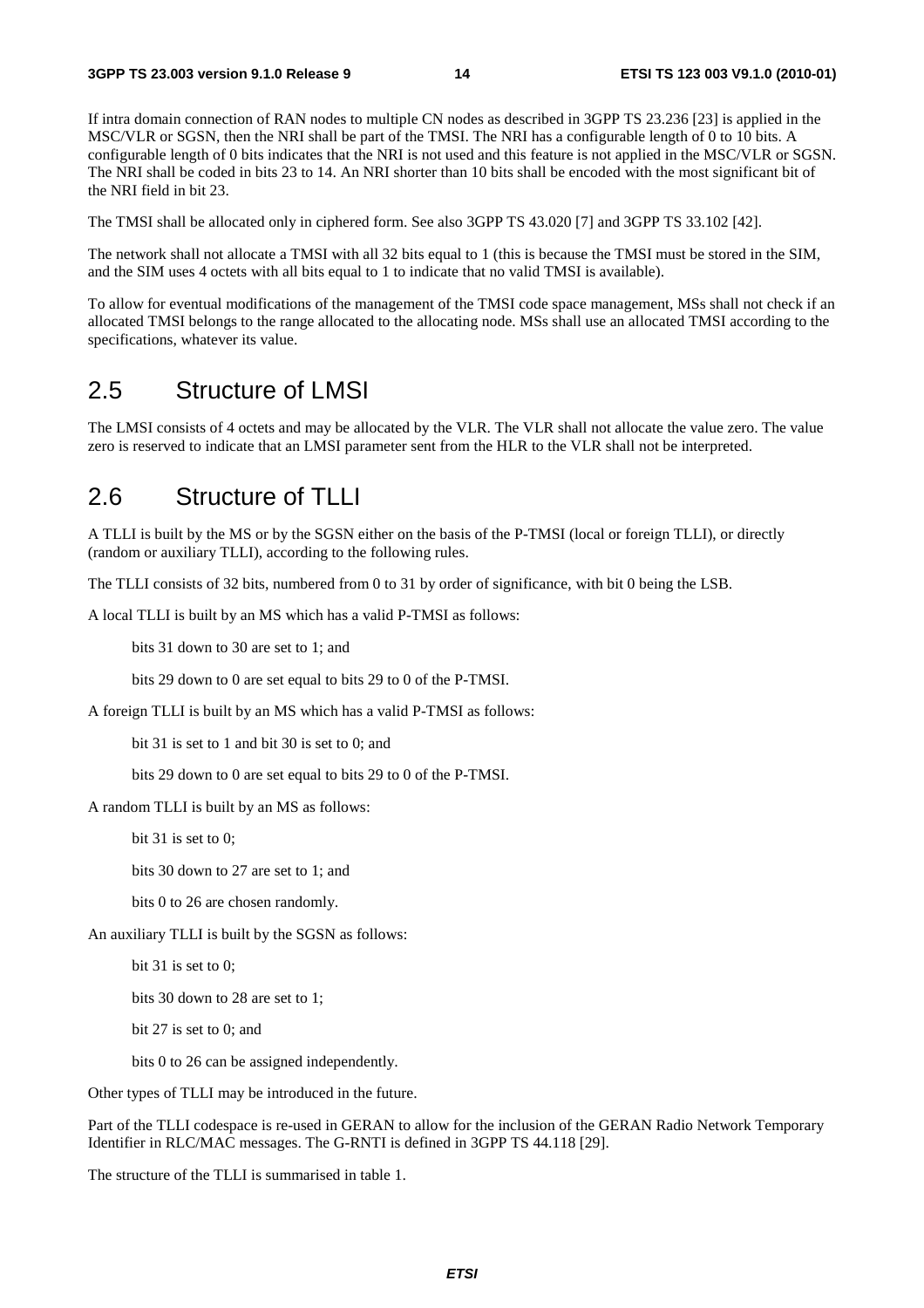If intra domain connection of RAN nodes to multiple CN nodes as described in 3GPP TS 23.236 [23] is applied in the MSC/VLR or SGSN, then the NRI shall be part of the TMSI. The NRI has a configurable length of 0 to 10 bits. A configurable length of 0 bits indicates that the NRI is not used and this feature is not applied in the MSC/VLR or SGSN. The NRI shall be coded in bits 23 to 14. An NRI shorter than 10 bits shall be encoded with the most significant bit of the NRI field in bit 23.

The TMSI shall be allocated only in ciphered form. See also 3GPP TS 43.020 [7] and 3GPP TS 33.102 [42].

The network shall not allocate a TMSI with all 32 bits equal to 1 (this is because the TMSI must be stored in the SIM, and the SIM uses 4 octets with all bits equal to 1 to indicate that no valid TMSI is available).

To allow for eventual modifications of the management of the TMSI code space management, MSs shall not check if an allocated TMSI belongs to the range allocated to the allocating node. MSs shall use an allocated TMSI according to the specifications, whatever its value.

#### 2.5 Structure of LMSI

The LMSI consists of 4 octets and may be allocated by the VLR. The VLR shall not allocate the value zero. The value zero is reserved to indicate that an LMSI parameter sent from the HLR to the VLR shall not be interpreted.

### 2.6 Structure of TLLI

A TLLI is built by the MS or by the SGSN either on the basis of the P-TMSI (local or foreign TLLI), or directly (random or auxiliary TLLI), according to the following rules.

The TLLI consists of 32 bits, numbered from 0 to 31 by order of significance, with bit 0 being the LSB.

A local TLLI is built by an MS which has a valid P-TMSI as follows:

bits 31 down to 30 are set to 1; and

bits 29 down to 0 are set equal to bits 29 to 0 of the P-TMSI.

A foreign TLLI is built by an MS which has a valid P-TMSI as follows:

bit 31 is set to 1 and bit 30 is set to 0; and

bits 29 down to 0 are set equal to bits 29 to 0 of the P-TMSI.

A random TLLI is built by an MS as follows:

bit 31 is set to 0;

bits 30 down to 27 are set to 1; and

bits 0 to 26 are chosen randomly.

An auxiliary TLLI is built by the SGSN as follows:

bit 31 is set to 0;

bits 30 down to 28 are set to 1;

bit 27 is set to 0; and

bits 0 to 26 can be assigned independently.

Other types of TLLI may be introduced in the future.

Part of the TLLI codespace is re-used in GERAN to allow for the inclusion of the GERAN Radio Network Temporary Identifier in RLC/MAC messages. The G-RNTI is defined in 3GPP TS 44.118 [29].

The structure of the TLLI is summarised in table 1.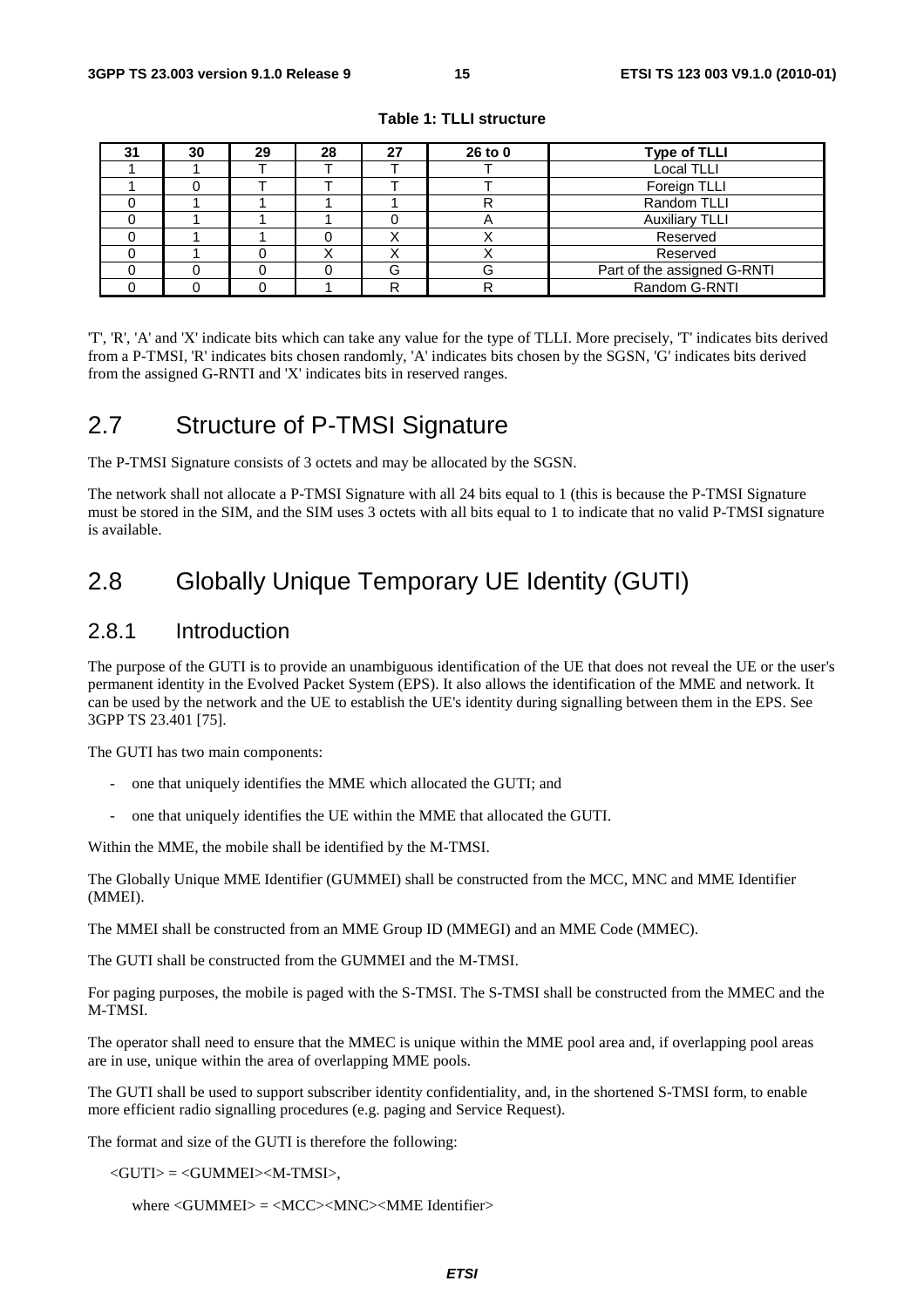| 31 | 30 | 29 | 28 | 27 | 26 to 0 | <b>Type of TLLI</b>         |
|----|----|----|----|----|---------|-----------------------------|
|    |    |    |    |    |         | <b>Local TLLI</b>           |
|    |    |    |    |    |         | Foreign TLLI                |
|    |    |    |    |    |         | Random TLLI                 |
|    |    |    |    |    | n       | <b>Auxiliary TLLI</b>       |
|    |    |    |    |    |         | Reserved                    |
|    |    |    |    |    |         | Reserved                    |
|    |    |    |    | G  | G       | Part of the assigned G-RNTI |
|    |    |    |    | D  |         | Random G-RNTI               |

**Table 1: TLLI structure** 

'T', 'R', 'A' and 'X' indicate bits which can take any value for the type of TLLI. More precisely, 'T' indicates bits derived from a P-TMSI, 'R' indicates bits chosen randomly, 'A' indicates bits chosen by the SGSN, 'G' indicates bits derived from the assigned G-RNTI and 'X' indicates bits in reserved ranges.

### 2.7 Structure of P-TMSI Signature

The P-TMSI Signature consists of 3 octets and may be allocated by the SGSN.

The network shall not allocate a P-TMSI Signature with all 24 bits equal to 1 (this is because the P-TMSI Signature must be stored in the SIM, and the SIM uses 3 octets with all bits equal to 1 to indicate that no valid P-TMSI signature is available.

# 2.8 Globally Unique Temporary UE Identity (GUTI)

#### 2.8.1 Introduction

The purpose of the GUTI is to provide an unambiguous identification of the UE that does not reveal the UE or the user's permanent identity in the Evolved Packet System (EPS). It also allows the identification of the MME and network. It can be used by the network and the UE to establish the UE's identity during signalling between them in the EPS. See 3GPP TS 23.401 [75].

The GUTI has two main components:

- one that uniquely identifies the MME which allocated the GUTI; and
- one that uniquely identifies the UE within the MME that allocated the GUTI.

Within the MME, the mobile shall be identified by the M-TMSI.

The Globally Unique MME Identifier (GUMMEI) shall be constructed from the MCC, MNC and MME Identifier (MMEI).

The MMEI shall be constructed from an MME Group ID (MMEGI) and an MME Code (MMEC).

The GUTI shall be constructed from the GUMMEI and the M-TMSI.

For paging purposes, the mobile is paged with the S-TMSI. The S-TMSI shall be constructed from the MMEC and the M-TMSI.

The operator shall need to ensure that the MMEC is unique within the MME pool area and, if overlapping pool areas are in use, unique within the area of overlapping MME pools.

The GUTI shall be used to support subscriber identity confidentiality, and, in the shortened S-TMSI form, to enable more efficient radio signalling procedures (e.g. paging and Service Request).

The format and size of the GUTI is therefore the following:

 $\langle$ GUTI $\rangle$  =  $\langle$ GUMMEI $>$ M-TMSI $>$ .

where <GUMMEI> = <MCC><MNC><MME Identifier>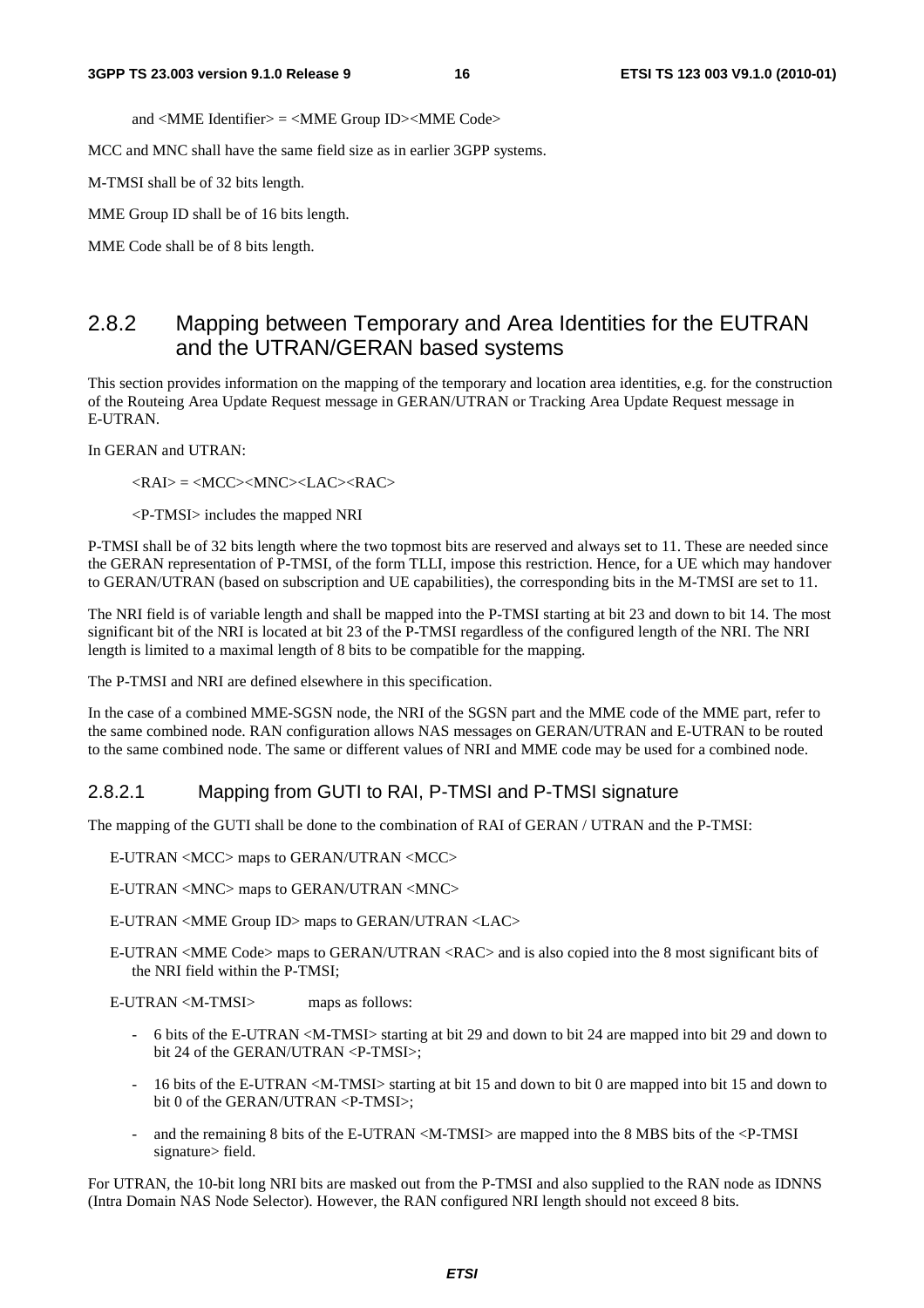and <MME Identifier> = <MME Group ID><MME Code>

MCC and MNC shall have the same field size as in earlier 3GPP systems.

M-TMSI shall be of 32 bits length.

MME Group ID shall be of 16 bits length.

MME Code shall be of 8 bits length.

#### 2.8.2 Mapping between Temporary and Area Identities for the EUTRAN and the UTRAN/GERAN based systems

This section provides information on the mapping of the temporary and location area identities, e.g. for the construction of the Routeing Area Update Request message in GERAN/UTRAN or Tracking Area Update Request message in E-UTRAN.

In GERAN and UTRAN:

<RAI> = <MCC><MNC><LAC><RAC>

<P-TMSI> includes the mapped NRI

P-TMSI shall be of 32 bits length where the two topmost bits are reserved and always set to 11. These are needed since the GERAN representation of P-TMSI, of the form TLLI, impose this restriction. Hence, for a UE which may handover to GERAN/UTRAN (based on subscription and UE capabilities), the corresponding bits in the M-TMSI are set to 11.

The NRI field is of variable length and shall be mapped into the P-TMSI starting at bit 23 and down to bit 14. The most significant bit of the NRI is located at bit 23 of the P-TMSI regardless of the configured length of the NRI. The NRI length is limited to a maximal length of 8 bits to be compatible for the mapping.

The P-TMSI and NRI are defined elsewhere in this specification.

In the case of a combined MME-SGSN node, the NRI of the SGSN part and the MME code of the MME part, refer to the same combined node. RAN configuration allows NAS messages on GERAN/UTRAN and E-UTRAN to be routed to the same combined node. The same or different values of NRI and MME code may be used for a combined node.

#### 2.8.2.1 Mapping from GUTI to RAI, P-TMSI and P-TMSI signature

The mapping of the GUTI shall be done to the combination of RAI of GERAN / UTRAN and the P-TMSI:

E-UTRAN <MCC> maps to GERAN/UTRAN <MCC>

E-UTRAN <MNC> maps to GERAN/UTRAN <MNC>

E-UTRAN <MME Group ID> maps to GERAN/UTRAN <LAC>

E-UTRAN <MME Code> maps to GERAN/UTRAN <RAC> and is also copied into the 8 most significant bits of the NRI field within the P-TMSI;

E-UTRAN <M-TMSI> maps as follows:

- 6 bits of the E-UTRAN <M-TMSI> starting at bit 29 and down to bit 24 are mapped into bit 29 and down to bit 24 of the GERAN/UTRAN <P-TMSI>;
- 16 bits of the E-UTRAN <M-TMSI> starting at bit 15 and down to bit 0 are mapped into bit 15 and down to bit 0 of the GERAN/UTRAN <P-TMSI>;
- and the remaining 8 bits of the E-UTRAN <M-TMSI> are mapped into the 8 MBS bits of the <P-TMSI signature> field.

For UTRAN, the 10-bit long NRI bits are masked out from the P-TMSI and also supplied to the RAN node as IDNNS (Intra Domain NAS Node Selector). However, the RAN configured NRI length should not exceed 8 bits.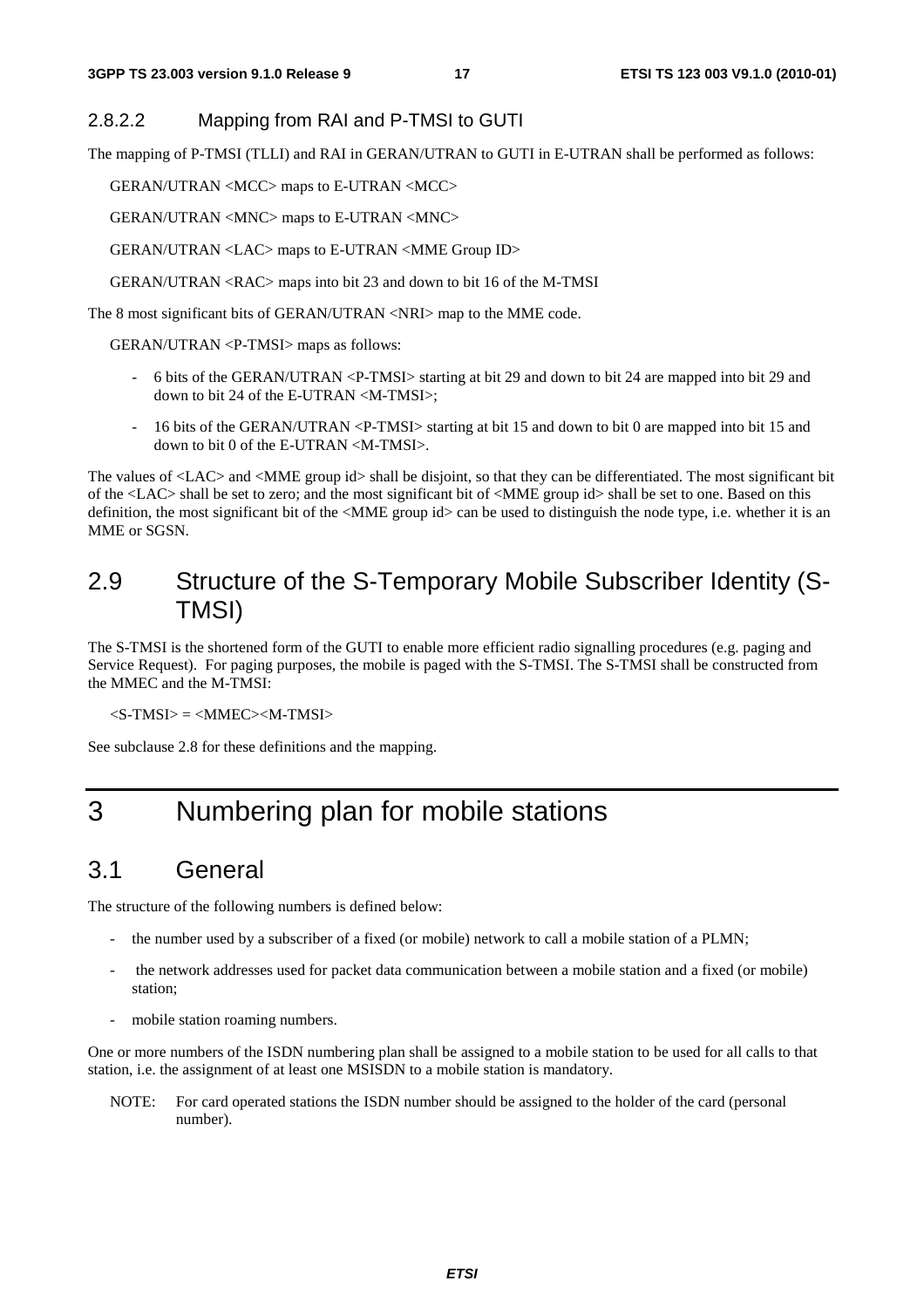#### 2.8.2.2 Mapping from RAI and P-TMSI to GUTI

The mapping of P-TMSI (TLLI) and RAI in GERAN/UTRAN to GUTI in E-UTRAN shall be performed as follows:

GERAN/UTRAN <MCC> maps to E-UTRAN <MCC>

GERAN/UTRAN <MNC> maps to E-UTRAN <MNC>

GERAN/UTRAN <LAC> maps to E-UTRAN <MME Group ID>

GERAN/UTRAN <RAC> maps into bit 23 and down to bit 16 of the M-TMSI

The 8 most significant bits of GERAN/UTRAN <NRI> map to the MME code.

GERAN/UTRAN <P-TMSI> maps as follows:

- 6 bits of the GERAN/UTRAN <P-TMSI> starting at bit 29 and down to bit 24 are mapped into bit 29 and down to bit 24 of the E-UTRAN <M-TMSI>;
- 16 bits of the GERAN/UTRAN <P-TMSI> starting at bit 15 and down to bit 0 are mapped into bit 15 and down to bit 0 of the E-UTRAN <M-TMSI>.

The values of <LAC> and <MME group id> shall be disjoint, so that they can be differentiated. The most significant bit of the <LAC> shall be set to zero; and the most significant bit of <MME group id> shall be set to one. Based on this definition, the most significant bit of the <MME group id> can be used to distinguish the node type, i.e. whether it is an MME or SGSN.

### 2.9 Structure of the S-Temporary Mobile Subscriber Identity (S-TMSI)

The S-TMSI is the shortened form of the GUTI to enable more efficient radio signalling procedures (e.g. paging and Service Request). For paging purposes, the mobile is paged with the S-TMSI. The S-TMSI shall be constructed from the MMEC and the M-TMSI:

 $<$ S-TMSI $>$  =  $<$ MMEC $>$  $<$ M-TMSI $>$ 

See subclause 2.8 for these definitions and the mapping.

# 3 Numbering plan for mobile stations

### 3.1 General

The structure of the following numbers is defined below:

- the number used by a subscriber of a fixed (or mobile) network to call a mobile station of a PLMN;
- the network addresses used for packet data communication between a mobile station and a fixed (or mobile) station;
- mobile station roaming numbers.

One or more numbers of the ISDN numbering plan shall be assigned to a mobile station to be used for all calls to that station, i.e. the assignment of at least one MSISDN to a mobile station is mandatory.

NOTE: For card operated stations the ISDN number should be assigned to the holder of the card (personal number).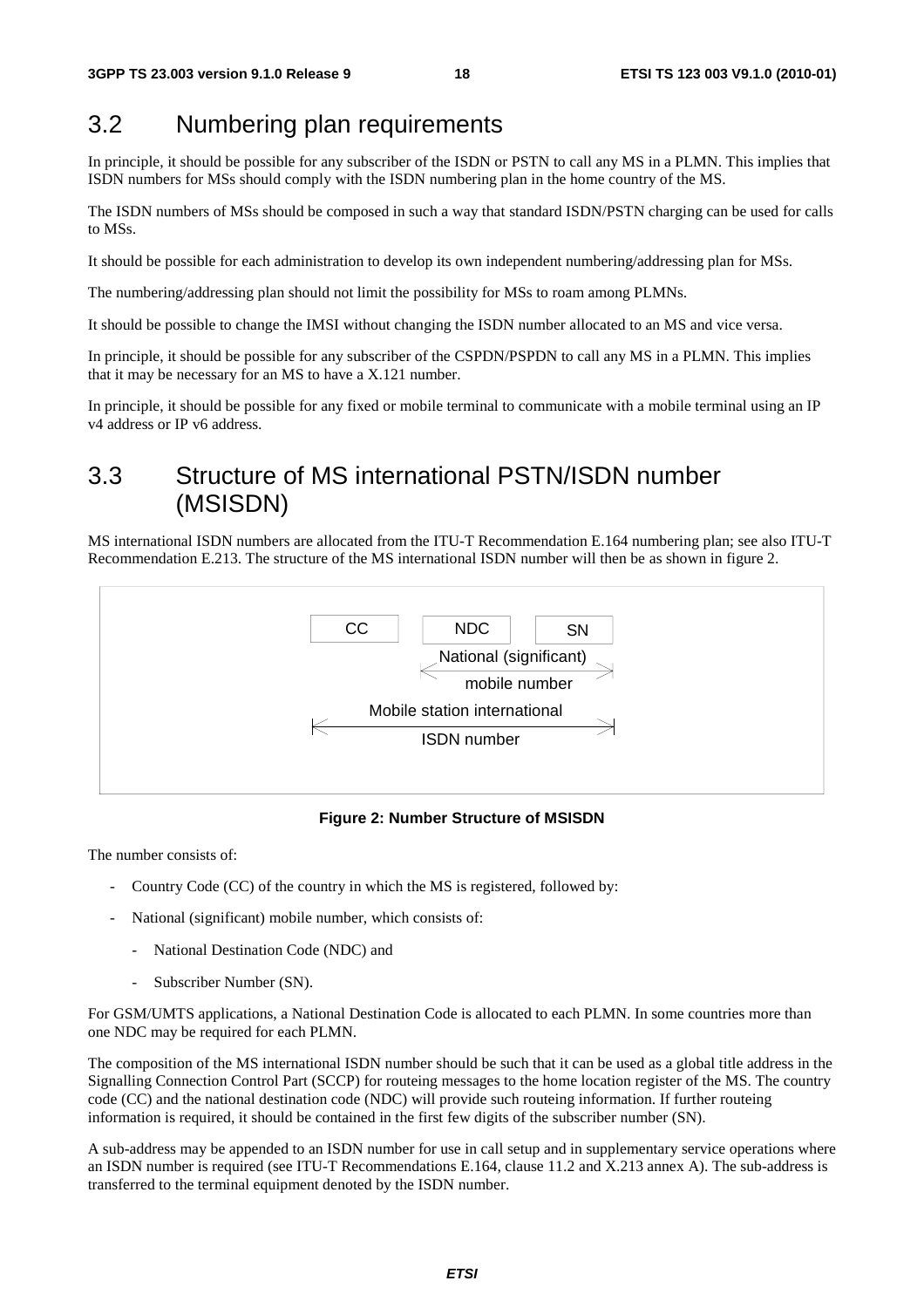### 3.2 Numbering plan requirements

In principle, it should be possible for any subscriber of the ISDN or PSTN to call any MS in a PLMN. This implies that ISDN numbers for MSs should comply with the ISDN numbering plan in the home country of the MS.

The ISDN numbers of MSs should be composed in such a way that standard ISDN/PSTN charging can be used for calls to MSs.

It should be possible for each administration to develop its own independent numbering/addressing plan for MSs.

The numbering/addressing plan should not limit the possibility for MSs to roam among PLMNs.

It should be possible to change the IMSI without changing the ISDN number allocated to an MS and vice versa.

In principle, it should be possible for any subscriber of the CSPDN/PSPDN to call any MS in a PLMN. This implies that it may be necessary for an MS to have a X.121 number.

In principle, it should be possible for any fixed or mobile terminal to communicate with a mobile terminal using an IP v4 address or IP v6 address.

### 3.3 Structure of MS international PSTN/ISDN number (MSISDN)

MS international ISDN numbers are allocated from the ITU-T Recommendation E.164 numbering plan; see also ITU-T Recommendation E.213. The structure of the MS international ISDN number will then be as shown in figure 2.



**Figure 2: Number Structure of MSISDN** 

The number consists of:

- Country Code (CC) of the country in which the MS is registered, followed by:
- National (significant) mobile number, which consists of:
	- National Destination Code (NDC) and
	- Subscriber Number (SN).

For GSM/UMTS applications, a National Destination Code is allocated to each PLMN. In some countries more than one NDC may be required for each PLMN.

The composition of the MS international ISDN number should be such that it can be used as a global title address in the Signalling Connection Control Part (SCCP) for routeing messages to the home location register of the MS. The country code (CC) and the national destination code (NDC) will provide such routeing information. If further routeing information is required, it should be contained in the first few digits of the subscriber number (SN).

A sub-address may be appended to an ISDN number for use in call setup and in supplementary service operations where an ISDN number is required (see ITU-T Recommendations E.164, clause 11.2 and X.213 annex A). The sub-address is transferred to the terminal equipment denoted by the ISDN number.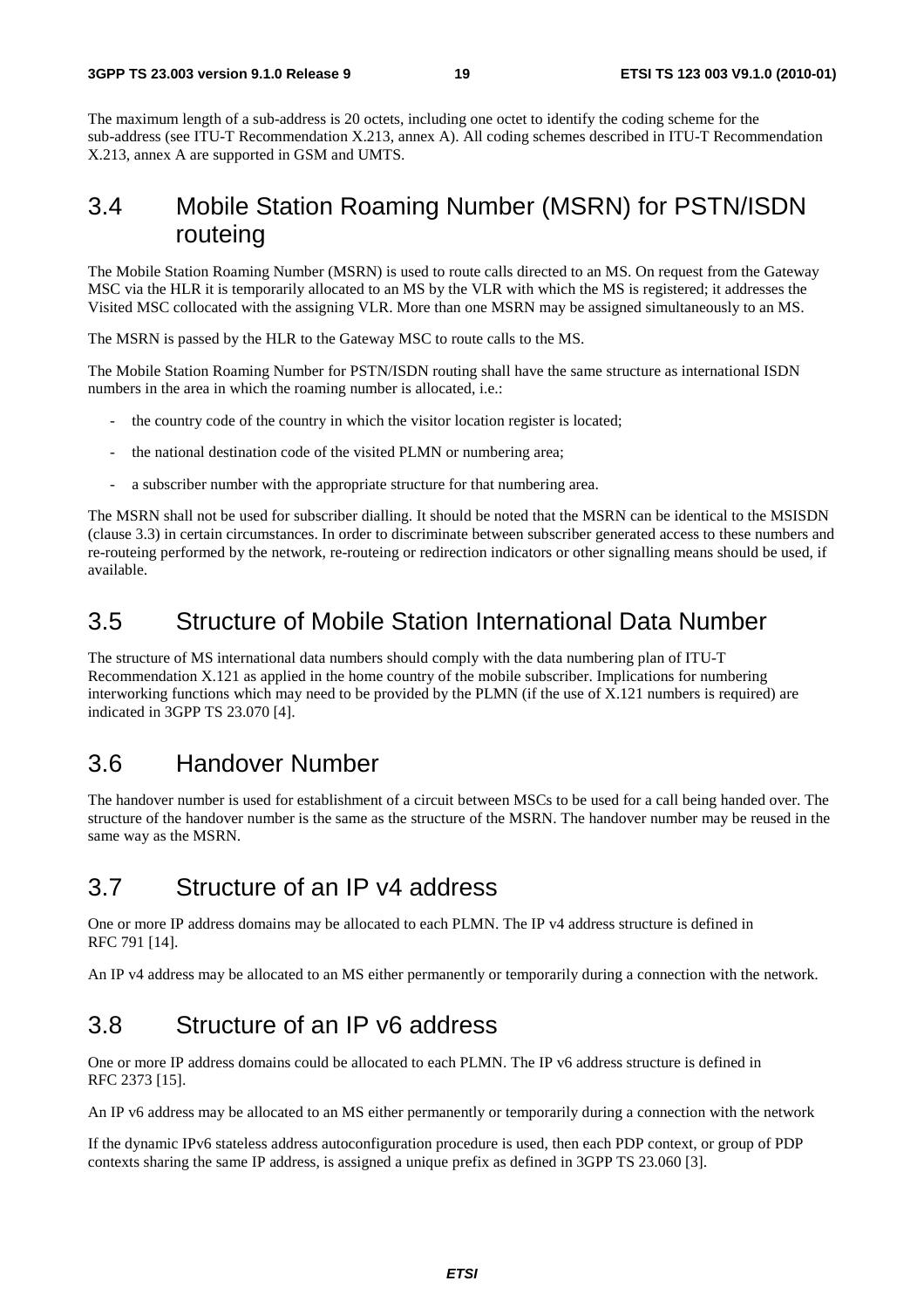The maximum length of a sub-address is 20 octets, including one octet to identify the coding scheme for the sub-address (see ITU-T Recommendation X.213, annex A). All coding schemes described in ITU-T Recommendation X.213, annex A are supported in GSM and UMTS.

### 3.4 Mobile Station Roaming Number (MSRN) for PSTN/ISDN routeing

The Mobile Station Roaming Number (MSRN) is used to route calls directed to an MS. On request from the Gateway MSC via the HLR it is temporarily allocated to an MS by the VLR with which the MS is registered; it addresses the Visited MSC collocated with the assigning VLR. More than one MSRN may be assigned simultaneously to an MS.

The MSRN is passed by the HLR to the Gateway MSC to route calls to the MS.

The Mobile Station Roaming Number for PSTN/ISDN routing shall have the same structure as international ISDN numbers in the area in which the roaming number is allocated, *i.e.*:

- the country code of the country in which the visitor location register is located;
- the national destination code of the visited PLMN or numbering area;
- a subscriber number with the appropriate structure for that numbering area.

The MSRN shall not be used for subscriber dialling. It should be noted that the MSRN can be identical to the MSISDN (clause 3.3) in certain circumstances. In order to discriminate between subscriber generated access to these numbers and re-routeing performed by the network, re-routeing or redirection indicators or other signalling means should be used, if available.

### 3.5 Structure of Mobile Station International Data Number

The structure of MS international data numbers should comply with the data numbering plan of ITU-T Recommendation X.121 as applied in the home country of the mobile subscriber. Implications for numbering interworking functions which may need to be provided by the PLMN (if the use of X.121 numbers is required) are indicated in 3GPP TS 23.070 [4].

### 3.6 Handover Number

The handover number is used for establishment of a circuit between MSCs to be used for a call being handed over. The structure of the handover number is the same as the structure of the MSRN. The handover number may be reused in the same way as the MSRN.

# 3.7 Structure of an IP v4 address

One or more IP address domains may be allocated to each PLMN. The IP v4 address structure is defined in RFC 791 [14].

An IP v4 address may be allocated to an MS either permanently or temporarily during a connection with the network.

### 3.8 Structure of an IP v6 address

One or more IP address domains could be allocated to each PLMN. The IP v6 address structure is defined in RFC 2373 [15].

An IP v6 address may be allocated to an MS either permanently or temporarily during a connection with the network

If the dynamic IPv6 stateless address autoconfiguration procedure is used, then each PDP context, or group of PDP contexts sharing the same IP address, is assigned a unique prefix as defined in 3GPP TS 23.060 [3].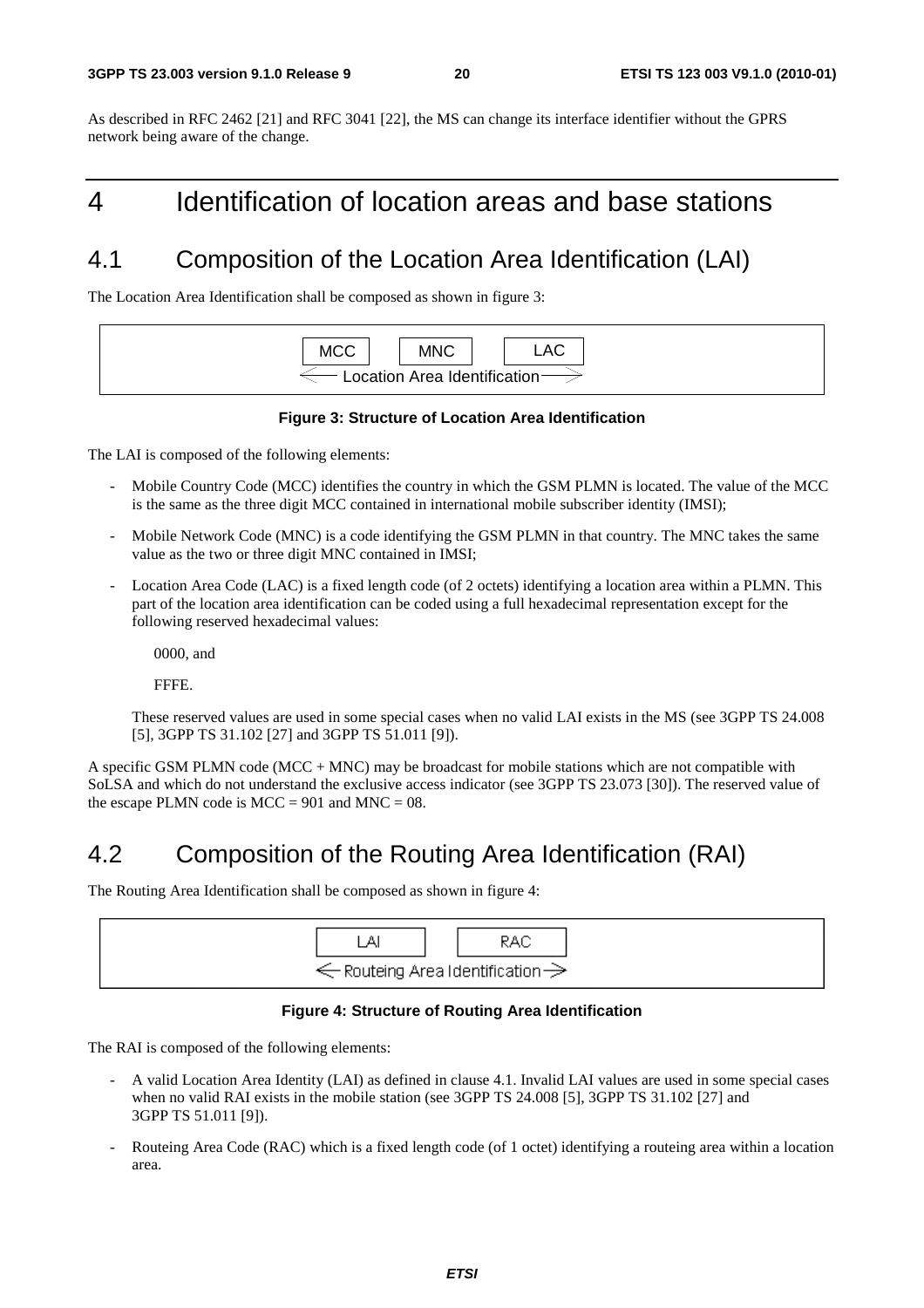As described in RFC 2462 [21] and RFC 3041 [22], the MS can change its interface identifier without the GPRS network being aware of the change.

# 4 Identification of location areas and base stations

# 4.1 Composition of the Location Area Identification (LAI)

The Location Area Identification shall be composed as shown in figure 3:



#### **Figure 3: Structure of Location Area Identification**

The LAI is composed of the following elements:

- Mobile Country Code (MCC) identifies the country in which the GSM PLMN is located. The value of the MCC is the same as the three digit MCC contained in international mobile subscriber identity (IMSI);
- Mobile Network Code (MNC) is a code identifying the GSM PLMN in that country. The MNC takes the same value as the two or three digit MNC contained in IMSI;
- Location Area Code (LAC) is a fixed length code (of 2 octets) identifying a location area within a PLMN. This part of the location area identification can be coded using a full hexadecimal representation except for the following reserved hexadecimal values:

0000, and

FFFE.

 These reserved values are used in some special cases when no valid LAI exists in the MS (see 3GPP TS 24.008 [5], 3GPP TS 31.102 [27] and 3GPP TS 51.011 [9]).

A specific GSM PLMN code ( $MCC + MNC$ ) may be broadcast for mobile stations which are not compatible with SoLSA and which do not understand the exclusive access indicator (see 3GPP TS 23.073 [30]). The reserved value of the escape PLMN code is  $MCC = 901$  and  $MNC = 08$ .

# 4.2 Composition of the Routing Area Identification (RAI)

The Routing Area Identification shall be composed as shown in figure 4:



#### **Figure 4: Structure of Routing Area Identification**

The RAI is composed of the following elements:

- A valid Location Area Identity (LAI) as defined in clause 4.1. Invalid LAI values are used in some special cases when no valid RAI exists in the mobile station (see 3GPP TS 24.008 [5], 3GPP TS 31.102 [27] and 3GPP TS 51.011 [9]).
- Routeing Area Code (RAC) which is a fixed length code (of 1 octet) identifying a routeing area within a location area.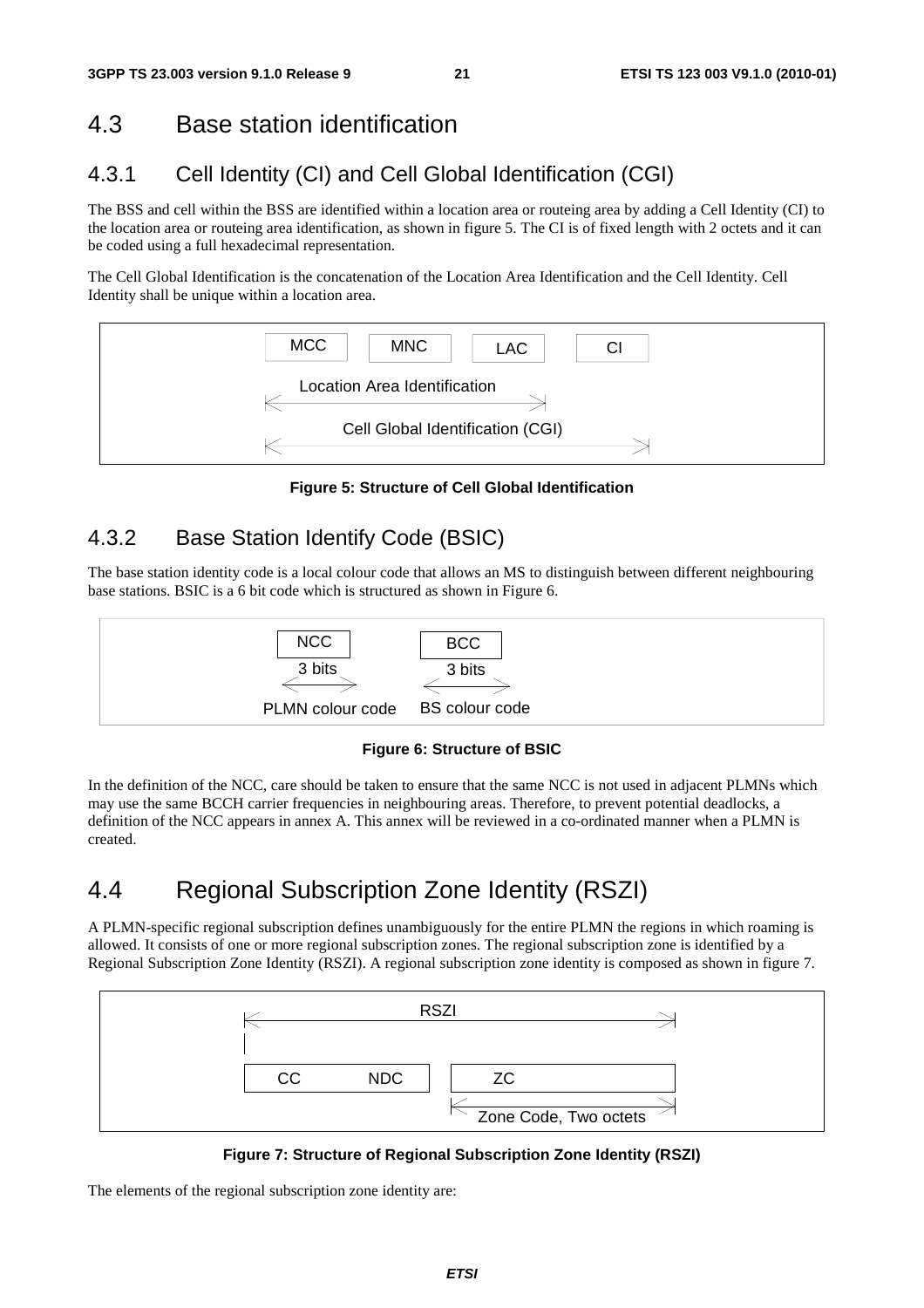### 4.3 Base station identification

### 4.3.1 Cell Identity (CI) and Cell Global Identification (CGI)

The BSS and cell within the BSS are identified within a location area or routeing area by adding a Cell Identity (CI) to the location area or routeing area identification, as shown in figure 5. The CI is of fixed length with 2 octets and it can be coded using a full hexadecimal representation.

The Cell Global Identification is the concatenation of the Location Area Identification and the Cell Identity. Cell Identity shall be unique within a location area.



**Figure 5: Structure of Cell Global Identification** 

#### 4.3.2 Base Station Identify Code (BSIC)

The base station identity code is a local colour code that allows an MS to distinguish between different neighbouring base stations. BSIC is a 6 bit code which is structured as shown in Figure 6.



**Figure 6: Structure of BSIC** 

In the definition of the NCC, care should be taken to ensure that the same NCC is not used in adjacent PLMNs which may use the same BCCH carrier frequencies in neighbouring areas. Therefore, to prevent potential deadlocks, a definition of the NCC appears in annex A. This annex will be reviewed in a co-ordinated manner when a PLMN is created.

# 4.4 Regional Subscription Zone Identity (RSZI)

A PLMN-specific regional subscription defines unambiguously for the entire PLMN the regions in which roaming is allowed. It consists of one or more regional subscription zones. The regional subscription zone is identified by a Regional Subscription Zone Identity (RSZI). A regional subscription zone identity is composed as shown in figure 7.



**Figure 7: Structure of Regional Subscription Zone Identity (RSZI)** 

The elements of the regional subscription zone identity are: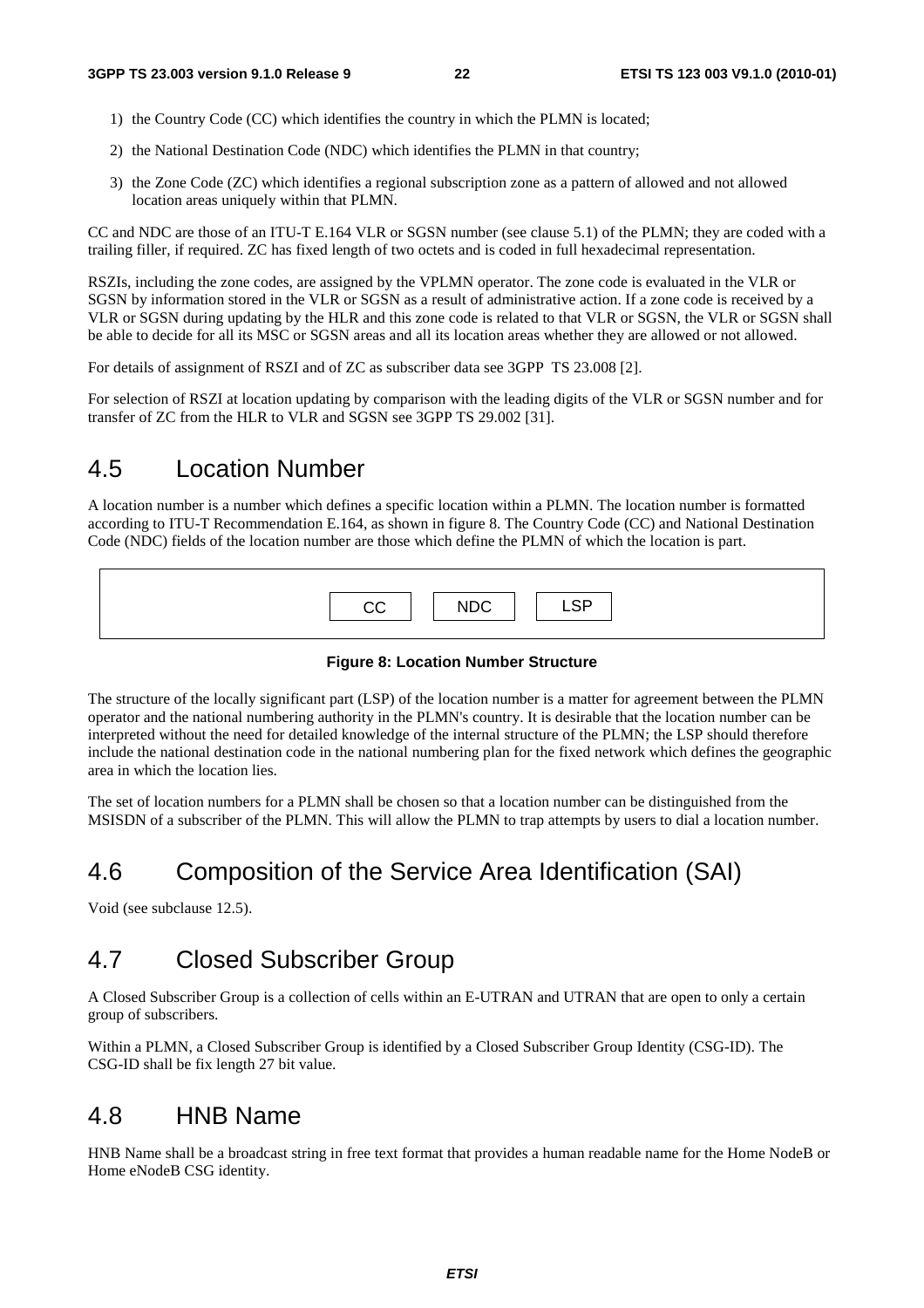- 1) the Country Code (CC) which identifies the country in which the PLMN is located;
- 2) the National Destination Code (NDC) which identifies the PLMN in that country;
- 3) the Zone Code (ZC) which identifies a regional subscription zone as a pattern of allowed and not allowed location areas uniquely within that PLMN.

CC and NDC are those of an ITU-T E.164 VLR or SGSN number (see clause 5.1) of the PLMN; they are coded with a trailing filler, if required. ZC has fixed length of two octets and is coded in full hexadecimal representation.

RSZIs, including the zone codes, are assigned by the VPLMN operator. The zone code is evaluated in the VLR or SGSN by information stored in the VLR or SGSN as a result of administrative action. If a zone code is received by a VLR or SGSN during updating by the HLR and this zone code is related to that VLR or SGSN, the VLR or SGSN shall be able to decide for all its MSC or SGSN areas and all its location areas whether they are allowed or not allowed.

For details of assignment of RSZI and of ZC as subscriber data see 3GPP TS 23.008 [2].

For selection of RSZI at location updating by comparison with the leading digits of the VLR or SGSN number and for transfer of ZC from the HLR to VLR and SGSN see 3GPP TS 29.002 [31].

### 4.5 Location Number

A location number is a number which defines a specific location within a PLMN. The location number is formatted according to ITU-T Recommendation E.164, as shown in figure 8. The Country Code (CC) and National Destination Code (NDC) fields of the location number are those which define the PLMN of which the location is part.

| $\overline{C}$ $\overline{C}$ $\overline{C}$ | <b>NDC</b> | $I$ $CD$ |
|----------------------------------------------|------------|----------|

#### **Figure 8: Location Number Structure**

The structure of the locally significant part (LSP) of the location number is a matter for agreement between the PLMN operator and the national numbering authority in the PLMN's country. It is desirable that the location number can be interpreted without the need for detailed knowledge of the internal structure of the PLMN; the LSP should therefore include the national destination code in the national numbering plan for the fixed network which defines the geographic area in which the location lies.

The set of location numbers for a PLMN shall be chosen so that a location number can be distinguished from the MSISDN of a subscriber of the PLMN. This will allow the PLMN to trap attempts by users to dial a location number.

### 4.6 Composition of the Service Area Identification (SAI)

Void (see subclause 12.5).

### 4.7 Closed Subscriber Group

A Closed Subscriber Group is a collection of cells within an E-UTRAN and UTRAN that are open to only a certain group of subscribers.

Within a PLMN, a Closed Subscriber Group is identified by a Closed Subscriber Group Identity (CSG-ID). The CSG-ID shall be fix length 27 bit value.

#### 4.8 HNB Name

HNB Name shall be a broadcast string in free text format that provides a human readable name for the Home NodeB or Home eNodeB CSG identity.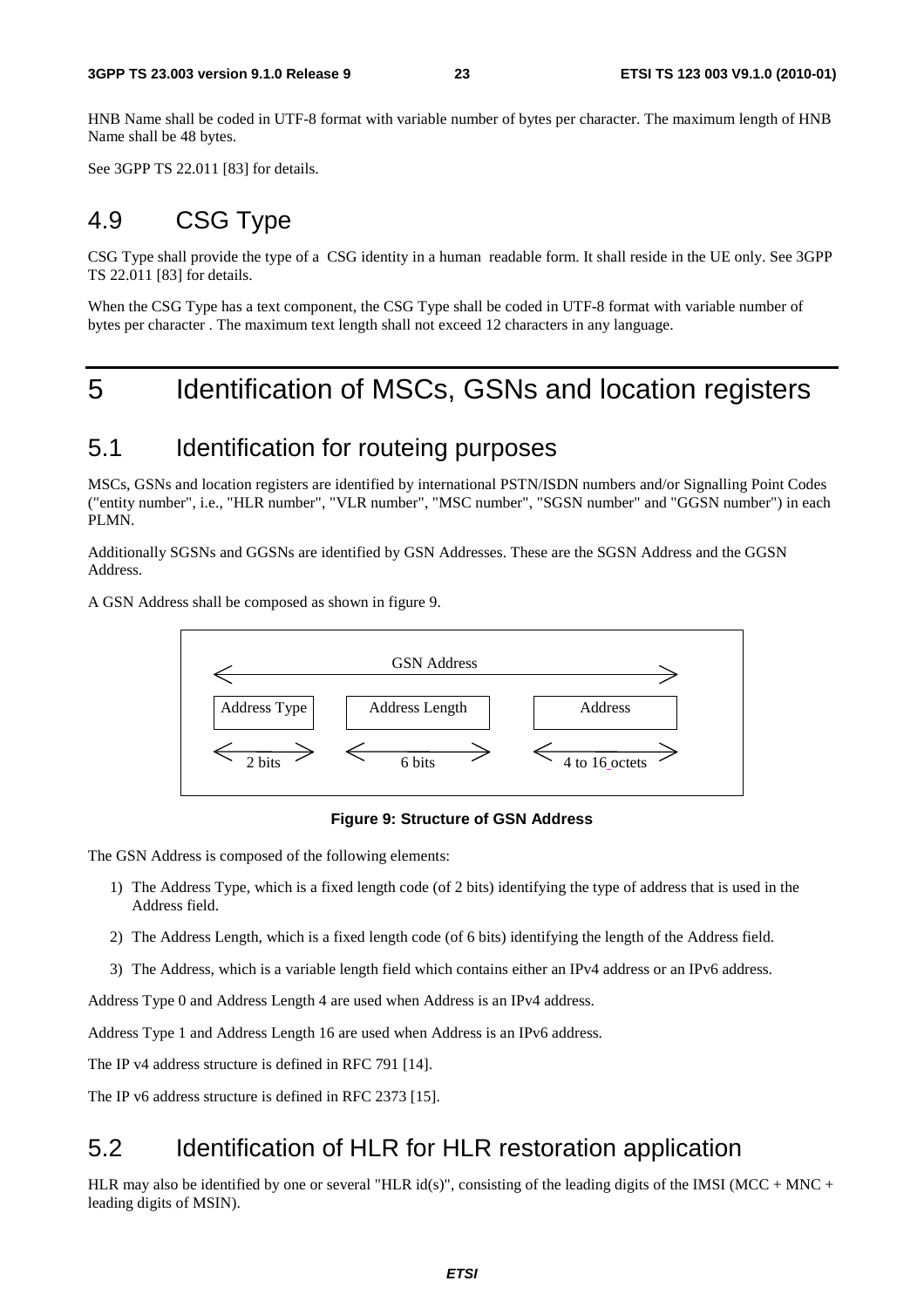HNB Name shall be coded in UTF-8 format with variable number of bytes per character. The maximum length of HNB Name shall be 48 bytes.

See 3GPP TS 22.011 [83] for details.

### 4.9 CSG Type

CSG Type shall provide the type of a CSG identity in a human readable form. It shall reside in the UE only. See 3GPP TS 22.011 [83] for details.

When the CSG Type has a text component, the CSG Type shall be coded in UTF-8 format with variable number of bytes per character . The maximum text length shall not exceed 12 characters in any language.

# 5 Identification of MSCs, GSNs and location registers

#### 5.1 Identification for routeing purposes

MSCs, GSNs and location registers are identified by international PSTN/ISDN numbers and/or Signalling Point Codes ("entity number", i.e., "HLR number", "VLR number", "MSC number", "SGSN number" and "GGSN number") in each PLMN.

Additionally SGSNs and GGSNs are identified by GSN Addresses. These are the SGSN Address and the GGSN Address.

A GSN Address shall be composed as shown in figure 9.



#### **Figure 9: Structure of GSN Address**

The GSN Address is composed of the following elements:

- 1) The Address Type, which is a fixed length code (of 2 bits) identifying the type of address that is used in the Address field.
- 2) The Address Length, which is a fixed length code (of 6 bits) identifying the length of the Address field.
- 3) The Address, which is a variable length field which contains either an IPv4 address or an IPv6 address.

Address Type 0 and Address Length 4 are used when Address is an IPv4 address.

Address Type 1 and Address Length 16 are used when Address is an IPv6 address.

The IP v4 address structure is defined in RFC 791 [14].

The IP v6 address structure is defined in RFC 2373 [15].

### 5.2 Identification of HLR for HLR restoration application

HLR may also be identified by one or several "HLR id(s)", consisting of the leading digits of the IMSI (MCC + MNC + leading digits of MSIN).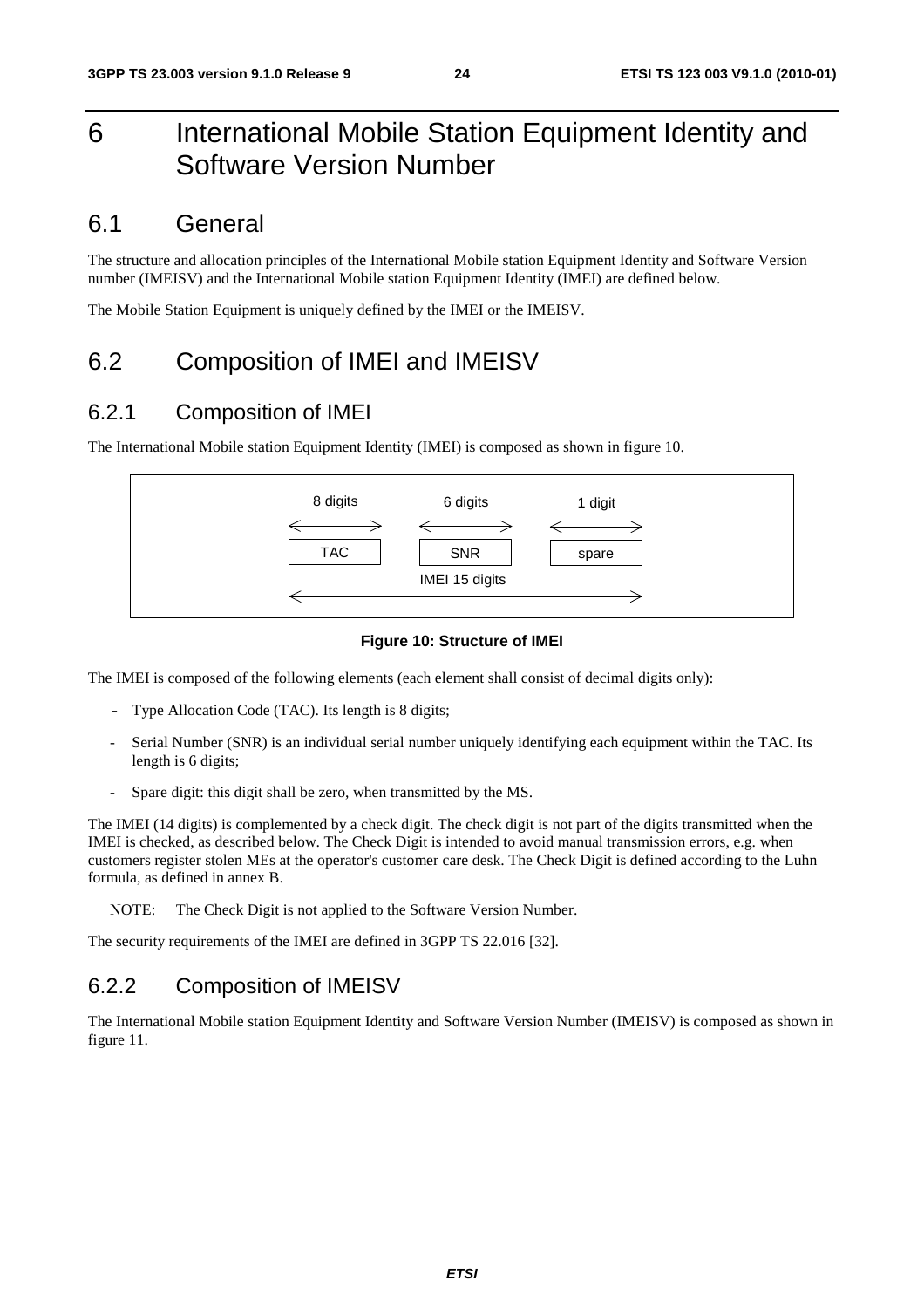# 6 International Mobile Station Equipment Identity and Software Version Number

#### 6.1 General

The structure and allocation principles of the International Mobile station Equipment Identity and Software Version number (IMEISV) and the International Mobile station Equipment Identity (IMEI) are defined below.

The Mobile Station Equipment is uniquely defined by the IMEI or the IMEISV.

### 6.2 Composition of IMEI and IMEISV

#### 6.2.1 Composition of IMEI

The International Mobile station Equipment Identity (IMEI) is composed as shown in figure 10.



#### **Figure 10: Structure of IMEI**

The IMEI is composed of the following elements (each element shall consist of decimal digits only):

- Type Allocation Code (TAC). Its length is 8 digits;
- Serial Number (SNR) is an individual serial number uniquely identifying each equipment within the TAC. Its length is 6 digits;
- Spare digit: this digit shall be zero, when transmitted by the MS.

The IMEI (14 digits) is complemented by a check digit. The check digit is not part of the digits transmitted when the IMEI is checked, as described below. The Check Digit is intended to avoid manual transmission errors, e.g. when customers register stolen MEs at the operator's customer care desk. The Check Digit is defined according to the Luhn formula, as defined in annex B.

NOTE: The Check Digit is not applied to the Software Version Number.

The security requirements of the IMEI are defined in 3GPP TS 22.016 [32].

#### 6.2.2 Composition of IMEISV

The International Mobile station Equipment Identity and Software Version Number (IMEISV) is composed as shown in figure 11.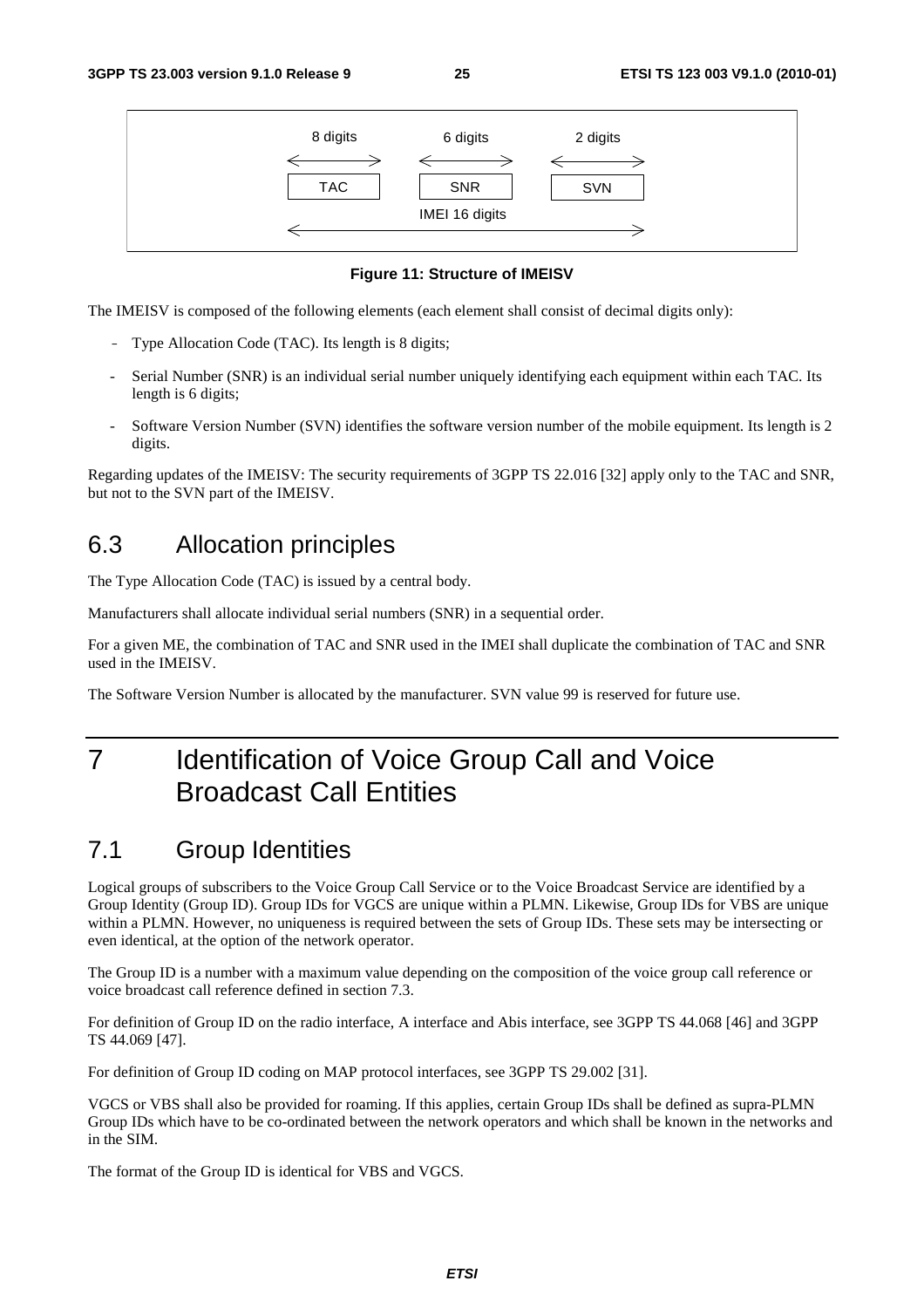

**Figure 11: Structure of IMEISV** 

The IMEISV is composed of the following elements (each element shall consist of decimal digits only):

- Type Allocation Code (TAC). Its length is 8 digits;
- Serial Number (SNR) is an individual serial number uniquely identifying each equipment within each TAC. Its length is 6 digits;
- Software Version Number (SVN) identifies the software version number of the mobile equipment. Its length is 2 digits.

Regarding updates of the IMEISV: The security requirements of 3GPP TS 22.016 [32] apply only to the TAC and SNR, but not to the SVN part of the IMEISV.

# 6.3 Allocation principles

The Type Allocation Code (TAC) is issued by a central body.

Manufacturers shall allocate individual serial numbers (SNR) in a sequential order.

For a given ME, the combination of TAC and SNR used in the IMEI shall duplicate the combination of TAC and SNR used in the IMEISV.

The Software Version Number is allocated by the manufacturer. SVN value 99 is reserved for future use.

# 7 Identification of Voice Group Call and Voice Broadcast Call Entities

# 7.1 Group Identities

Logical groups of subscribers to the Voice Group Call Service or to the Voice Broadcast Service are identified by a Group Identity (Group ID). Group IDs for VGCS are unique within a PLMN. Likewise, Group IDs for VBS are unique within a PLMN. However, no uniqueness is required between the sets of Group IDs. These sets may be intersecting or even identical, at the option of the network operator.

The Group ID is a number with a maximum value depending on the composition of the voice group call reference or voice broadcast call reference defined in section 7.3.

For definition of Group ID on the radio interface, A interface and Abis interface, see 3GPP TS 44.068 [46] and 3GPP TS 44.069 [47].

For definition of Group ID coding on MAP protocol interfaces, see 3GPP TS 29.002 [31].

VGCS or VBS shall also be provided for roaming. If this applies, certain Group IDs shall be defined as supra-PLMN Group IDs which have to be co-ordinated between the network operators and which shall be known in the networks and in the SIM.

The format of the Group ID is identical for VBS and VGCS.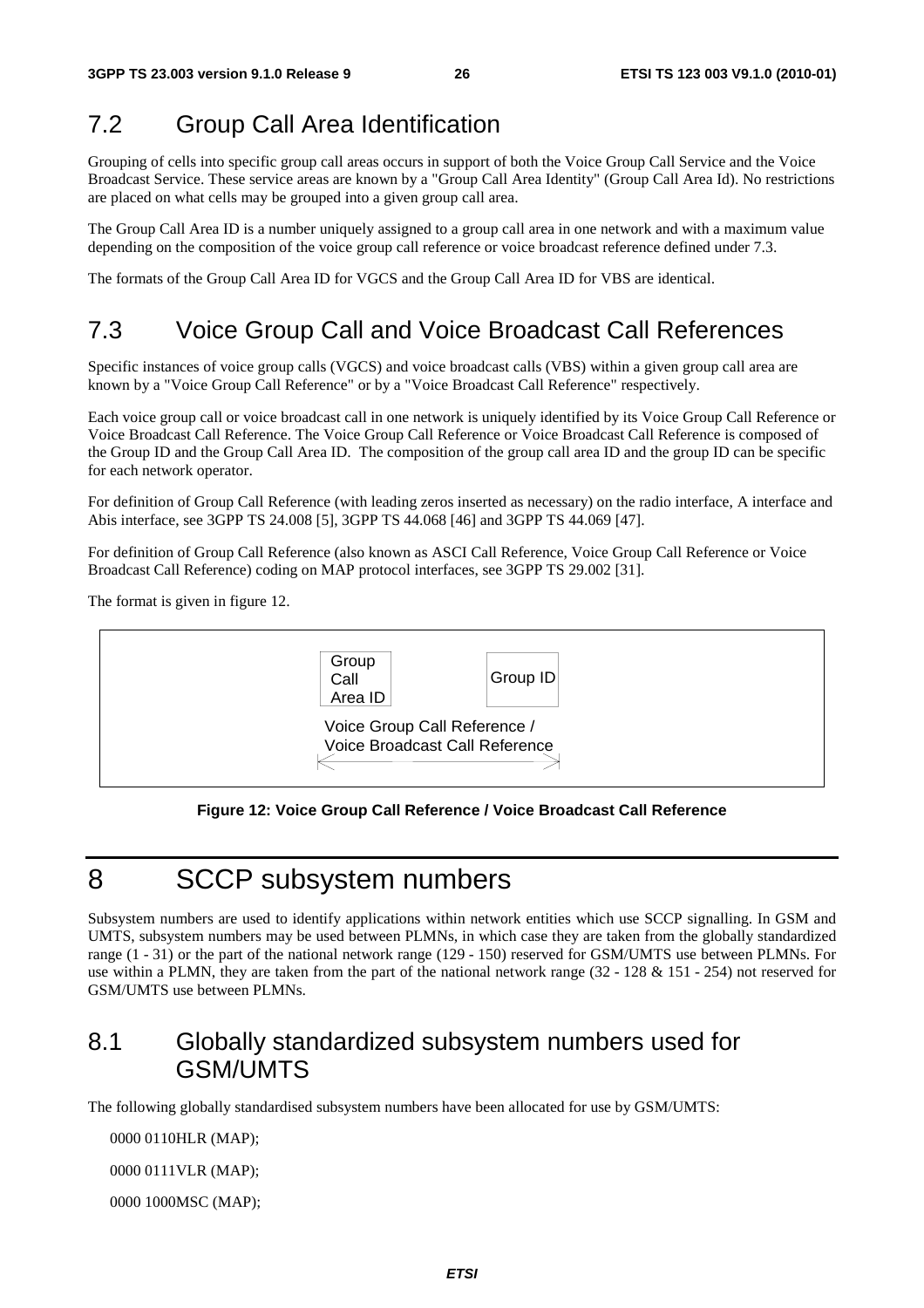# 7.2 Group Call Area Identification

Grouping of cells into specific group call areas occurs in support of both the Voice Group Call Service and the Voice Broadcast Service. These service areas are known by a "Group Call Area Identity" (Group Call Area Id). No restrictions are placed on what cells may be grouped into a given group call area.

The Group Call Area ID is a number uniquely assigned to a group call area in one network and with a maximum value depending on the composition of the voice group call reference or voice broadcast reference defined under 7.3.

The formats of the Group Call Area ID for VGCS and the Group Call Area ID for VBS are identical.

# 7.3 Voice Group Call and Voice Broadcast Call References

Specific instances of voice group calls (VGCS) and voice broadcast calls (VBS) within a given group call area are known by a "Voice Group Call Reference" or by a "Voice Broadcast Call Reference" respectively.

Each voice group call or voice broadcast call in one network is uniquely identified by its Voice Group Call Reference or Voice Broadcast Call Reference. The Voice Group Call Reference or Voice Broadcast Call Reference is composed of the Group ID and the Group Call Area ID. The composition of the group call area ID and the group ID can be specific for each network operator.

For definition of Group Call Reference (with leading zeros inserted as necessary) on the radio interface, A interface and Abis interface, see 3GPP TS 24.008 [5], 3GPP TS 44.068 [46] and 3GPP TS 44.069 [47].

For definition of Group Call Reference (also known as ASCI Call Reference, Voice Group Call Reference or Voice Broadcast Call Reference) coding on MAP protocol interfaces, see 3GPP TS 29.002 [31].

The format is given in figure 12.



**Figure 12: Voice Group Call Reference / Voice Broadcast Call Reference** 

# 8 SCCP subsystem numbers

Subsystem numbers are used to identify applications within network entities which use SCCP signalling. In GSM and UMTS, subsystem numbers may be used between PLMNs, in which case they are taken from the globally standardized range (1 - 31) or the part of the national network range (129 - 150) reserved for GSM/UMTS use between PLMNs. For use within a PLMN, they are taken from the part of the national network range (32 - 128 & 151 - 254) not reserved for GSM/UMTS use between PLMNs.

# 8.1 Globally standardized subsystem numbers used for GSM/UMTS

The following globally standardised subsystem numbers have been allocated for use by GSM/UMTS:

0000 0110 HLR (MAP);

0000 0111 VLR (MAP);

0000 1000 MSC (MAP);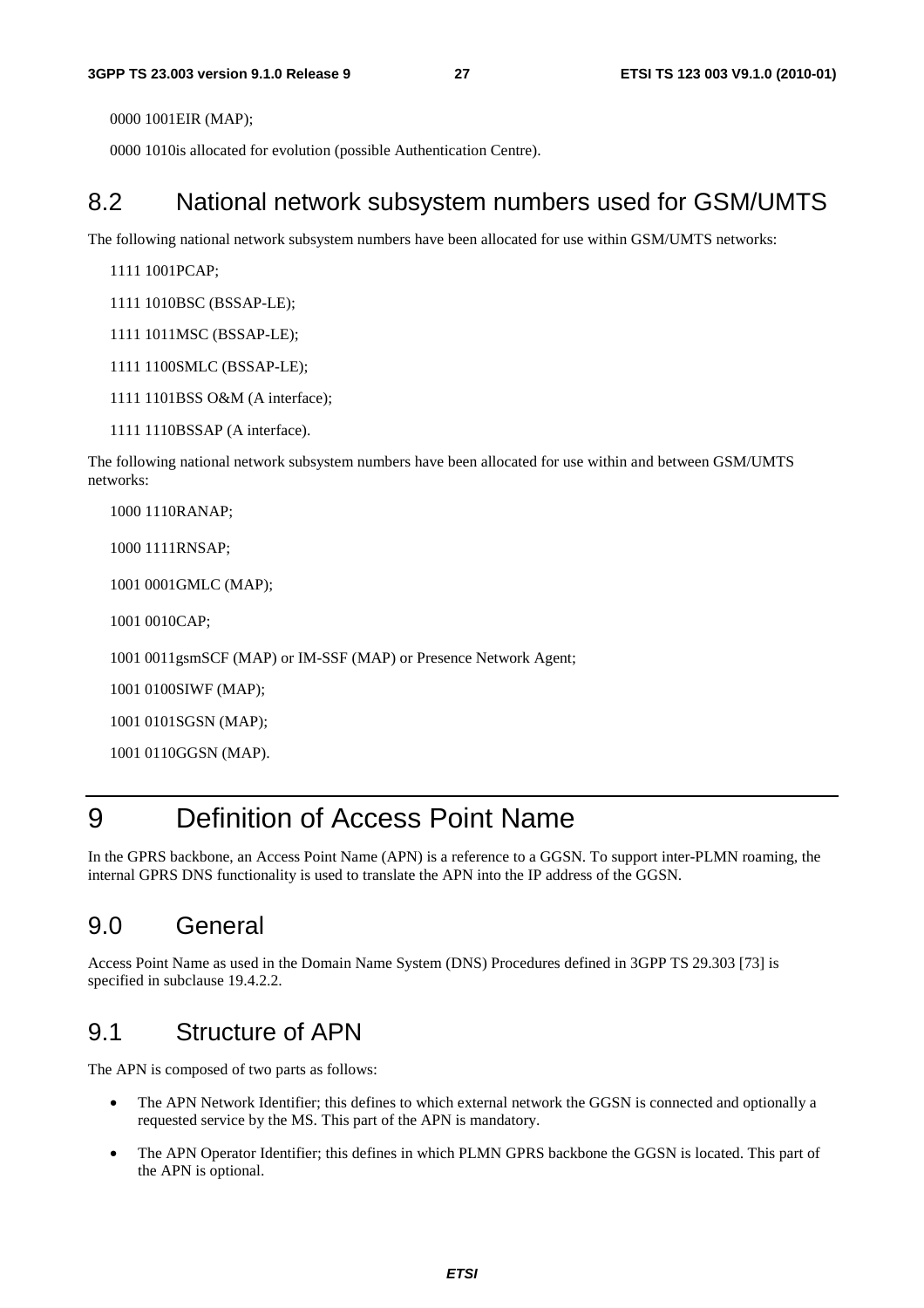0000 1001 EIR (MAP);

0000 1010 is allocated for evolution (possible Authentication Centre).

#### 8.2 National network subsystem numbers used for GSM/UMTS

The following national network subsystem numbers have been allocated for use within GSM/UMTS networks:

1111 1001 PCAP;

1111 1010BSC (BSSAP-LE);

1111 1011 MSC (BSSAP-LE);

- 1111 1100 SMLC (BSSAP-LE);
- 1111 1101 BSS O&M (A interface);
- 1111 1110BSSAP (A interface).

The following national network subsystem numbers have been allocated for use within and between GSM/UMTS networks:

1000 1110 RANAP;

1000 1111 RNSAP;

1001 0001 GMLC (MAP);

1001 0010 CAP;

1001 0011 gsmSCF (MAP) or IM-SSF (MAP) or Presence Network Agent;

1001 0100 SIWF (MAP);

1001 0101SGSN (MAP);

1001 0110 GGSN (MAP).

# 9 Definition of Access Point Name

In the GPRS backbone, an Access Point Name (APN) is a reference to a GGSN. To support inter-PLMN roaming, the internal GPRS DNS functionality is used to translate the APN into the IP address of the GGSN.

### 9.0 General

Access Point Name as used in the Domain Name System (DNS) Procedures defined in 3GPP TS 29.303 [73] is specified in subclause 19.4.2.2.

### 9.1 Structure of APN

The APN is composed of two parts as follows:

- The APN Network Identifier; this defines to which external network the GGSN is connected and optionally a requested service by the MS. This part of the APN is mandatory.
- The APN Operator Identifier; this defines in which PLMN GPRS backbone the GGSN is located. This part of the APN is optional.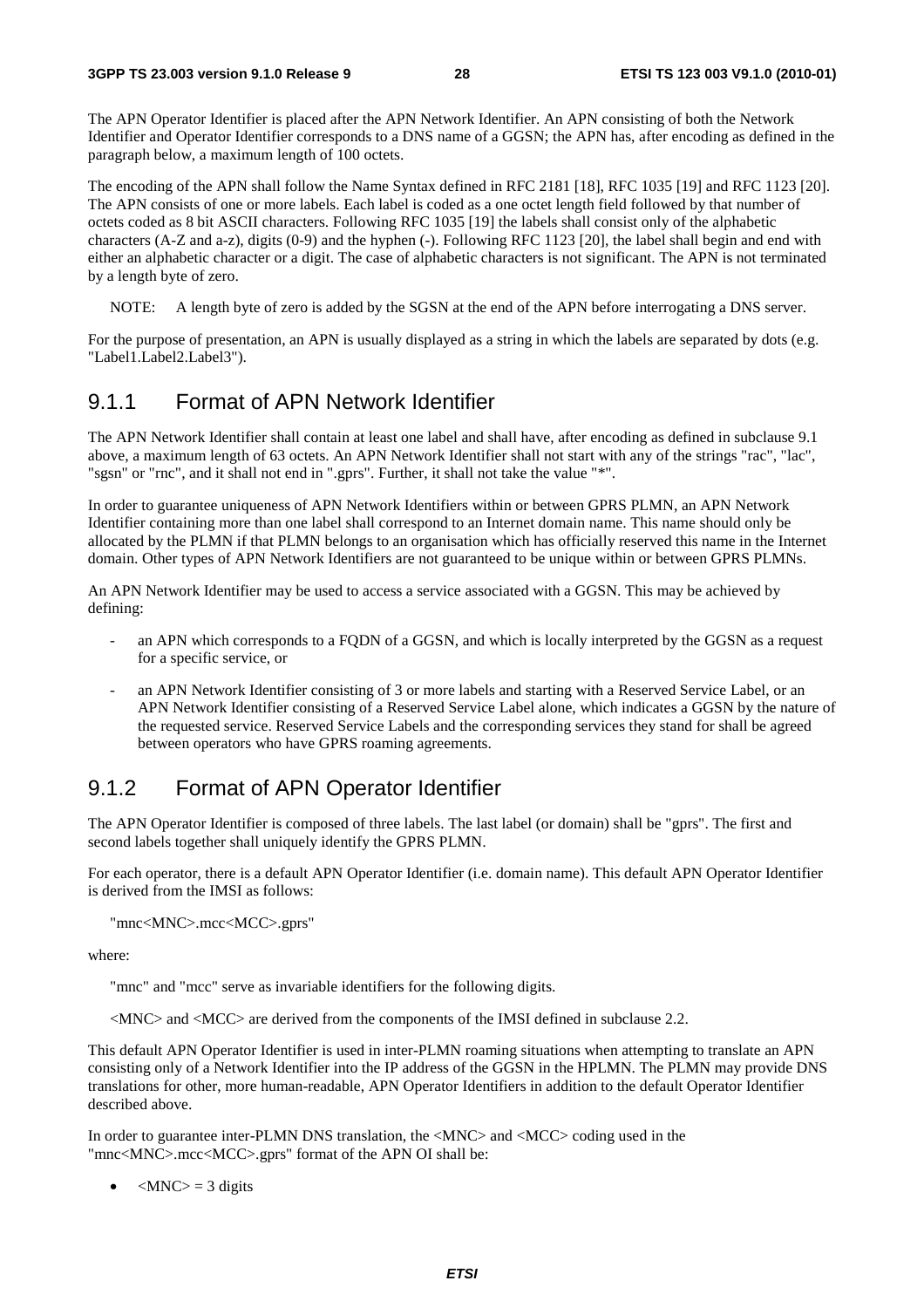The APN Operator Identifier is placed after the APN Network Identifier. An APN consisting of both the Network Identifier and Operator Identifier corresponds to a DNS name of a GGSN; the APN has, after encoding as defined in the paragraph below, a maximum length of 100 octets.

The encoding of the APN shall follow the Name Syntax defined in RFC 2181 [18], RFC 1035 [19] and RFC 1123 [20]. The APN consists of one or more labels. Each label is coded as a one octet length field followed by that number of octets coded as 8 bit ASCII characters. Following RFC 1035 [19] the labels shall consist only of the alphabetic characters (A-Z and a-z), digits (0-9) and the hyphen (-). Following RFC 1123 [20], the label shall begin and end with either an alphabetic character or a digit. The case of alphabetic characters is not significant. The APN is not terminated by a length byte of zero.

NOTE: A length byte of zero is added by the SGSN at the end of the APN before interrogating a DNS server.

For the purpose of presentation, an APN is usually displayed as a string in which the labels are separated by dots (e.g. "Label1.Label2.Label3").

#### 9.1.1 Format of APN Network Identifier

The APN Network Identifier shall contain at least one label and shall have, after encoding as defined in subclause 9.1 above, a maximum length of 63 octets. An APN Network Identifier shall not start with any of the strings "rac", "lac", "sgsn" or "rnc", and it shall not end in ".gprs". Further, it shall not take the value "\*".

In order to guarantee uniqueness of APN Network Identifiers within or between GPRS PLMN, an APN Network Identifier containing more than one label shall correspond to an Internet domain name. This name should only be allocated by the PLMN if that PLMN belongs to an organisation which has officially reserved this name in the Internet domain. Other types of APN Network Identifiers are not guaranteed to be unique within or between GPRS PLMNs.

An APN Network Identifier may be used to access a service associated with a GGSN. This may be achieved by defining:

- an APN which corresponds to a FQDN of a GGSN, and which is locally interpreted by the GGSN as a request for a specific service, or
- an APN Network Identifier consisting of 3 or more labels and starting with a Reserved Service Label, or an APN Network Identifier consisting of a Reserved Service Label alone, which indicates a GGSN by the nature of the requested service. Reserved Service Labels and the corresponding services they stand for shall be agreed between operators who have GPRS roaming agreements.

#### 9.1.2 Format of APN Operator Identifier

The APN Operator Identifier is composed of three labels. The last label (or domain) shall be "gprs". The first and second labels together shall uniquely identify the GPRS PLMN.

For each operator, there is a default APN Operator Identifier (i.e. domain name). This default APN Operator Identifier is derived from the IMSI as follows:

```
"mnc<MNC>.mcc<MCC>.gprs"
```
where:

"mnc" and "mcc" serve as invariable identifiers for the following digits.

<MNC> and <MCC> are derived from the components of the IMSI defined in subclause 2.2.

This default APN Operator Identifier is used in inter-PLMN roaming situations when attempting to translate an APN consisting only of a Network Identifier into the IP address of the GGSN in the HPLMN. The PLMN may provide DNS translations for other, more human-readable, APN Operator Identifiers in addition to the default Operator Identifier described above.

In order to guarantee inter-PLMN DNS translation, the <MNC> and <MCC> coding used in the "mnc<MNC>.mcc<MCC>.gprs" format of the APN OI shall be:

•  $\langle MNC \rangle = 3$  digits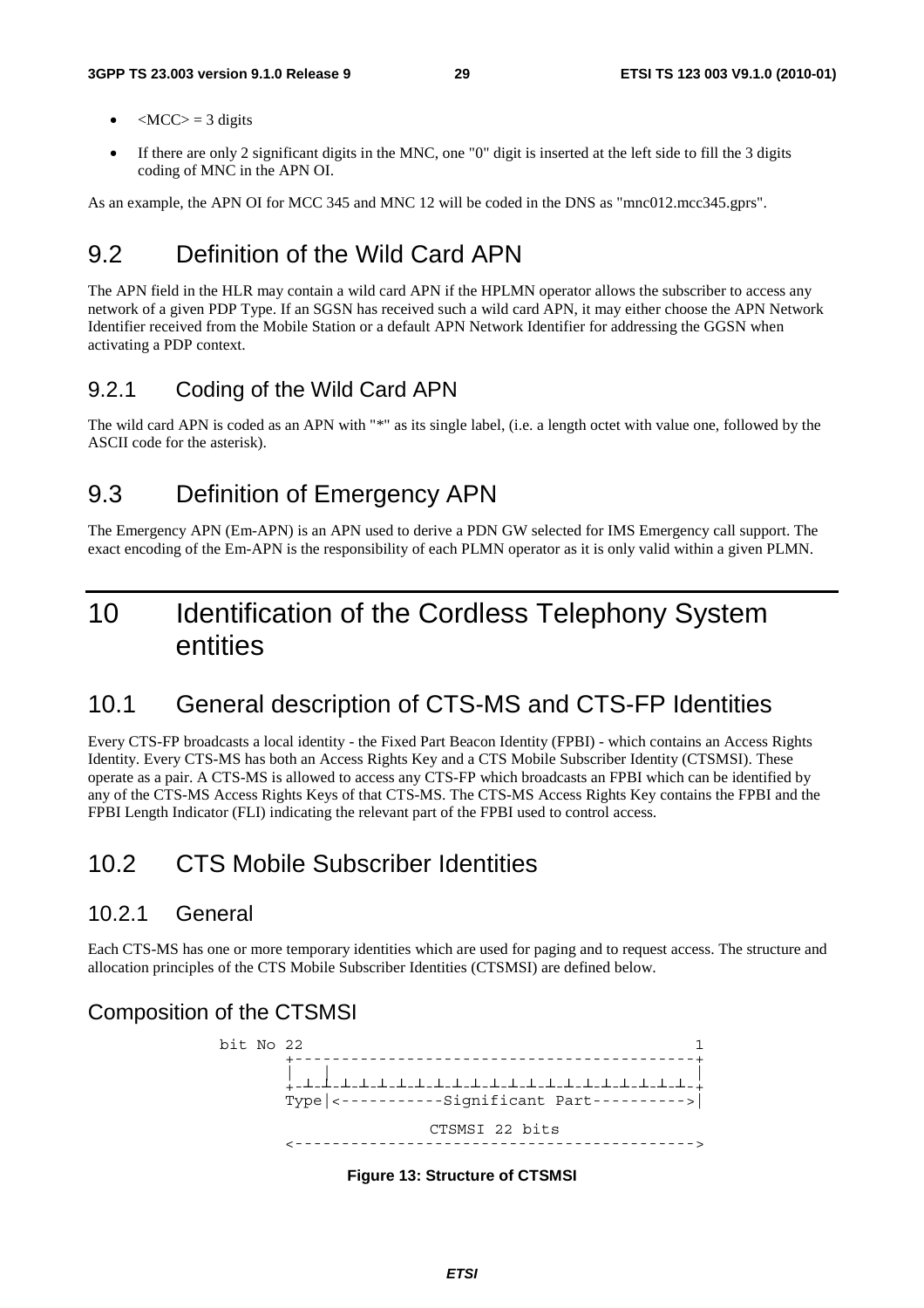- $\langle MCC \rangle = 3$  digits
- If there are only 2 significant digits in the MNC, one "0" digit is inserted at the left side to fill the 3 digits coding of MNC in the APN OI.

As an example, the APN OI for MCC 345 and MNC 12 will be coded in the DNS as "mnc012.mcc345.gprs".

### 9.2 Definition of the Wild Card APN

The APN field in the HLR may contain a wild card APN if the HPLMN operator allows the subscriber to access any network of a given PDP Type. If an SGSN has received such a wild card APN, it may either choose the APN Network Identifier received from the Mobile Station or a default APN Network Identifier for addressing the GGSN when activating a PDP context.

#### 9.2.1 Coding of the Wild Card APN

The wild card APN is coded as an APN with "\*" as its single label, (i.e. a length octet with value one, followed by the ASCII code for the asterisk).

#### 9.3 Definition of Emergency APN

The Emergency APN (Em-APN) is an APN used to derive a PDN GW selected for IMS Emergency call support. The exact encoding of the Em-APN is the responsibility of each PLMN operator as it is only valid within a given PLMN.

# 10 Identification of the Cordless Telephony System entities

### 10.1 General description of CTS-MS and CTS-FP Identities

Every CTS-FP broadcasts a local identity - the Fixed Part Beacon Identity (FPBI) - which contains an Access Rights Identity. Every CTS-MS has both an Access Rights Key and a CTS Mobile Subscriber Identity (CTSMSI). These operate as a pair. A CTS-MS is allowed to access any CTS-FP which broadcasts an FPBI which can be identified by any of the CTS-MS Access Rights Keys of that CTS-MS. The CTS-MS Access Rights Key contains the FPBI and the FPBI Length Indicator (FLI) indicating the relevant part of the FPBI used to control access.

### 10.2 CTS Mobile Subscriber Identities

#### 10.2.1 General

Each CTS-MS has one or more temporary identities which are used for paging and to request access. The structure and allocation principles of the CTS Mobile Subscriber Identities (CTSMSI) are defined below.

#### Composition of the CTSMSI



**Figure 13: Structure of CTSMSI**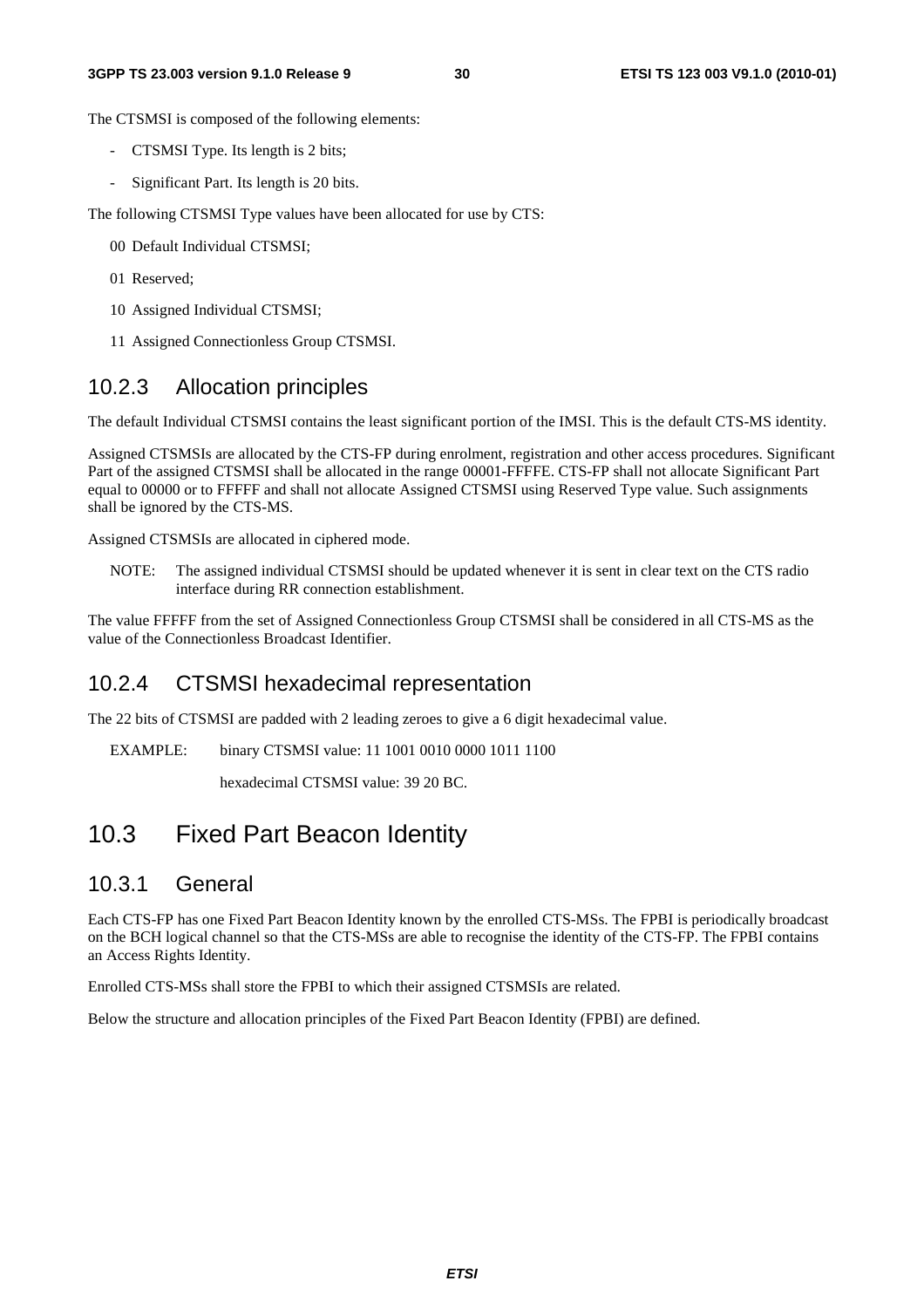The CTSMSI is composed of the following elements:

- CTSMSI Type. Its length is 2 bits;
- Significant Part. Its length is 20 bits.

The following CTSMSI Type values have been allocated for use by CTS:

- 00 Default Individual CTSMSI;
- 01 Reserved;
- 10 Assigned Individual CTSMSI;
- 11 Assigned Connectionless Group CTSMSI.

#### 10.2.3 Allocation principles

The default Individual CTSMSI contains the least significant portion of the IMSI. This is the default CTS-MS identity.

Assigned CTSMSIs are allocated by the CTS-FP during enrolment, registration and other access procedures. Significant Part of the assigned CTSMSI shall be allocated in the range 00001-FFFFE. CTS-FP shall not allocate Significant Part equal to 00000 or to FFFFF and shall not allocate Assigned CTSMSI using Reserved Type value. Such assignments shall be ignored by the CTS-MS.

Assigned CTSMSIs are allocated in ciphered mode.

NOTE: The assigned individual CTSMSI should be updated whenever it is sent in clear text on the CTS radio interface during RR connection establishment.

The value FFFFF from the set of Assigned Connectionless Group CTSMSI shall be considered in all CTS-MS as the value of the Connectionless Broadcast Identifier.

#### 10.2.4 CTSMSI hexadecimal representation

The 22 bits of CTSMSI are padded with 2 leading zeroes to give a 6 digit hexadecimal value.

EXAMPLE: binary CTSMSI value: 11 1001 0010 0000 1011 1100

hexadecimal CTSMSI value: 39 20 BC.

### 10.3 Fixed Part Beacon Identity

#### 10.3.1 General

Each CTS-FP has one Fixed Part Beacon Identity known by the enrolled CTS-MSs. The FPBI is periodically broadcast on the BCH logical channel so that the CTS-MSs are able to recognise the identity of the CTS-FP. The FPBI contains an Access Rights Identity.

Enrolled CTS-MSs shall store the FPBI to which their assigned CTSMSIs are related.

Below the structure and allocation principles of the Fixed Part Beacon Identity (FPBI) are defined.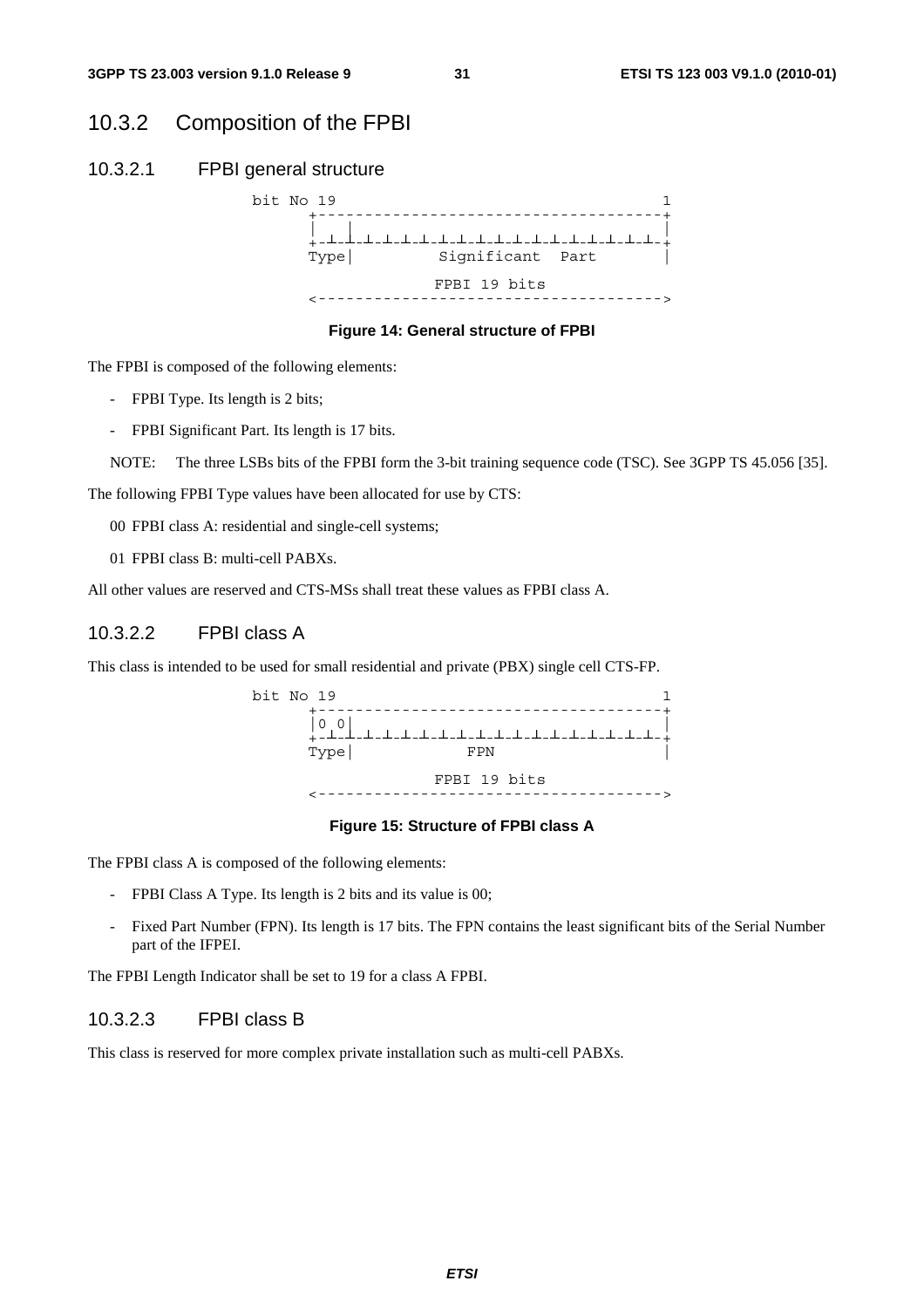#### 10.3.2 Composition of the FPBI

#### 10.3.2.1 FPBI general structure



**Figure 14: General structure of FPBI** 

The FPBI is composed of the following elements:

- FPBI Type. Its length is 2 bits;
- FPBI Significant Part. Its length is 17 bits.

NOTE: The three LSBs bits of the FPBI form the 3-bit training sequence code (TSC). See 3GPP TS 45.056 [35].

The following FPBI Type values have been allocated for use by CTS:

00 FPBI class A: residential and single-cell systems;

01 FPBI class B: multi-cell PABXs.

All other values are reserved and CTS-MSs shall treat these values as FPBI class A.

#### 10.3.2.2 FPBI class A

This class is intended to be used for small residential and private (PBX) single cell CTS-FP.

bit No  $19$   $1$  +-------------------------------------+ |0 0| | +-┴-┴-┴-┴-┴-┴-┴-┴-┴-┴-┴-┴-┴-┴-┴-┴-┴-┴-+ Type| FPN | FPBI 19 bits <------------------------------------->

#### **Figure 15: Structure of FPBI class A**

The FPBI class A is composed of the following elements:

- FPBI Class A Type. Its length is 2 bits and its value is 00;
- Fixed Part Number (FPN). Its length is 17 bits. The FPN contains the least significant bits of the Serial Number part of the IFPEI.

The FPBI Length Indicator shall be set to 19 for a class A FPBI.

#### 10.3.2.3 FPBI class B

This class is reserved for more complex private installation such as multi-cell PABXs.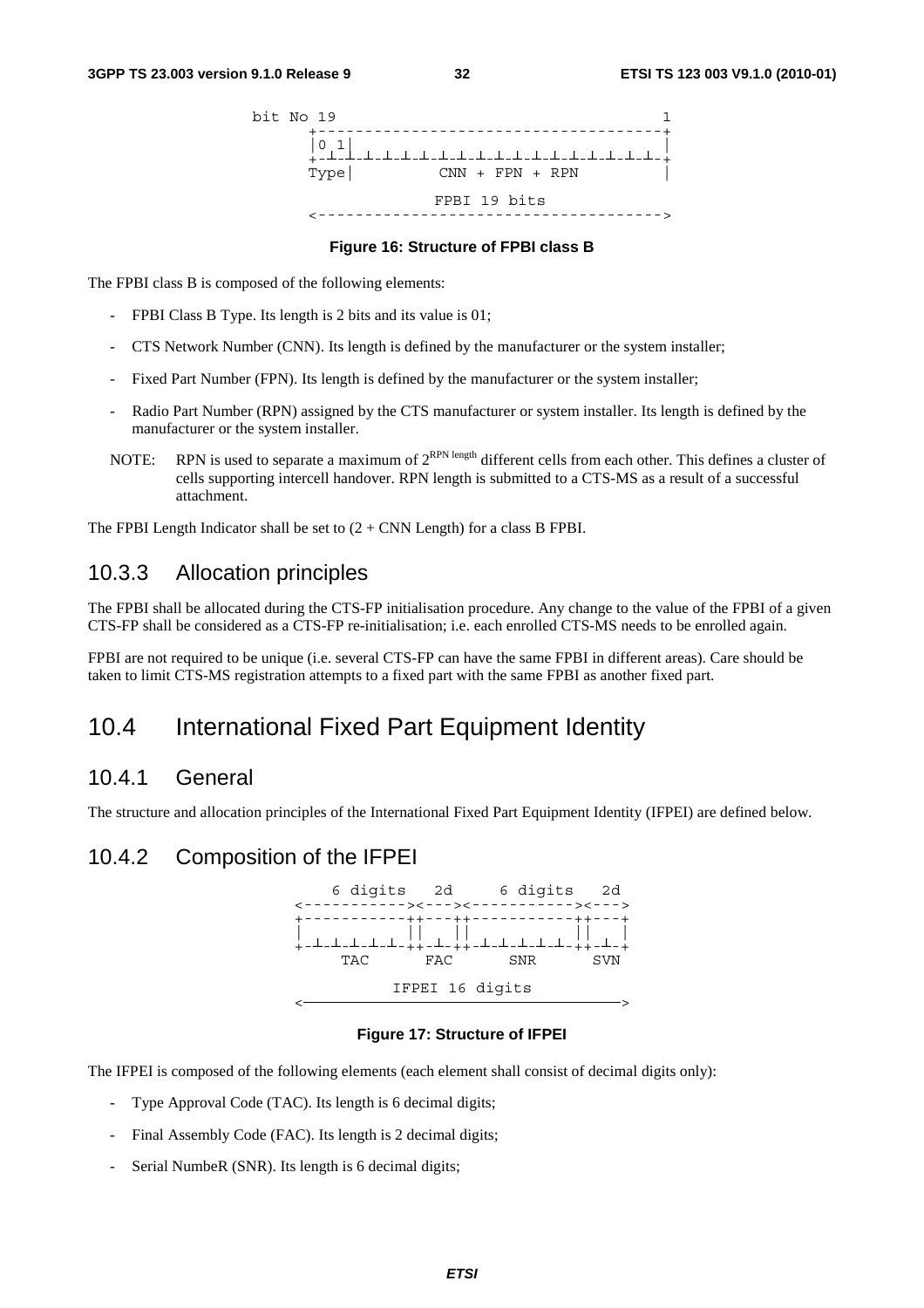

#### **Figure 16: Structure of FPBI class B**

The FPBI class B is composed of the following elements:

- FPBI Class B Type. Its length is 2 bits and its value is 01;
- CTS Network Number (CNN). Its length is defined by the manufacturer or the system installer;
- Fixed Part Number (FPN). Its length is defined by the manufacturer or the system installer;
- Radio Part Number (RPN) assigned by the CTS manufacturer or system installer. Its length is defined by the manufacturer or the system installer.
- NOTE: RPN is used to separate a maximum of  $2^{RPN \text{ length}}$  different cells from each other. This defines a cluster of cells supporting intercell handover. RPN length is submitted to a CTS-MS as a result of a successful attachment.

The FPBI Length Indicator shall be set to  $(2 + CNN$  Length) for a class B FPBI.

#### 10.3.3 Allocation principles

The FPBI shall be allocated during the CTS-FP initialisation procedure. Any change to the value of the FPBI of a given CTS-FP shall be considered as a CTS-FP re-initialisation; i.e. each enrolled CTS-MS needs to be enrolled again.

FPBI are not required to be unique (i.e. several CTS-FP can have the same FPBI in different areas). Care should be taken to limit CTS-MS registration attempts to a fixed part with the same FPBI as another fixed part.

### 10.4 International Fixed Part Equipment Identity

#### 10.4.1 General

The structure and allocation principles of the International Fixed Part Equipment Identity (IFPEI) are defined below.

#### 10.4.2 Composition of the IFPEI



#### **Figure 17: Structure of IFPEI**

The IFPEI is composed of the following elements (each element shall consist of decimal digits only):

- Type Approval Code (TAC). Its length is 6 decimal digits;
- Final Assembly Code (FAC). Its length is 2 decimal digits;
- Serial NumbeR (SNR). Its length is 6 decimal digits;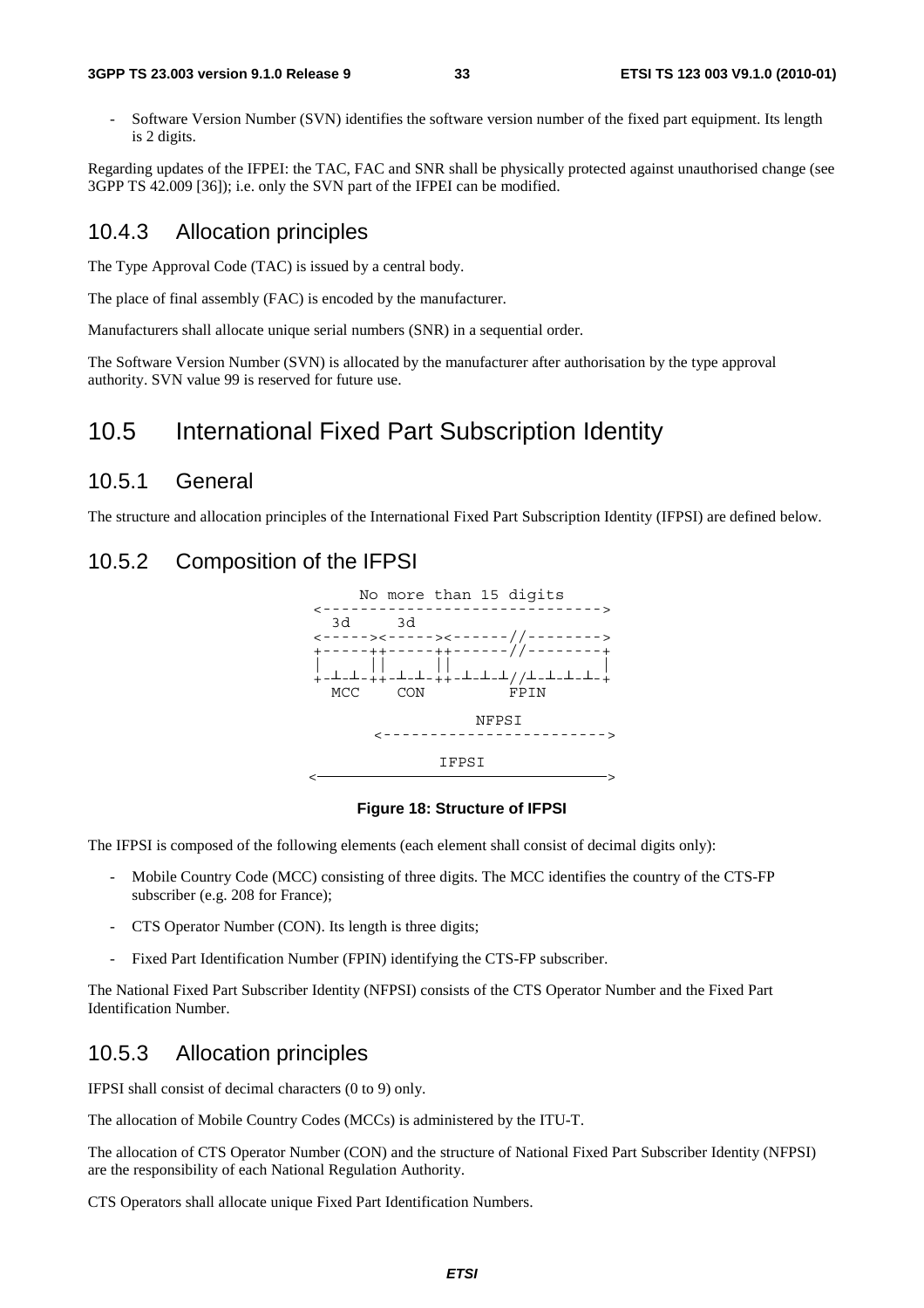#### **3GPP TS 23.003 version 9.1.0 Release 9 33 ETSI TS 123 003 V9.1.0 (2010-01)**

- Software Version Number (SVN) identifies the software version number of the fixed part equipment. Its length is 2 digits.

Regarding updates of the IFPEI: the TAC, FAC and SNR shall be physically protected against unauthorised change (see 3GPP TS 42.009 [36]); i.e. only the SVN part of the IFPEI can be modified.

#### 10.4.3 Allocation principles

The Type Approval Code (TAC) is issued by a central body.

The place of final assembly (FAC) is encoded by the manufacturer.

Manufacturers shall allocate unique serial numbers (SNR) in a sequential order.

The Software Version Number (SVN) is allocated by the manufacturer after authorisation by the type approval authority. SVN value 99 is reserved for future use.

#### 10.5 International Fixed Part Subscription Identity

#### 10.5.1 General

The structure and allocation principles of the International Fixed Part Subscription Identity (IFPSI) are defined below.

#### 10.5.2 Composition of the IFPSI



#### **Figure 18: Structure of IFPSI**

The IFPSI is composed of the following elements (each element shall consist of decimal digits only):

- Mobile Country Code (MCC) consisting of three digits. The MCC identifies the country of the CTS-FP subscriber (e.g. 208 for France);
- CTS Operator Number (CON). Its length is three digits;
- Fixed Part Identification Number (FPIN) identifying the CTS-FP subscriber.

The National Fixed Part Subscriber Identity (NFPSI) consists of the CTS Operator Number and the Fixed Part Identification Number.

#### 10.5.3 Allocation principles

IFPSI shall consist of decimal characters (0 to 9) only.

The allocation of Mobile Country Codes (MCCs) is administered by the ITU-T.

The allocation of CTS Operator Number (CON) and the structure of National Fixed Part Subscriber Identity (NFPSI) are the responsibility of each National Regulation Authority.

CTS Operators shall allocate unique Fixed Part Identification Numbers.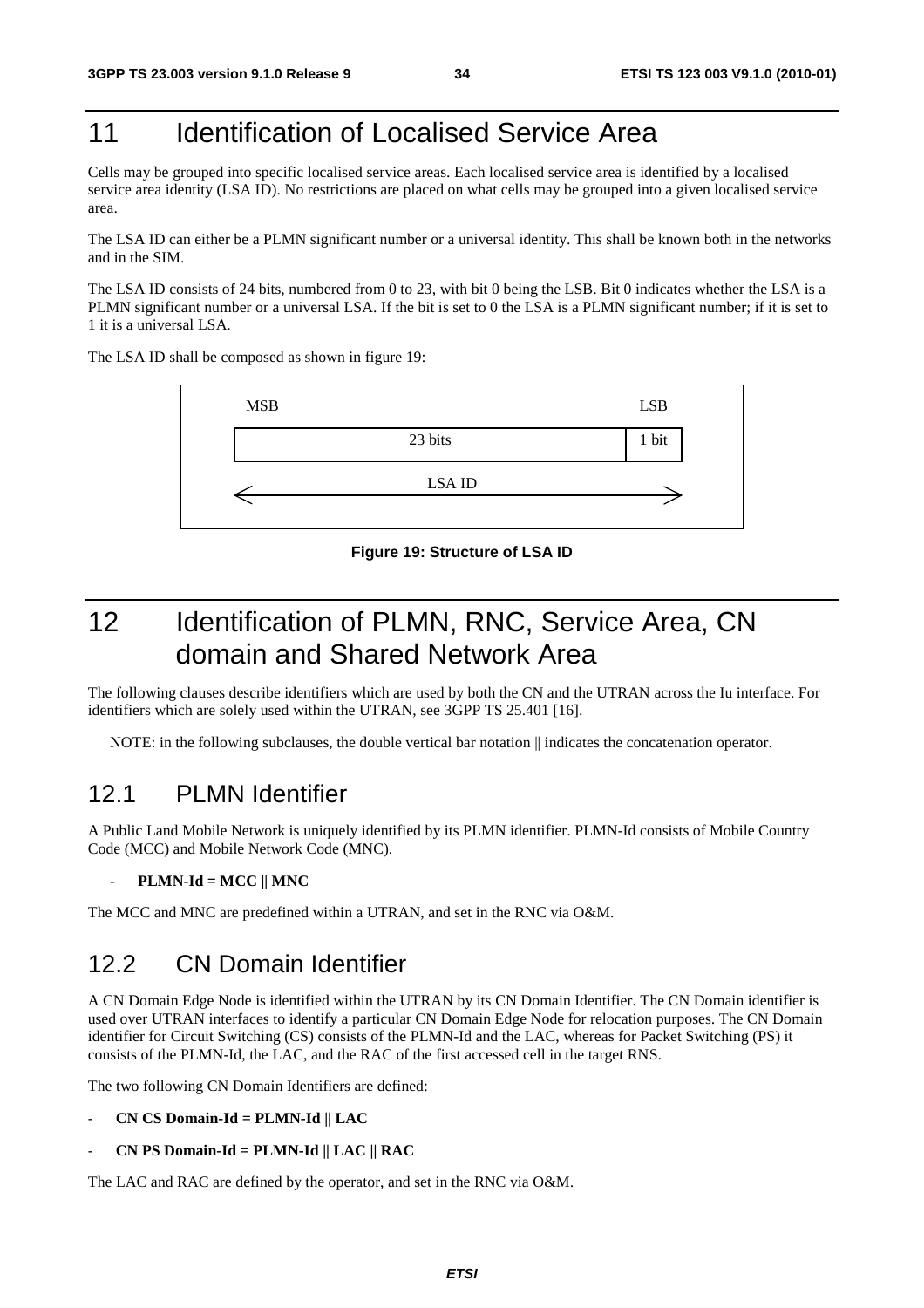# 11 **Identification of Localised Service Area**

Cells may be grouped into specific localised service areas. Each localised service area is identified by a localised service area identity (LSA ID). No restrictions are placed on what cells may be grouped into a given localised service area.

The LSA ID can either be a PLMN significant number or a universal identity. This shall be known both in the networks and in the SIM.

The LSA ID consists of 24 bits, numbered from 0 to 23, with bit 0 being the LSB. Bit 0 indicates whether the LSA is a PLMN significant number or a universal LSA. If the bit is set to 0 the LSA is a PLMN significant number; if it is set to 1 it is a universal LSA.

The LSA ID shall be composed as shown in figure 19:



**Figure 19: Structure of LSA ID** 

# 12 Identification of PLMN, RNC, Service Area, CN domain and Shared Network Area

The following clauses describe identifiers which are used by both the CN and the UTRAN across the Iu interface. For identifiers which are solely used within the UTRAN, see 3GPP TS 25.401 [16].

NOTE: in the following subclauses, the double vertical bar notation  $\parallel$  indicates the concatenation operator.

#### 12.1 PLMN Identifier

A Public Land Mobile Network is uniquely identified by its PLMN identifier. PLMN-Id consists of Mobile Country Code (MCC) and Mobile Network Code (MNC).

#### - **PLMN-Id = MCC || MNC**

The MCC and MNC are predefined within a UTRAN, and set in the RNC via O&M.

#### 12.2 CN Domain Identifier

A CN Domain Edge Node is identified within the UTRAN by its CN Domain Identifier. The CN Domain identifier is used over UTRAN interfaces to identify a particular CN Domain Edge Node for relocation purposes. The CN Domain identifier for Circuit Switching (CS) consists of the PLMN-Id and the LAC, whereas for Packet Switching (PS) it consists of the PLMN-Id, the LAC, and the RAC of the first accessed cell in the target RNS.

The two following CN Domain Identifiers are defined:

#### - **CN CS Domain-Id = PLMN-Id || LAC**

- **CN PS Domain-Id = PLMN-Id || LAC || RAC** 

The LAC and RAC are defined by the operator, and set in the RNC via O&M.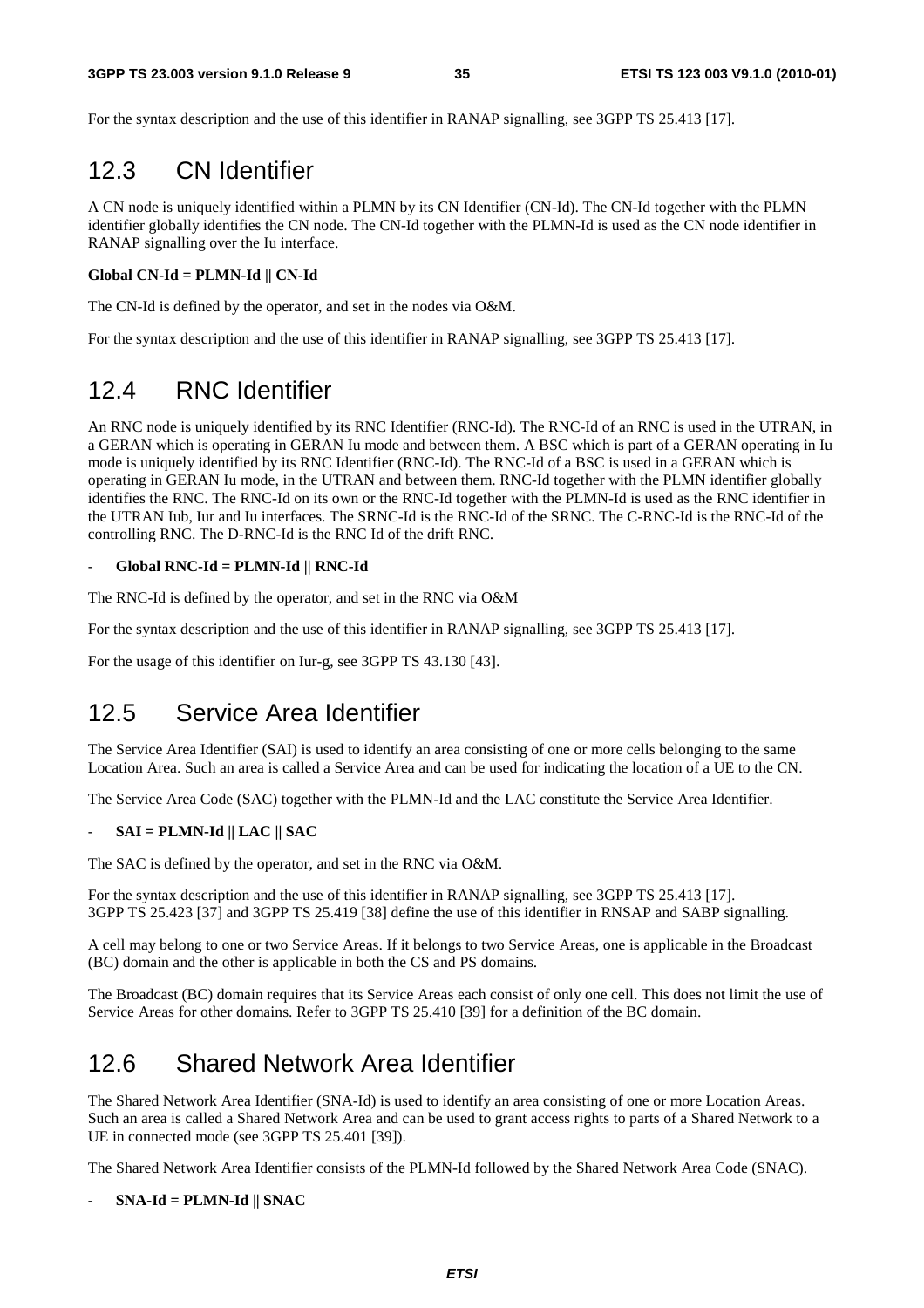For the syntax description and the use of this identifier in RANAP signalling, see 3GPP TS 25.413 [17].

### 12.3 CN Identifier

A CN node is uniquely identified within a PLMN by its CN Identifier (CN-Id). The CN-Id together with the PLMN identifier globally identifies the CN node. The CN-Id together with the PLMN-Id is used as the CN node identifier in RANAP signalling over the Iu interface.

#### **Global CN-Id = PLMN-Id || CN-Id**

The CN-Id is defined by the operator, and set in the nodes via O&M.

For the syntax description and the use of this identifier in RANAP signalling, see 3GPP TS 25.413 [17].

### 12.4 RNC Identifier

An RNC node is uniquely identified by its RNC Identifier (RNC-Id). The RNC-Id of an RNC is used in the UTRAN, in a GERAN which is operating in GERAN Iu mode and between them. A BSC which is part of a GERAN operating in Iu mode is uniquely identified by its RNC Identifier (RNC-Id). The RNC-Id of a BSC is used in a GERAN which is operating in GERAN Iu mode, in the UTRAN and between them. RNC-Id together with the PLMN identifier globally identifies the RNC. The RNC-Id on its own or the RNC-Id together with the PLMN-Id is used as the RNC identifier in the UTRAN Iub, Iur and Iu interfaces. The SRNC-Id is the RNC-Id of the SRNC. The C-RNC-Id is the RNC-Id of the controlling RNC. The D-RNC-Id is the RNC Id of the drift RNC.

#### - **Global RNC-Id = PLMN-Id || RNC-Id**

The RNC-Id is defined by the operator, and set in the RNC via O&M

For the syntax description and the use of this identifier in RANAP signalling, see 3GPP TS 25.413 [17].

For the usage of this identifier on Iur-g, see 3GPP TS 43.130 [43].

#### 12.5 Service Area Identifier

The Service Area Identifier (SAI) is used to identify an area consisting of one or more cells belonging to the same Location Area. Such an area is called a Service Area and can be used for indicating the location of a UE to the CN.

The Service Area Code (SAC) together with the PLMN-Id and the LAC constitute the Service Area Identifier.

#### - **SAI = PLMN-Id || LAC || SAC**

The SAC is defined by the operator, and set in the RNC via O&M.

For the syntax description and the use of this identifier in RANAP signalling, see 3GPP TS 25.413 [17]. 3GPP TS 25.423 [37] and 3GPP TS 25.419 [38] define the use of this identifier in RNSAP and SABP signalling.

A cell may belong to one or two Service Areas. If it belongs to two Service Areas, one is applicable in the Broadcast (BC) domain and the other is applicable in both the CS and PS domains.

The Broadcast (BC) domain requires that its Service Areas each consist of only one cell. This does not limit the use of Service Areas for other domains. Refer to 3GPP TS 25.410 [39] for a definition of the BC domain.

### 12.6 Shared Network Area Identifier

The Shared Network Area Identifier (SNA-Id) is used to identify an area consisting of one or more Location Areas. Such an area is called a Shared Network Area and can be used to grant access rights to parts of a Shared Network to a UE in connected mode (see 3GPP TS 25.401 [39]).

The Shared Network Area Identifier consists of the PLMN-Id followed by the Shared Network Area Code (SNAC).

#### - **SNA-Id = PLMN-Id || SNAC**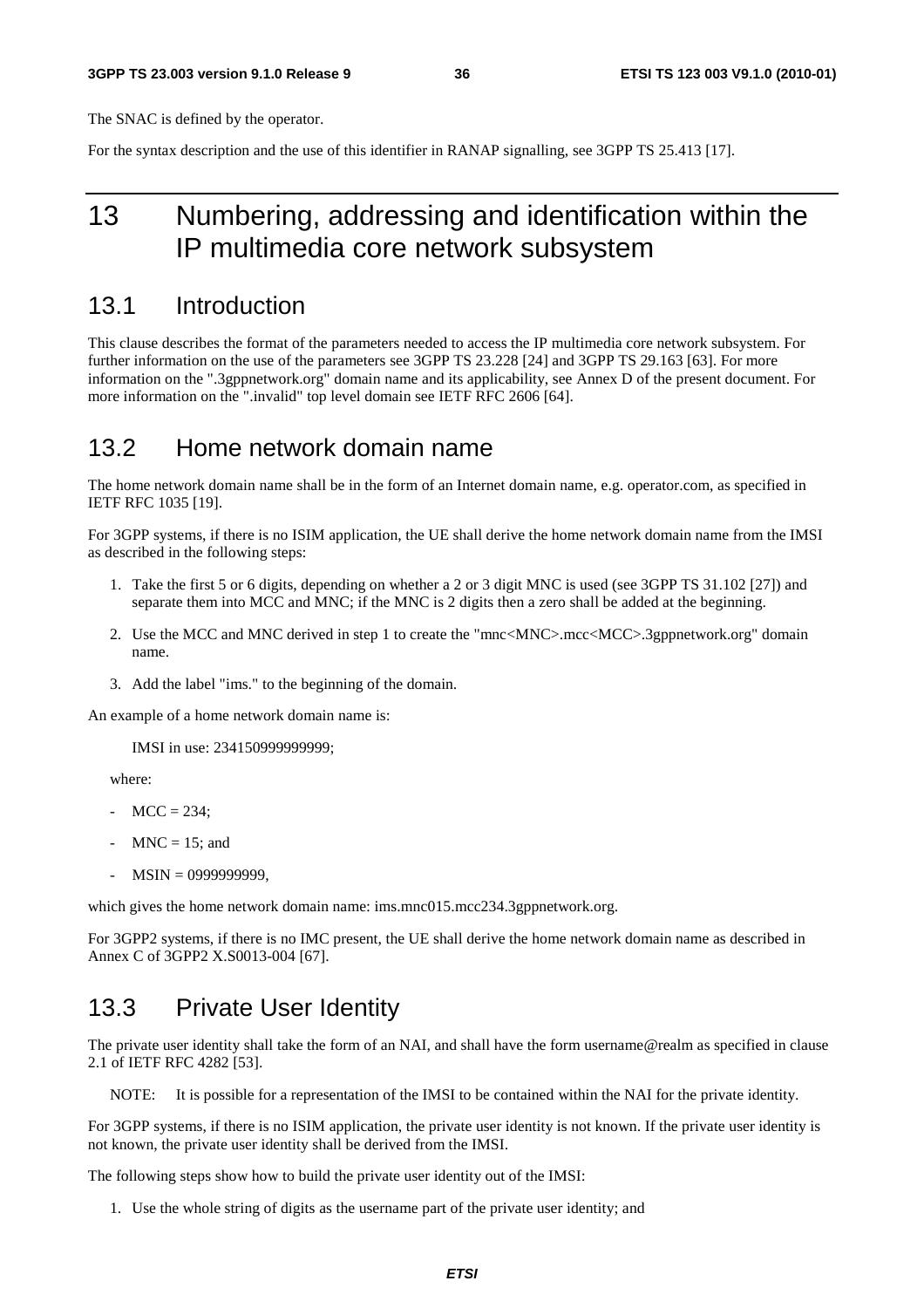The SNAC is defined by the operator.

For the syntax description and the use of this identifier in RANAP signalling, see 3GPP TS 25.413 [17].

# 13 Numbering, addressing and identification within the IP multimedia core network subsystem

### 13.1 Introduction

This clause describes the format of the parameters needed to access the IP multimedia core network subsystem. For further information on the use of the parameters see 3GPP TS 23.228 [24] and 3GPP TS 29.163 [63]. For more information on the ".3gppnetwork.org" domain name and its applicability, see Annex D of the present document. For more information on the ".invalid" top level domain see IETF RFC 2606 [64].

### 13.2 Home network domain name

The home network domain name shall be in the form of an Internet domain name, e.g. operator.com, as specified in IETF RFC 1035 [19].

For 3GPP systems, if there is no ISIM application, the UE shall derive the home network domain name from the IMSI as described in the following steps:

- 1. Take the first 5 or 6 digits, depending on whether a 2 or 3 digit MNC is used (see 3GPP TS 31.102 [27]) and separate them into MCC and MNC; if the MNC is 2 digits then a zero shall be added at the beginning.
- 2. Use the MCC and MNC derived in step 1 to create the "mnc<MNC>.mcc<MCC>.3gppnetwork.org" domain name.
- 3. Add the label "ims." to the beginning of the domain.

An example of a home network domain name is:

IMSI in use: 234150999999999;

where:

- $MCC = 234$ :
- $MNC = 15$ ; and
- MSIN = 0999999999,

which gives the home network domain name: ims.mnc015.mcc234.3gppnetwork.org.

For 3GPP2 systems, if there is no IMC present, the UE shall derive the home network domain name as described in Annex C of 3GPP2 X.S0013-004 [67].

### 13.3 Private User Identity

The private user identity shall take the form of an NAI, and shall have the form username@realm as specified in clause 2.1 of IETF RFC 4282 [53].

NOTE: It is possible for a representation of the IMSI to be contained within the NAI for the private identity.

For 3GPP systems, if there is no ISIM application, the private user identity is not known. If the private user identity is not known, the private user identity shall be derived from the IMSI.

The following steps show how to build the private user identity out of the IMSI:

1. Use the whole string of digits as the username part of the private user identity; and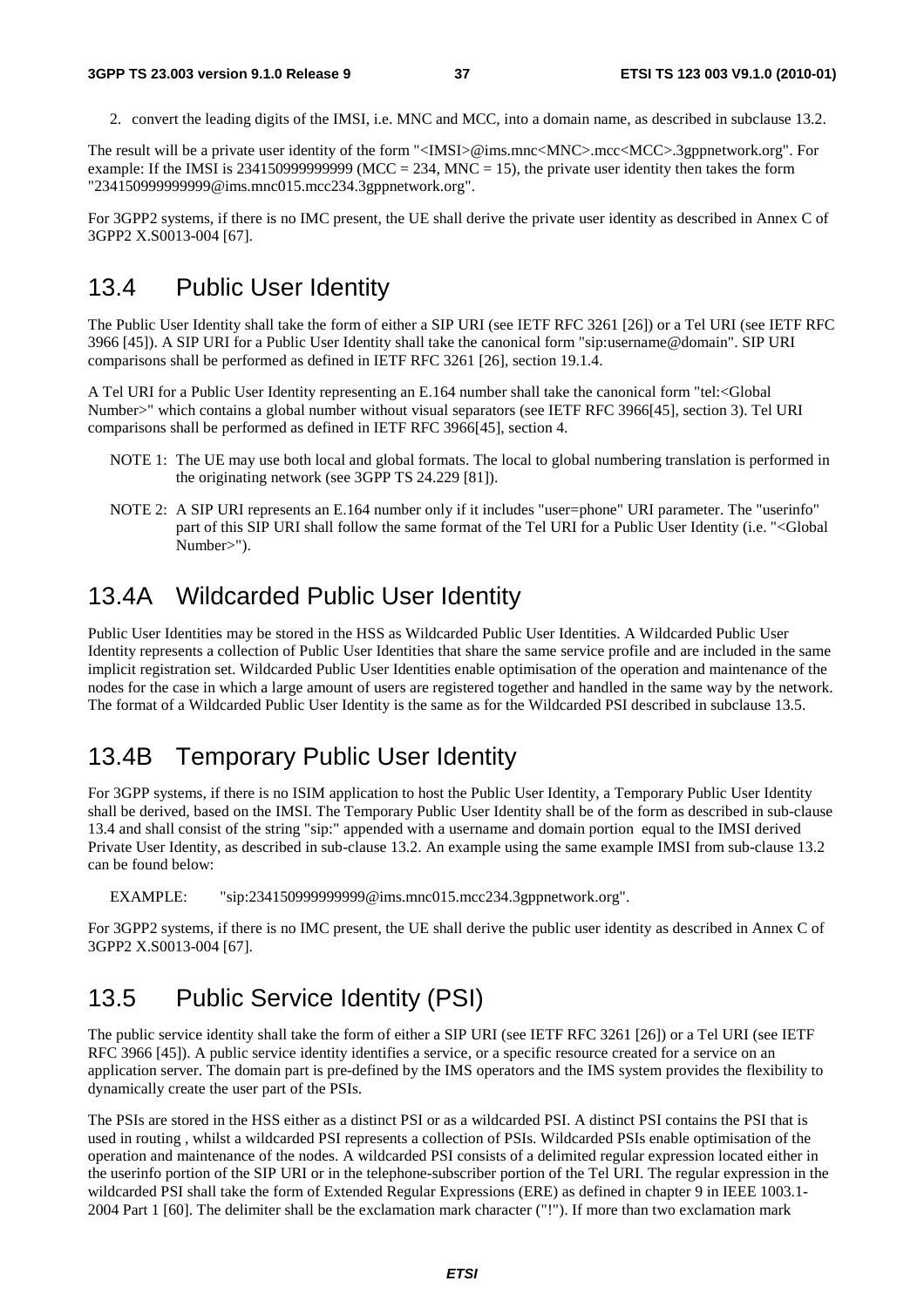2. convert the leading digits of the IMSI, i.e. MNC and MCC, into a domain name, as described in subclause 13.2.

The result will be a private user identity of the form "<IMSI>@ims.mnc<MNC>.mcc<MCC>.3gppnetwork.org". For example: If the IMSI is 2341509999999999 (MCC = 234, MNC = 15), the private user identity then takes the form "234150999999999@ims.mnc015.mcc234.3gppnetwork.org".

For 3GPP2 systems, if there is no IMC present, the UE shall derive the private user identity as described in Annex C of 3GPP2 X.S0013-004 [67].

### 13.4 Public User Identity

The Public User Identity shall take the form of either a SIP URI (see IETF RFC 3261 [26]) or a Tel URI (see IETF RFC 3966 [45]). A SIP URI for a Public User Identity shall take the canonical form "sip:username@domain". SIP URI comparisons shall be performed as defined in IETF RFC 3261 [26], section 19.1.4.

A Tel URI for a Public User Identity representing an E.164 number shall take the canonical form "tel:<Global Number>" which contains a global number without visual separators (see IETF RFC 3966[45], section 3). Tel URI comparisons shall be performed as defined in IETF RFC 3966[45], section 4.

- NOTE 1: The UE may use both local and global formats. The local to global numbering translation is performed in the originating network (see 3GPP TS 24.229 [81]).
- NOTE 2: A SIP URI represents an E.164 number only if it includes "user=phone" URI parameter. The "userinfo" part of this SIP URI shall follow the same format of the Tel URI for a Public User Identity (i.e. "<Global Number>").

### 13.4A Wildcarded Public User Identity

Public User Identities may be stored in the HSS as Wildcarded Public User Identities. A Wildcarded Public User Identity represents a collection of Public User Identities that share the same service profile and are included in the same implicit registration set. Wildcarded Public User Identities enable optimisation of the operation and maintenance of the nodes for the case in which a large amount of users are registered together and handled in the same way by the network. The format of a Wildcarded Public User Identity is the same as for the Wildcarded PSI described in subclause 13.5.

# 13.4B Temporary Public User Identity

For 3GPP systems, if there is no ISIM application to host the Public User Identity, a Temporary Public User Identity shall be derived, based on the IMSI. The Temporary Public User Identity shall be of the form as described in sub-clause 13.4 and shall consist of the string "sip:" appended with a username and domain portion equal to the IMSI derived Private User Identity, as described in sub-clause 13.2. An example using the same example IMSI from sub-clause 13.2 can be found below:

EXAMPLE: "sip:234150999999999@ims.mnc015.mcc234.3gppnetwork.org".

For 3GPP2 systems, if there is no IMC present, the UE shall derive the public user identity as described in Annex C of 3GPP2 X.S0013-004 [67].

# 13.5 Public Service Identity (PSI)

The public service identity shall take the form of either a SIP URI (see IETF RFC 3261 [26]) or a Tel URI (see IETF RFC 3966 [45]). A public service identity identifies a service, or a specific resource created for a service on an application server. The domain part is pre-defined by the IMS operators and the IMS system provides the flexibility to dynamically create the user part of the PSIs.

The PSIs are stored in the HSS either as a distinct PSI or as a wildcarded PSI. A distinct PSI contains the PSI that is used in routing , whilst a wildcarded PSI represents a collection of PSIs. Wildcarded PSIs enable optimisation of the operation and maintenance of the nodes. A wildcarded PSI consists of a delimited regular expression located either in the userinfo portion of the SIP URI or in the telephone-subscriber portion of the Tel URI. The regular expression in the wildcarded PSI shall take the form of Extended Regular Expressions (ERE) as defined in chapter 9 in IEEE 1003.1- 2004 Part 1 [60]. The delimiter shall be the exclamation mark character ("!"). If more than two exclamation mark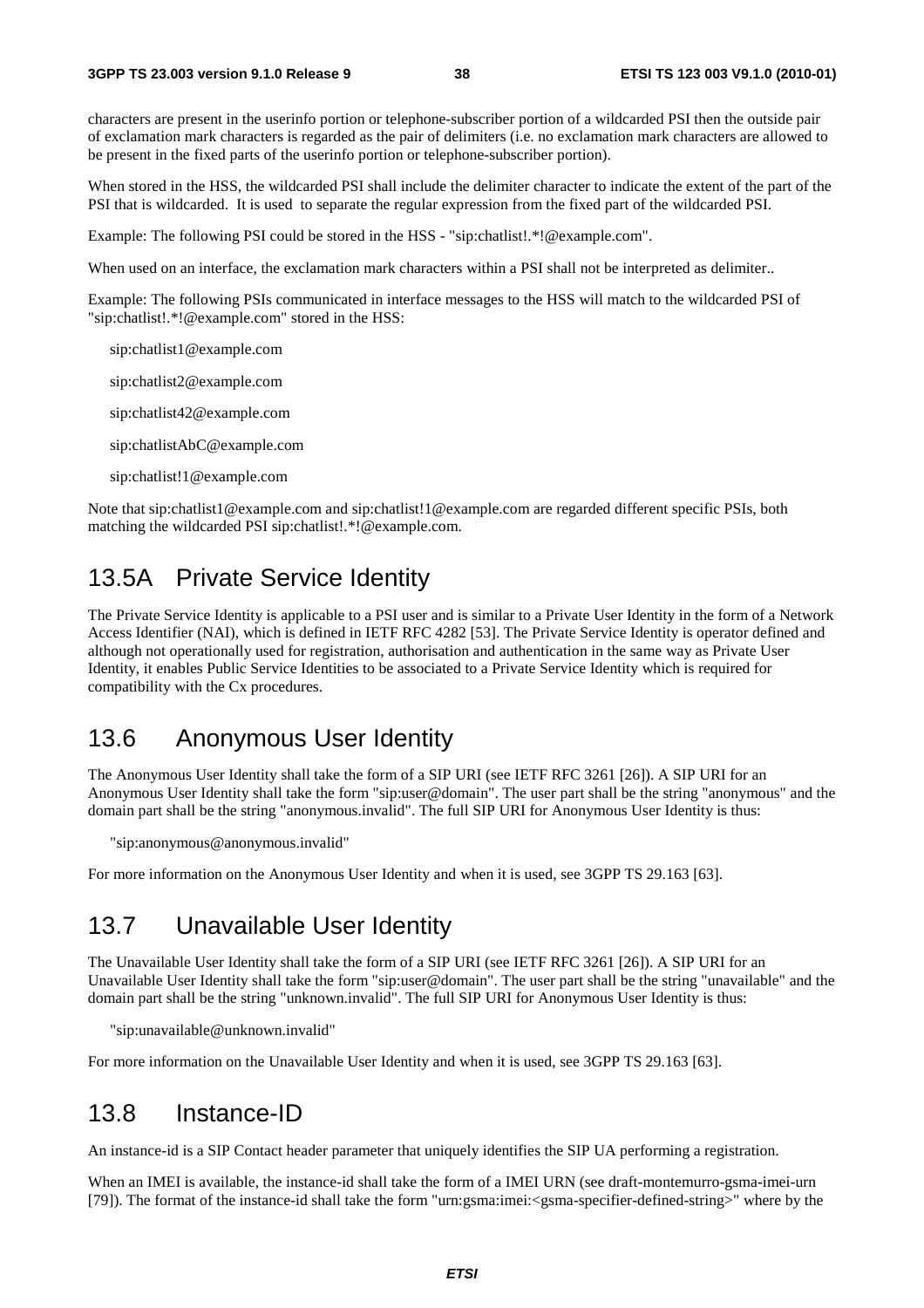characters are present in the userinfo portion or telephone-subscriber portion of a wildcarded PSI then the outside pair of exclamation mark characters is regarded as the pair of delimiters (i.e. no exclamation mark characters are allowed to be present in the fixed parts of the userinfo portion or telephone-subscriber portion).

When stored in the HSS, the wildcarded PSI shall include the delimiter character to indicate the extent of the part of the PSI that is wildcarded. It is used to separate the regular expression from the fixed part of the wildcarded PSI.

Example: The following PSI could be stored in the HSS - "sip:chatlist!.\*!@example.com".

When used on an interface, the exclamation mark characters within a PSI shall not be interpreted as delimiter..

Example: The following PSIs communicated in interface messages to the HSS will match to the wildcarded PSI of "sip:chatlist!.\*!@example.com" stored in the HSS:

sip:chatlist1@example.com

sip:chatlist2@example.com

sip:chatlist42@example.com

sip:chatlistAbC@example.com

sip:chatlist!1@example.com

Note that sip:chatlist1@example.com and sip:chatlist!1@example.com are regarded different specific PSIs, both matching the wildcarded PSI sip:chatlist!.\*!@example.com.

# 13.5A Private Service Identity

The Private Service Identity is applicable to a PSI user and is similar to a Private User Identity in the form of a Network Access Identifier (NAI), which is defined in IETF RFC 4282 [53]. The Private Service Identity is operator defined and although not operationally used for registration, authorisation and authentication in the same way as Private User Identity, it enables Public Service Identities to be associated to a Private Service Identity which is required for compatibility with the Cx procedures.

### 13.6 Anonymous User Identity

The Anonymous User Identity shall take the form of a SIP URI (see IETF RFC 3261 [26]). A SIP URI for an Anonymous User Identity shall take the form "sip:user@domain". The user part shall be the string "anonymous" and the domain part shall be the string "anonymous.invalid". The full SIP URI for Anonymous User Identity is thus:

"sip:anonymous@anonymous.invalid"

For more information on the Anonymous User Identity and when it is used, see 3GPP TS 29.163 [63].

### 13.7 Unavailable User Identity

The Unavailable User Identity shall take the form of a SIP URI (see IETF RFC 3261 [26]). A SIP URI for an Unavailable User Identity shall take the form "sip:user@domain". The user part shall be the string "unavailable" and the domain part shall be the string "unknown.invalid". The full SIP URI for Anonymous User Identity is thus:

"sip:unavailable@unknown.invalid"

For more information on the Unavailable User Identity and when it is used, see 3GPP TS 29.163 [63].

### 13.8 Instance-ID

An instance-id is a SIP Contact header parameter that uniquely identifies the SIP UA performing a registration.

When an IMEI is available, the instance-id shall take the form of a IMEI URN (see draft-montemurro-gsma-imei-urn [79]). The format of the instance-id shall take the form "urn:gsma:imei:<gsma-specifier-defined-string>" where by the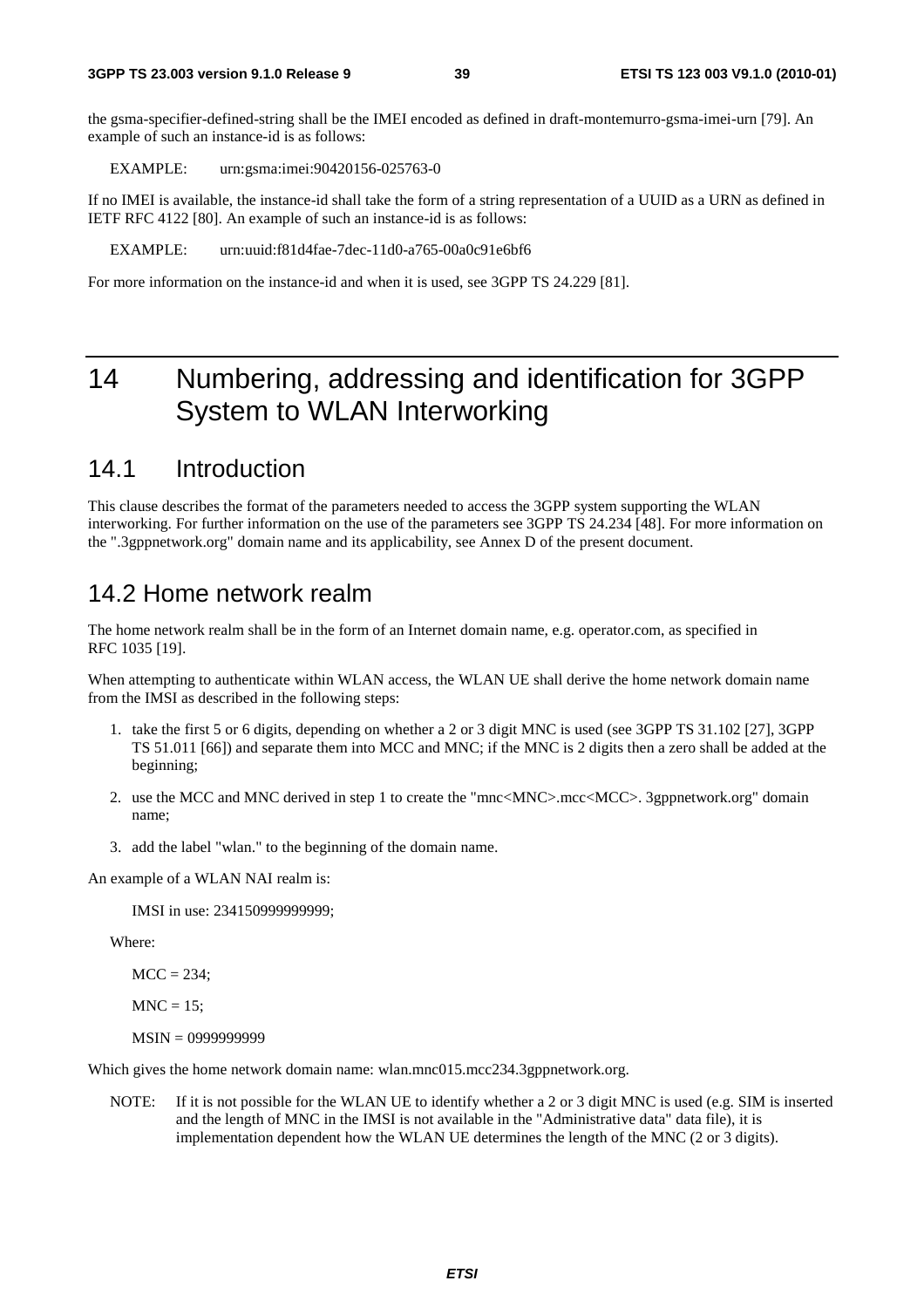the gsma-specifier-defined-string shall be the IMEI encoded as defined in draft-montemurro-gsma-imei-urn [79]. An example of such an instance-id is as follows:

EXAMPLE: urn:gsma:imei:90420156-025763-0

If no IMEI is available, the instance-id shall take the form of a string representation of a UUID as a URN as defined in IETF RFC 4122 [80]. An example of such an instance-id is as follows:

EXAMPLE: urn:uuid:f81d4fae-7dec-11d0-a765-00a0c91e6bf6

For more information on the instance-id and when it is used, see 3GPP TS 24.229 [81].

# 14 Numbering, addressing and identification for 3GPP System to WLAN Interworking

### 14.1 Introduction

This clause describes the format of the parameters needed to access the 3GPP system supporting the WLAN interworking. For further information on the use of the parameters see 3GPP TS 24.234 [48]. For more information on the ".3gppnetwork.org" domain name and its applicability, see Annex D of the present document.

### 14.2 Home network realm

The home network realm shall be in the form of an Internet domain name, e.g. operator.com, as specified in RFC 1035 [19].

When attempting to authenticate within WLAN access, the WLAN UE shall derive the home network domain name from the IMSI as described in the following steps:

- 1. take the first 5 or 6 digits, depending on whether a 2 or 3 digit MNC is used (see 3GPP TS 31.102 [27], 3GPP TS 51.011 [66]) and separate them into MCC and MNC; if the MNC is 2 digits then a zero shall be added at the beginning;
- 2. use the MCC and MNC derived in step 1 to create the "mnc<MNC>.mcc<MCC>. 3gppnetwork.org" domain name;
- 3. add the label "wlan." to the beginning of the domain name.

An example of a WLAN NAI realm is:

IMSI in use: 234150999999999;

Where:

 $MCC = 234$ ;

 $MNC = 15$ :

MSIN = 0999999999

Which gives the home network domain name: wlan.mnc015.mcc234.3gppnetwork.org.

NOTE: If it is not possible for the WLAN UE to identify whether a 2 or 3 digit MNC is used (e.g. SIM is inserted and the length of MNC in the IMSI is not available in the "Administrative data" data file), it is implementation dependent how the WLAN UE determines the length of the MNC (2 or 3 digits).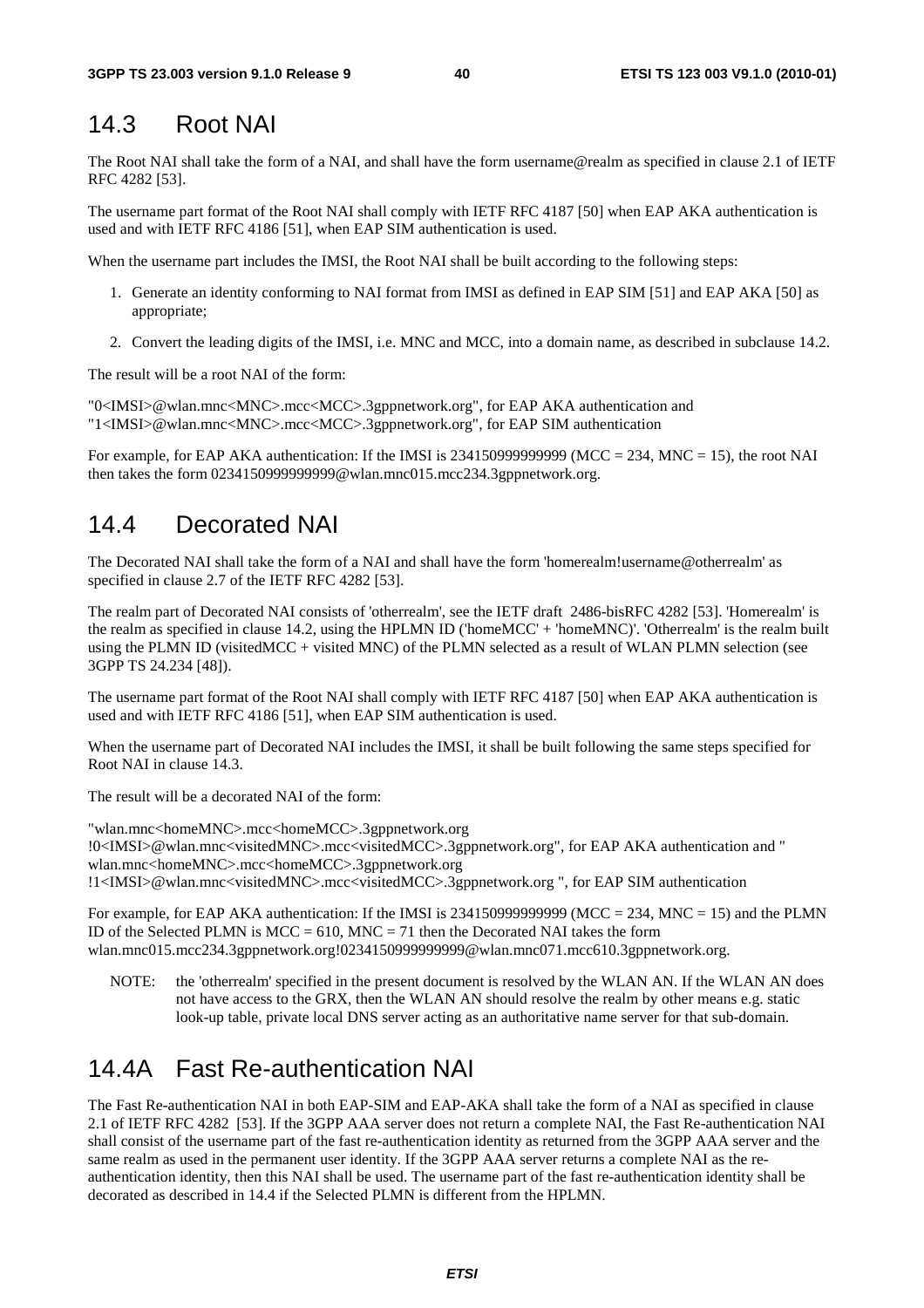### 14.3 Root NAI

The Root NAI shall take the form of a NAI, and shall have the form username@realm as specified in clause 2.1 of IETF RFC 4282 [53].

The username part format of the Root NAI shall comply with IETF RFC 4187 [50] when EAP AKA authentication is used and with IETF RFC 4186 [51], when EAP SIM authentication is used.

When the username part includes the IMSI, the Root NAI shall be built according to the following steps:

- 1. Generate an identity conforming to NAI format from IMSI as defined in EAP SIM [51] and EAP AKA [50] as appropriate;
- 2. Convert the leading digits of the IMSI, i.e. MNC and MCC, into a domain name, as described in subclause 14.2.

The result will be a root NAI of the form:

"0<IMSI>@wlan.mnc<MNC>.mcc<MCC>.3gppnetwork.org", for EAP AKA authentication and "1<IMSI>@wlan.mnc<MNC>.mcc<MCC>.3gppnetwork.org", for EAP SIM authentication

For example, for EAP AKA authentication: If the IMSI is 2341509999999999 (MCC = 234, MNC = 15), the root NAI then takes the form 0234150999999999@wlan.mnc015.mcc234.3gppnetwork.org.

### 14.4 Decorated NAI

The Decorated NAI shall take the form of a NAI and shall have the form 'homerealm!username@otherrealm' as specified in clause 2.7 of the IETF RFC 4282 [53].

The realm part of Decorated NAI consists of 'otherrealm', see the IETF draft 2486-bisRFC 4282 [53]. 'Homerealm' is the realm as specified in clause 14.2, using the HPLMN ID ('homeMCC' + 'homeMNC)'. 'Otherrealm' is the realm built using the PLMN ID (visitedMCC + visited MNC) of the PLMN selected as a result of WLAN PLMN selection (see 3GPP TS 24.234 [48]).

The username part format of the Root NAI shall comply with IETF RFC 4187 [50] when EAP AKA authentication is used and with IETF RFC 4186 [51], when EAP SIM authentication is used.

When the username part of Decorated NAI includes the IMSI, it shall be built following the same steps specified for Root NAI in clause 14.3.

The result will be a decorated NAI of the form:

"wlan.mnc<homeMNC>.mcc<homeMCC>.3gppnetwork.org !0<IMSI>@wlan.mnc<visitedMNC>.mcc<visitedMCC>.3gppnetwork.org", for EAP AKA authentication and " wlan.mnc<homeMNC>.mcc<homeMCC>.3gppnetwork.org !1<IMSI>@wlan.mnc<visitedMNC>.mcc<visitedMCC>.3gppnetwork.org ", for EAP SIM authentication

For example, for EAP AKA authentication: If the IMSI is 23415099999999999 (MCC = 234, MNC = 15) and the PLMN ID of the Selected PLMN is  $MCC = 610$ ,  $MNC = 71$  then the Decorated NAI takes the form wlan.mnc015.mcc234.3gppnetwork.org!0234150999999999@wlan.mnc071.mcc610.3gppnetwork.org.

NOTE: the 'otherrealm' specified in the present document is resolved by the WLAN AN. If the WLAN AN does not have access to the GRX, then the WLAN AN should resolve the realm by other means e.g. static look-up table, private local DNS server acting as an authoritative name server for that sub-domain.

# 14.4A Fast Re-authentication NAI

The Fast Re-authentication NAI in both EAP-SIM and EAP-AKA shall take the form of a NAI as specified in clause 2.1 of IETF RFC 4282 [53]. If the 3GPP AAA server does not return a complete NAI, the Fast Re-authentication NAI shall consist of the username part of the fast re-authentication identity as returned from the 3GPP AAA server and the same realm as used in the permanent user identity. If the 3GPP AAA server returns a complete NAI as the reauthentication identity, then this NAI shall be used. The username part of the fast re-authentication identity shall be decorated as described in 14.4 if the Selected PLMN is different from the HPLMN.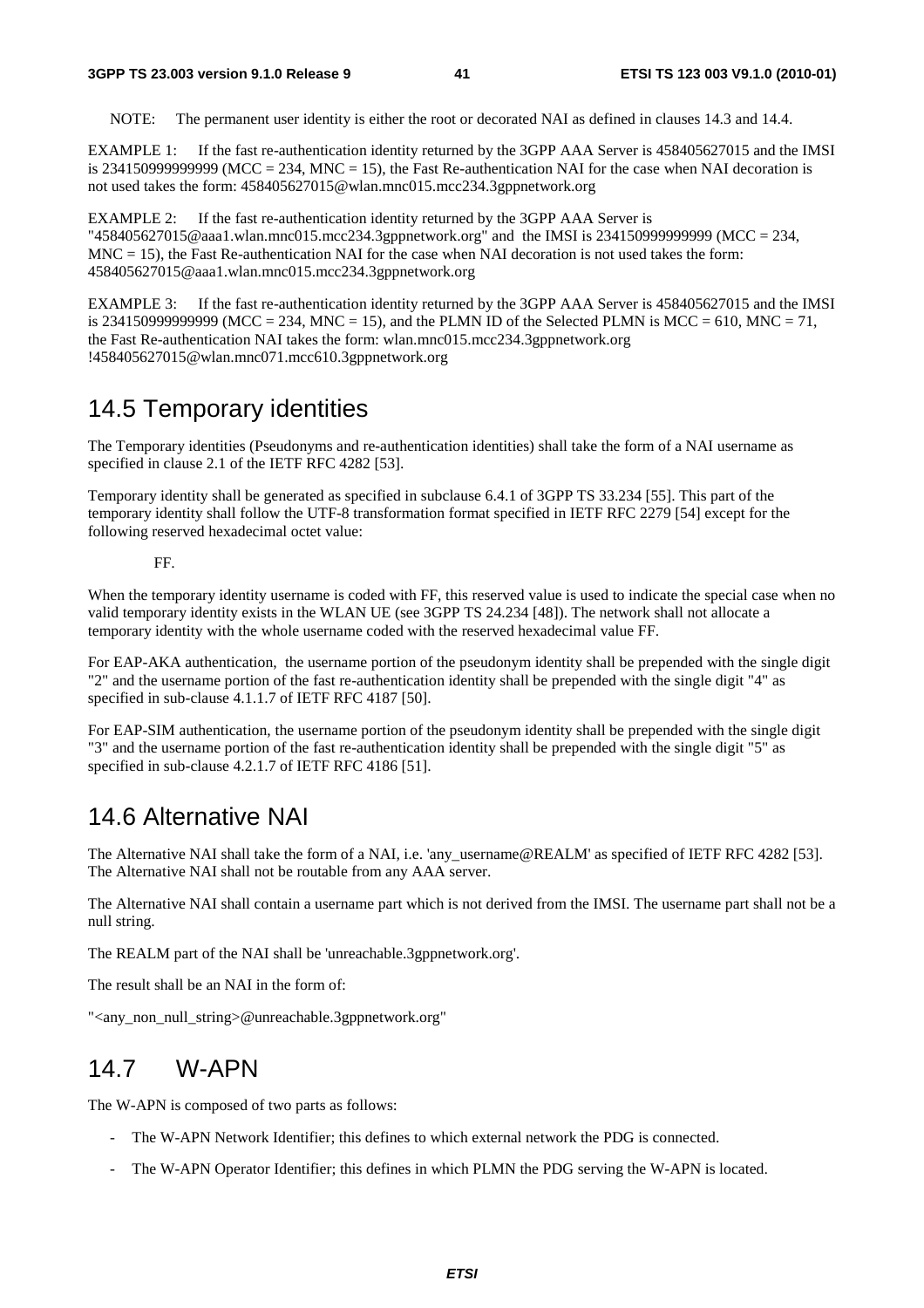NOTE: The permanent user identity is either the root or decorated NAI as defined in clauses 14.3 and 14.4.

EXAMPLE 1: If the fast re-authentication identity returned by the 3GPP AAA Server is 458405627015 and the IMSI is 2341509999999999 (MCC = 234, MNC = 15), the Fast Re-authentication NAI for the case when NAI decoration is not used takes the form: 458405627015@wlan.mnc015.mcc234.3gppnetwork.org

EXAMPLE 2: If the fast re-authentication identity returned by the 3GPP AAA Server is "458405627015@aaa1.wlan.mnc015.mcc234.3gppnetwork.org" and the IMSI is 234150999999999 (MCC = 234,  $MNC = 15$ ), the Fast Re-authentication NAI for the case when NAI decoration is not used takes the form: 458405627015@aaa1.wlan.mnc015.mcc234.3gppnetwork.org

EXAMPLE 3: If the fast re-authentication identity returned by the 3GPP AAA Server is 458405627015 and the IMSI is 23415099999999999 (MCC = 234, MNC = 15), and the PLMN ID of the Selected PLMN is MCC = 610, MNC = 71, the Fast Re-authentication NAI takes the form: wlan.mnc015.mcc234.3gppnetwork.org !458405627015@wlan.mnc071.mcc610.3gppnetwork.org

### 14.5 Temporary identities

The Temporary identities (Pseudonyms and re-authentication identities) shall take the form of a NAI username as specified in clause 2.1 of the IETF RFC 4282 [53].

Temporary identity shall be generated as specified in subclause 6.4.1 of 3GPP TS 33.234 [55]. This part of the temporary identity shall follow the UTF-8 transformation format specified in IETF RFC 2279 [54] except for the following reserved hexadecimal octet value:

FF.

When the temporary identity username is coded with FF, this reserved value is used to indicate the special case when no valid temporary identity exists in the WLAN UE (see 3GPP TS 24.234 [48]). The network shall not allocate a temporary identity with the whole username coded with the reserved hexadecimal value FF.

For EAP-AKA authentication, the username portion of the pseudonym identity shall be prepended with the single digit "2" and the username portion of the fast re-authentication identity shall be prepended with the single digit "4" as specified in sub-clause 4.1.1.7 of IETF RFC 4187 [50].

For EAP-SIM authentication, the username portion of the pseudonym identity shall be prepended with the single digit "3" and the username portion of the fast re-authentication identity shall be prepended with the single digit "5" as specified in sub-clause 4.2.1.7 of IETF RFC 4186 [51].

# 14.6 Alternative NAI

The Alternative NAI shall take the form of a NAI, i.e. 'any username@REALM' as specified of IETF RFC 4282 [53]. The Alternative NAI shall not be routable from any AAA server.

The Alternative NAI shall contain a username part which is not derived from the IMSI. The username part shall not be a null string.

The REALM part of the NAI shall be 'unreachable.3gppnetwork.org'.

The result shall be an NAI in the form of:

"<any\_non\_null\_string>@unreachable.3gppnetwork.org"

### 14.7 W-APN

The W-APN is composed of two parts as follows:

- The W-APN Network Identifier; this defines to which external network the PDG is connected.
- The W-APN Operator Identifier; this defines in which PLMN the PDG serving the W-APN is located.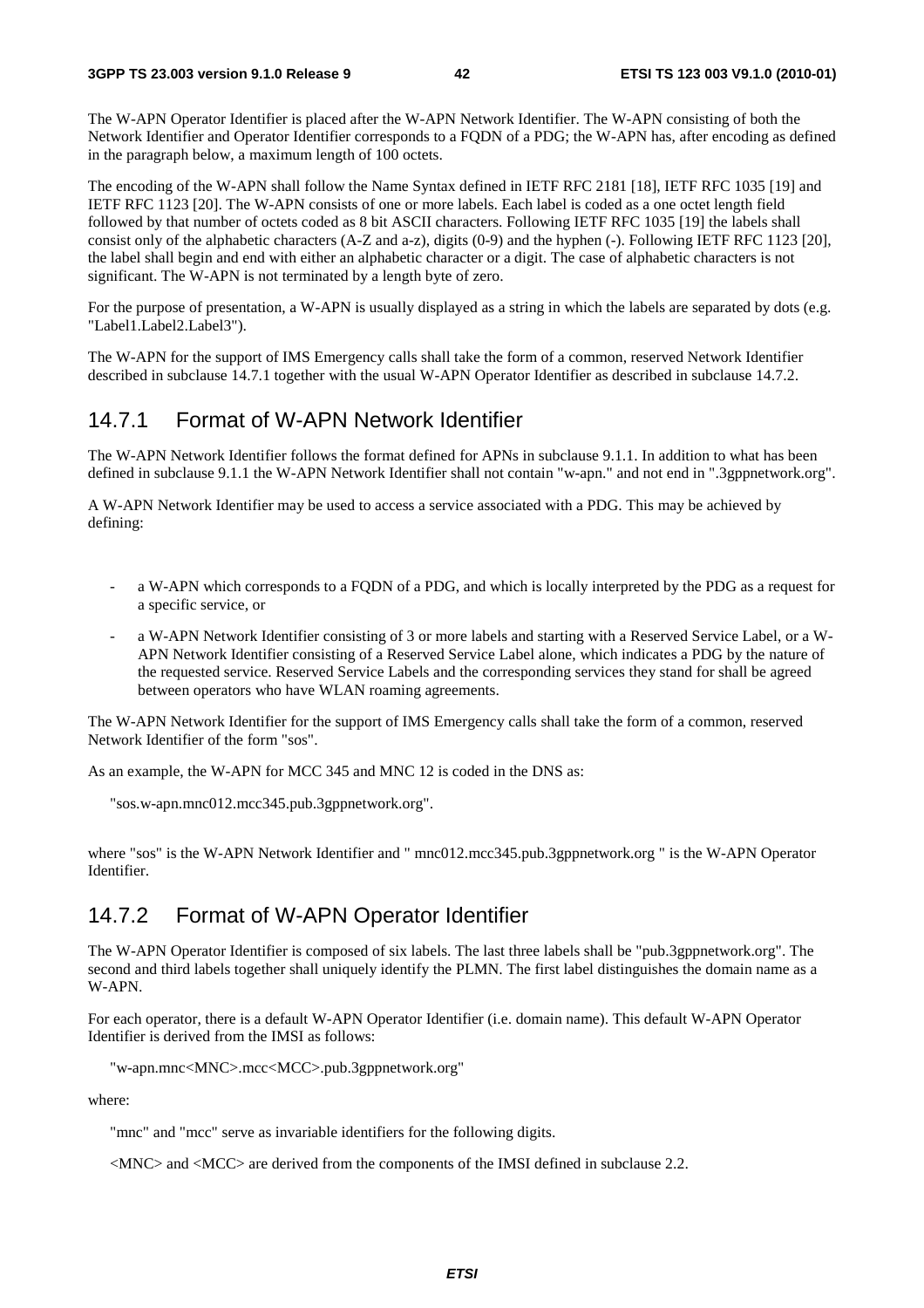The W-APN Operator Identifier is placed after the W-APN Network Identifier. The W-APN consisting of both the Network Identifier and Operator Identifier corresponds to a FQDN of a PDG; the W-APN has, after encoding as defined in the paragraph below, a maximum length of 100 octets.

The encoding of the W-APN shall follow the Name Syntax defined in IETF RFC 2181 [18], IETF RFC 1035 [19] and IETF RFC 1123 [20]. The W-APN consists of one or more labels. Each label is coded as a one octet length field followed by that number of octets coded as 8 bit ASCII characters. Following IETF RFC 1035 [19] the labels shall consist only of the alphabetic characters (A-Z and a-z), digits (0-9) and the hyphen (-). Following IETF RFC 1123 [20], the label shall begin and end with either an alphabetic character or a digit. The case of alphabetic characters is not significant. The W-APN is not terminated by a length byte of zero.

For the purpose of presentation, a W-APN is usually displayed as a string in which the labels are separated by dots (e.g. "Label1.Label2.Label3").

The W-APN for the support of IMS Emergency calls shall take the form of a common, reserved Network Identifier described in subclause 14.7.1 together with the usual W-APN Operator Identifier as described in subclause 14.7.2.

### 14.7.1 Format of W-APN Network Identifier

The W-APN Network Identifier follows the format defined for APNs in subclause 9.1.1. In addition to what has been defined in subclause 9.1.1 the W-APN Network Identifier shall not contain "w-apn." and not end in ".3gppnetwork.org".

A W-APN Network Identifier may be used to access a service associated with a PDG. This may be achieved by defining:

- a W-APN which corresponds to a FQDN of a PDG, and which is locally interpreted by the PDG as a request for a specific service, or
- a W-APN Network Identifier consisting of 3 or more labels and starting with a Reserved Service Label, or a W-APN Network Identifier consisting of a Reserved Service Label alone, which indicates a PDG by the nature of the requested service. Reserved Service Labels and the corresponding services they stand for shall be agreed between operators who have WLAN roaming agreements.

The W-APN Network Identifier for the support of IMS Emergency calls shall take the form of a common, reserved Network Identifier of the form "sos".

As an example, the W-APN for MCC 345 and MNC 12 is coded in the DNS as:

```
"sos.w-apn.mnc012.mcc345.pub.3gppnetwork.org".
```
where "sos" is the W-APN Network Identifier and " mnc012.mcc345.pub.3gppnetwork.org " is the W-APN Operator Identifier.

### 14.7.2 Format of W-APN Operator Identifier

The W-APN Operator Identifier is composed of six labels. The last three labels shall be "pub.3gppnetwork.org". The second and third labels together shall uniquely identify the PLMN. The first label distinguishes the domain name as a W-APN.

For each operator, there is a default W-APN Operator Identifier (i.e. domain name). This default W-APN Operator Identifier is derived from the IMSI as follows:

```
"w-apn.mnc<MNC>.mcc<MCC>.pub.3gppnetwork.org"
```
where:

"mnc" and "mcc" serve as invariable identifiers for the following digits.

<MNC> and <MCC> are derived from the components of the IMSI defined in subclause 2.2.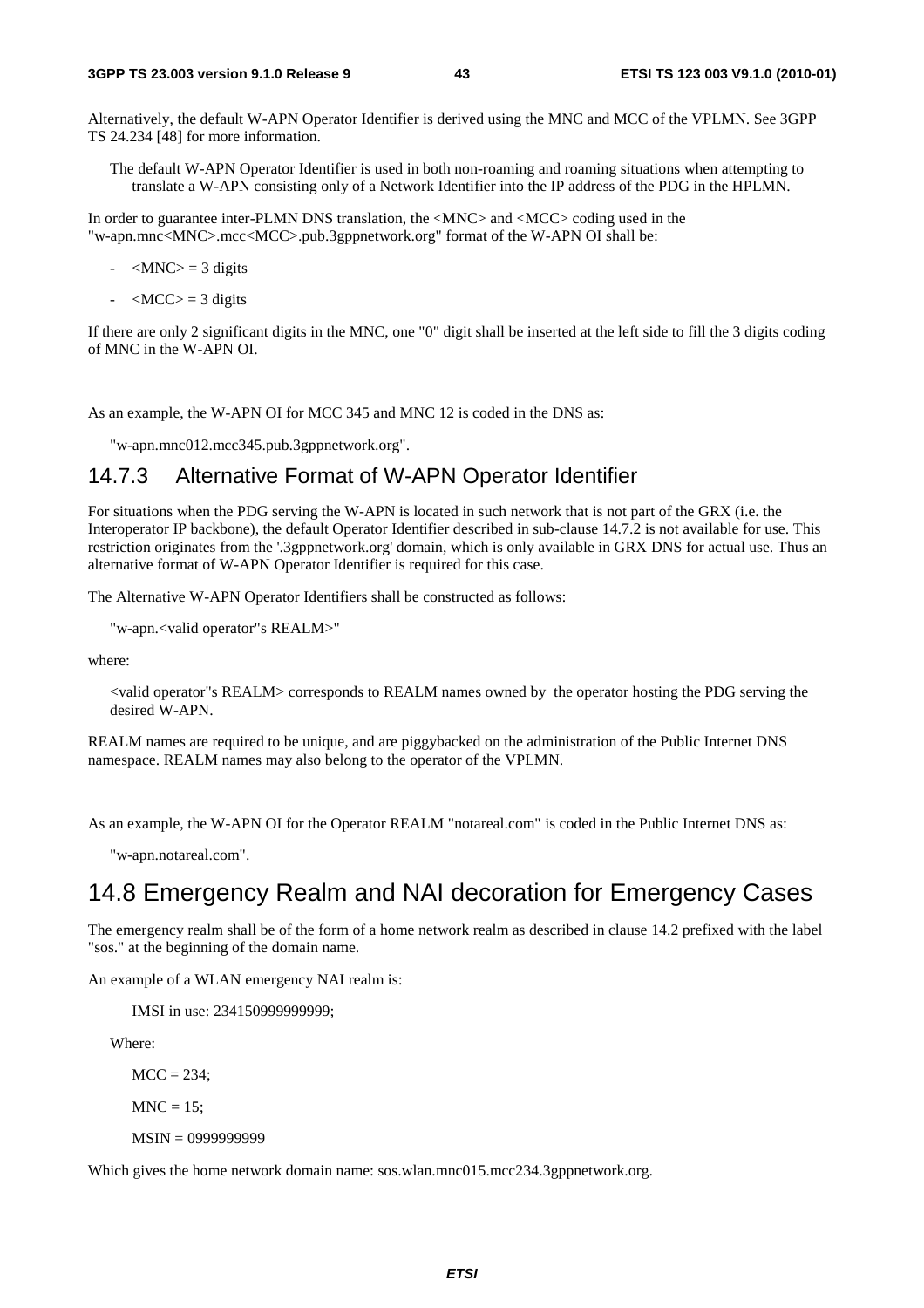Alternatively, the default W-APN Operator Identifier is derived using the MNC and MCC of the VPLMN. See 3GPP TS 24.234 [48] for more information.

The default W-APN Operator Identifier is used in both non-roaming and roaming situations when attempting to translate a W-APN consisting only of a Network Identifier into the IP address of the PDG in the HPLMN.

In order to guarantee inter-PLMN DNS translation, the <MNC> and <MCC> coding used in the "w-apn.mnc<MNC>.mcc<MCC>.pub.3gppnetwork.org" format of the W-APN OI shall be:

- $\langle MNC \rangle = 3$  digits
- $\langle MCC \rangle = 3$  digits

If there are only 2 significant digits in the MNC, one "0" digit shall be inserted at the left side to fill the 3 digits coding of MNC in the W-APN OI.

As an example, the W-APN OI for MCC 345 and MNC 12 is coded in the DNS as:

"w-apn.mnc012.mcc345.pub.3gppnetwork.org".

#### 14.7.3 Alternative Format of W-APN Operator Identifier

For situations when the PDG serving the W-APN is located in such network that is not part of the GRX (i.e. the Interoperator IP backbone), the default Operator Identifier described in sub-clause 14.7.2 is not available for use. This restriction originates from the '.3gppnetwork.org' domain, which is only available in GRX DNS for actual use. Thus an alternative format of W-APN Operator Identifier is required for this case.

The Alternative W-APN Operator Identifiers shall be constructed as follows:

"w-apn.<valid operator"s REALM>"

where:

<valid operator"s REALM> corresponds to REALM names owned by the operator hosting the PDG serving the desired W-APN.

REALM names are required to be unique, and are piggybacked on the administration of the Public Internet DNS namespace. REALM names may also belong to the operator of the VPLMN.

As an example, the W-APN OI for the Operator REALM "notareal.com" is coded in the Public Internet DNS as:

"w-apn.notareal.com".

### 14.8 Emergency Realm and NAI decoration for Emergency Cases

The emergency realm shall be of the form of a home network realm as described in clause 14.2 prefixed with the label "sos." at the beginning of the domain name.

An example of a WLAN emergency NAI realm is:

IMSI in use: 234150999999999;

Where:

 $MCC = 234$ :

 $MNC = 15$ ;

MSIN = 0999999999

Which gives the home network domain name: sos.wlan.mnc015.mcc234.3gppnetwork.org.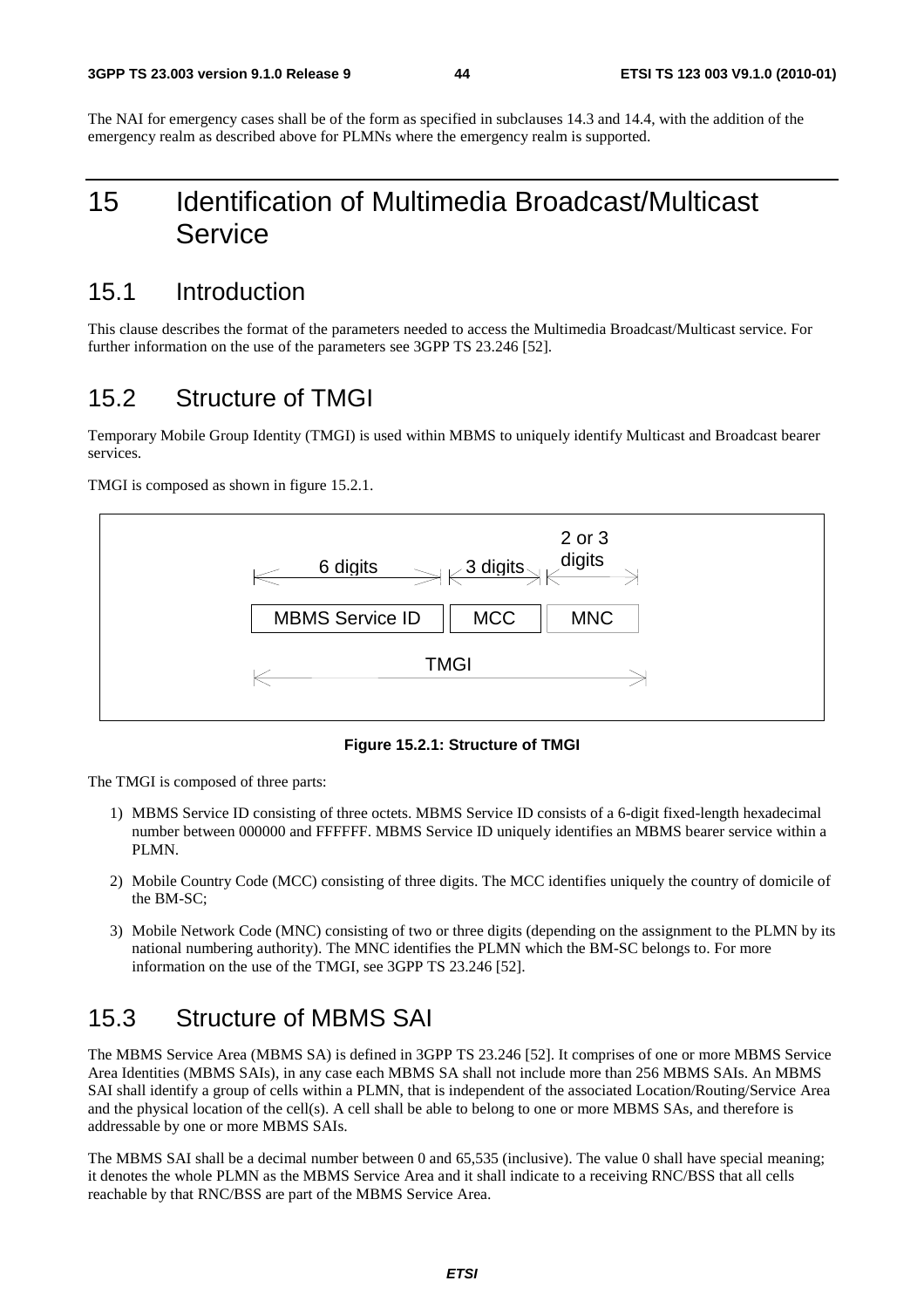The NAI for emergency cases shall be of the form as specified in subclauses 14.3 and 14.4, with the addition of the emergency realm as described above for PLMNs where the emergency realm is supported.

# 15 Identification of Multimedia Broadcast/Multicast Service

### 15.1 Introduction

This clause describes the format of the parameters needed to access the Multimedia Broadcast/Multicast service. For further information on the use of the parameters see 3GPP TS 23.246 [52].

# 15.2 Structure of TMGI

Temporary Mobile Group Identity (TMGI) is used within MBMS to uniquely identify Multicast and Broadcast bearer services.

TMGI is composed as shown in figure 15.2.1.



**Figure 15.2.1: Structure of TMGI** 

The TMGI is composed of three parts:

- 1) MBMS Service ID consisting of three octets. MBMS Service ID consists of a 6-digit fixed-length hexadecimal number between 000000 and FFFFFF. MBMS Service ID uniquely identifies an MBMS bearer service within a PLMN.
- 2) Mobile Country Code (MCC) consisting of three digits. The MCC identifies uniquely the country of domicile of the BM-SC;
- 3) Mobile Network Code (MNC) consisting of two or three digits (depending on the assignment to the PLMN by its national numbering authority). The MNC identifies the PLMN which the BM-SC belongs to. For more information on the use of the TMGI, see 3GPP TS 23.246 [52].

# 15.3 Structure of MBMS SAI

The MBMS Service Area (MBMS SA) is defined in 3GPP TS 23.246 [52]. It comprises of one or more MBMS Service Area Identities (MBMS SAIs), in any case each MBMS SA shall not include more than 256 MBMS SAIs. An MBMS SAI shall identify a group of cells within a PLMN, that is independent of the associated Location/Routing/Service Area and the physical location of the cell(s). A cell shall be able to belong to one or more MBMS SAs, and therefore is addressable by one or more MBMS SAIs.

The MBMS SAI shall be a decimal number between 0 and 65,535 (inclusive). The value 0 shall have special meaning; it denotes the whole PLMN as the MBMS Service Area and it shall indicate to a receiving RNC/BSS that all cells reachable by that RNC/BSS are part of the MBMS Service Area.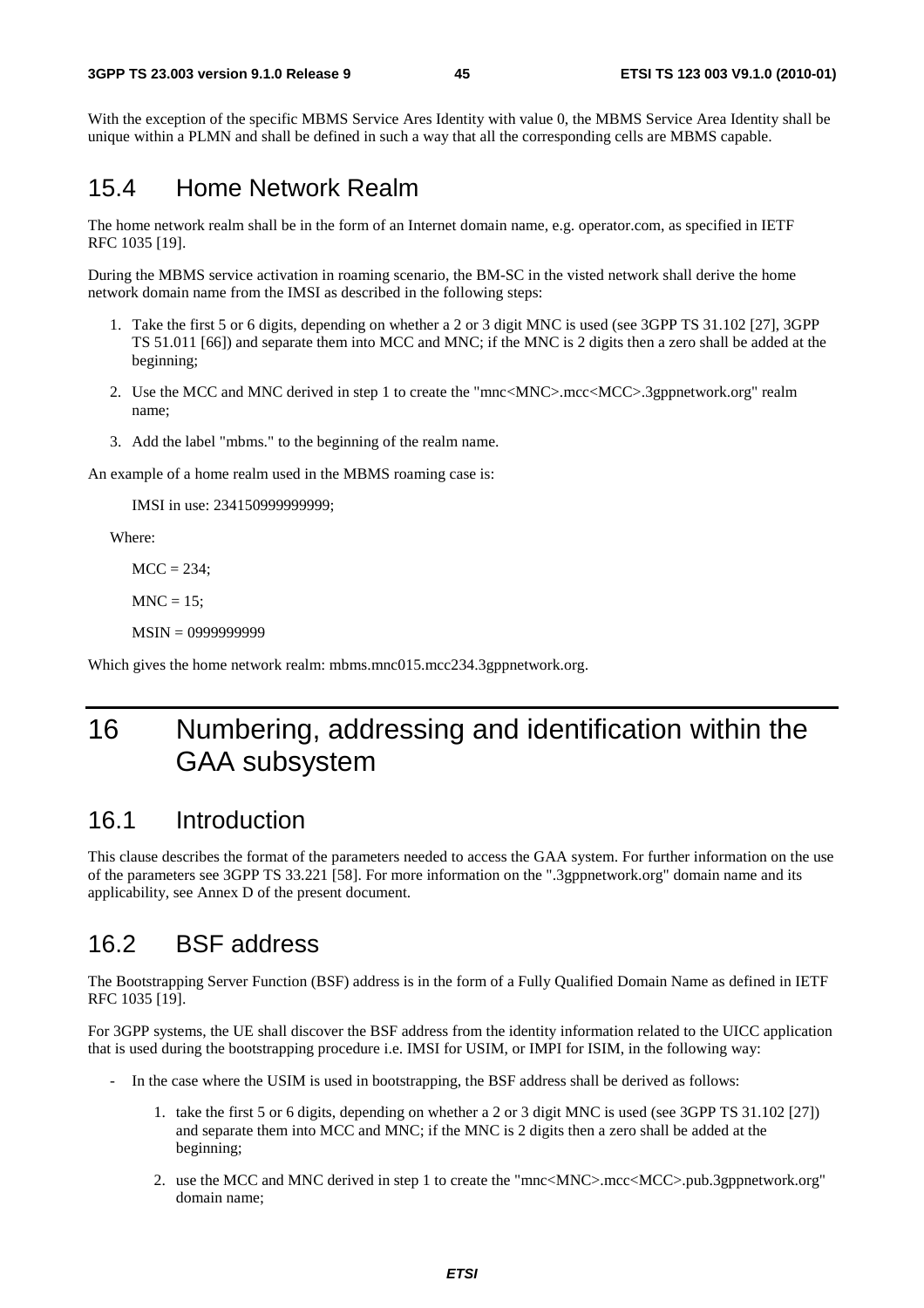With the exception of the specific MBMS Service Ares Identity with value 0, the MBMS Service Area Identity shall be unique within a PLMN and shall be defined in such a way that all the corresponding cells are MBMS capable.

### 15.4 Home Network Realm

The home network realm shall be in the form of an Internet domain name, e.g. operator.com, as specified in IETF RFC 1035 [19].

During the MBMS service activation in roaming scenario, the BM-SC in the visted network shall derive the home network domain name from the IMSI as described in the following steps:

- 1. Take the first 5 or 6 digits, depending on whether a 2 or 3 digit MNC is used (see 3GPP TS 31.102 [27], 3GPP TS 51.011 [66]) and separate them into MCC and MNC; if the MNC is 2 digits then a zero shall be added at the beginning;
- 2. Use the MCC and MNC derived in step 1 to create the "mnc<MNC>.mcc<MCC>.3gppnetwork.org" realm name;
- 3. Add the label "mbms." to the beginning of the realm name.

An example of a home realm used in the MBMS roaming case is:

IMSI in use: 234150999999999;

Where:

 $MCC = 234;$ 

 $MNC = 15$ ;

```
 MSIN = 0999999999
```
Which gives the home network realm: mbms.mnc015.mcc234.3gppnetwork.org.

# 16 Numbering, addressing and identification within the GAA subsystem

### 16.1 Introduction

This clause describes the format of the parameters needed to access the GAA system. For further information on the use of the parameters see 3GPP TS 33.221 [58]. For more information on the ".3gppnetwork.org" domain name and its applicability, see Annex D of the present document.

### 16.2 BSF address

The Bootstrapping Server Function (BSF) address is in the form of a Fully Qualified Domain Name as defined in IETF RFC 1035 [19].

For 3GPP systems, the UE shall discover the BSF address from the identity information related to the UICC application that is used during the bootstrapping procedure i.e. IMSI for USIM, or IMPI for ISIM, in the following way:

- In the case where the USIM is used in bootstrapping, the BSF address shall be derived as follows:
	- 1. take the first 5 or 6 digits, depending on whether a 2 or 3 digit MNC is used (see 3GPP TS 31.102 [27]) and separate them into MCC and MNC; if the MNC is 2 digits then a zero shall be added at the beginning;
	- 2. use the MCC and MNC derived in step 1 to create the "mnc<MNC>.mcc<MCC>.pub.3gppnetwork.org" domain name;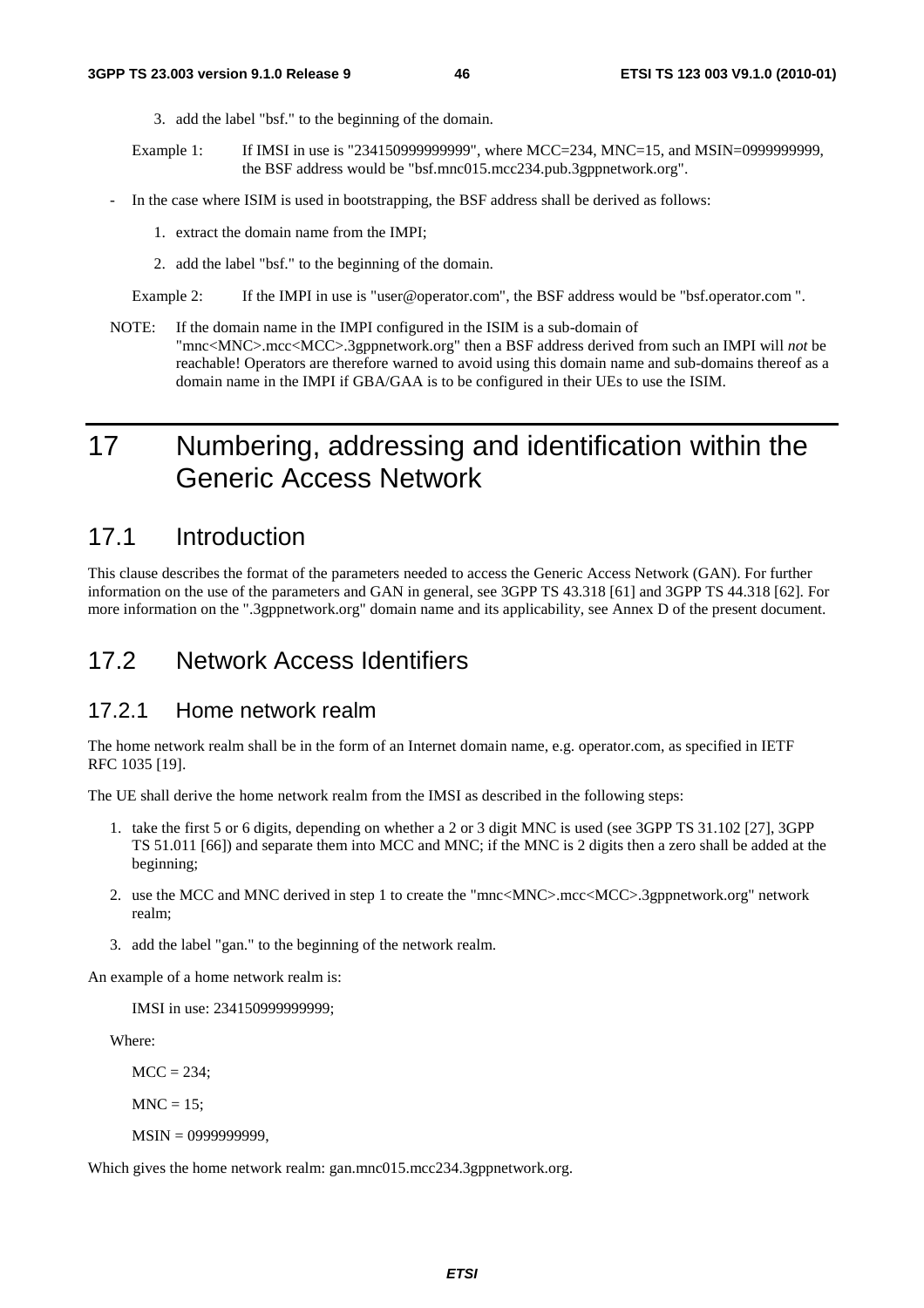- 3. add the label "bsf." to the beginning of the domain.
- Example 1: If IMSI in use is "234150999999999", where MCC=234, MNC=15, and MSIN=0999999999, the BSF address would be "bsf.mnc015.mcc234.pub.3gppnetwork.org".
- In the case where ISIM is used in bootstrapping, the BSF address shall be derived as follows:
	- 1. extract the domain name from the IMPI;
	- 2. add the label "bsf." to the beginning of the domain.
	- Example 2: If the IMPI in use is "user@operator.com", the BSF address would be "bsf.operator.com ".
- NOTE: If the domain name in the IMPI configured in the ISIM is a sub-domain of "mnc<MNC>.mcc<MCC>.3gppnetwork.org" then a BSF address derived from such an IMPI will *not* be reachable! Operators are therefore warned to avoid using this domain name and sub-domains thereof as a domain name in the IMPI if GBA/GAA is to be configured in their UEs to use the ISIM.

# 17 Numbering, addressing and identification within the Generic Access Network

### 17.1 Introduction

This clause describes the format of the parameters needed to access the Generic Access Network (GAN). For further information on the use of the parameters and GAN in general, see 3GPP TS 43.318 [61] and 3GPP TS 44.318 [62]. For more information on the ".3gppnetwork.org" domain name and its applicability, see Annex D of the present document.

### 17.2 Network Access Identifiers

#### 17.2.1 Home network realm

The home network realm shall be in the form of an Internet domain name, e.g. operator.com, as specified in IETF RFC 1035 [19].

The UE shall derive the home network realm from the IMSI as described in the following steps:

- 1. take the first 5 or 6 digits, depending on whether a 2 or 3 digit MNC is used (see 3GPP TS 31.102 [27], 3GPP TS 51.011 [66]) and separate them into MCC and MNC; if the MNC is 2 digits then a zero shall be added at the beginning;
- 2. use the MCC and MNC derived in step 1 to create the "mnc<MNC>.mcc<MCC>.3gppnetwork.org" network realm;
- 3. add the label "gan." to the beginning of the network realm.

An example of a home network realm is:

IMSI in use: 234150999999999;

Where:

 $MCC = 234$ ;

 $MNC = 15$ :

MSIN = 0999999999,

Which gives the home network realm: gan.mnc015.mcc234.3gppnetwork.org.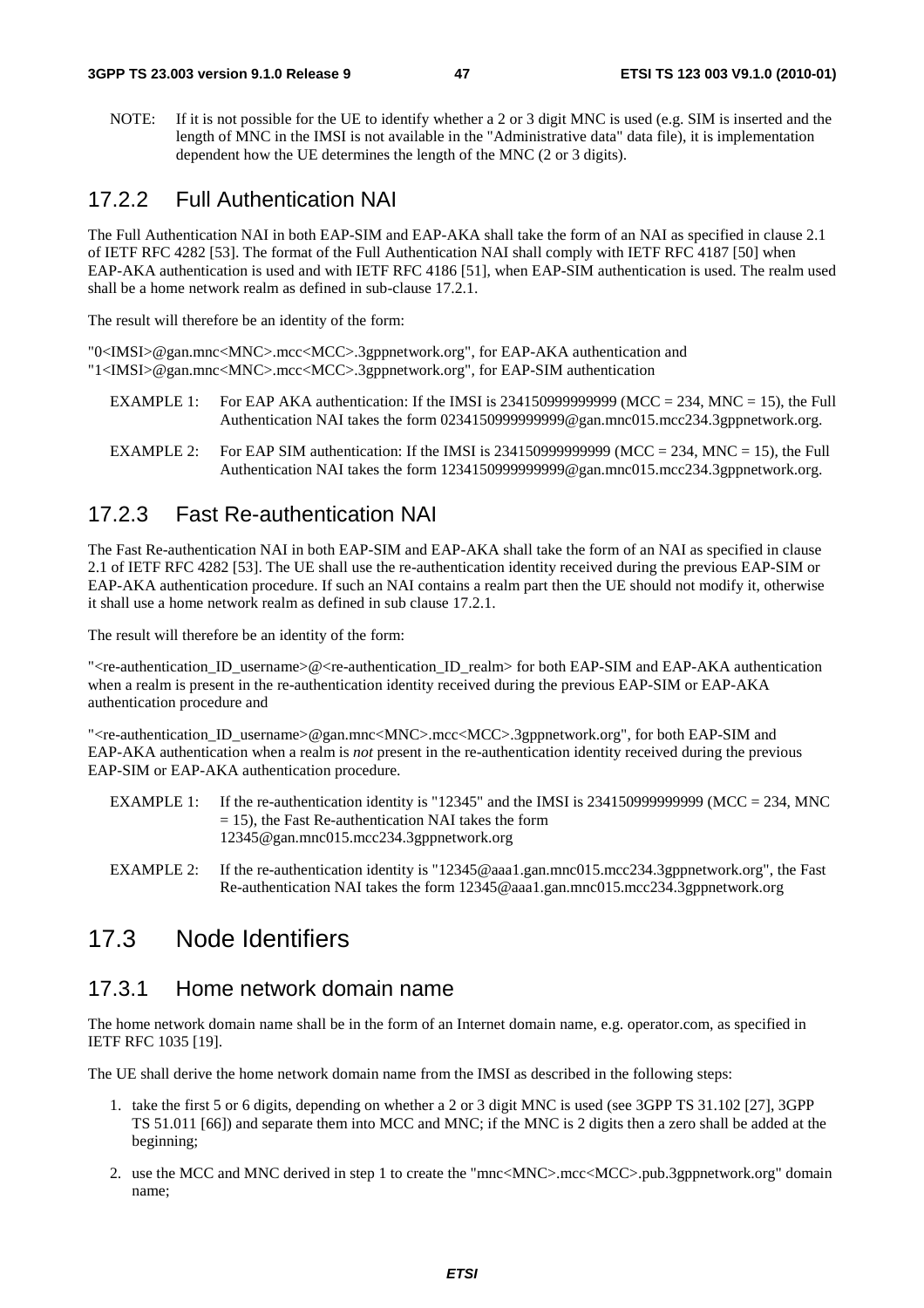NOTE: If it is not possible for the UE to identify whether a 2 or 3 digit MNC is used (e.g. SIM is inserted and the length of MNC in the IMSI is not available in the "Administrative data" data file), it is implementation dependent how the UE determines the length of the MNC (2 or 3 digits).

### 17.2.2 Full Authentication NAI

The Full Authentication NAI in both EAP-SIM and EAP-AKA shall take the form of an NAI as specified in clause 2.1 of IETF RFC 4282 [53]. The format of the Full Authentication NAI shall comply with IETF RFC 4187 [50] when EAP-AKA authentication is used and with IETF RFC 4186 [51], when EAP-SIM authentication is used. The realm used shall be a home network realm as defined in sub-clause 17.2.1.

The result will therefore be an identity of the form:

"0<IMSI>@gan.mnc<MNC>.mcc<MCC>.3gppnetwork.org", for EAP-AKA authentication and "1<IMSI>@gan.mnc<MNC>.mcc<MCC>.3gppnetwork.org", for EAP-SIM authentication

- EXAMPLE 1: For EAP AKA authentication: If the IMSI is 2341509999999999 (MCC = 234, MNC = 15), the Full Authentication NAI takes the form 0234150999999999@gan.mnc015.mcc234.3gppnetwork.org.
- EXAMPLE 2: For EAP SIM authentication: If the IMSI is 23415099999999999 (MCC = 234, MNC = 15), the Full Authentication NAI takes the form 12341509999999999@gan.mnc015.mcc234.3gppnetwork.org.

#### 17.2.3 Fast Re-authentication NAI

The Fast Re-authentication NAI in both EAP-SIM and EAP-AKA shall take the form of an NAI as specified in clause 2.1 of IETF RFC 4282 [53]. The UE shall use the re-authentication identity received during the previous EAP-SIM or EAP-AKA authentication procedure. If such an NAI contains a realm part then the UE should not modify it, otherwise it shall use a home network realm as defined in sub clause 17.2.1.

The result will therefore be an identity of the form:

">Te-authentication\_ID\_username>@<re-authentication\_ID\_realm> for both EAP-SIM and EAP-AKA authentication when a realm is present in the re-authentication identity received during the previous EAP-SIM or EAP-AKA authentication procedure and

"<re-authentication\_ID\_username>@gan.mnc<MNC>.mcc<MCC>.3gppnetwork.org", for both EAP-SIM and EAP-AKA authentication when a realm is *not* present in the re-authentication identity received during the previous EAP-SIM or EAP-AKA authentication procedure.

- EXAMPLE 1: If the re-authentication identity is "12345" and the IMSI is 2341509999999999 (MCC = 234, MNC  $= 15$ ), the Fast Re-authentication NAI takes the form 12345@gan.mnc015.mcc234.3gppnetwork.org
- EXAMPLE 2: If the re-authentication identity is "12345@aaa1.gan.mnc015.mcc234.3gppnetwork.org", the Fast Re-authentication NAI takes the form 12345@aaa1.gan.mnc015.mcc234.3gppnetwork.org

### 17.3 Node Identifiers

#### 17.3.1 Home network domain name

The home network domain name shall be in the form of an Internet domain name, e.g. operator.com, as specified in IETF RFC 1035 [19].

The UE shall derive the home network domain name from the IMSI as described in the following steps:

- 1. take the first 5 or 6 digits, depending on whether a 2 or 3 digit MNC is used (see 3GPP TS 31.102 [27], 3GPP TS 51.011 [66]) and separate them into MCC and MNC; if the MNC is 2 digits then a zero shall be added at the beginning;
- 2. use the MCC and MNC derived in step 1 to create the "mnc<MNC>.mcc<MCC>.pub.3gppnetwork.org" domain name;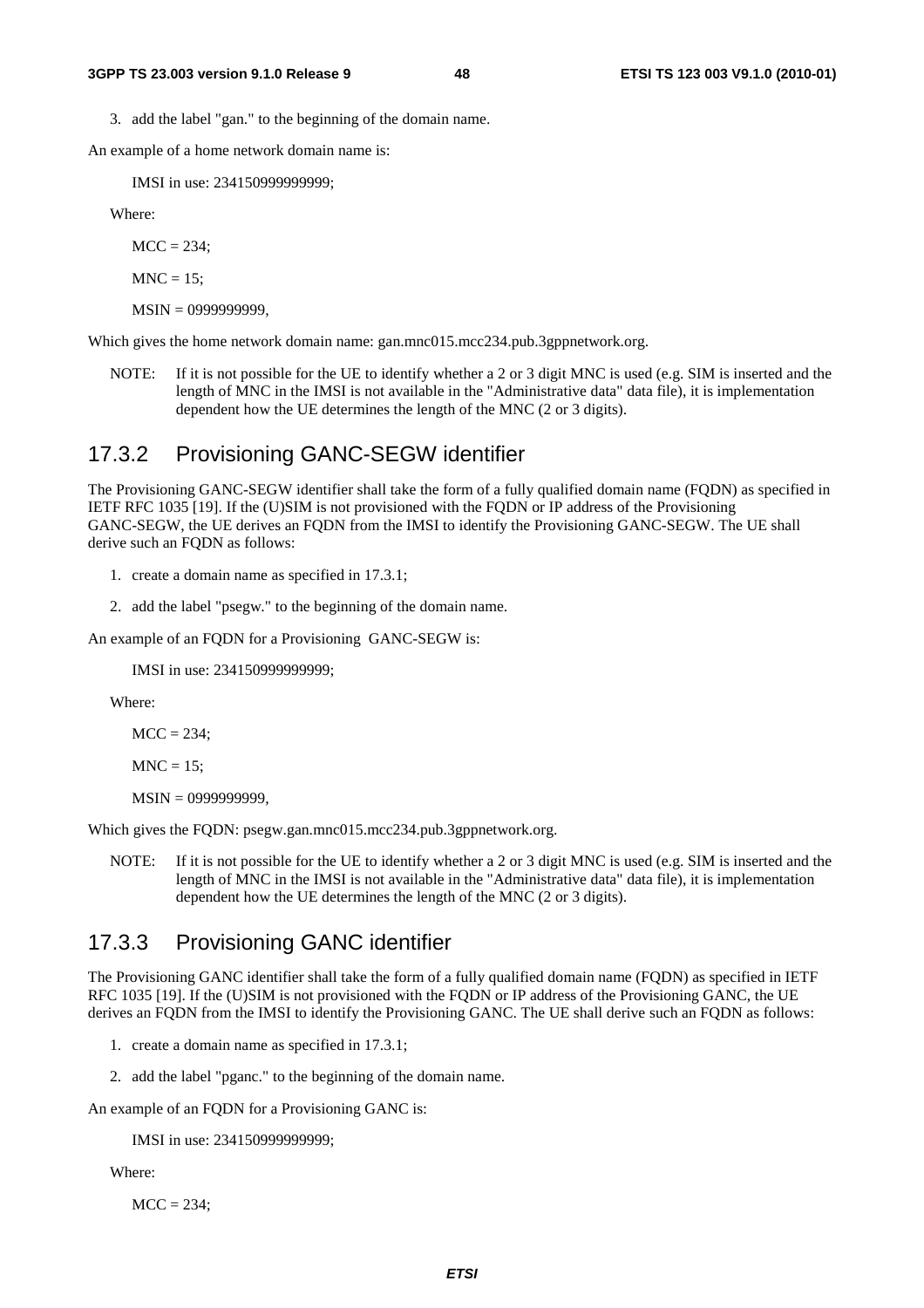3. add the label "gan." to the beginning of the domain name.

An example of a home network domain name is:

IMSI in use: 234150999999999;

Where:

 $MCC = 234$ ;

 $MNC = 15$ ;

MSIN = 0999999999,

Which gives the home network domain name: gan.mnc015.mcc234.pub.3gppnetwork.org.

NOTE: If it is not possible for the UE to identify whether a 2 or 3 digit MNC is used (e.g. SIM is inserted and the length of MNC in the IMSI is not available in the "Administrative data" data file), it is implementation dependent how the UE determines the length of the MNC (2 or 3 digits).

#### 17.3.2 Provisioning GANC-SEGW identifier

The Provisioning GANC-SEGW identifier shall take the form of a fully qualified domain name (FQDN) as specified in IETF RFC 1035 [19]. If the (U)SIM is not provisioned with the FQDN or IP address of the Provisioning GANC-SEGW, the UE derives an FQDN from the IMSI to identify the Provisioning GANC-SEGW. The UE shall derive such an FQDN as follows:

1. create a domain name as specified in 17.3.1;

2. add the label "psegw." to the beginning of the domain name.

An example of an FQDN for a Provisioning GANC-SEGW is:

IMSI in use: 234150999999999;

Where:

 $MCC = 234$ ;

 $MNC = 15$ ;

MSIN = 0999999999,

Which gives the FQDN: psegw.gan.mnc015.mcc234.pub.3gppnetwork.org.

NOTE: If it is not possible for the UE to identify whether a 2 or 3 digit MNC is used (e.g. SIM is inserted and the length of MNC in the IMSI is not available in the "Administrative data" data file), it is implementation dependent how the UE determines the length of the MNC (2 or 3 digits).

#### 17.3.3 Provisioning GANC identifier

The Provisioning GANC identifier shall take the form of a fully qualified domain name (FQDN) as specified in IETF RFC 1035 [19]. If the (U)SIM is not provisioned with the FODN or IP address of the Provisioning GANC, the UE derives an FQDN from the IMSI to identify the Provisioning GANC. The UE shall derive such an FQDN as follows:

- 1. create a domain name as specified in 17.3.1;
- 2. add the label "pganc." to the beginning of the domain name.

An example of an FQDN for a Provisioning GANC is:

IMSI in use: 234150999999999;

Where:

 $MCC = 234$ :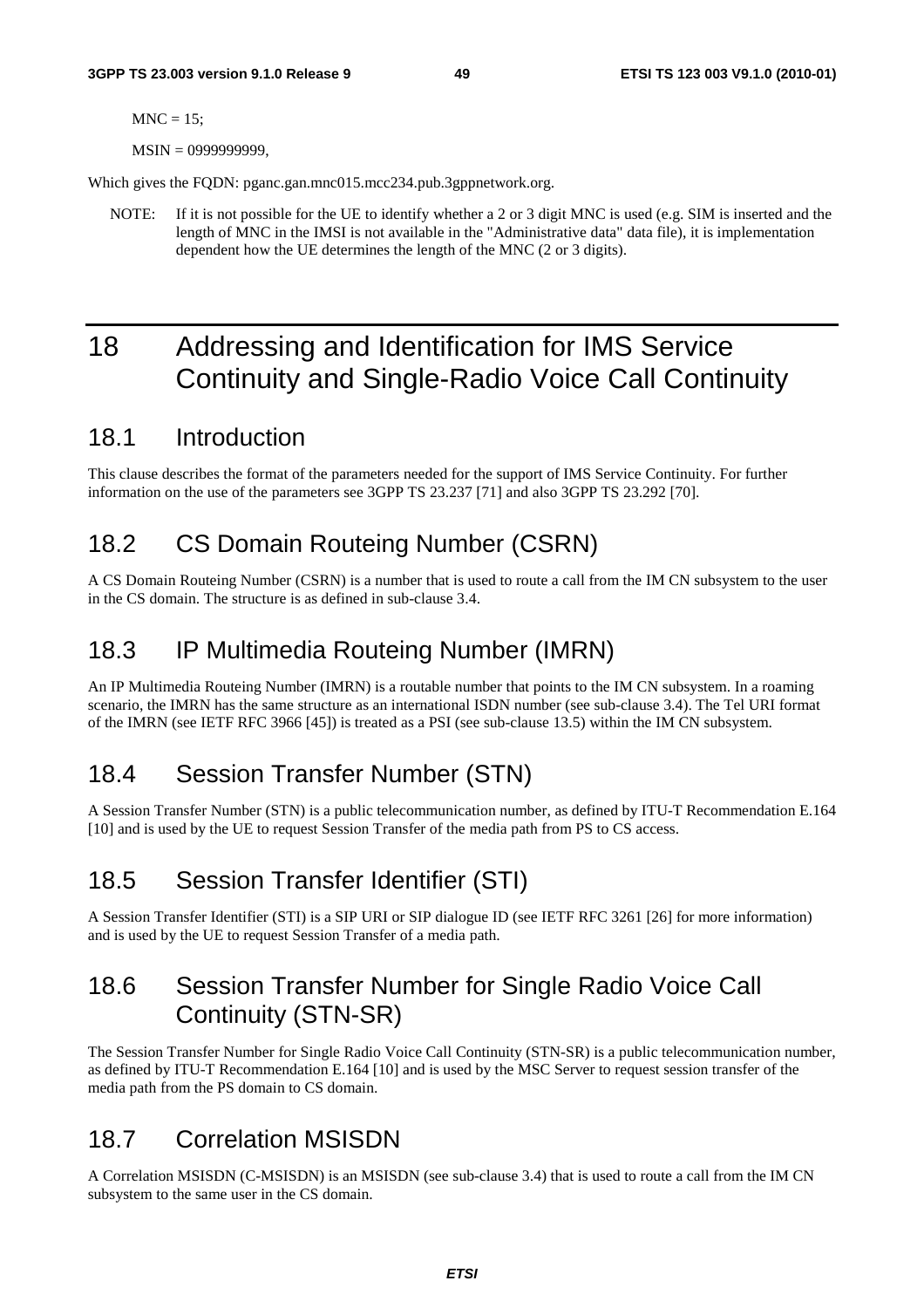$MNC = 15$ ;

MSIN = 0999999999.

Which gives the FODN: pganc.gan.mnc015.mcc234.pub.3gppnetwork.org.

NOTE: If it is not possible for the UE to identify whether a 2 or 3 digit MNC is used (e.g. SIM is inserted and the length of MNC in the IMSI is not available in the "Administrative data" data file), it is implementation dependent how the UE determines the length of the MNC (2 or 3 digits).

# 18 Addressing and Identification for IMS Service Continuity and Single-Radio Voice Call Continuity

### 18.1 Introduction

This clause describes the format of the parameters needed for the support of IMS Service Continuity. For further information on the use of the parameters see 3GPP TS 23.237 [71] and also 3GPP TS 23.292 [70].

### 18.2 CS Domain Routeing Number (CSRN)

A CS Domain Routeing Number (CSRN) is a number that is used to route a call from the IM CN subsystem to the user in the CS domain. The structure is as defined in sub-clause 3.4.

### 18.3 IP Multimedia Routeing Number (IMRN)

An IP Multimedia Routeing Number (IMRN) is a routable number that points to the IM CN subsystem. In a roaming scenario, the IMRN has the same structure as an international ISDN number (see sub-clause 3.4). The Tel URI format of the IMRN (see IETF RFC 3966 [45]) is treated as a PSI (see sub-clause 13.5) within the IM CN subsystem.

# 18.4 Session Transfer Number (STN)

A Session Transfer Number (STN) is a public telecommunication number, as defined by ITU-T Recommendation E.164 [10] and is used by the UE to request Session Transfer of the media path from PS to CS access.

# 18.5 Session Transfer Identifier (STI)

A Session Transfer Identifier (STI) is a SIP URI or SIP dialogue ID (see IETF RFC 3261 [26] for more information) and is used by the UE to request Session Transfer of a media path.

# 18.6 Session Transfer Number for Single Radio Voice Call Continuity (STN-SR)

The Session Transfer Number for Single Radio Voice Call Continuity (STN-SR) is a public telecommunication number, as defined by ITU-T Recommendation E.164 [10] and is used by the MSC Server to request session transfer of the media path from the PS domain to CS domain.

# 18.7 Correlation MSISDN

A Correlation MSISDN (C-MSISDN) is an MSISDN (see sub-clause 3.4) that is used to route a call from the IM CN subsystem to the same user in the CS domain.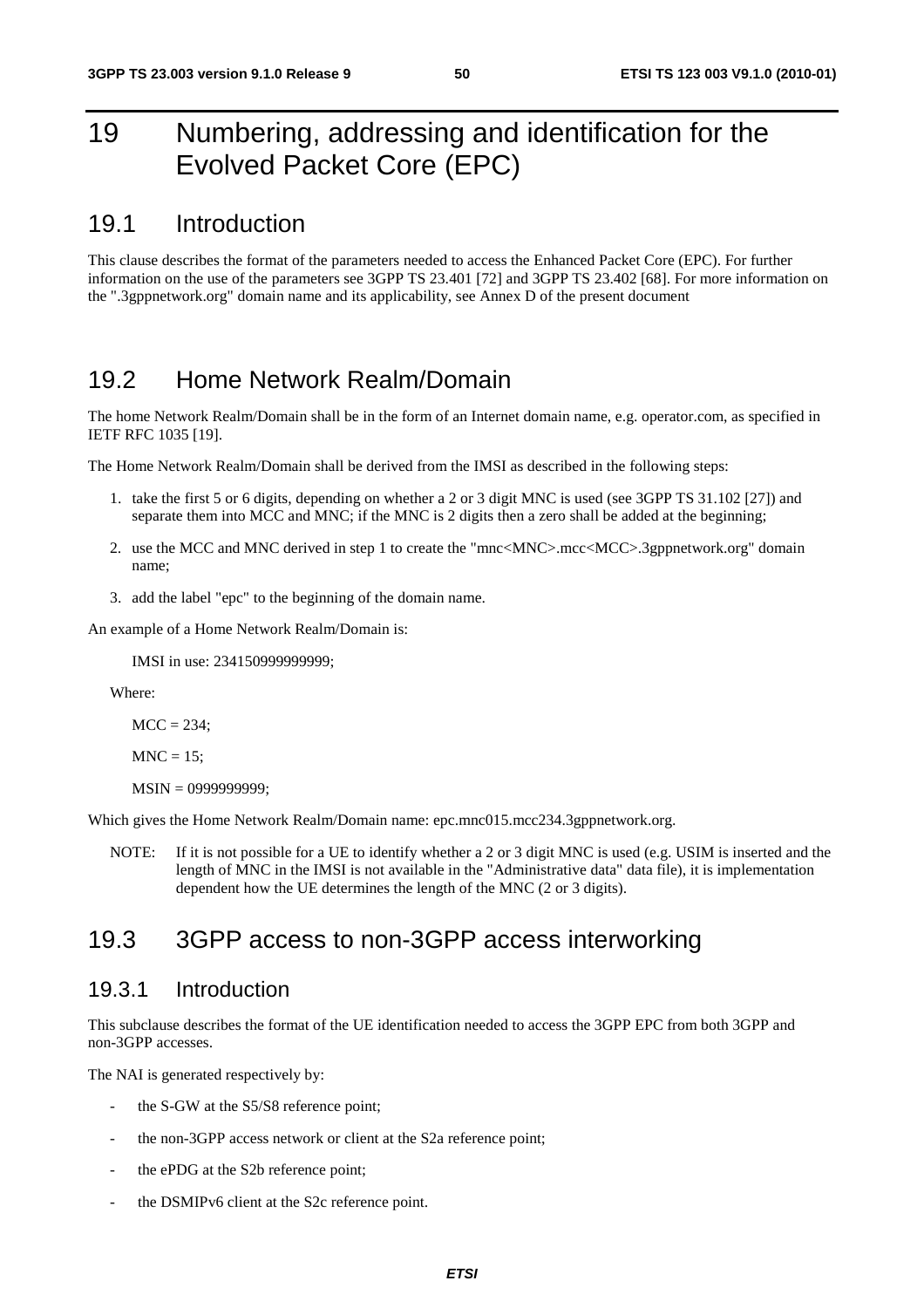# 19 Numbering, addressing and identification for the Evolved Packet Core (EPC)

### 19.1 Introduction

This clause describes the format of the parameters needed to access the Enhanced Packet Core (EPC). For further information on the use of the parameters see 3GPP TS 23.401 [72] and 3GPP TS 23.402 [68]. For more information on the ".3gppnetwork.org" domain name and its applicability, see Annex D of the present document

### 19.2 Home Network Realm/Domain

The home Network Realm/Domain shall be in the form of an Internet domain name, e.g. operator.com, as specified in IETF RFC 1035 [19].

The Home Network Realm/Domain shall be derived from the IMSI as described in the following steps:

- 1. take the first 5 or 6 digits, depending on whether a 2 or 3 digit MNC is used (see 3GPP TS 31.102 [27]) and separate them into MCC and MNC; if the MNC is 2 digits then a zero shall be added at the beginning;
- 2. use the MCC and MNC derived in step 1 to create the "mnc<MNC>.mcc<MCC>.3gppnetwork.org" domain name;
- 3. add the label "epc" to the beginning of the domain name.

An example of a Home Network Realm/Domain is:

IMSI in use: 234150999999999;

Where:

 $MCC = 234$ :

```
MNC = 15;
```
MSIN = 0999999999;

Which gives the Home Network Realm/Domain name: epc.mnc015.mcc234.3gppnetwork.org.

NOTE: If it is not possible for a UE to identify whether a 2 or 3 digit MNC is used (e.g. USIM is inserted and the length of MNC in the IMSI is not available in the "Administrative data" data file), it is implementation dependent how the UE determines the length of the MNC (2 or 3 digits).

# 19.3 3GPP access to non-3GPP access interworking

#### 19.3.1 Introduction

This subclause describes the format of the UE identification needed to access the 3GPP EPC from both 3GPP and non-3GPP accesses.

The NAI is generated respectively by:

- the S-GW at the S5/S8 reference point;
- the non-3GPP access network or client at the S2a reference point;
- the ePDG at the S2b reference point;
- the DSMIPv6 client at the S2c reference point.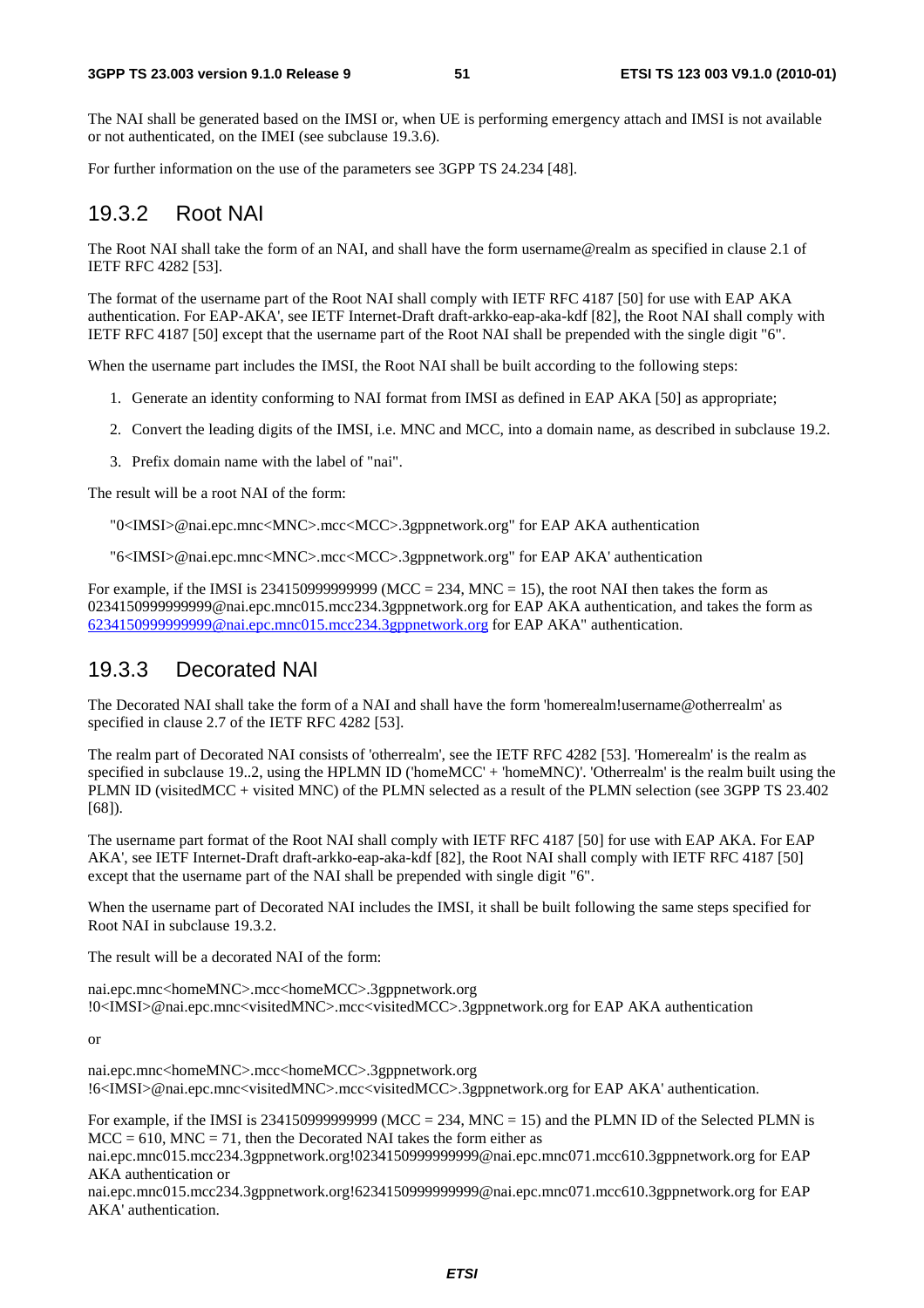The NAI shall be generated based on the IMSI or, when UE is performing emergency attach and IMSI is not available or not authenticated, on the IMEI (see subclause 19.3.6).

For further information on the use of the parameters see 3GPP TS 24.234 [48].

#### 19.3.2 Root NAI

The Root NAI shall take the form of an NAI, and shall have the form username@realm as specified in clause 2.1 of IETF RFC 4282 [53].

The format of the username part of the Root NAI shall comply with IETF RFC 4187 [50] for use with EAP AKA authentication. For EAP-AKA', see IETF Internet-Draft draft-arkko-eap-aka-kdf [82], the Root NAI shall comply with IETF RFC 4187 [50] except that the username part of the Root NAI shall be prepended with the single digit "6".

When the username part includes the IMSI, the Root NAI shall be built according to the following steps:

- 1. Generate an identity conforming to NAI format from IMSI as defined in EAP AKA [50] as appropriate;
- 2. Convert the leading digits of the IMSI, i.e. MNC and MCC, into a domain name, as described in subclause 19.2.
- 3. Prefix domain name with the label of "nai".

The result will be a root NAI of the form:

"0<IMSI>@nai.epc.mnc<MNC>.mcc<MCC>.3gppnetwork.org" for EAP AKA authentication

"6<IMSI>@nai.epc.mnc<MNC>.mcc<MCC>.3gppnetwork.org" for EAP AKA' authentication

For example, if the IMSI is 23415099999999999999 (MCC = 234, MNC = 15), the root NAI then takes the form as 0234150999999999@nai.epc.mnc015.mcc234.3gppnetwork.org for EAP AKA authentication, and takes the form as [6234150999999999@nai.epc.mnc015.mcc234.3gppnetwork.org](mailto:0234150999999999@epc.mnc015.mcc234.3gppnetwork.org) for EAP AKA" authentication.

#### 19.3.3 Decorated NAI

The Decorated NAI shall take the form of a NAI and shall have the form 'homerealm!username@otherrealm' as specified in clause 2.7 of the IETF RFC 4282 [53].

The realm part of Decorated NAI consists of 'otherrealm', see the IETF RFC 4282 [53]. 'Homerealm' is the realm as specified in subclause 19..2, using the HPLMN ID ('homeMCC' + 'homeMNC)'. 'Otherrealm' is the realm built using the PLMN ID (visitedMCC + visited MNC) of the PLMN selected as a result of the PLMN selection (see 3GPP TS 23.402 [68]).

The username part format of the Root NAI shall comply with IETF RFC 4187 [50] for use with EAP AKA. For EAP AKA', see IETF Internet-Draft draft-arkko-eap-aka-kdf [82], the Root NAI shall comply with IETF RFC 4187 [50] except that the username part of the NAI shall be prepended with single digit "6".

When the username part of Decorated NAI includes the IMSI, it shall be built following the same steps specified for Root NAI in subclause 19.3.2.

The result will be a decorated NAI of the form:

nai.epc.mnc<homeMNC>.mcc<homeMCC>.3gppnetwork.org !0<IMSI>@nai.epc.mnc<visitedMNC>.mcc<visitedMCC>.3gppnetwork.org for EAP AKA authentication

or

nai.epc.mnc<homeMNC>.mcc<homeMCC>.3gppnetwork.org !6<IMSI>@nai.epc.mnc<visitedMNC>.mcc<visitedMCC>.3gppnetwork.org for EAP AKA' authentication.

For example, if the IMSI is 2341509999999999 (MCC = 234, MNC = 15) and the PLMN ID of the Selected PLMN is  $MCC = 610$ ,  $MNC = 71$ , then the Decorated NAI takes the form either as

nai.epc.mnc015.mcc234.3gppnetwork.org!0234150999999999@nai.epc.mnc071.mcc610.3gppnetwork.org for EAP AKA authentication or

nai.epc.mnc015.mcc234.3gppnetwork.org!6234150999999999@nai.epc.mnc071.mcc610.3gppnetwork.org for EAP AKA' authentication.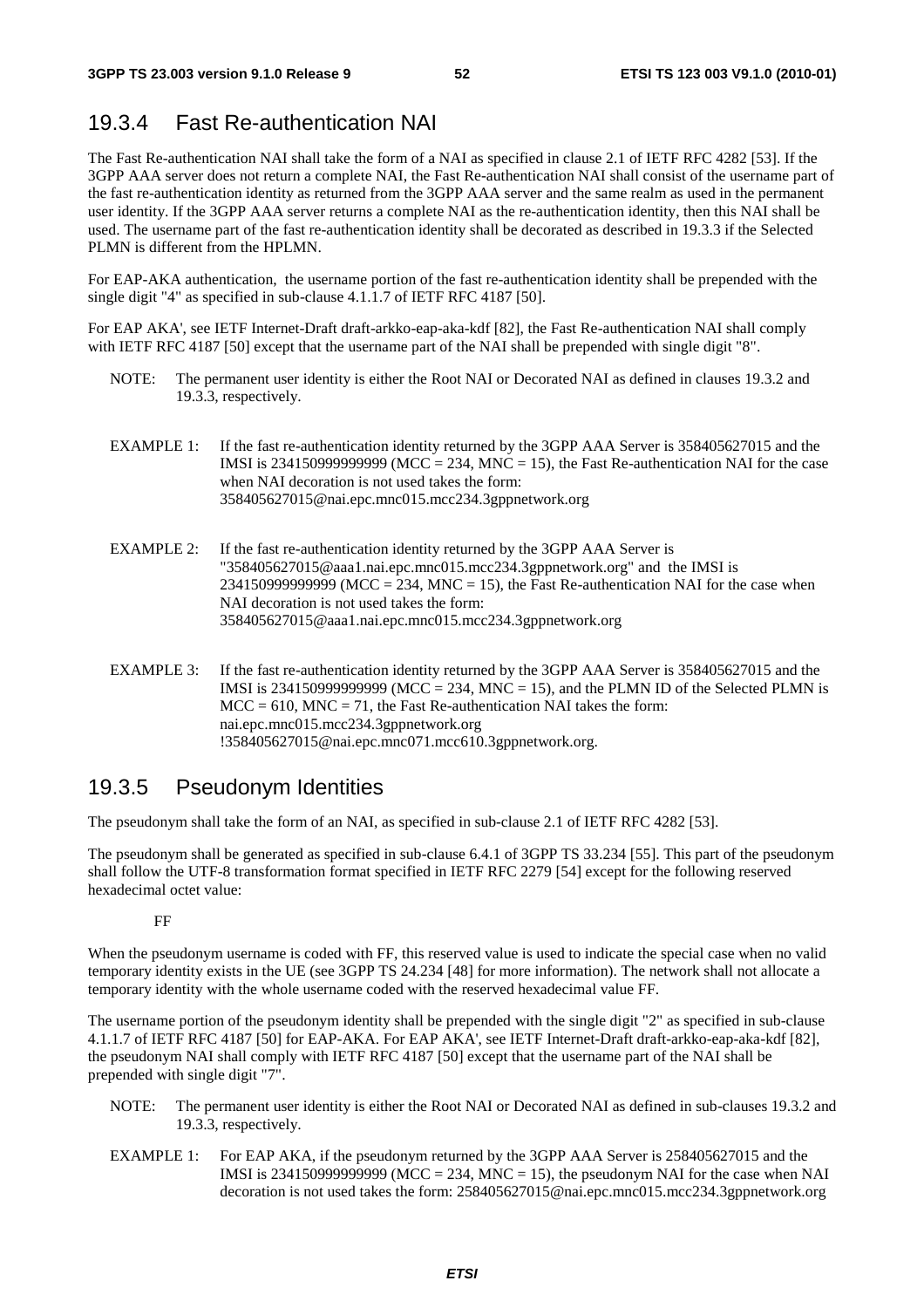### 19.3.4 Fast Re-authentication NAI

The Fast Re-authentication NAI shall take the form of a NAI as specified in clause 2.1 of IETF RFC 4282 [53]. If the 3GPP AAA server does not return a complete NAI, the Fast Re-authentication NAI shall consist of the username part of the fast re-authentication identity as returned from the 3GPP AAA server and the same realm as used in the permanent user identity. If the 3GPP AAA server returns a complete NAI as the re-authentication identity, then this NAI shall be used. The username part of the fast re-authentication identity shall be decorated as described in 19.3.3 if the Selected PLMN is different from the HPLMN.

For EAP-AKA authentication, the username portion of the fast re-authentication identity shall be prepended with the single digit "4" as specified in sub-clause 4.1.1.7 of IETF RFC 4187 [50].

For EAP AKA', see IETF Internet-Draft draft-arkko-eap-aka-kdf [82], the Fast Re-authentication NAI shall comply with IETF RFC 4187 [50] except that the username part of the NAI shall be prepended with single digit "8".

- NOTE: The permanent user identity is either the Root NAI or Decorated NAI as defined in clauses 19.3.2 and 19.3.3, respectively.
- EXAMPLE 1: If the fast re-authentication identity returned by the 3GPP AAA Server is 358405627015 and the IMSI is 234150999999999999 ( $MCC = 234$ , MNC = 15), the Fast Re-authentication NAI for the case when NAI decoration is not used takes the form: 358405627015@nai.epc.mnc015.mcc234.3gppnetwork.org
- EXAMPLE 2: If the fast re-authentication identity returned by the 3GPP AAA Server is "358405627015@aaa1.nai.epc.mnc015.mcc234.3gppnetwork.org" and the IMSI is  $234150999999999$  (MCC = 234, MNC = 15), the Fast Re-authentication NAI for the case when NAI decoration is not used takes the form: 358405627015@aaa1.nai.epc.mnc015.mcc234.3gppnetwork.org
- EXAMPLE 3: If the fast re-authentication identity returned by the 3GPP AAA Server is 358405627015 and the IMSI is 2341509999999999 (MCC = 234, MNC = 15), and the PLMN ID of the Selected PLMN is  $MCC = 610$ ,  $MNC = 71$ , the Fast Re-authentication NAI takes the form: nai.epc.mnc015.mcc234.3gppnetwork.org !358405627015@nai.epc.mnc071.mcc610.3gppnetwork.org.

### 19.3.5 Pseudonym Identities

The pseudonym shall take the form of an NAI, as specified in sub-clause 2.1 of IETF RFC 4282 [53].

The pseudonym shall be generated as specified in sub-clause 6.4.1 of 3GPP TS 33.234 [55]. This part of the pseudonym shall follow the UTF-8 transformation format specified in IETF RFC 2279 [54] except for the following reserved hexadecimal octet value:

FF

When the pseudonym username is coded with FF, this reserved value is used to indicate the special case when no valid temporary identity exists in the UE (see 3GPP TS 24.234 [48] for more information). The network shall not allocate a temporary identity with the whole username coded with the reserved hexadecimal value FF.

The username portion of the pseudonym identity shall be prepended with the single digit "2" as specified in sub-clause 4.1.1.7 of IETF RFC 4187 [50] for EAP-AKA. For EAP AKA', see IETF Internet-Draft draft-arkko-eap-aka-kdf [82], the pseudonym NAI shall comply with IETF RFC 4187 [50] except that the username part of the NAI shall be prepended with single digit "7".

- NOTE: The permanent user identity is either the Root NAI or Decorated NAI as defined in sub-clauses 19.3.2 and 19.3.3, respectively.
- EXAMPLE 1: For EAP AKA, if the pseudonym returned by the 3GPP AAA Server is 258405627015 and the IMSI is 234150999999999 (MCC = 234, MNC = 15), the pseudonym NAI for the case when NAI decoration is not used takes the form: 258405627015@nai.epc.mnc015.mcc234.3gppnetwork.org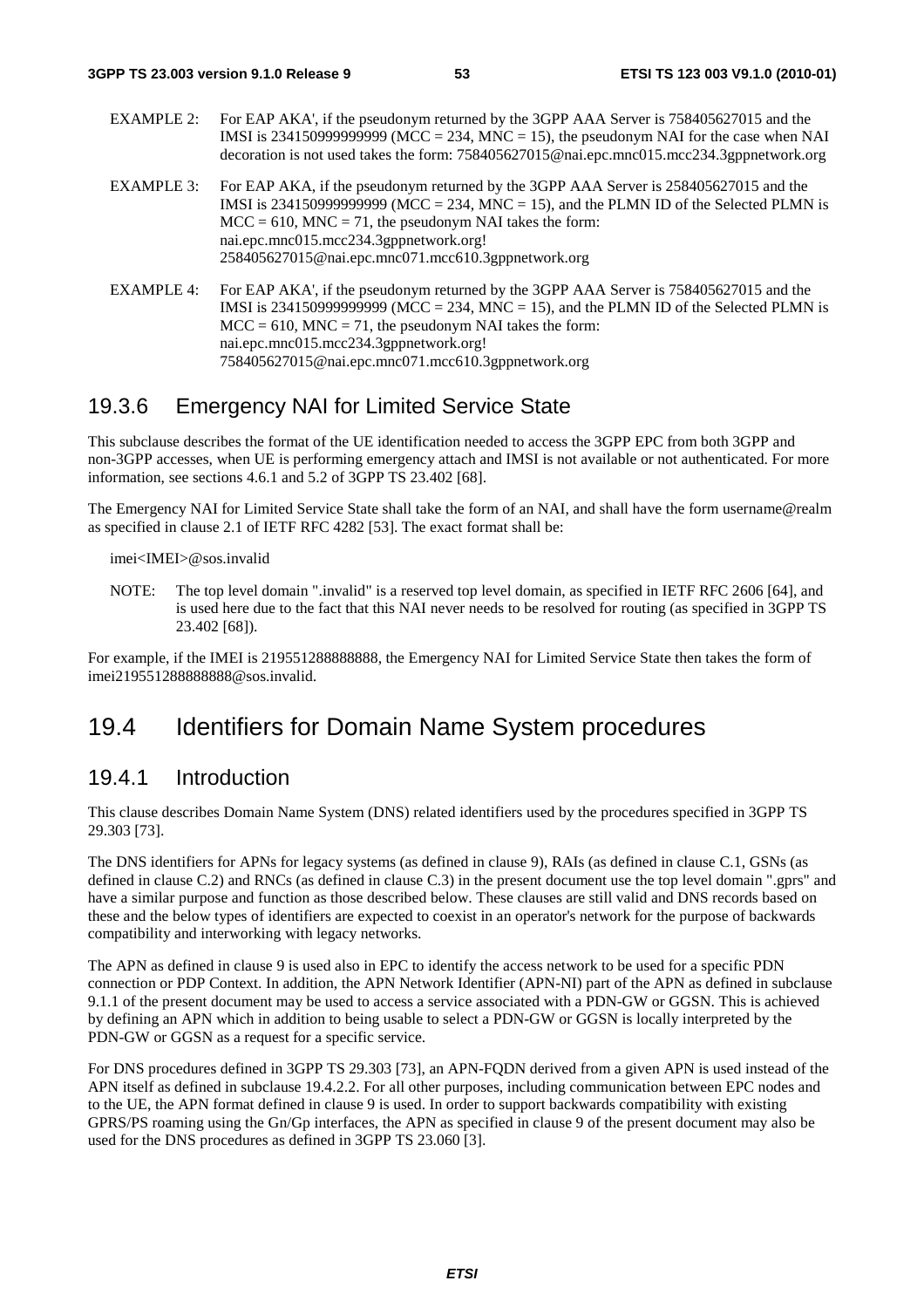- EXAMPLE 2: For EAP AKA', if the pseudonym returned by the 3GPP AAA Server is 758405627015 and the IMSI is 234150999999999 (MCC = 234, MNC = 15), the pseudonym NAI for the case when NAI decoration is not used takes the form: 758405627015@nai.epc.mnc015.mcc234.3gppnetwork.org
- EXAMPLE 3: For EAP AKA, if the pseudonym returned by the 3GPP AAA Server is 258405627015 and the IMSI is 23415099999999999 (MCC = 234, MNC = 15), and the PLMN ID of the Selected PLMN is  $MCC = 610$ ,  $MNC = 71$ , the pseudonym NAI takes the form: nai.epc.mnc015.mcc234.3gppnetwork.org! 258405627015@nai.epc.mnc071.mcc610.3gppnetwork.org
- EXAMPLE 4: For EAP AKA', if the pseudonym returned by the 3GPP AAA Server is 758405627015 and the IMSI is 2341509999999999 (MCC = 234, MNC = 15), and the PLMN ID of the Selected PLMN is  $MCC = 610$ ,  $MNC = 71$ , the pseudonym NAI takes the form: nai.epc.mnc015.mcc234.3gppnetwork.org! 758405627015@nai.epc.mnc071.mcc610.3gppnetwork.org

### 19.3.6 Emergency NAI for Limited Service State

This subclause describes the format of the UE identification needed to access the 3GPP EPC from both 3GPP and non-3GPP accesses, when UE is performing emergency attach and IMSI is not available or not authenticated. For more information, see sections 4.6.1 and 5.2 of 3GPP TS 23.402 [68].

The Emergency NAI for Limited Service State shall take the form of an NAI, and shall have the form username@realm as specified in clause 2.1 of IETF RFC 4282 [53]. The exact format shall be:

imei<IMEI>@sos.invalid

NOTE: The top level domain ".invalid" is a reserved top level domain, as specified in IETF RFC 2606 [64], and is used here due to the fact that this NAI never needs to be resolved for routing (as specified in 3GPP TS 23.402 [68]).

For example, if the IMEI is 219551288888888, the Emergency NAI for Limited Service State then takes the form of imei219551288888888@sos.invalid.

# 19.4 Identifiers for Domain Name System procedures

### 19.4.1 Introduction

This clause describes Domain Name System (DNS) related identifiers used by the procedures specified in 3GPP TS 29.303 [73].

The DNS identifiers for APNs for legacy systems (as defined in clause 9), RAIs (as defined in clause C.1, GSNs (as defined in clause C.2) and RNCs (as defined in clause C.3) in the present document use the top level domain ".gprs" and have a similar purpose and function as those described below. These clauses are still valid and DNS records based on these and the below types of identifiers are expected to coexist in an operator's network for the purpose of backwards compatibility and interworking with legacy networks.

The APN as defined in clause 9 is used also in EPC to identify the access network to be used for a specific PDN connection or PDP Context. In addition, the APN Network Identifier (APN-NI) part of the APN as defined in subclause 9.1.1 of the present document may be used to access a service associated with a PDN-GW or GGSN. This is achieved by defining an APN which in addition to being usable to select a PDN-GW or GGSN is locally interpreted by the PDN-GW or GGSN as a request for a specific service.

For DNS procedures defined in 3GPP TS 29.303 [73], an APN-FQDN derived from a given APN is used instead of the APN itself as defined in subclause 19.4.2.2. For all other purposes, including communication between EPC nodes and to the UE, the APN format defined in clause 9 is used. In order to support backwards compatibility with existing GPRS/PS roaming using the Gn/Gp interfaces, the APN as specified in clause 9 of the present document may also be used for the DNS procedures as defined in 3GPP TS 23.060 [3].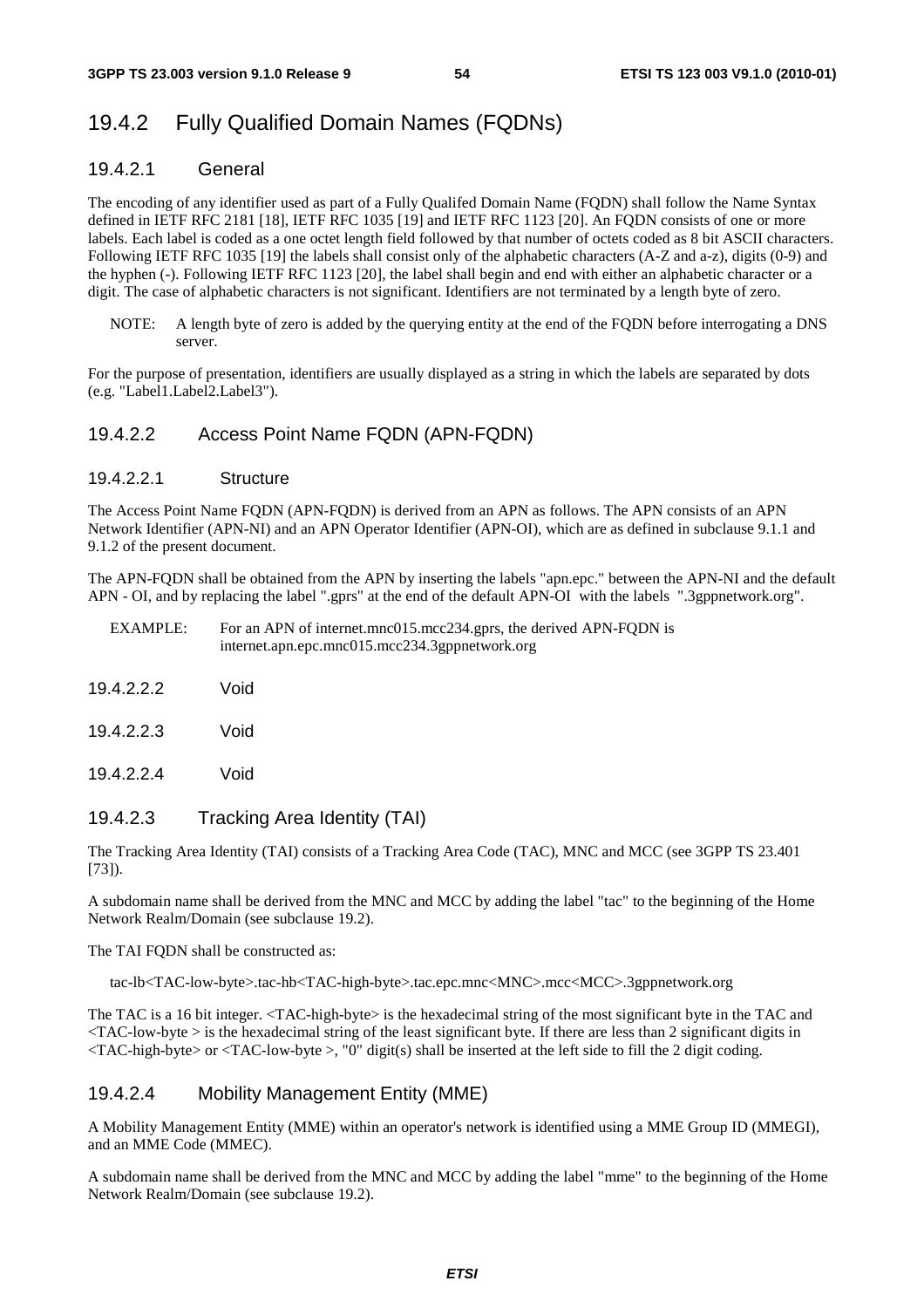# 19.4.2 Fully Qualified Domain Names (FQDNs)

### 19.4.2.1 General

The encoding of any identifier used as part of a Fully Qualifed Domain Name (FQDN) shall follow the Name Syntax defined in IETF RFC 2181 [18], IETF RFC 1035 [19] and IETF RFC 1123 [20]. An FQDN consists of one or more labels. Each label is coded as a one octet length field followed by that number of octets coded as 8 bit ASCII characters. Following IETF RFC 1035 [19] the labels shall consist only of the alphabetic characters (A-Z and a-z), digits (0-9) and the hyphen (-). Following IETF RFC 1123 [20], the label shall begin and end with either an alphabetic character or a digit. The case of alphabetic characters is not significant. Identifiers are not terminated by a length byte of zero.

NOTE: A length byte of zero is added by the querying entity at the end of the FQDN before interrogating a DNS server.

For the purpose of presentation, identifiers are usually displayed as a string in which the labels are separated by dots (e.g. "Label1.Label2.Label3").

#### 19.4.2.2 Access Point Name FQDN (APN-FQDN)

#### 19.4.2.2.1 Structure

The Access Point Name FQDN (APN-FQDN) is derived from an APN as follows. The APN consists of an APN Network Identifier (APN-NI) and an APN Operator Identifier (APN-OI), which are as defined in subclause 9.1.1 and 9.1.2 of the present document.

The APN-FQDN shall be obtained from the APN by inserting the labels "apn.epc." between the APN-NI and the default APN - OI, and by replacing the label ".gprs" at the end of the default APN-OI with the labels ".3gppnetwork.org".

EXAMPLE: For an APN of internet.mnc015.mcc234.gprs, the derived APN-FQDN is internet.apn.epc.mnc015.mcc234.3gppnetwork.org

19.4.2.2.2 Void

19.4.2.2.3 Void

19.4.2.2.4 Void

#### 19.4.2.3 Tracking Area Identity (TAI)

The Tracking Area Identity (TAI) consists of a Tracking Area Code (TAC), MNC and MCC (see 3GPP TS 23.401 [73]).

A subdomain name shall be derived from the MNC and MCC by adding the label "tac" to the beginning of the Home Network Realm/Domain (see subclause 19.2).

The TAI FQDN shall be constructed as:

tac-lb<TAC-low-byte>.tac-hb<TAC-high-byte>.tac.epc.mnc<MNC>.mcc<MCC>.3gppnetwork.org

The TAC is a 16 bit integer. <TAC-high-byte> is the hexadecimal string of the most significant byte in the TAC and  $\langle$ TAC-low-byte  $>$  is the hexadecimal string of the least significant byte. If there are less than 2 significant digits in  $\langle$ TAC-high-byte> or  $\langle$ TAC-low-byte >, "0" digit(s) shall be inserted at the left side to fill the 2 digit coding.

#### 19.4.2.4 Mobility Management Entity (MME)

A Mobility Management Entity (MME) within an operator's network is identified using a MME Group ID (MMEGI), and an MME Code (MMEC).

A subdomain name shall be derived from the MNC and MCC by adding the label "mme" to the beginning of the Home Network Realm/Domain (see subclause 19.2).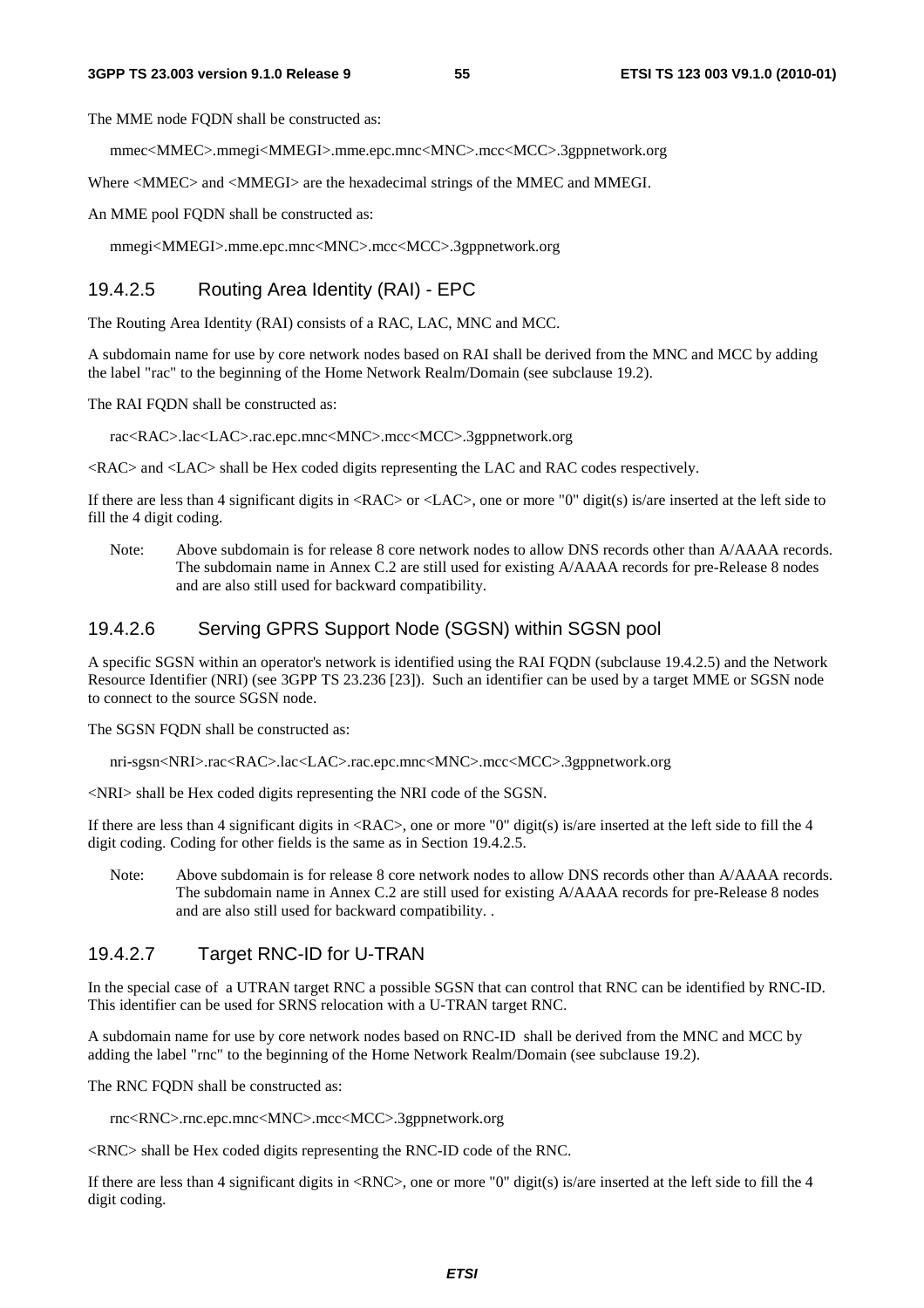The MME node FODN shall be constructed as:

mmec<MMEC>.mmegi<MMEGI>.mme.epc.mnc<MNC>.mcc<MCC>.3gppnetwork.org

Where  $\langle$ MMEC> and  $\langle$ MMEGI> are the hexadecimal strings of the MMEC and MMEGI.

An MME pool FQDN shall be constructed as:

mmegi<MMEGI>.mme.epc.mnc<MNC>.mcc<MCC>.3gppnetwork.org

#### 19.4.2.5 Routing Area Identity (RAI) - EPC

The Routing Area Identity (RAI) consists of a RAC, LAC, MNC and MCC.

A subdomain name for use by core network nodes based on RAI shall be derived from the MNC and MCC by adding the label "rac" to the beginning of the Home Network Realm/Domain (see subclause 19.2).

The RAI FQDN shall be constructed as:

rac<RAC>.lac<LAC>.rac.epc.mnc<MNC>.mcc<MCC>.3gppnetwork.org

<RAC> and <LAC> shall be Hex coded digits representing the LAC and RAC codes respectively.

If there are less than 4 significant digits in <RAC> or <LAC>, one or more "0" digit(s) is/are inserted at the left side to fill the 4 digit coding.

Note: Above subdomain is for release 8 core network nodes to allow DNS records other than A/AAAA records. The subdomain name in Annex C.2 are still used for existing A/AAAA records for pre-Release 8 nodes and are also still used for backward compatibility.

#### 19.4.2.6 Serving GPRS Support Node (SGSN) within SGSN pool

A specific SGSN within an operator's network is identified using the RAI FQDN (subclause 19.4.2.5) and the Network Resource Identifier (NRI) (see 3GPP TS 23.236 [23]). Such an identifier can be used by a target MME or SGSN node to connect to the source SGSN node.

The SGSN FODN shall be constructed as:

nri-sgsn<NRI>.rac<RAC>.lac<LAC>.rac.epc.mnc<MNC>.mcc<MCC>.3gppnetwork.org

<NRI> shall be Hex coded digits representing the NRI code of the SGSN.

If there are less than 4 significant digits in  $\langle RAC \rangle$ , one or more "0" digit(s) is/are inserted at the left side to fill the 4 digit coding. Coding for other fields is the same as in Section 19.4.2.5.

Note: Above subdomain is for release 8 core network nodes to allow DNS records other than A/AAAA records. The subdomain name in Annex C.2 are still used for existing A/AAAA records for pre-Release 8 nodes and are also still used for backward compatibility. .

#### 19.4.2.7 Target RNC-ID for U-TRAN

In the special case of a UTRAN target RNC a possible SGSN that can control that RNC can be identified by RNC-ID. This identifier can be used for SRNS relocation with a U-TRAN target RNC.

A subdomain name for use by core network nodes based on RNC-ID shall be derived from the MNC and MCC by adding the label "rnc" to the beginning of the Home Network Realm/Domain (see subclause 19.2).

The RNC FODN shall be constructed as:

rnc<RNC>.rnc.epc.mnc<MNC>.mcc<MCC>.3gppnetwork.org

<RNC> shall be Hex coded digits representing the RNC-ID code of the RNC.

If there are less than 4 significant digits in  $\langle RNC \rangle$ , one or more "0" digit(s) is/are inserted at the left side to fill the 4 digit coding.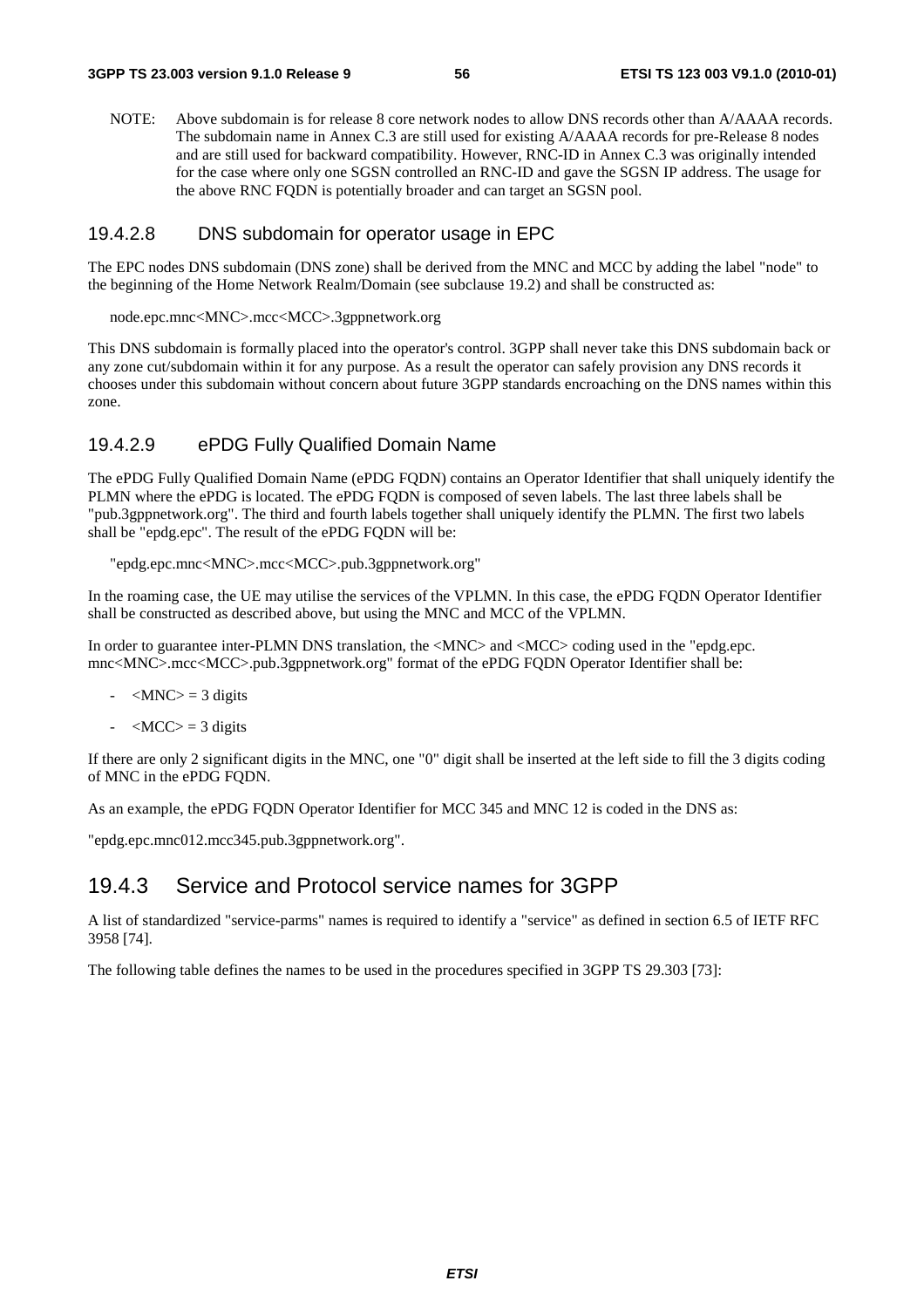NOTE: Above subdomain is for release 8 core network nodes to allow DNS records other than A/AAAA records. The subdomain name in Annex C.3 are still used for existing A/AAAA records for pre-Release 8 nodes and are still used for backward compatibility. However, RNC-ID in Annex C.3 was originally intended for the case where only one SGSN controlled an RNC-ID and gave the SGSN IP address. The usage for the above RNC FQDN is potentially broader and can target an SGSN pool.

#### 19.4.2.8 DNS subdomain for operator usage in EPC

The EPC nodes DNS subdomain (DNS zone) shall be derived from the MNC and MCC by adding the label "node" to the beginning of the Home Network Realm/Domain (see subclause 19.2) and shall be constructed as:

```
node.epc.mnc<MNC>.mcc<MCC>.3gppnetwork.org
```
This DNS subdomain is formally placed into the operator's control. 3GPP shall never take this DNS subdomain back or any zone cut/subdomain within it for any purpose. As a result the operator can safely provision any DNS records it chooses under this subdomain without concern about future 3GPP standards encroaching on the DNS names within this zone.

#### 19.4.2.9 ePDG Fully Qualified Domain Name

The ePDG Fully Qualified Domain Name (ePDG FQDN) contains an Operator Identifier that shall uniquely identify the PLMN where the ePDG is located. The ePDG FQDN is composed of seven labels. The last three labels shall be "pub.3gppnetwork.org". The third and fourth labels together shall uniquely identify the PLMN. The first two labels shall be "epdg.epc". The result of the ePDG FQDN will be:

"epdg.epc.mnc<MNC>.mcc<MCC>.pub.3gppnetwork.org"

In the roaming case, the UE may utilise the services of the VPLMN. In this case, the ePDG FQDN Operator Identifier shall be constructed as described above, but using the MNC and MCC of the VPLMN.

In order to guarantee inter-PLMN DNS translation, the  $\langle MNC \rangle$  and  $\langle MCC \rangle$  coding used in the "epdg.epc. mnc<MNC>.mcc<MCC>.pub.3gppnetwork.org" format of the ePDG FQDN Operator Identifier shall be:

- $-MNC$  = 3 digits
- $-MCC$  = 3 digits

If there are only 2 significant digits in the MNC, one "0" digit shall be inserted at the left side to fill the 3 digits coding of MNC in the ePDG FQDN.

As an example, the ePDG FODN Operator Identifier for MCC 345 and MNC 12 is coded in the DNS as:

"epdg.epc.mnc012.mcc345.pub.3gppnetwork.org".

#### 19.4.3 Service and Protocol service names for 3GPP

A list of standardized "service-parms" names is required to identify a "service" as defined in section 6.5 of IETF RFC 3958 [74].

The following table defines the names to be used in the procedures specified in 3GPP TS 29.303 [73]: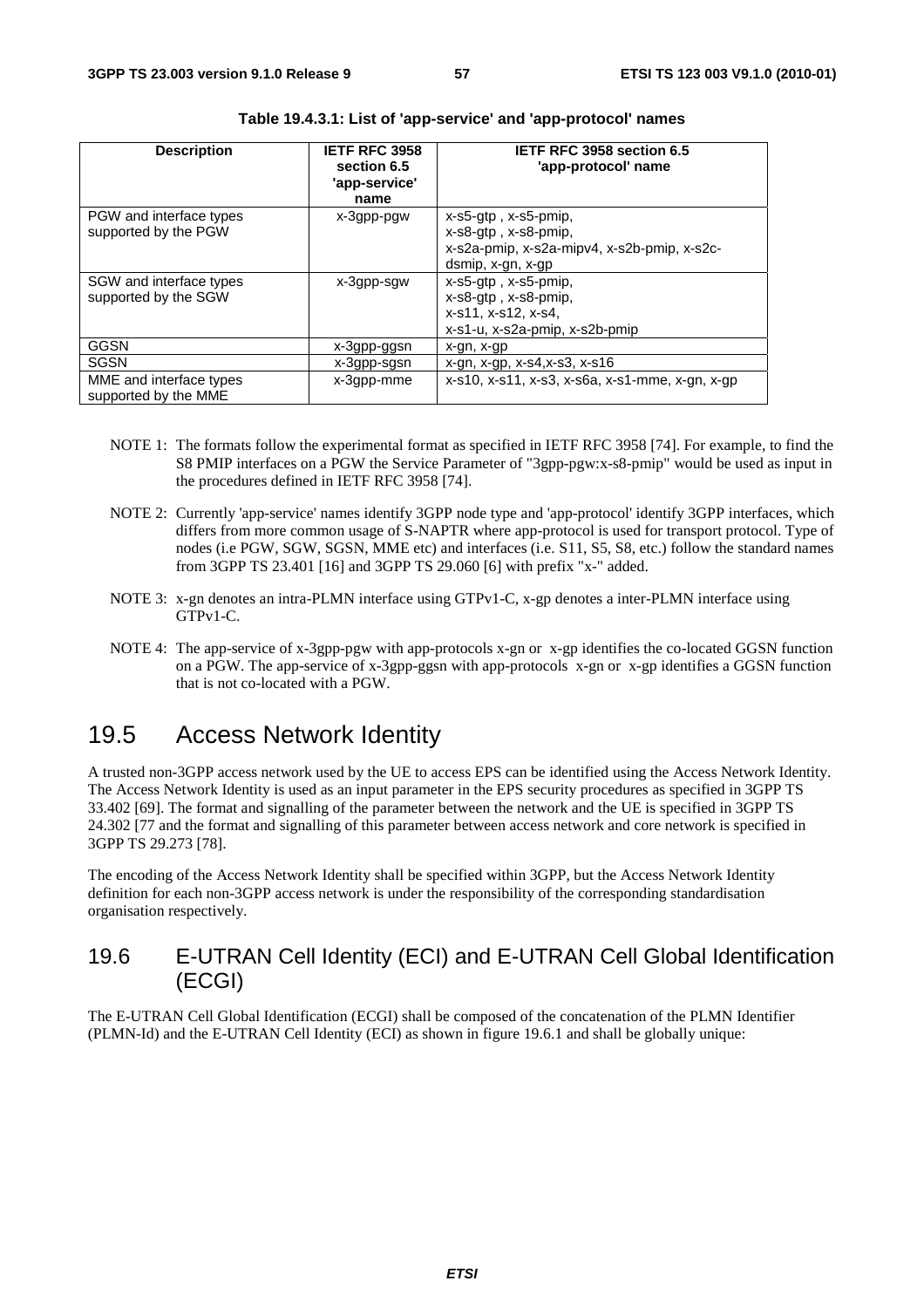| <b>Description</b>                              | IETF RFC 3958<br>section 6.5<br>'app-service'<br>name | IETF RFC 3958 section 6.5<br>'app-protocol' name                                                                                     |
|-------------------------------------------------|-------------------------------------------------------|--------------------------------------------------------------------------------------------------------------------------------------|
| PGW and interface types<br>supported by the PGW | x-3gpp-pgw                                            | $x$ -s5-gtp, $x$ -s5-pmip,<br>$x$ -s $8$ -qtp, $x$ -s $8$ -pmip,<br>x-s2a-pmip, x-s2a-mipv4, x-s2b-pmip, x-s2c-<br>dsmip, x-gn, x-gp |
| SGW and interface types<br>supported by the SGW | x-3gpp-sgw                                            | x-s5-gtp, x-s5-pmip,<br>x-s8-gtp, x-s8-pmip,<br>x-s11, x-s12, x-s4,<br>x-s1-u, x-s2a-pmip, x-s2b-pmip                                |
| GGSN                                            | x-3gpp-ggsn                                           | x-gn, x-gp                                                                                                                           |
| <b>SGSN</b>                                     | x-3gpp-sgsn                                           | $x-gn, x-gp, x-s4, x-s3, x-s16$                                                                                                      |
| MME and interface types<br>supported by the MME | x-3gpp-mme                                            | x-s10, x-s11, x-s3, x-s6a, x-s1-mme, x-gn, x-gp                                                                                      |

| Table 19.4.3.1: List of 'app-service' and 'app-protocol' names |  |  |  |
|----------------------------------------------------------------|--|--|--|
|----------------------------------------------------------------|--|--|--|

- NOTE 1: The formats follow the experimental format as specified in IETF RFC 3958 [74]. For example, to find the S8 PMIP interfaces on a PGW the Service Parameter of "3gpp-pgw:x-s8-pmip" would be used as input in the procedures defined in IETF RFC 3958 [74].
- NOTE 2: Currently 'app-service' names identify 3GPP node type and 'app-protocol' identify 3GPP interfaces, which differs from more common usage of S-NAPTR where app-protocol is used for transport protocol. Type of nodes (i.e PGW, SGW, SGSN, MME etc) and interfaces (i.e. S11, S5, S8, etc.) follow the standard names from 3GPP TS 23.401 [16] and 3GPP TS 29.060 [6] with prefix "x-" added.
- NOTE 3: x-gn denotes an intra-PLMN interface using GTPv1-C, x-gp denotes a inter-PLMN interface using GTPv1-C.
- NOTE 4: The app-service of x-3gpp-pgw with app-protocols x-gn or x-gp identifies the co-located GGSN function on a PGW. The app-service of x-3gpp-ggsn with app-protocols x-gn or x-gp identifies a GGSN function that is not co-located with a PGW.

# 19.5 Access Network Identity

A trusted non-3GPP access network used by the UE to access EPS can be identified using the Access Network Identity. The Access Network Identity is used as an input parameter in the EPS security procedures as specified in 3GPP TS 33.402 [69]. The format and signalling of the parameter between the network and the UE is specified in 3GPP TS 24.302 [77 and the format and signalling of this parameter between access network and core network is specified in 3GPP TS 29.273 [78].

The encoding of the Access Network Identity shall be specified within 3GPP, but the Access Network Identity definition for each non-3GPP access network is under the responsibility of the corresponding standardisation organisation respectively.

### 19.6 E-UTRAN Cell Identity (ECI) and E-UTRAN Cell Global Identification (ECGI)

The E-UTRAN Cell Global Identification (ECGI) shall be composed of the concatenation of the PLMN Identifier (PLMN-Id) and the E-UTRAN Cell Identity (ECI) as shown in figure 19.6.1 and shall be globally unique: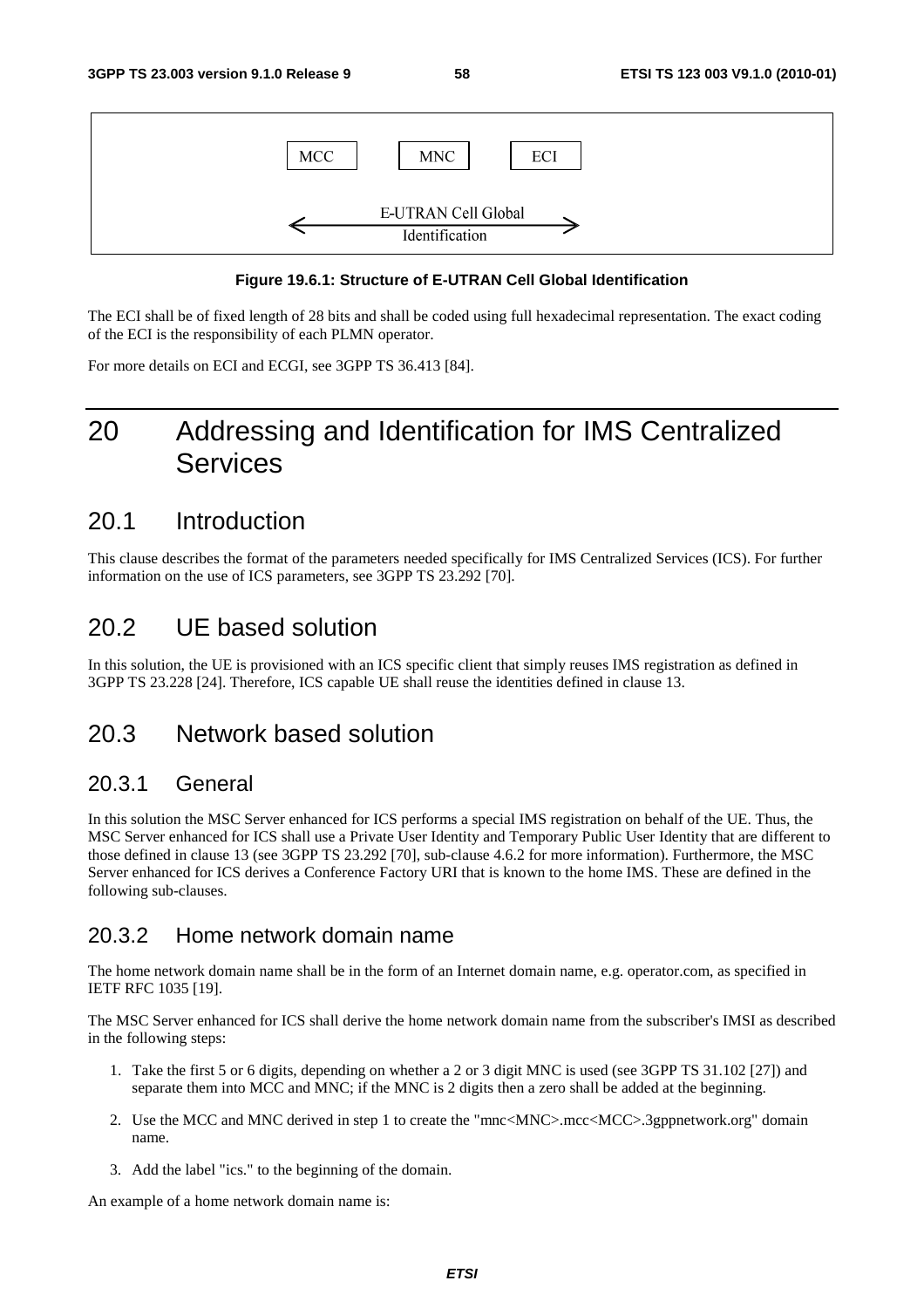

#### **Figure 19.6.1: Structure of E-UTRAN Cell Global Identification**

The ECI shall be of fixed length of 28 bits and shall be coded using full hexadecimal representation. The exact coding of the ECI is the responsibility of each PLMN operator.

For more details on ECI and ECGI, see 3GPP TS 36.413 [84].

# 20 Addressing and Identification for IMS Centralized Services

### 20.1 Introduction

This clause describes the format of the parameters needed specifically for IMS Centralized Services (ICS). For further information on the use of ICS parameters, see 3GPP TS 23.292 [70].

### 20.2 UE based solution

In this solution, the UE is provisioned with an ICS specific client that simply reuses IMS registration as defined in 3GPP TS 23.228 [24]. Therefore, ICS capable UE shall reuse the identities defined in clause 13.

### 20.3 Network based solution

#### 20.3.1 General

In this solution the MSC Server enhanced for ICS performs a special IMS registration on behalf of the UE. Thus, the MSC Server enhanced for ICS shall use a Private User Identity and Temporary Public User Identity that are different to those defined in clause 13 (see 3GPP TS 23.292 [70], sub-clause 4.6.2 for more information). Furthermore, the MSC Server enhanced for ICS derives a Conference Factory URI that is known to the home IMS. These are defined in the following sub-clauses.

#### 20.3.2 Home network domain name

The home network domain name shall be in the form of an Internet domain name, e.g. operator.com, as specified in IETF RFC 1035 [19].

The MSC Server enhanced for ICS shall derive the home network domain name from the subscriber's IMSI as described in the following steps:

- 1. Take the first 5 or 6 digits, depending on whether a 2 or 3 digit MNC is used (see 3GPP TS 31.102 [27]) and separate them into MCC and MNC; if the MNC is 2 digits then a zero shall be added at the beginning.
- 2. Use the MCC and MNC derived in step 1 to create the "mnc<MNC>.mcc<MCC>.3gppnetwork.org" domain name.
- 3. Add the label "ics." to the beginning of the domain.

An example of a home network domain name is: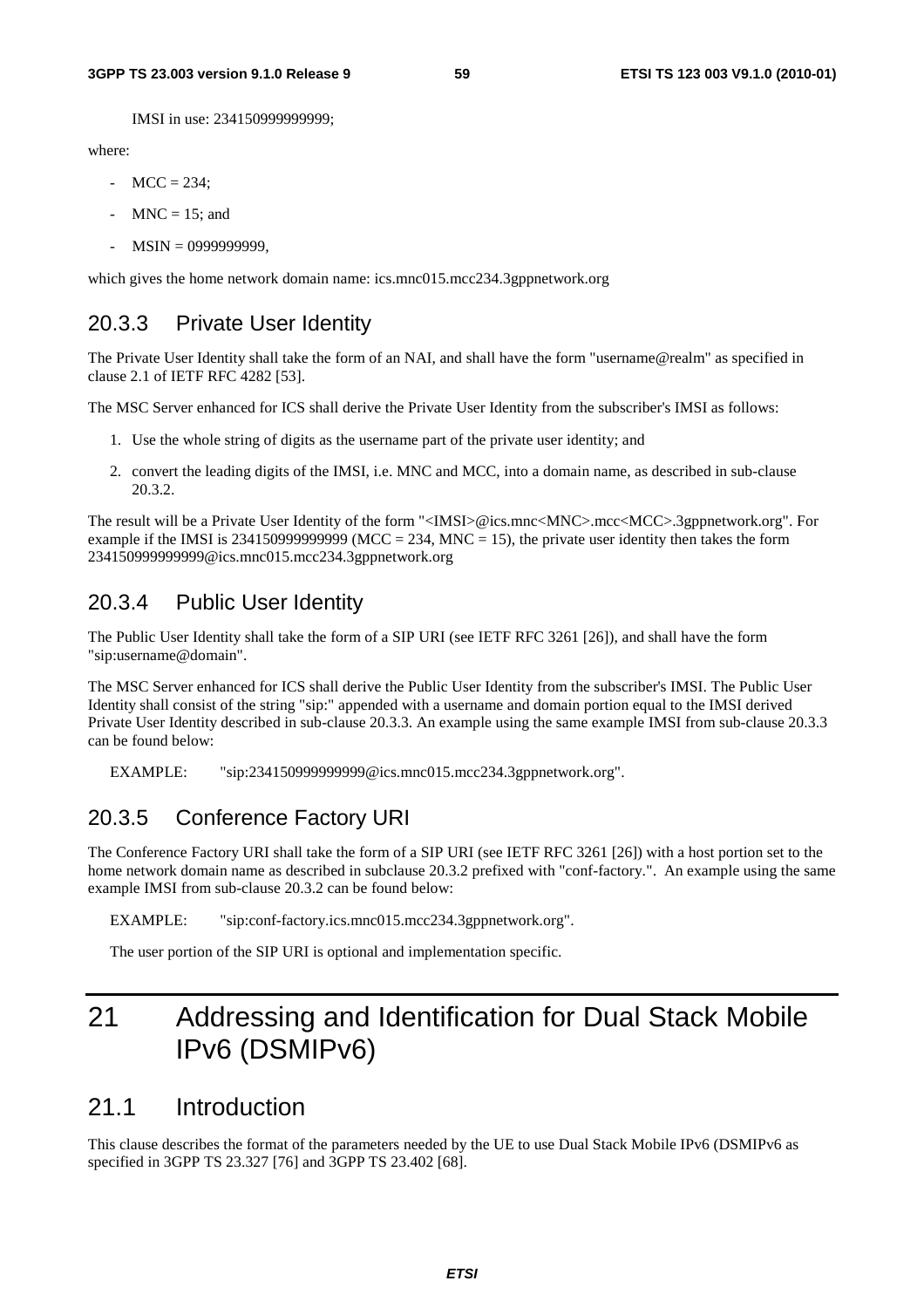IMSI in use: 234150999999999;

where:

- $MCC = 234$ :
- $MNC = 15$ ; and
- MSIN = 0999999999,

which gives the home network domain name: ics.mnc015.mcc234.3gppnetwork.org

### 20.3.3 Private User Identity

The Private User Identity shall take the form of an NAI, and shall have the form "username@realm" as specified in clause 2.1 of IETF RFC 4282 [53].

The MSC Server enhanced for ICS shall derive the Private User Identity from the subscriber's IMSI as follows:

- 1. Use the whole string of digits as the username part of the private user identity; and
- 2. convert the leading digits of the IMSI, i.e. MNC and MCC, into a domain name, as described in sub-clause 20.3.2.

The result will be a Private User Identity of the form "<IMSI>@ics.mnc<MNC>.mcc<MCC>.3gppnetwork.org". For example if the IMSI is 2341509999999999 (MCC = 234, MNC = 15), the private user identity then takes the form 234150999999999@ics.mnc015.mcc234.3gppnetwork.org

### 20.3.4 Public User Identity

The Public User Identity shall take the form of a SIP URI (see IETF RFC 3261 [26]), and shall have the form "sip:username@domain".

The MSC Server enhanced for ICS shall derive the Public User Identity from the subscriber's IMSI. The Public User Identity shall consist of the string "sip:" appended with a username and domain portion equal to the IMSI derived Private User Identity described in sub-clause 20.3.3. An example using the same example IMSI from sub-clause 20.3.3 can be found below:

EXAMPLE: "sip:234150999999999@ics.mnc015.mcc234.3gppnetwork.org".

### 20.3.5 Conference Factory URI

The Conference Factory URI shall take the form of a SIP URI (see IETF RFC 3261 [26]) with a host portion set to the home network domain name as described in subclause 20.3.2 prefixed with "conf-factory.". An example using the same example IMSI from sub-clause 20.3.2 can be found below:

EXAMPLE: "sip:conf-factory.ics.mnc015.mcc234.3gppnetwork.org".

The user portion of the SIP URI is optional and implementation specific.

# 21 Addressing and Identification for Dual Stack Mobile IPv6 (DSMIPv6)

### 21.1 Introduction

This clause describes the format of the parameters needed by the UE to use Dual Stack Mobile IPv6 (DSMIPv6 as specified in 3GPP TS 23.327 [76] and 3GPP TS 23.402 [68].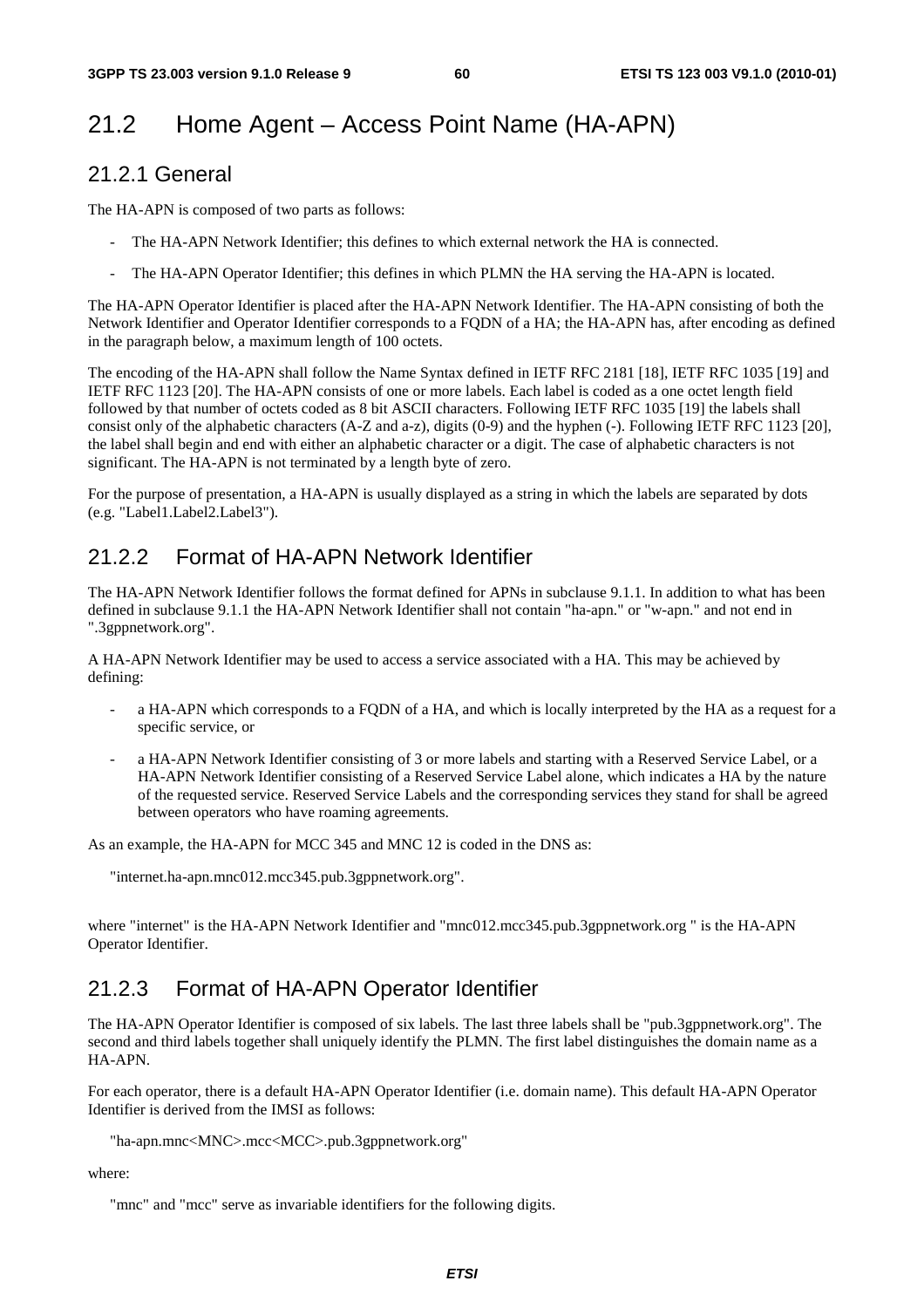# 21.2 Home Agent – Access Point Name (HA-APN)

#### 21.2.1 General

The HA-APN is composed of two parts as follows:

- The HA-APN Network Identifier; this defines to which external network the HA is connected.
- The HA-APN Operator Identifier; this defines in which PLMN the HA serving the HA-APN is located.

The HA-APN Operator Identifier is placed after the HA-APN Network Identifier. The HA-APN consisting of both the Network Identifier and Operator Identifier corresponds to a FQDN of a HA; the HA-APN has, after encoding as defined in the paragraph below, a maximum length of 100 octets.

The encoding of the HA-APN shall follow the Name Syntax defined in IETF RFC 2181 [18], IETF RFC 1035 [19] and IETF RFC 1123 [20]. The HA-APN consists of one or more labels. Each label is coded as a one octet length field followed by that number of octets coded as 8 bit ASCII characters. Following IETF RFC 1035 [19] the labels shall consist only of the alphabetic characters (A-Z and a-z), digits (0-9) and the hyphen (-). Following IETF RFC 1123 [20], the label shall begin and end with either an alphabetic character or a digit. The case of alphabetic characters is not significant. The HA-APN is not terminated by a length byte of zero.

For the purpose of presentation, a HA-APN is usually displayed as a string in which the labels are separated by dots (e.g. "Label1.Label2.Label3").

### 21.2.2 Format of HA-APN Network Identifier

The HA-APN Network Identifier follows the format defined for APNs in subclause 9.1.1. In addition to what has been defined in subclause 9.1.1 the HA-APN Network Identifier shall not contain "ha-apn." or "w-apn." and not end in ".3gppnetwork.org".

A HA-APN Network Identifier may be used to access a service associated with a HA. This may be achieved by defining:

- a HA-APN which corresponds to a FQDN of a HA, and which is locally interpreted by the HA as a request for a specific service, or
- a HA-APN Network Identifier consisting of 3 or more labels and starting with a Reserved Service Label, or a HA-APN Network Identifier consisting of a Reserved Service Label alone, which indicates a HA by the nature of the requested service. Reserved Service Labels and the corresponding services they stand for shall be agreed between operators who have roaming agreements.

As an example, the HA-APN for MCC 345 and MNC 12 is coded in the DNS as:

"internet.ha-apn.mnc012.mcc345.pub.3gppnetwork.org".

where "internet" is the HA-APN Network Identifier and "mnc012.mcc345.pub.3gppnetwork.org " is the HA-APN Operator Identifier.

### 21.2.3 Format of HA-APN Operator Identifier

The HA-APN Operator Identifier is composed of six labels. The last three labels shall be "pub.3gppnetwork.org". The second and third labels together shall uniquely identify the PLMN. The first label distinguishes the domain name as a HA-APN.

For each operator, there is a default HA-APN Operator Identifier (i.e. domain name). This default HA-APN Operator Identifier is derived from the IMSI as follows:

"ha-apn.mnc<MNC>.mcc<MCC>.pub.3gppnetwork.org"

where:

"mnc" and "mcc" serve as invariable identifiers for the following digits.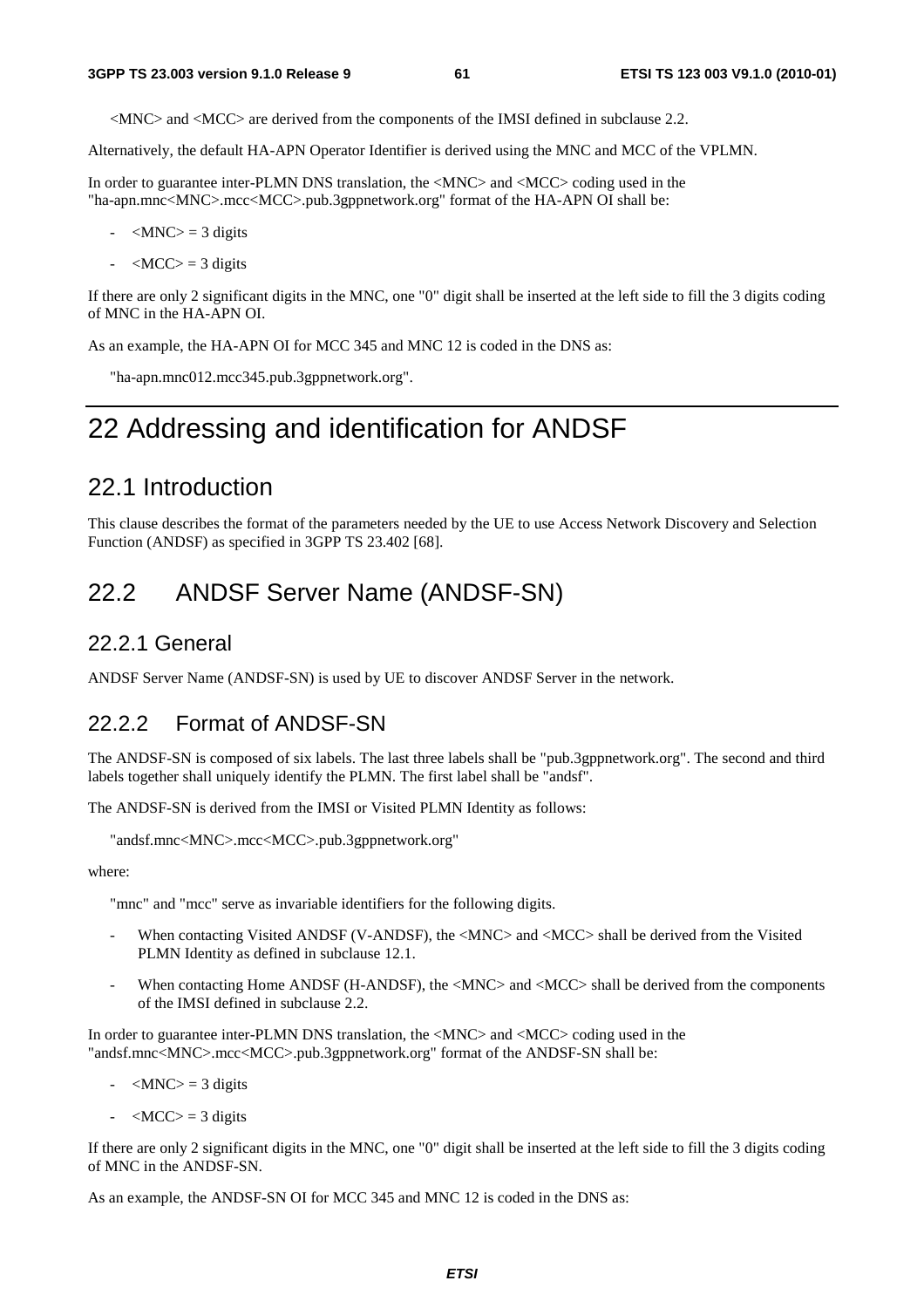<MNC> and <MCC> are derived from the components of the IMSI defined in subclause 2.2.

Alternatively, the default HA-APN Operator Identifier is derived using the MNC and MCC of the VPLMN.

In order to guarantee inter-PLMN DNS translation, the <MNC> and <MCC> coding used in the "ha-apn.mnc<MNC>.mcc<MCC>.pub.3gppnetwork.org" format of the HA-APN OI shall be:

- $-MNC$  = 3 digits
- $-MCC$  = 3 digits

If there are only 2 significant digits in the MNC, one "0" digit shall be inserted at the left side to fill the 3 digits coding of MNC in the HA-APN OI.

As an example, the HA-APN OI for MCC 345 and MNC 12 is coded in the DNS as:

"ha-apn.mnc012.mcc345.pub.3gppnetwork.org".

# 22 Addressing and identification for ANDSF

### 22.1 Introduction

This clause describes the format of the parameters needed by the UE to use Access Network Discovery and Selection Function (ANDSF) as specified in 3GPP TS 23.402 [68].

### 22.2 ANDSF Server Name (ANDSF-SN)

#### 22.2.1 General

ANDSF Server Name (ANDSF-SN) is used by UE to discover ANDSF Server in the network.

#### 22.2.2 Format of ANDSF-SN

The ANDSF-SN is composed of six labels. The last three labels shall be "pub.3gppnetwork.org". The second and third labels together shall uniquely identify the PLMN. The first label shall be "andsf".

The ANDSF-SN is derived from the IMSI or Visited PLMN Identity as follows:

```
"andsf.mnc<MNC>.mcc<MCC>.pub.3gppnetwork.org"
```
where:

"mnc" and "mcc" serve as invariable identifiers for the following digits.

- When contacting Visited ANDSF (V-ANDSF), the <MNC> and <MCC> shall be derived from the Visited PLMN Identity as defined in subclause 12.1.
- When contacting Home ANDSF (H-ANDSF), the <MNC> and <MCC> shall be derived from the components of the IMSI defined in subclause 2.2.

In order to guarantee inter-PLMN DNS translation, the <MNC> and <MCC> coding used in the "andsf.mnc<MNC>.mcc<MCC>.pub.3gppnetwork.org" format of the ANDSF-SN shall be:

- $-MNC$  = 3 digits
- $\langle MCC \rangle = 3$  digits

If there are only 2 significant digits in the MNC, one "0" digit shall be inserted at the left side to fill the 3 digits coding of MNC in the ANDSF-SN.

As an example, the ANDSF-SN OI for MCC 345 and MNC 12 is coded in the DNS as: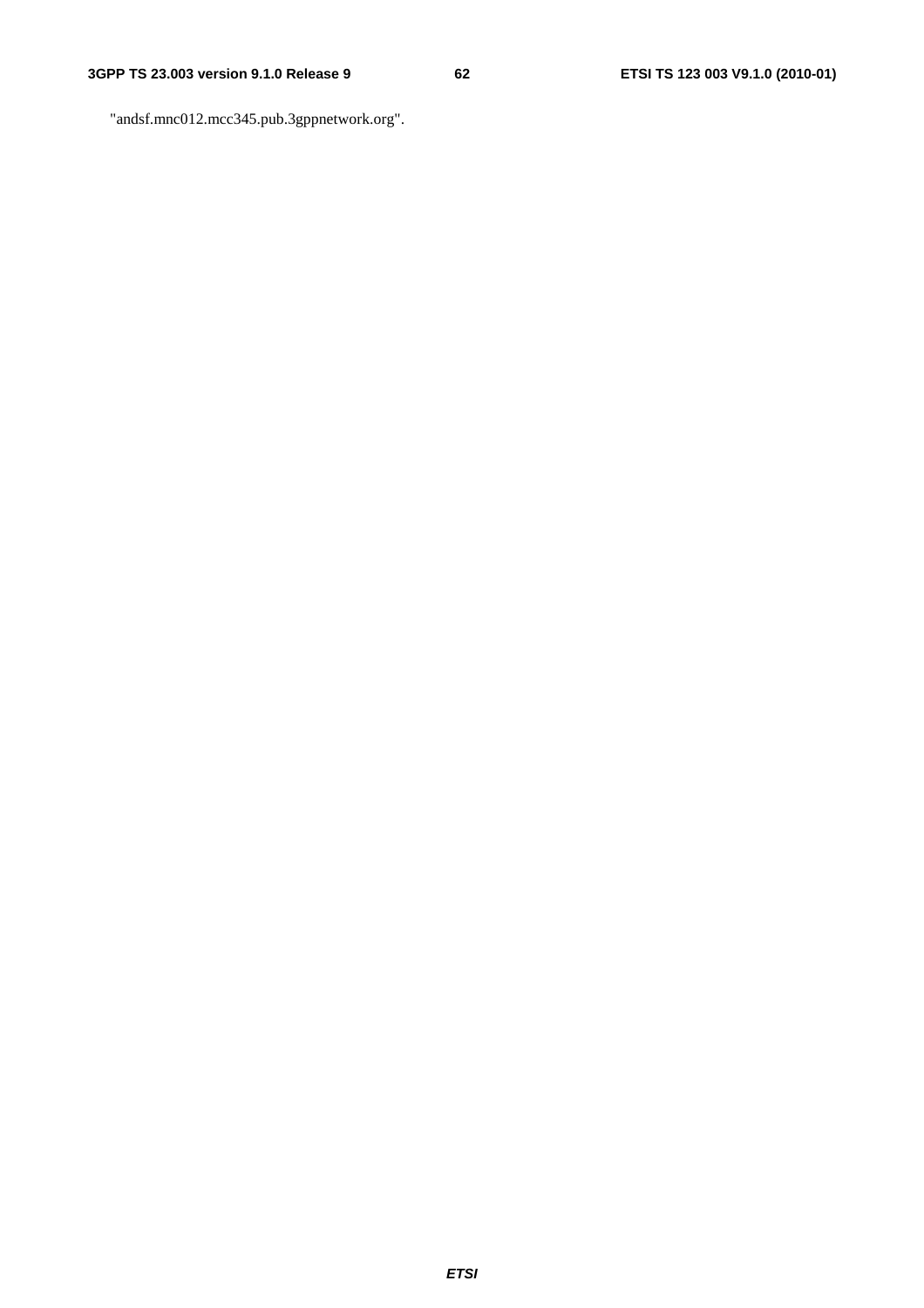"andsf.mnc012.mcc345.pub.3gppnetwork.org".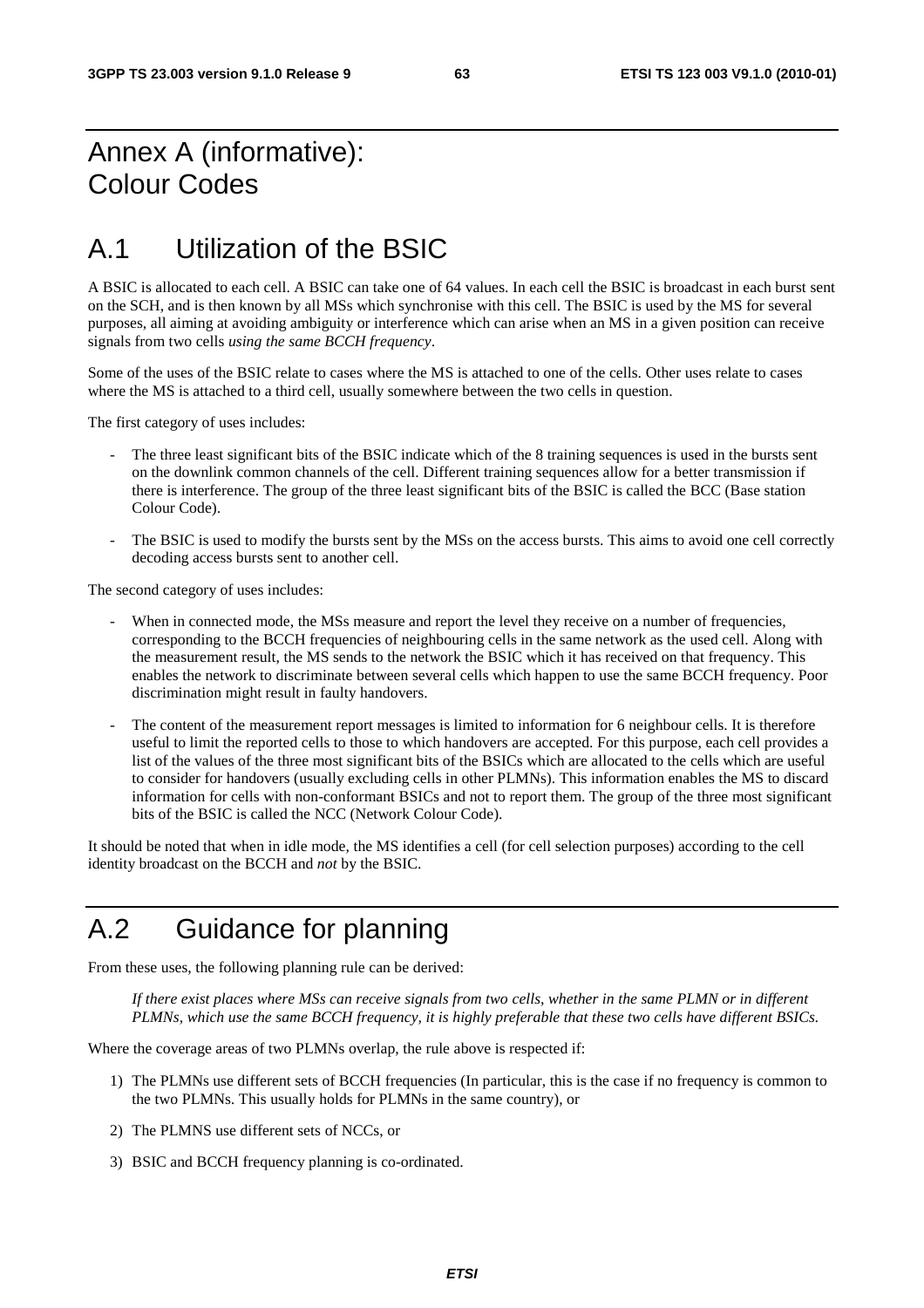# Annex A (informative): Colour Codes

# A.1 Utilization of the BSIC

A BSIC is allocated to each cell. A BSIC can take one of 64 values. In each cell the BSIC is broadcast in each burst sent on the SCH, and is then known by all MSs which synchronise with this cell. The BSIC is used by the MS for several purposes, all aiming at avoiding ambiguity or interference which can arise when an MS in a given position can receive signals from two cells *using the same BCCH frequency*.

Some of the uses of the BSIC relate to cases where the MS is attached to one of the cells. Other uses relate to cases where the MS is attached to a third cell, usually somewhere between the two cells in question.

The first category of uses includes:

- The three least significant bits of the BSIC indicate which of the 8 training sequences is used in the bursts sent on the downlink common channels of the cell. Different training sequences allow for a better transmission if there is interference. The group of the three least significant bits of the BSIC is called the BCC (Base station Colour Code).
- The BSIC is used to modify the bursts sent by the MSs on the access bursts. This aims to avoid one cell correctly decoding access bursts sent to another cell.

The second category of uses includes:

- When in connected mode, the MSs measure and report the level they receive on a number of frequencies, corresponding to the BCCH frequencies of neighbouring cells in the same network as the used cell. Along with the measurement result, the MS sends to the network the BSIC which it has received on that frequency. This enables the network to discriminate between several cells which happen to use the same BCCH frequency. Poor discrimination might result in faulty handovers.
- The content of the measurement report messages is limited to information for 6 neighbour cells. It is therefore useful to limit the reported cells to those to which handovers are accepted. For this purpose, each cell provides a list of the values of the three most significant bits of the BSICs which are allocated to the cells which are useful to consider for handovers (usually excluding cells in other PLMNs). This information enables the MS to discard information for cells with non-conformant BSICs and not to report them. The group of the three most significant bits of the BSIC is called the NCC (Network Colour Code).

It should be noted that when in idle mode, the MS identifies a cell (for cell selection purposes) according to the cell identity broadcast on the BCCH and *not* by the BSIC.

# A.2 Guidance for planning

From these uses, the following planning rule can be derived:

 *If there exist places where MSs can receive signals from two cells, whether in the same PLMN or in different PLMNs, which use the same BCCH frequency, it is highly preferable that these two cells have different BSICs.* 

Where the coverage areas of two PLMNs overlap, the rule above is respected if:

- 1) The PLMNs use different sets of BCCH frequencies (In particular, this is the case if no frequency is common to the two PLMNs. This usually holds for PLMNs in the same country), or
- 2) The PLMNS use different sets of NCCs, or
- 3) BSIC and BCCH frequency planning is co-ordinated.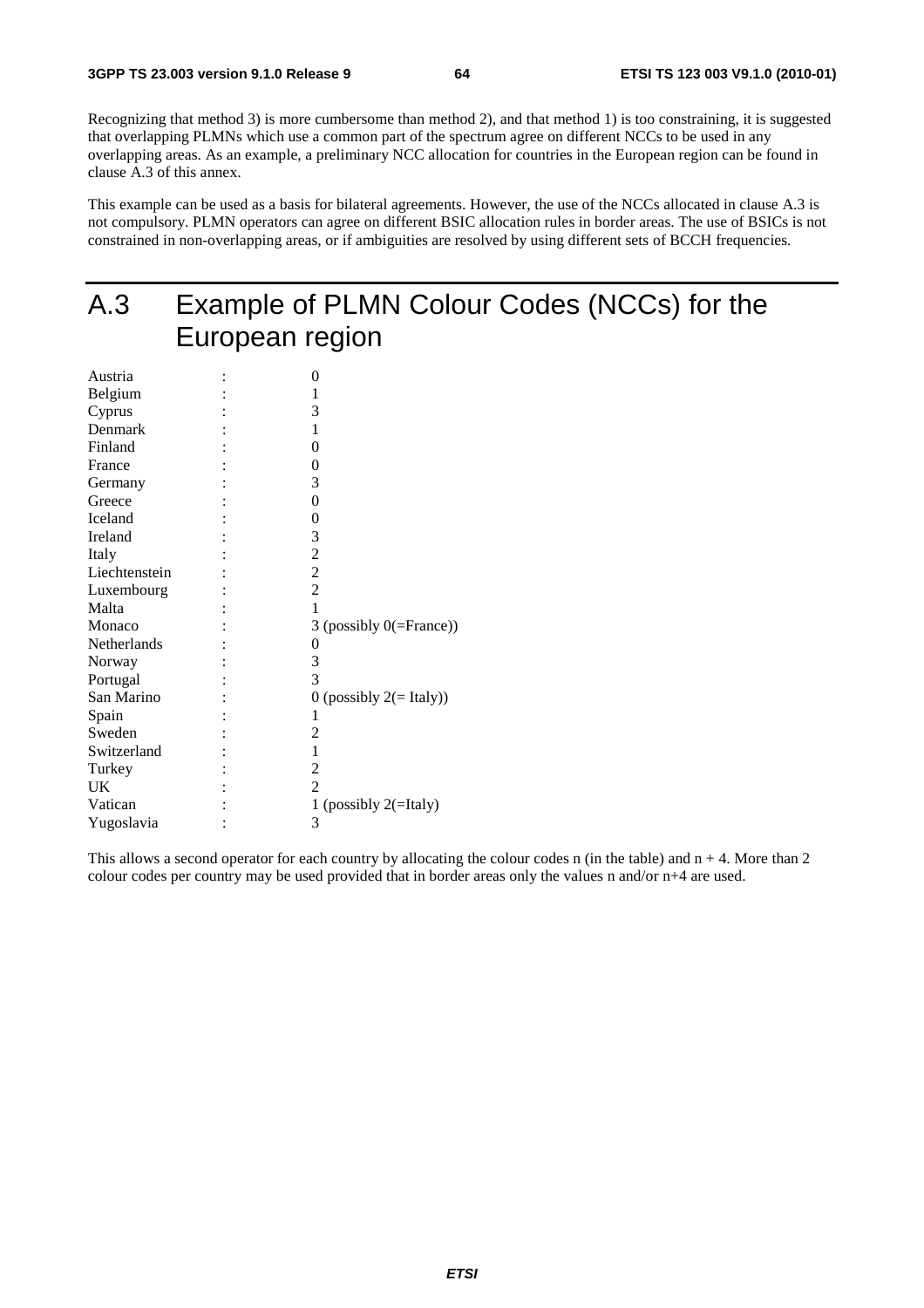Recognizing that method 3) is more cumbersome than method 2), and that method 1) is too constraining, it is suggested that overlapping PLMNs which use a common part of the spectrum agree on different NCCs to be used in any overlapping areas. As an example, a preliminary NCC allocation for countries in the European region can be found in clause A.3 of this annex.

This example can be used as a basis for bilateral agreements. However, the use of the NCCs allocated in clause A.3 is not compulsory. PLMN operators can agree on different BSIC allocation rules in border areas. The use of BSICs is not constrained in non-overlapping areas, or if ambiguities are resolved by using different sets of BCCH frequencies.

# A.3 Example of PLMN Colour Codes (NCCs) for the European region

| Austria       | 0                             |
|---------------|-------------------------------|
| Belgium       | 1                             |
| Cyprus        | 3                             |
| Denmark       | 1                             |
| Finland       | 0                             |
| France        | 0                             |
| Germany       | 3                             |
| Greece        | $\boldsymbol{0}$              |
| Iceland       | 0                             |
| Ireland       | 3                             |
| Italy         | $\overline{c}$                |
| Liechtenstein | $\frac{2}{2}$                 |
| Luxembourg    |                               |
| Malta         | 1                             |
| Monaco        | 3 (possibly $0$ (=France))    |
| Netherlands   | 0                             |
| Norway        | 3                             |
| Portugal      | 3                             |
| San Marino    | $0$ (possibly $2 (= Italy)$ ) |
| Spain         | 1                             |
| Sweden        | 2                             |
| Switzerland   | 1                             |
| Turkey        | $\overline{c}$                |
| UK            | $\overline{2}$                |
| Vatican       | 1 (possibly $2($ =Italy)      |
| Yugoslavia    | 3                             |

This allows a second operator for each country by allocating the colour codes n (in the table) and  $n + 4$ . More than 2 colour codes per country may be used provided that in border areas only the values n and/or n+4 are used.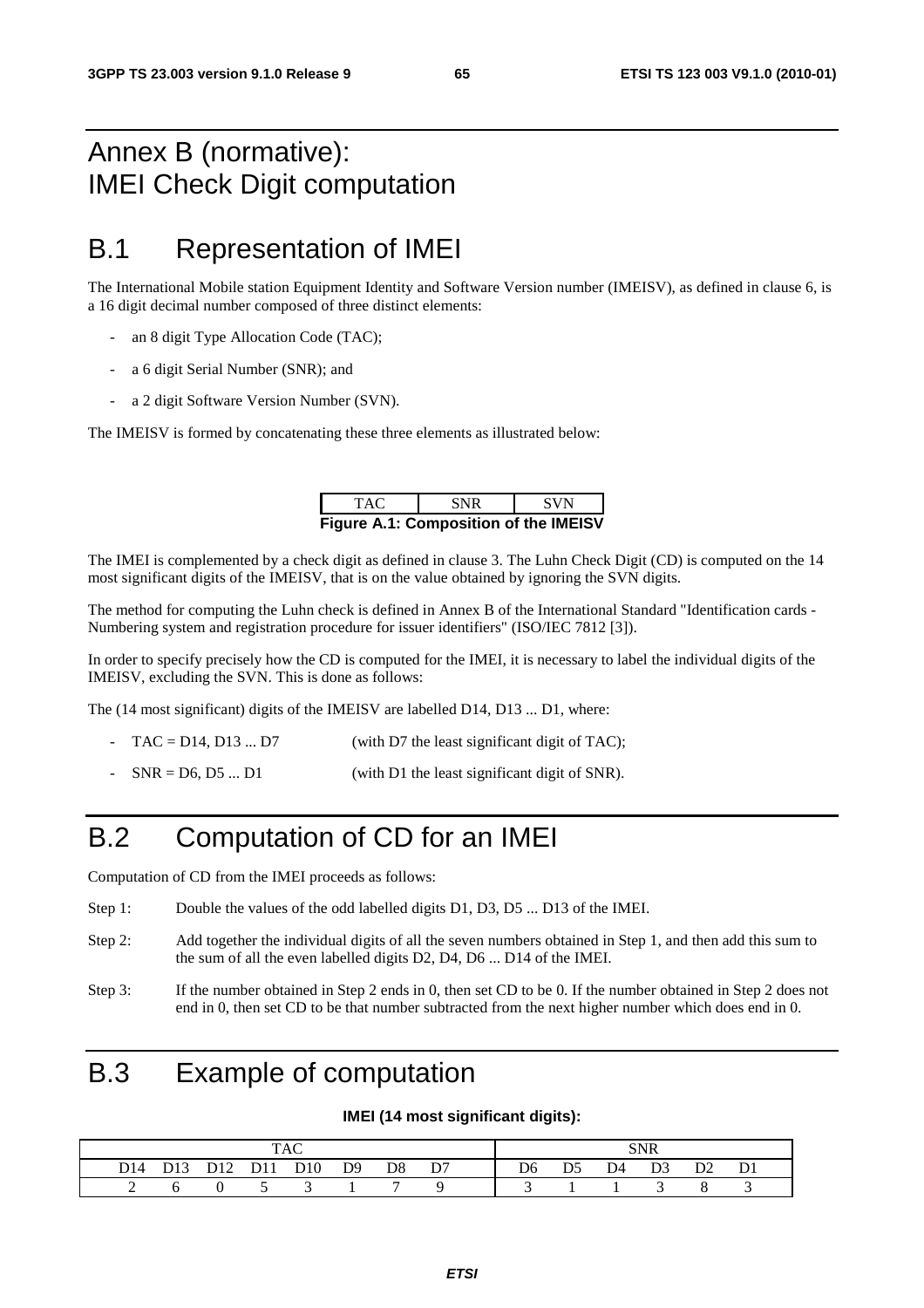# Annex B (normative): IMEI Check Digit computation

# B.1 Representation of IMEI

The International Mobile station Equipment Identity and Software Version number (IMEISV), as defined in clause 6, is a 16 digit decimal number composed of three distinct elements:

- an 8 digit Type Allocation Code (TAC);
- a 6 digit Serial Number (SNR); and
- a 2 digit Software Version Number (SVN).

The IMEISV is formed by concatenating these three elements as illustrated below:

| TAC.                                         | <b>SNR</b> | <b>SVN</b> |
|----------------------------------------------|------------|------------|
| <b>Figure A.1: Composition of the IMEISV</b> |            |            |

The IMEI is complemented by a check digit as defined in clause 3. The Luhn Check Digit (CD) is computed on the 14 most significant digits of the IMEISV, that is on the value obtained by ignoring the SVN digits.

The method for computing the Luhn check is defined in Annex B of the International Standard "Identification cards - Numbering system and registration procedure for issuer identifiers" (ISO/IEC 7812 [3]).

In order to specify precisely how the CD is computed for the IMEI, it is necessary to label the individual digits of the IMEISV, excluding the SVN. This is done as follows:

The (14 most significant) digits of the IMEISV are labelled D14, D13 ... D1, where:

- $TAC = D14$ ,  $D13$  ...  $D7$  (with D7 the least significant digit of TAC);
- $SNR = D6, D5 ... D1$  (with D1 the least significant digit of SNR).

# B.2 Computation of CD for an IMEI

Computation of CD from the IMEI proceeds as follows:

- Step 1: Double the values of the odd labelled digits D1, D3, D5 ... D13 of the IMEI.
- Step 2: Add together the individual digits of all the seven numbers obtained in Step 1, and then add this sum to the sum of all the even labelled digits D2, D4, D6 ... D14 of the IMEI.
- Step 3: If the number obtained in Step 2 ends in 0, then set CD to be 0. If the number obtained in Step 2 does not end in 0, then set CD to be that number subtracted from the next higher number which does end in 0.

# B.3 Example of computation

#### **IMEI (14 most significant digits):**

|  |  |  |  |                              |  |  |  |  | SNR |                                                                                           |  |  |
|--|--|--|--|------------------------------|--|--|--|--|-----|-------------------------------------------------------------------------------------------|--|--|
|  |  |  |  | D14 D13 D12 D11 D10 D9 D8 D7 |  |  |  |  |     | D <sub>6</sub> D <sub>5</sub> D <sub>4</sub> D <sub>3</sub> D <sub>2</sub> D <sub>1</sub> |  |  |
|  |  |  |  | $0 \t 5 \t 3 \t 1$           |  |  |  |  |     |                                                                                           |  |  |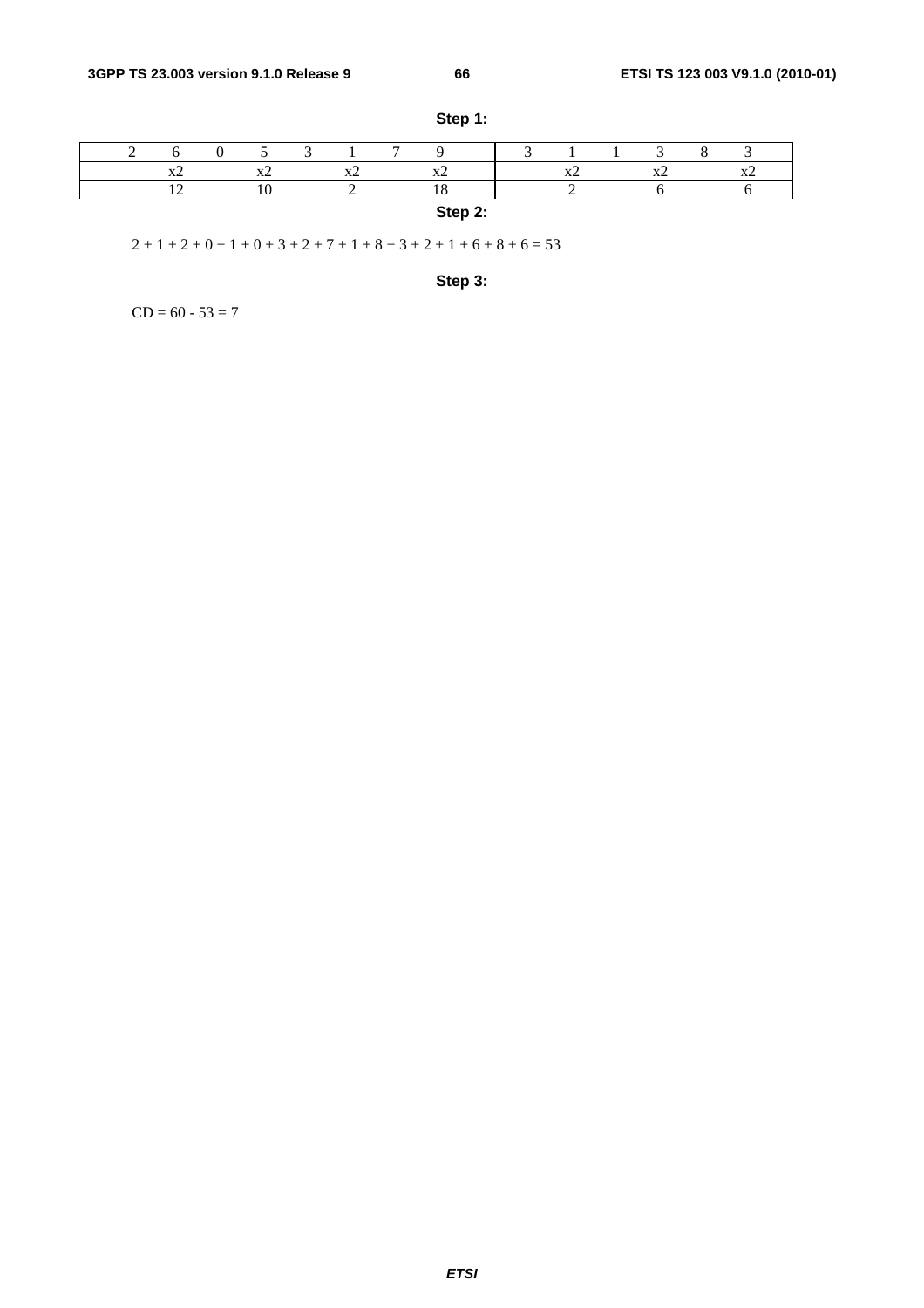|  |                         |          |                             | $\mathbf{r}$ |           |  |          |              |                          |  |
|--|-------------------------|----------|-----------------------------|--------------|-----------|--|----------|--------------|--------------------------|--|
|  | $\overline{\mathbf{A}}$ | $\Delta$ | $\mathbf{v}'$ ,<br>$\Delta$ |              | $\Lambda$ |  | $\Delta$ | $\mathbf{v}$ | $\overline{\phantom{a}}$ |  |
|  |                         | 10       |                             |              | 1 ດ<br>18 |  |          |              |                          |  |
|  |                         |          |                             |              | Step 2:   |  |          |              |                          |  |

**Step 1:** 

 $2 + 1 + 2 + 0 + 1 + 0 + 3 + 2 + 7 + 1 + 8 + 3 + 2 + 1 + 6 + 8 + 6 = 53$ 

**Step 3:** 

 $CD = 60 - 53 = 7$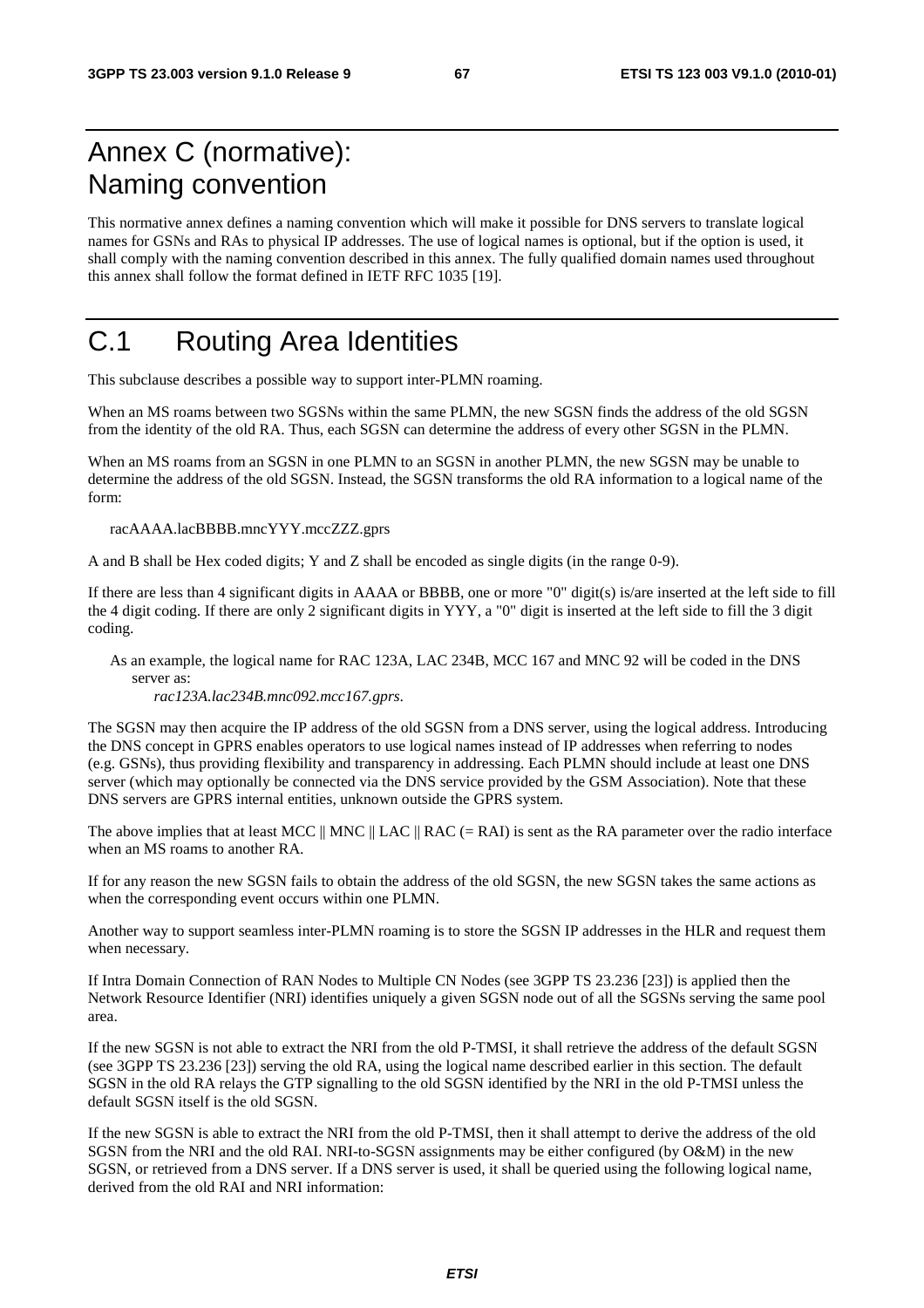# Annex C (normative): Naming convention

This normative annex defines a naming convention which will make it possible for DNS servers to translate logical names for GSNs and RAs to physical IP addresses. The use of logical names is optional, but if the option is used, it shall comply with the naming convention described in this annex. The fully qualified domain names used throughout this annex shall follow the format defined in IETF RFC 1035 [19].

# C.1 Routing Area Identities

This subclause describes a possible way to support inter-PLMN roaming.

When an MS roams between two SGSNs within the same PLMN, the new SGSN finds the address of the old SGSN from the identity of the old RA. Thus, each SGSN can determine the address of every other SGSN in the PLMN.

When an MS roams from an SGSN in one PLMN to an SGSN in another PLMN, the new SGSN may be unable to determine the address of the old SGSN. Instead, the SGSN transforms the old RA information to a logical name of the form:

racAAAA.lacBBBB.mncYYY.mccZZZ.gprs

A and B shall be Hex coded digits; Y and Z shall be encoded as single digits (in the range 0-9).

If there are less than 4 significant digits in AAAA or BBBB, one or more "0" digit(s) is/are inserted at the left side to fill the 4 digit coding. If there are only 2 significant digits in YYY, a "0" digit is inserted at the left side to fill the 3 digit coding.

As an example, the logical name for RAC 123A, LAC 234B, MCC 167 and MNC 92 will be coded in the DNS server as:

*rac123A.lac234B.mnc092.mcc167.gprs*.

The SGSN may then acquire the IP address of the old SGSN from a DNS server, using the logical address. Introducing the DNS concept in GPRS enables operators to use logical names instead of IP addresses when referring to nodes (e.g. GSNs), thus providing flexibility and transparency in addressing. Each PLMN should include at least one DNS server (which may optionally be connected via the DNS service provided by the GSM Association). Note that these DNS servers are GPRS internal entities, unknown outside the GPRS system.

The above implies that at least MCC  $\parallel$  MNC  $\parallel$  LAC  $\parallel$  RAC (= RAI) is sent as the RA parameter over the radio interface when an MS roams to another RA.

If for any reason the new SGSN fails to obtain the address of the old SGSN, the new SGSN takes the same actions as when the corresponding event occurs within one PLMN.

Another way to support seamless inter-PLMN roaming is to store the SGSN IP addresses in the HLR and request them when necessary.

If Intra Domain Connection of RAN Nodes to Multiple CN Nodes (see 3GPP TS 23.236 [23]) is applied then the Network Resource Identifier (NRI) identifies uniquely a given SGSN node out of all the SGSNs serving the same pool area.

If the new SGSN is not able to extract the NRI from the old P-TMSI, it shall retrieve the address of the default SGSN (see 3GPP TS 23.236 [23]) serving the old RA, using the logical name described earlier in this section. The default SGSN in the old RA relays the GTP signalling to the old SGSN identified by the NRI in the old P-TMSI unless the default SGSN itself is the old SGSN.

If the new SGSN is able to extract the NRI from the old P-TMSI, then it shall attempt to derive the address of the old SGSN from the NRI and the old RAI. NRI-to-SGSN assignments may be either configured (by O&M) in the new SGSN, or retrieved from a DNS server. If a DNS server is used, it shall be queried using the following logical name, derived from the old RAI and NRI information: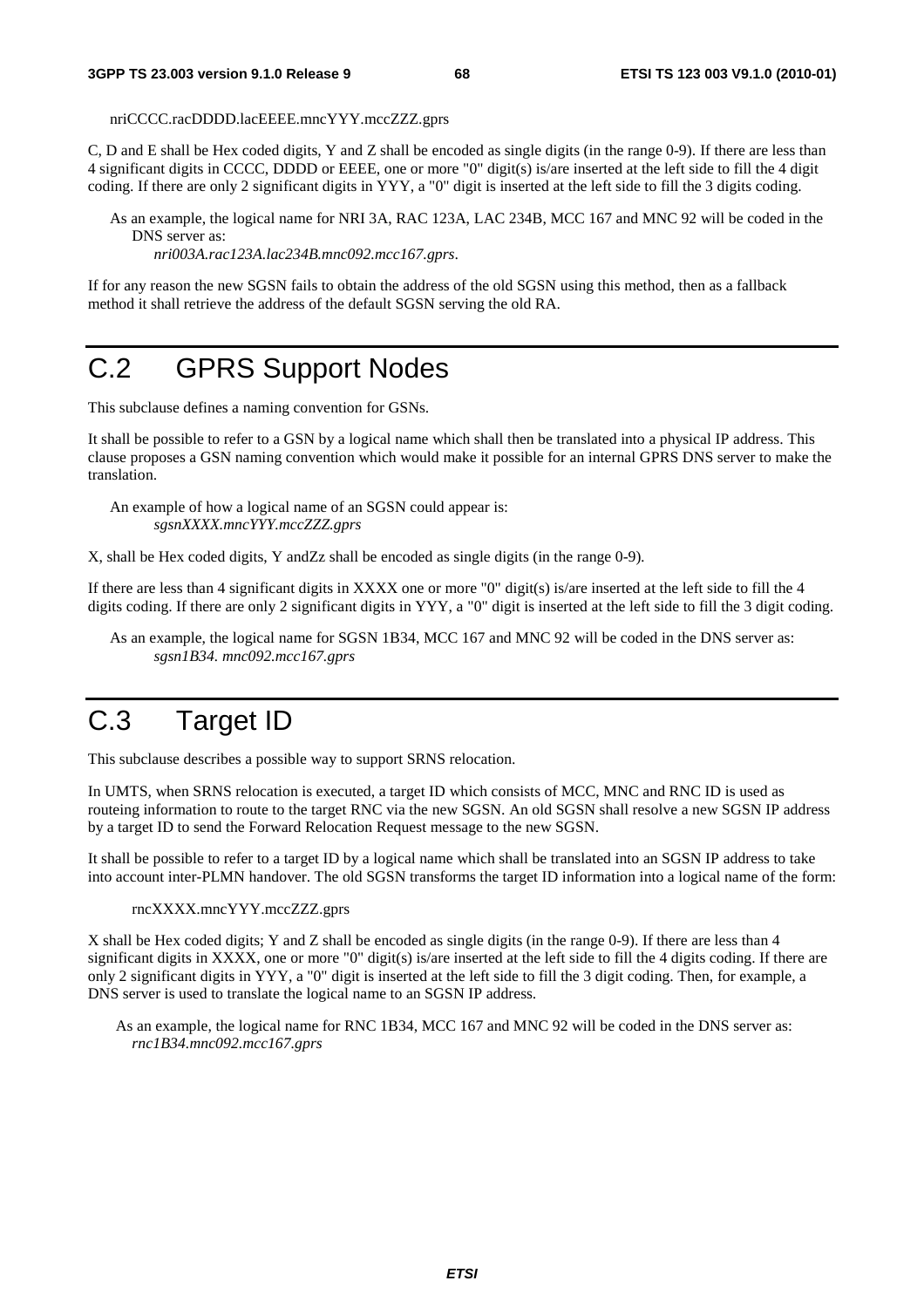nriCCCC.racDDDD.lacEEEE.mncYYY.mccZZZ.gprs

C, D and E shall be Hex coded digits, Y and Z shall be encoded as single digits (in the range 0-9). If there are less than 4 significant digits in CCCC, DDDD or EEEE, one or more "0" digit(s) is/are inserted at the left side to fill the 4 digit coding. If there are only 2 significant digits in YYY, a "0" digit is inserted at the left side to fill the 3 digits coding.

As an example, the logical name for NRI 3A, RAC 123A, LAC 234B, MCC 167 and MNC 92 will be coded in the DNS server as:

*nri003A.rac123A.lac234B.mnc092.mcc167.gprs*.

If for any reason the new SGSN fails to obtain the address of the old SGSN using this method, then as a fallback method it shall retrieve the address of the default SGSN serving the old RA.

# C.2 GPRS Support Nodes

This subclause defines a naming convention for GSNs.

It shall be possible to refer to a GSN by a logical name which shall then be translated into a physical IP address. This clause proposes a GSN naming convention which would make it possible for an internal GPRS DNS server to make the translation.

An example of how a logical name of an SGSN could appear is: *sgsnXXXX.mncYYY.mccZZZ.gprs* 

X, shall be Hex coded digits, Y andZz shall be encoded as single digits (in the range 0-9)*.* 

If there are less than 4 significant digits in XXXX one or more "0" digit(s) is/are inserted at the left side to fill the 4 digits coding. If there are only 2 significant digits in YYY, a "0" digit is inserted at the left side to fill the 3 digit coding.

As an example, the logical name for SGSN 1B34, MCC 167 and MNC 92 will be coded in the DNS server as: *sgsn1B34. mnc092.mcc167.gprs*

# C.3 Target ID

This subclause describes a possible way to support SRNS relocation.

In UMTS, when SRNS relocation is executed, a target ID which consists of MCC, MNC and RNC ID is used as routeing information to route to the target RNC via the new SGSN. An old SGSN shall resolve a new SGSN IP address by a target ID to send the Forward Relocation Request message to the new SGSN.

It shall be possible to refer to a target ID by a logical name which shall be translated into an SGSN IP address to take into account inter-PLMN handover. The old SGSN transforms the target ID information into a logical name of the form:

rncXXXX.mncYYY.mccZZZ.gprs

X shall be Hex coded digits; Y and Z shall be encoded as single digits (in the range 0-9). If there are less than 4 significant digits in XXXX, one or more "0" digit(s) is/are inserted at the left side to fill the 4 digits coding. If there are only 2 significant digits in YYY, a "0" digit is inserted at the left side to fill the 3 digit coding. Then, for example, a DNS server is used to translate the logical name to an SGSN IP address.

As an example, the logical name for RNC 1B34, MCC 167 and MNC 92 will be coded in the DNS server as: *rnc1B34.mnc092.mcc167.gprs*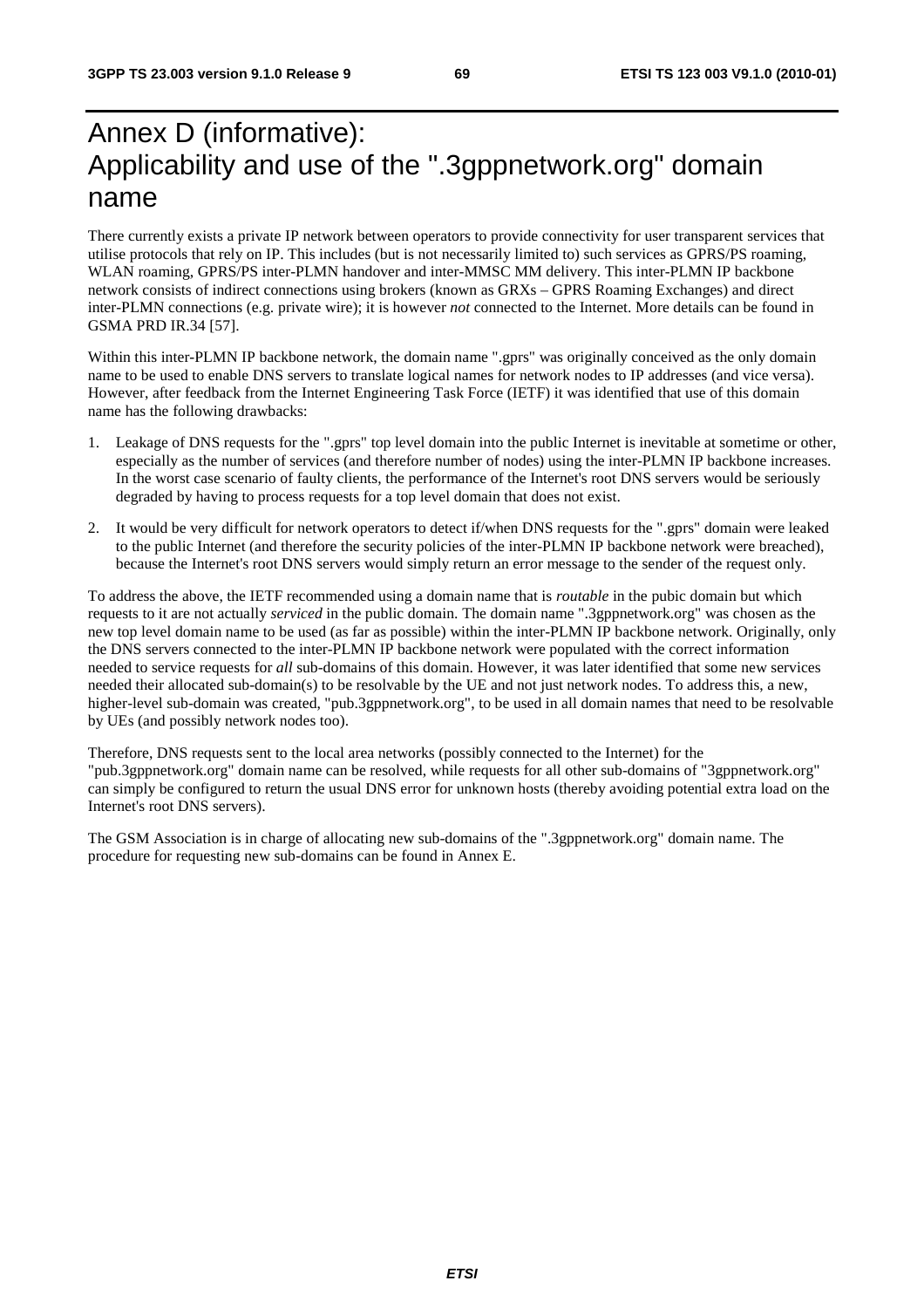# Annex D (informative): Applicability and use of the ".3gppnetwork.org" domain name

There currently exists a private IP network between operators to provide connectivity for user transparent services that utilise protocols that rely on IP. This includes (but is not necessarily limited to) such services as GPRS/PS roaming, WLAN roaming, GPRS/PS inter-PLMN handover and inter-MMSC MM delivery. This inter-PLMN IP backbone network consists of indirect connections using brokers (known as GRXs – GPRS Roaming Exchanges) and direct inter-PLMN connections (e.g. private wire); it is however *not* connected to the Internet. More details can be found in GSMA PRD IR.34 [57].

Within this inter-PLMN IP backbone network, the domain name ".gprs" was originally conceived as the only domain name to be used to enable DNS servers to translate logical names for network nodes to IP addresses (and vice versa). However, after feedback from the Internet Engineering Task Force (IETF) it was identified that use of this domain name has the following drawbacks:

- 1. Leakage of DNS requests for the ".gprs" top level domain into the public Internet is inevitable at sometime or other, especially as the number of services (and therefore number of nodes) using the inter-PLMN IP backbone increases. In the worst case scenario of faulty clients, the performance of the Internet's root DNS servers would be seriously degraded by having to process requests for a top level domain that does not exist.
- 2. It would be very difficult for network operators to detect if/when DNS requests for the ".gprs" domain were leaked to the public Internet (and therefore the security policies of the inter-PLMN IP backbone network were breached), because the Internet's root DNS servers would simply return an error message to the sender of the request only.

To address the above, the IETF recommended using a domain name that is *routable* in the pubic domain but which requests to it are not actually *serviced* in the public domain. The domain name ".3gppnetwork.org" was chosen as the new top level domain name to be used (as far as possible) within the inter-PLMN IP backbone network. Originally, only the DNS servers connected to the inter-PLMN IP backbone network were populated with the correct information needed to service requests for *all* sub-domains of this domain. However, it was later identified that some new services needed their allocated sub-domain(s) to be resolvable by the UE and not just network nodes. To address this, a new, higher-level sub-domain was created, "pub.3gppnetwork.org", to be used in all domain names that need to be resolvable by UEs (and possibly network nodes too).

Therefore, DNS requests sent to the local area networks (possibly connected to the Internet) for the "pub.3gppnetwork.org" domain name can be resolved, while requests for all other sub-domains of "3gppnetwork.org" can simply be configured to return the usual DNS error for unknown hosts (thereby avoiding potential extra load on the Internet's root DNS servers).

The GSM Association is in charge of allocating new sub-domains of the ".3gppnetwork.org" domain name. The procedure for requesting new sub-domains can be found in Annex E.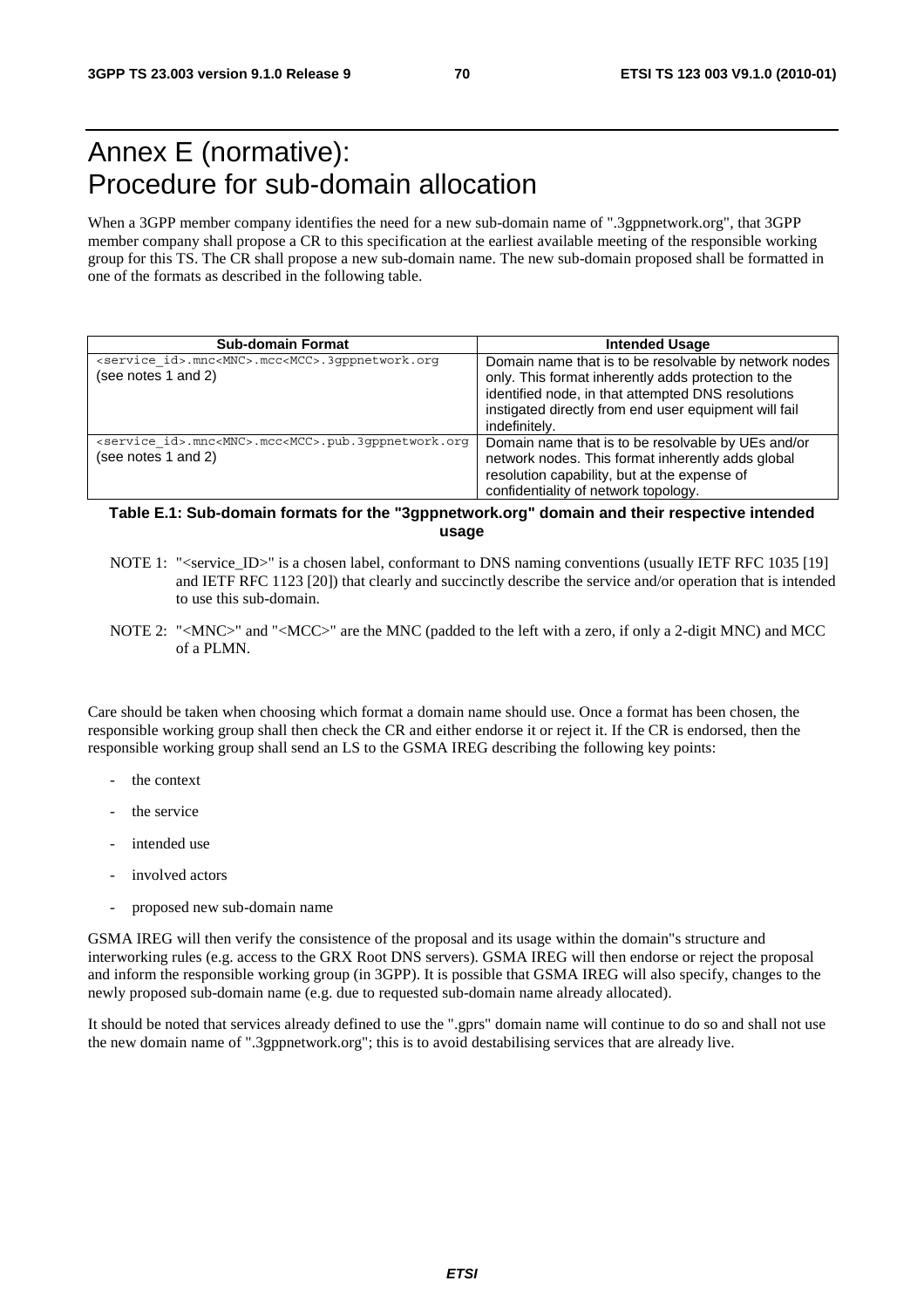# Annex E (normative): Procedure for sub-domain allocation

When a 3GPP member company identifies the need for a new sub-domain name of ".3gppnetwork.org", that 3GPP member company shall propose a CR to this specification at the earliest available meeting of the responsible working group for this TS. The CR shall propose a new sub-domain name. The new sub-domain proposed shall be formatted in one of the formats as described in the following table.

| <b>Sub-domain Format</b>                                                                            | <b>Intended Usage</b>                                                                                                                                                                                                                        |
|-----------------------------------------------------------------------------------------------------|----------------------------------------------------------------------------------------------------------------------------------------------------------------------------------------------------------------------------------------------|
| <service id="">.mnc<mnc>.mcc<mcc>.3qppnetwork.org<br/>(see notes 1 and 2)</mcc></mnc></service>     | Domain name that is to be resolvable by network nodes<br>only. This format inherently adds protection to the<br>identified node, in that attempted DNS resolutions<br>instigated directly from end user equipment will fail<br>indefinitely. |
| <service id="">.mnc<mnc>.mcc<mcc>.pub.3qppnetwork.org<br/>(see notes 1 and 2)</mcc></mnc></service> | Domain name that is to be resolvable by UEs and/or<br>network nodes. This format inherently adds global<br>resolution capability, but at the expense of<br>confidentiality of network topology.                                              |

#### **Table E.1: Sub-domain formats for the "3gppnetwork.org" domain and their respective intended usage**

- NOTE 1: "<service\_ID>" is a chosen label, conformant to DNS naming conventions (usually IETF RFC 1035 [19] and IETF RFC 1123 [20]) that clearly and succinctly describe the service and/or operation that is intended to use this sub-domain.
- NOTE 2: "<MNC>" and "<MCC>" are the MNC (padded to the left with a zero, if only a 2-digit MNC) and MCC of a PLMN.

Care should be taken when choosing which format a domain name should use. Once a format has been chosen, the responsible working group shall then check the CR and either endorse it or reject it. If the CR is endorsed, then the responsible working group shall send an LS to the GSMA IREG describing the following key points:

- the context
- the service
- intended use
- involved actors
- proposed new sub-domain name

GSMA IREG will then verify the consistence of the proposal and its usage within the domain"s structure and interworking rules (e.g. access to the GRX Root DNS servers). GSMA IREG will then endorse or reject the proposal and inform the responsible working group (in 3GPP). It is possible that GSMA IREG will also specify, changes to the newly proposed sub-domain name (e.g. due to requested sub-domain name already allocated).

It should be noted that services already defined to use the ".gprs" domain name will continue to do so and shall not use the new domain name of ".3gppnetwork.org"; this is to avoid destabilising services that are already live.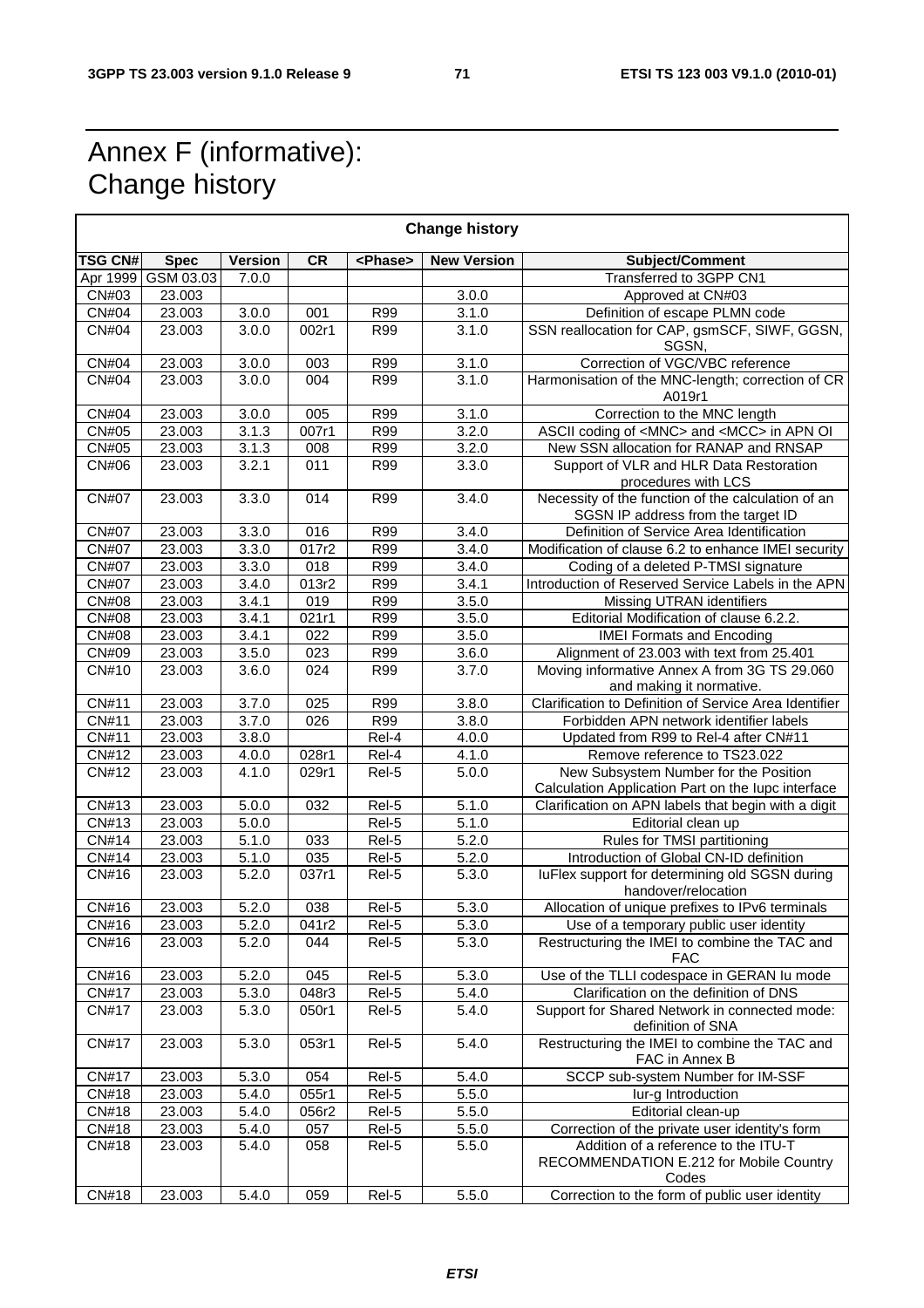# Annex F (informative): Change history

| <b>Change history</b>      |             |                    |                     |                   |                    |                                                                                             |  |  |  |  |
|----------------------------|-------------|--------------------|---------------------|-------------------|--------------------|---------------------------------------------------------------------------------------------|--|--|--|--|
| <b>TSG CN#</b>             | <b>Spec</b> | <b>Version</b>     | <b>CR</b>           | <phase></phase>   | <b>New Version</b> | Subject/Comment                                                                             |  |  |  |  |
| Apr 1999                   | GSM 03.03   | 7.0.0              |                     |                   |                    | Transferred to 3GPP CN1                                                                     |  |  |  |  |
| CN#03                      | 23.003      |                    |                     |                   | 3.0.0              | Approved at CN#03                                                                           |  |  |  |  |
| <b>CN#04</b>               | 23.003      | 3.0.0              | 001                 | <b>R99</b>        | 3.1.0              | Definition of escape PLMN code                                                              |  |  |  |  |
| <b>CN#04</b>               | 23.003      | 3.0.0              | 002r1               | R99               | 3.1.0              | SSN reallocation for CAP, gsmSCF, SIWF, GGSN,<br>SGSN,                                      |  |  |  |  |
| <b>CN#04</b>               | 23.003      | 3.0.0              | 003                 | <b>R99</b>        | 3.1.0              | Correction of VGC/VBC reference                                                             |  |  |  |  |
| <b>CN#04</b>               | 23.003      | 3.0.0              | 004                 | R99               | 3.1.0              | Harmonisation of the MNC-length; correction of CR<br>A019r1                                 |  |  |  |  |
| <b>CN#04</b>               | 23.003      | 3.0.0              | 005                 | R99               | 3.1.0              | Correction to the MNC length                                                                |  |  |  |  |
| CN#05                      | 23.003      | 3.1.3              | 007r1               | R99               | 3.2.0              | ASCII coding of <mnc> and <mcc> in APN OI</mcc></mnc>                                       |  |  |  |  |
| <b>CN#05</b>               | 23.003      | 3.1.3              | 008                 | $\overline{R99}$  | 3.2.0              | New SSN allocation for RANAP and RNSAP                                                      |  |  |  |  |
| CN#06                      | 23.003      | 3.2.1              | 011                 | <b>R99</b>        | 3.3.0              | Support of VLR and HLR Data Restoration<br>procedures with LCS                              |  |  |  |  |
| <b>CN#07</b>               | 23.003      | 3.3.0              | 014                 | <b>R99</b>        | 3.4.0              | Necessity of the function of the calculation of an<br>SGSN IP address from the target ID    |  |  |  |  |
| <b>CN#07</b>               | 23.003      | 3.3.0              | 016                 | R99               | 3.4.0              | Definition of Service Area Identification                                                   |  |  |  |  |
| <b>CN#07</b>               | 23.003      | 3.3.0              | 017r2               | R99               | 3.4.0              | Modification of clause 6.2 to enhance IMEI security                                         |  |  |  |  |
| <b>CN#07</b>               | 23.003      | 3.3.0              | 018                 | <b>R99</b>        | 3.4.0              | Coding of a deleted P-TMSI signature                                                        |  |  |  |  |
| <b>CN#07</b>               | 23.003      | 3.4.0              | 013r2               | <b>R99</b>        | 3.4.1              | Introduction of Reserved Service Labels in the APN                                          |  |  |  |  |
| <b>CN#08</b>               | 23.003      | 3.4.1              | 019                 | R99               | 3.5.0              | Missing UTRAN identifiers                                                                   |  |  |  |  |
| <b>CN#08</b>               | 23.003      | 3.4.1              | $\overline{0}$ 21r1 | R99               | 3.5.0              | Editorial Modification of clause 6.2.2.                                                     |  |  |  |  |
| <b>CN#08</b>               | 23.003      | 3.4.1              | $\overline{022}$    | R99               | 3.5.0              | <b>IMEI Formats and Encoding</b>                                                            |  |  |  |  |
| $\overline{\text{CN}}$ #09 | 23.003      | 3.5.0              | 023                 | <b>R99</b>        | 3.6.0              | Alignment of 23.003 with text from 25.401                                                   |  |  |  |  |
| CN#10                      | 23.003      | 3.6.0              | 024                 | R99               | 3.7.0              | Moving informative Annex A from 3G TS 29.060<br>and making it normative.                    |  |  |  |  |
| <b>CN#11</b>               | 23.003      | 3.7.0              | 025                 | <b>R99</b>        | 3.8.0              | Clarification to Definition of Service Area Identifier                                      |  |  |  |  |
| CN#11                      | 23.003      | 3.7.0              | 026                 | R99               | 3.8.0              | Forbidden APN network identifier labels                                                     |  |  |  |  |
| $\overline{CN#11}$         | 23.003      | 3.8.0              |                     | Rel-4             | 4.0.0              | Updated from R99 to Rel-4 after CN#11                                                       |  |  |  |  |
| CN#12                      | 23.003      | 4.0.0              | 028r1               | Rel-4             | 4.1.0              | Remove reference to TS23.022                                                                |  |  |  |  |
| <b>CN#12</b>               | 23.003      | 4.1.0              | 029r1               | Rel-5             | 5.0.0              | New Subsystem Number for the Position<br>Calculation Application Part on the lupc interface |  |  |  |  |
| CN#13                      | 23.003      | 5.0.0              | 032                 | Rel-5             | 5.1.0              | Clarification on APN labels that begin with a digit                                         |  |  |  |  |
| CN#13                      | 23.003      | 5.0.0              |                     | Rel-5             | $\overline{5.1.0}$ | Editorial clean up                                                                          |  |  |  |  |
| <b>CN#14</b>               | 23.003      | 5.1.0              | 033                 | $\overline{Rel5}$ | 5.2.0              | Rules for TMSI partitioning                                                                 |  |  |  |  |
| CN#14                      | 23.003      | $\overline{5.1.0}$ | 035                 | Rel-5             | 5.2.0              | Introduction of Global CN-ID definition                                                     |  |  |  |  |
| CN#16                      | 23.003      | 5.2.0              | 037r1               | Rel-5             | 5.3.0              | luFlex support for determining old SGSN during<br>handover/relocation                       |  |  |  |  |
| CN#16                      | 23.003      | 5.2.0              | 038                 | Rel-5             | 5.3.0              | Allocation of unique prefixes to IPv6 terminals                                             |  |  |  |  |
| CN#16                      | 23.003      | 5.2.0              | 041r2               | Rel-5             | 5.3.0              | Use of a temporary public user identity                                                     |  |  |  |  |
| CN#16                      | 23.003      | 5.2.0              | 044                 | Rel-5             | 5.3.0              | Restructuring the IMEI to combine the TAC and<br>FAC                                        |  |  |  |  |
| CN#16                      | 23.003      | 5.2.0              | 045                 | Rel-5             | 5.3.0              | Use of the TLLI codespace in GERAN Iu mode                                                  |  |  |  |  |
| <b>CN#17</b>               | 23.003      | 5.3.0              | 048r3               | Rel-5             | 5.4.0              | Clarification on the definition of DNS                                                      |  |  |  |  |
| <b>CN#17</b>               | 23.003      | 5.3.0              | 050r1               | Rel-5             | 5.4.0              | Support for Shared Network in connected mode:<br>definition of SNA                          |  |  |  |  |
| <b>CN#17</b>               | 23.003      | 5.3.0              | 053r1               | Rel-5             | 5.4.0              | Restructuring the IMEI to combine the TAC and<br>FAC in Annex B                             |  |  |  |  |
| <b>CN#17</b>               | 23.003      | 5.3.0              | 054                 | Rel-5             | 5.4.0              | SCCP sub-system Number for IM-SSF                                                           |  |  |  |  |
| <b>CN#18</b>               | 23.003      | 5.4.0              | 055r1               | Rel-5             | 5.5.0              | lur-g Introduction                                                                          |  |  |  |  |
| <b>CN#18</b>               | 23.003      | 5.4.0              | 056r2               | Rel-5             | 5.5.0              | Editorial clean-up                                                                          |  |  |  |  |
| CN#18                      | 23.003      | 5.4.0              | 057                 | Rel-5             | 5.5.0              | Correction of the private user identity's form                                              |  |  |  |  |
| CN#18                      | 23.003      | 5.4.0              | 058                 | Rel-5             | 5.5.0              | Addition of a reference to the ITU-T<br>RECOMMENDATION E.212 for Mobile Country<br>Codes    |  |  |  |  |
| <b>CN#18</b>               | 23.003      | 5.4.0              | 059                 | Rel-5             | 5.5.0              | Correction to the form of public user identity                                              |  |  |  |  |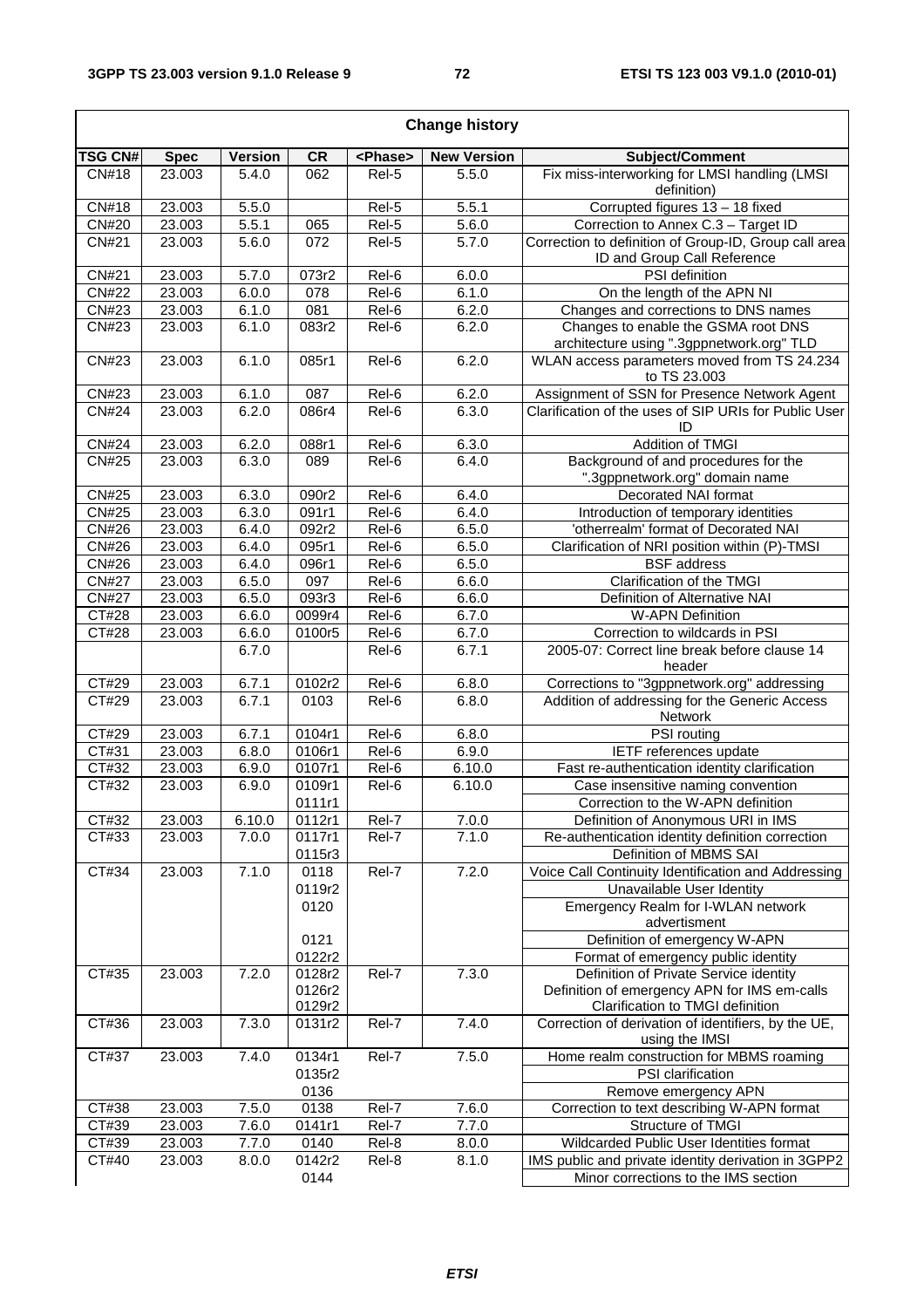$\overline{\Gamma}$ 

٦

| <b>Change history</b> |             |                |                     |                    |                    |                                                                                  |  |
|-----------------------|-------------|----------------|---------------------|--------------------|--------------------|----------------------------------------------------------------------------------|--|
| <b>TSG CN#</b>        | <b>Spec</b> | <b>Version</b> | CR                  | <phase></phase>    | <b>New Version</b> | Subject/Comment                                                                  |  |
| CN#18                 | 23.003      | 5.4.0          | 062                 | Rel-5              | 5.5.0              | Fix miss-interworking for LMSI handling (LMSI<br>definition)                     |  |
| CN#18                 | 23.003      | 5.5.0          |                     | Rel-5              | 5.5.1              | Corrupted figures 13 - 18 fixed                                                  |  |
| <b>CN#20</b>          | 23.003      | 5.5.1          | 065                 | Rel-5              | 5.6.0              | Correction to Annex C.3 - Target ID                                              |  |
| <b>CN#21</b>          | 23.003      | 5.6.0          | 072                 | Rel-5              | 5.7.0              | Correction to definition of Group-ID, Group call area                            |  |
|                       |             |                |                     |                    |                    | ID and Group Call Reference                                                      |  |
| <b>CN#21</b>          | 23.003      | 5.7.0          | 073r2               | Rel-6              | 6.0.0              | PSI definition                                                                   |  |
| <b>CN#22</b>          | 23.003      | 6.0.0          | 078                 | $\overline{Rel6}$  | 6.1.0              | On the length of the APN NI                                                      |  |
| CN#23                 | 23.003      | 6.1.0          | $\overline{081}$    | $\overline{Rel-6}$ | 6.2.0              | Changes and corrections to DNS names                                             |  |
| CN#23                 | 23.003      | 6.1.0          | 083r2               | Rel-6              | 6.2.0              | Changes to enable the GSMA root DNS<br>architecture using ".3gppnetwork.org" TLD |  |
| CN#23                 | 23.003      | 6.1.0          | 085r1               | Rel-6              | 6.2.0              | WLAN access parameters moved from TS 24.234<br>to TS 23.003                      |  |
| CN#23                 | 23.003      | 6.1.0          | 087                 | Rel-6              | 6.2.0              | Assignment of SSN for Presence Network Agent                                     |  |
| <b>CN#24</b>          | 23.003      | 6.2.0          | 086r4               | Rel-6              | 6.3.0              | Clarification of the uses of SIP URIs for Public User<br>ID                      |  |
| <b>CN#24</b>          | 23.003      | 6.2.0          | 088r1               | Rel-6              | 6.3.0              | Addition of TMGI                                                                 |  |
| <b>CN#25</b>          | 23.003      | 6.3.0          | 089                 | Rel-6              | 6.4.0              | Background of and procedures for the                                             |  |
|                       |             |                |                     |                    |                    | ".3gppnetwork.org" domain name                                                   |  |
| CN#25                 | 23.003      | 6.3.0          | 090r2               | Rel-6              | 6.4.0              | Decorated NAI format                                                             |  |
| <b>CN#25</b>          | 23.003      | 6.3.0          | 091r1               | Rel-6              | 6.4.0              | Introduction of temporary identities                                             |  |
| <b>CN#26</b>          | 23.003      | 6.4.0          | 092r2               | Rel-6              | 6.5.0              | 'otherrealm' format of Decorated NAI                                             |  |
| <b>CN#26</b>          | 23.003      | 6.4.0          | 095r1               | Rel-6              | 6.5.0              | Clarification of NRI position within (P)-TMSI                                    |  |
| <b>CN#26</b>          | 23.003      | 6.4.0          | 096r1               | Rel-6              | 6.5.0              | <b>BSF</b> address                                                               |  |
| <b>CN#27</b>          | 23.003      | 6.5.0          | 097                 | Rel-6              | 6.6.0              | Clarification of the TMGI                                                        |  |
| <b>CN#27</b>          | 23.003      | 6.5.0          | 093r3               | Rel-6              | 6.6.0              | Definition of Alternative NAI                                                    |  |
| CT#28                 | 23.003      | 6.6.0          | 0099r4              | Rel-6              | 6.7.0              | <b>W-APN Definition</b>                                                          |  |
| CT#28                 | 23.003      | 6.6.0          | 0100r5              | Rel-6              | 6.7.0              | Correction to wildcards in PSI                                                   |  |
|                       |             | 6.7.0          |                     | Rel-6              | 6.7.1              | 2005-07: Correct line break before clause 14<br>header                           |  |
| $\overline{CT#29}$    | 23.003      | 6.7.1          | 0102r2              | Rel-6              | 6.8.0              | Corrections to "3gppnetwork.org" addressing                                      |  |
| CT#29                 | 23.003      | 6.7.1          | 0103                | Rel-6              | 6.8.0              | Addition of addressing for the Generic Access<br>Network                         |  |
| CT#29                 | 23.003      | 6.7.1          | 0104r1              | Rel-6              | 6.8.0              | PSI routing                                                                      |  |
| CT#31                 | 23.003      | 6.8.0          | 0106r1              | Rel-6              | 6.9.0              | IETF references update                                                           |  |
| CT#32                 | 23.003      | 6.9.0          | 0107r1              | Rel-6              | 6.10.0             | Fast re-authentication identity clarification                                    |  |
| CT#32                 | 23.003      | 6.9.0          | 0109r1              | Rel-6              | 6.10.0             | Case insensitive naming convention                                               |  |
|                       |             |                | 0111r1              |                    |                    | Correction to the W-APN definition                                               |  |
| CT#32                 | 23.003      | 6.10.0         | 0112r1              | Rel-7              | 7.0.0              | Definition of Anonymous URI in IMS                                               |  |
| CT#33                 | 23.003      | 7.0.0          | 0117r1              | Rel-7              | 7.1.0              | Re-authentication identity definition correction                                 |  |
|                       |             |                | 0115r3              |                    |                    | Definition of MBMS SAI                                                           |  |
| CT#34                 | 23.003      | 7.1.0          | 0118                | Rel-7              | 7.2.0              | Voice Call Continuity Identification and Addressing                              |  |
|                       |             |                | 0119r2              |                    |                    | Unavailable User Identity                                                        |  |
|                       |             |                | 0120                |                    |                    | Emergency Realm for I-WLAN network<br>advertisment                               |  |
|                       |             |                | 0121                |                    |                    | Definition of emergency W-APN                                                    |  |
|                       |             |                | 0122r2              |                    |                    | Format of emergency public identity                                              |  |
| CT#35                 | 23.003      | 7.2.0          | 0128r2              | Rel-7              | 7.3.0              | Definition of Private Service identity                                           |  |
|                       |             |                | 0126r2              |                    |                    | Definition of emergency APN for IMS em-calls                                     |  |
|                       |             |                | 0129r2              |                    |                    | Clarification to TMGI definition                                                 |  |
| CT#36                 | 23.003      | 7.3.0          | 0131r2              | Rel-7              | 7.4.0              | Correction of derivation of identifiers, by the UE,<br>using the IMSI            |  |
| CT#37                 | 23.003      | 7.4.0          | $\overline{0134}r1$ | Rel-7              | 7.5.0              | Home realm construction for MBMS roaming                                         |  |
|                       |             |                | 0135r2              |                    |                    | PSI clarification                                                                |  |
|                       |             |                | 0136                |                    |                    | Remove emergency APN                                                             |  |
| CT#38                 | 23.003      | 7.5.0          | 0138                | Rel-7              | 7.6.0              | Correction to text describing W-APN format                                       |  |
| CT#39                 | 23.003      | 7.6.0          | 0141r1              | Rel-7              | 7.7.0              | Structure of TMGI                                                                |  |
| CT#39                 | 23.003      | 7.7.0          | 0140                | Rel-8              | 8.0.0              | Wildcarded Public User Identities format                                         |  |
| CT#40                 | 23.003      | 8.0.0          | 0142r2              | Rel-8              | 8.1.0              | IMS public and private identity derivation in 3GPP2                              |  |
|                       |             |                | 0144                |                    |                    | Minor corrections to the IMS section                                             |  |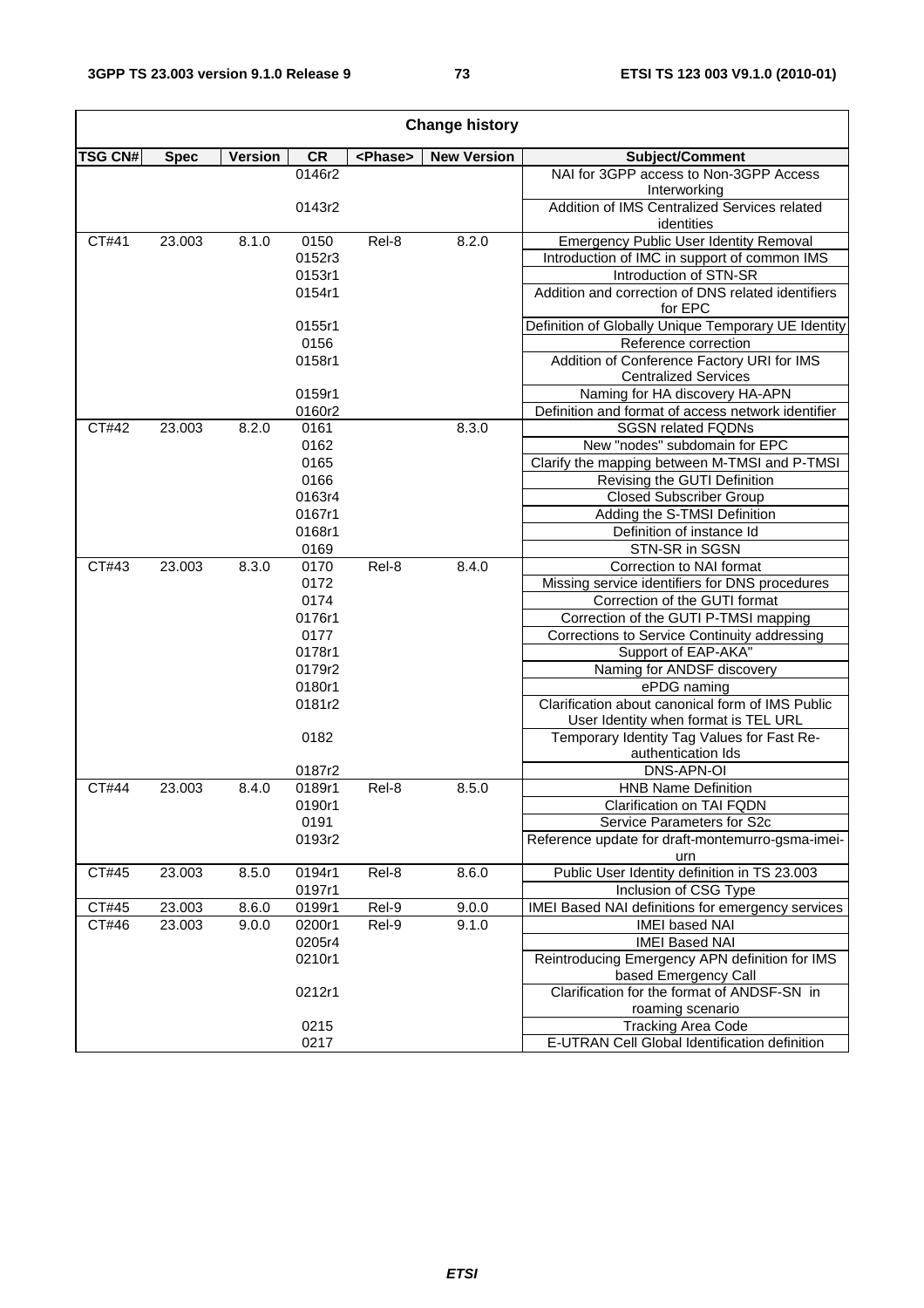1

 $\mathsf I$ 

| <b>Change history</b> |             |                |           |                 |                    |                                                                        |  |  |
|-----------------------|-------------|----------------|-----------|-----------------|--------------------|------------------------------------------------------------------------|--|--|
| <b>TSG CN#</b>        | <b>Spec</b> | <b>Version</b> | <b>CR</b> | <phase></phase> | <b>New Version</b> | Subject/Comment                                                        |  |  |
|                       |             |                | 0146r2    |                 |                    | NAI for 3GPP access to Non-3GPP Access<br>Interworking                 |  |  |
|                       |             |                | 0143r2    |                 |                    | Addition of IMS Centralized Services related                           |  |  |
|                       |             |                |           |                 |                    | identities                                                             |  |  |
| CT#41                 | 23.003      | 8.1.0          | 0150      | Rel-8           | 8.2.0              | <b>Emergency Public User Identity Removal</b>                          |  |  |
|                       |             |                | 0152r3    |                 |                    | Introduction of IMC in support of common IMS                           |  |  |
|                       |             |                | 0153r1    |                 |                    | Introduction of STN-SR                                                 |  |  |
|                       |             |                | 0154r1    |                 |                    | Addition and correction of DNS related identifiers<br>for EPC          |  |  |
|                       |             |                | 0155r1    |                 |                    | Definition of Globally Unique Temporary UE Identity                    |  |  |
|                       |             |                | 0156      |                 |                    | Reference correction                                                   |  |  |
|                       |             |                | 0158r1    |                 |                    | Addition of Conference Factory URI for IMS                             |  |  |
|                       |             |                |           |                 |                    | <b>Centralized Services</b>                                            |  |  |
|                       |             |                | 0159r1    |                 |                    | Naming for HA discovery HA-APN                                         |  |  |
|                       |             |                | 0160r2    |                 |                    | Definition and format of access network identifier                     |  |  |
| CT#42                 | 23.003      | 8.2.0          | 0161      |                 | 8.3.0              | <b>SGSN related FQDNs</b>                                              |  |  |
|                       |             |                | 0162      |                 |                    | New "nodes" subdomain for EPC                                          |  |  |
|                       |             |                | 0165      |                 |                    | Clarify the mapping between M-TMSI and P-TMSI                          |  |  |
|                       |             |                | 0166      |                 |                    | Revising the GUTI Definition                                           |  |  |
|                       |             |                | 0163r4    |                 |                    | <b>Closed Subscriber Group</b>                                         |  |  |
|                       |             |                | 0167r1    |                 |                    | Adding the S-TMSI Definition                                           |  |  |
|                       |             |                | 0168r1    |                 |                    | Definition of instance Id                                              |  |  |
|                       |             |                | 0169      |                 |                    | STN-SR in SGSN                                                         |  |  |
| CT#43                 | 23.003      | 8.3.0          | 0170      | Rel-8           | 8.4.0              | Correction to NAI format                                               |  |  |
|                       |             |                | 0172      |                 |                    | Missing service identifiers for DNS procedures                         |  |  |
|                       |             |                | 0174      |                 |                    | Correction of the GUTI format                                          |  |  |
|                       |             |                | 0176r1    |                 |                    | Correction of the GUTI P-TMSI mapping                                  |  |  |
|                       |             |                | 0177      |                 |                    | Corrections to Service Continuity addressing                           |  |  |
|                       |             |                | 0178r1    |                 |                    | Support of EAP-AKA"                                                    |  |  |
|                       |             |                | 0179r2    |                 |                    | Naming for ANDSF discovery                                             |  |  |
|                       |             |                | 0180r1    |                 |                    | ePDG naming                                                            |  |  |
|                       |             |                | 0181r2    |                 |                    | Clarification about canonical form of IMS Public                       |  |  |
|                       |             |                |           |                 |                    | User Identity when format is TEL URL                                   |  |  |
|                       |             |                | 0182      |                 |                    | Temporary Identity Tag Values for Fast Re-                             |  |  |
|                       |             |                |           |                 |                    | authentication Ids                                                     |  |  |
|                       |             |                | 0187r2    |                 |                    | DNS-APN-OI                                                             |  |  |
| CT#44                 | 23.003      | 8.4.0          | 0189r1    | Rel-8           | 8.5.0              | <b>HNB Name Definition</b>                                             |  |  |
|                       |             |                | 0190r1    |                 |                    | Clarification on TAI FQDN                                              |  |  |
|                       |             |                | 0191      |                 |                    | Service Parameters for S2c                                             |  |  |
|                       |             |                | 0193r2    |                 |                    | Reference update for draft-montemurro-gsma-imei-<br>urn                |  |  |
| CT#45                 | 23.003      | 8.5.0          | 0194r1    | Rel-8           | 8.6.0              | Public User Identity definition in TS 23.003                           |  |  |
|                       |             |                | 0197r1    |                 |                    | Inclusion of CSG Type                                                  |  |  |
| CT#45                 | 23.003      | 8.6.0          | 0199r1    | Rel-9           | 9.0.0              | <b>IMEI Based NAI definitions for emergency services</b>               |  |  |
| CT#46                 | 23.003      | 9.0.0          | 0200r1    | Rel-9           | 9.1.0              | IMEI based NAI                                                         |  |  |
|                       |             |                | 0205r4    |                 |                    | <b>IMEI Based NAI</b>                                                  |  |  |
|                       |             |                | 0210r1    |                 |                    | Reintroducing Emergency APN definition for IMS<br>based Emergency Call |  |  |
|                       |             |                | 0212r1    |                 |                    | Clarification for the format of ANDSF-SN in                            |  |  |
|                       |             |                |           |                 |                    | roaming scenario                                                       |  |  |
|                       |             |                | 0215      |                 |                    | <b>Tracking Area Code</b>                                              |  |  |
|                       |             |                | 0217      |                 |                    | E-UTRAN Cell Global Identification definition                          |  |  |